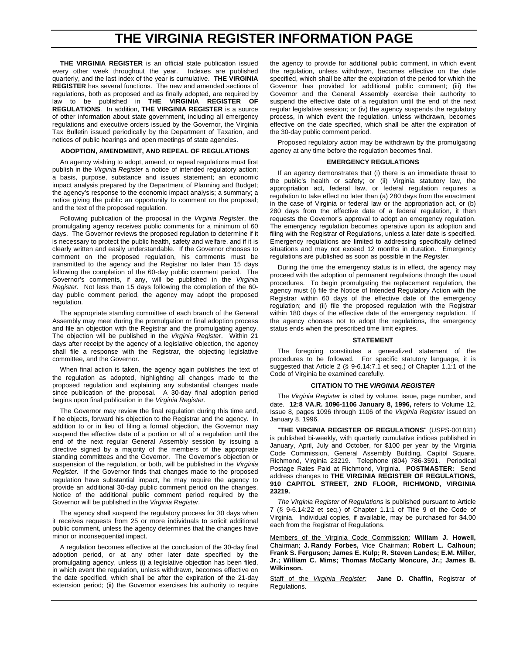# **THE VIRGINIA REGISTER INFORMATION PAGE**

**THE VIRGINIA REGISTER** is an official state publication issued every other week throughout the year. Indexes are published quarterly, and the last index of the year is cumulative. **THE VIRGINIA REGISTER** has several functions. The new and amended sections of regulations, both as proposed and as finally adopted, are required by law to be published in **THE VIRGINIA REGISTER OF REGULATIONS**. In addition, **THE VIRGINIA REGISTER** is a source of other information about state government, including all emergency regulations and executive orders issued by the Governor, the Virginia Tax Bulletin issued periodically by the Department of Taxation, and notices of public hearings and open meetings of state agencies.

#### **ADOPTION, AMENDMENT, AND REPEAL OF REGULATIONS**

An agency wishing to adopt, amend, or repeal regulations must first publish in the *Virginia Register* a notice of intended regulatory action; a basis, purpose, substance and issues statement; an economic impact analysis prepared by the Department of Planning and Budget; the agency's response to the economic impact analysis; a summary; a notice giving the public an opportunity to comment on the proposal; and the text of the proposed regulation.

Following publication of the proposal in the *Virginia Register*, the promulgating agency receives public comments for a minimum of 60 days. The Governor reviews the proposed regulation to determine if it is necessary to protect the public health, safety and welfare, and if it is clearly written and easily understandable. If the Governor chooses to comment on the proposed regulation, his comments must be transmitted to the agency and the Registrar no later than 15 days following the completion of the 60-day public comment period. The Governor's comments, if any, will be published in the *Virginia Register.* Not less than 15 days following the completion of the 60 day public comment period, the agency may adopt the proposed regulation.

The appropriate standing committee of each branch of the General Assembly may meet during the promulgation or final adoption process and file an objection with the Registrar and the promulgating agency. The objection will be published in the *Virginia Register*. Within 21 days after receipt by the agency of a legislative objection, the agency shall file a response with the Registrar, the objecting legislative committee, and the Governor.

When final action is taken, the agency again publishes the text of the regulation as adopted, highlighting all changes made to the proposed regulation and explaining any substantial changes made since publication of the proposal. A 30-day final adoption period begins upon final publication in the *Virginia Register*.

The Governor may review the final regulation during this time and, if he objects, forward his objection to the Registrar and the agency. In addition to or in lieu of filing a formal objection, the Governor may suspend the effective date of a portion or all of a regulation until the end of the next regular General Assembly session by issuing a directive signed by a majority of the members of the appropriate standing committees and the Governor. The Governor's objection or suspension of the regulation, or both, will be published in the *Virginia Register.* If the Governor finds that changes made to the proposed regulation have substantial impact, he may require the agency to provide an additional 30-day public comment period on the changes. Notice of the additional public comment period required by the Governor will be published in the *Virginia Register.*

The agency shall suspend the regulatory process for 30 days when it receives requests from 25 or more individuals to solicit additional public comment, unless the agency determines that the changes have minor or inconsequential impact.

A regulation becomes effective at the conclusion of the 30-day final adoption period, or at any other later date specified by the promulgating agency, unless (i) a legislative objection has been filed, in which event the regulation, unless withdrawn, becomes effective on the date specified, which shall be after the expiration of the 21-day extension period; (ii) the Governor exercises his authority to require

the agency to provide for additional public comment, in which event the regulation, unless withdrawn, becomes effective on the date specified, which shall be after the expiration of the period for which the Governor has provided for additional public comment; (iii) the Governor and the General Assembly exercise their authority to suspend the effective date of a regulation until the end of the next regular legislative session; or (iv) the agency suspends the regulatory process, in which event the regulation, unless withdrawn, becomes effective on the date specified, which shall be after the expiration of the 30-day public comment period.

Proposed regulatory action may be withdrawn by the promulgating agency at any time before the regulation becomes final.

#### **EMERGENCY REGULATIONS**

If an agency demonstrates that (i) there is an immediate threat to the public's health or safety; or (ii) Virginia statutory law, the appropriation act, federal law, or federal regulation requires a regulation to take effect no later than (a) 280 days from the enactment in the case of Virginia or federal law or the appropriation act, or (b) 280 days from the effective date of a federal regulation, it then requests the Governor's approval to adopt an emergency regulation. The emergency regulation becomes operative upon its adoption and filing with the Registrar of Regulations, unless a later date is specified. Emergency regulations are limited to addressing specifically defined situations and may not exceed 12 months in duration. Emergency regulations are published as soon as possible in the *Register*.

During the time the emergency status is in effect, the agency may proceed with the adoption of permanent regulations through the usual procedures. To begin promulgating the replacement regulation, the agency must (i) file the Notice of Intended Regulatory Action with the Registrar within 60 days of the effective date of the emergency regulation; and (ii) file the proposed regulation with the Registrar within 180 days of the effective date of the emergency regulation. If the agency chooses not to adopt the regulations, the emergency status ends when the prescribed time limit expires.

#### **STATEMENT**

The foregoing constitutes a generalized statement of the procedures to be followed. For specific statutory language, it is suggested that Article 2 (§ 9-6.14:7.1 et seq.) of Chapter 1.1:1 of the Code of Virginia be examined carefully.

#### **CITATION TO THE** *VIRGINIA REGISTER*

The *Virginia Register* is cited by volume, issue, page number, and date. **12:8 VA.R. 1096-1106 January 8, 1996,** refers to Volume 12, Issue 8, pages 1096 through 1106 of the *Virginia Register* issued on January 8, 1996.

"**THE VIRGINIA REGISTER OF REGULATIONS**" (USPS-001831) is published bi-weekly, with quarterly cumulative indices published in January, April, July and October, for \$100 per year by the Virginia Code Commission, General Assembly Building, Capitol Square, Richmond, Virginia 23219. Telephone (804) 786-3591. Periodical Postage Rates Paid at Richmond, Virginia. **POSTMASTER:** Send address changes to **THE VIRGINIA REGISTER OF REGULATIONS, 910 CAPITOL STREET, 2ND FLOOR, RICHMOND, VIRGINIA 23219.**

*The Virginia Register of Regulations* is published pursuant to Article 7 (§ 9-6.14:22 et seq.) of Chapter 1.1:1 of Title 9 of the Code of Virginia. Individual copies, if available, may be purchased for \$4.00 each from the Registrar of Regulations.

Members of the Virginia Code Commission: **William J. Howell,** Chairman; **J. Randy Forbes,** Vice Chairman; **Robert L. Calhoun; Frank S. Ferguson; James E. Kulp; R. Steven Landes; E.M. Miller, Jr.; William C. Mims; Thomas McCarty Moncure, Jr.; James B. Wilkinson.**

Staff of the *Virginia Register:* **Jane D. Chaffin,** Registrar of Regulations.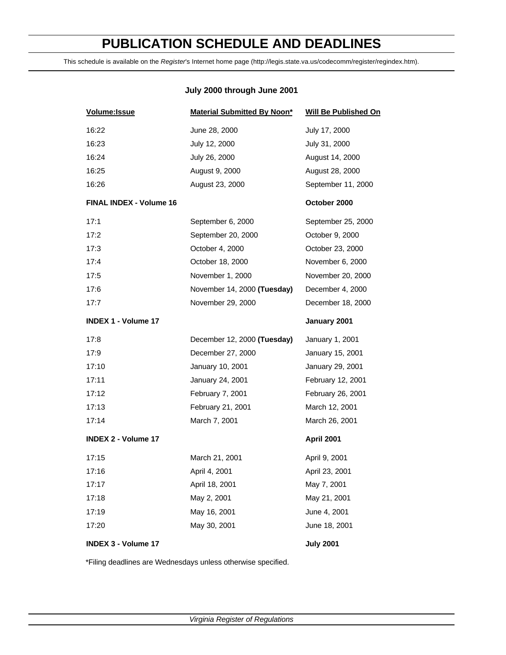# **PUBLICATION SCHEDULE AND DEADLINES**

This schedule is available on the *Register*'s Internet home page (http://legis.state.va.us/codecomm/register/regindex.htm).

# **July 2000 through June 2001**

| Volume: Issue                  | Material Submitted By Noon* | Will Be Published On |
|--------------------------------|-----------------------------|----------------------|
| 16:22                          | June 28, 2000               | July 17, 2000        |
| 16:23                          | July 12, 2000               | July 31, 2000        |
| 16:24                          | July 26, 2000               | August 14, 2000      |
| 16:25                          | August 9, 2000              | August 28, 2000      |
| 16:26                          | August 23, 2000             | September 11, 2000   |
| <b>FINAL INDEX - Volume 16</b> |                             | October 2000         |
| 17:1                           | September 6, 2000           | September 25, 2000   |
| 17:2                           | September 20, 2000          | October 9, 2000      |
| 17:3                           | October 4, 2000             | October 23, 2000     |
| 17:4                           | October 18, 2000            | November 6, 2000     |
| 17:5                           | November 1, 2000            | November 20, 2000    |
| 17:6                           | November 14, 2000 (Tuesday) | December 4, 2000     |
| 17:7                           | November 29, 2000           | December 18, 2000    |
| <b>INDEX 1 - Volume 17</b>     |                             | January 2001         |
| 17:8                           | December 12, 2000 (Tuesday) | January 1, 2001      |
| 17:9                           | December 27, 2000           | January 15, 2001     |
| 17:10                          | January 10, 2001            | January 29, 2001     |
| 17:11                          | January 24, 2001            | February 12, 2001    |
| 17:12                          | February 7, 2001            | February 26, 2001    |
| 17:13                          | February 21, 2001           | March 12, 2001       |
| 17:14                          | March 7, 2001               | March 26, 2001       |
| <b>INDEX 2 - Volume 17</b>     |                             | April 2001           |
| 17:15                          | March 21, 2001              | April 9, 2001        |
| 17:16                          | April 4, 2001               | April 23, 2001       |
| 17:17                          | April 18, 2001              | May 7, 2001          |
| 17:18                          | May 2, 2001                 | May 21, 2001         |
| 17:19                          | May 16, 2001                | June 4, 2001         |
| 17:20                          | May 30, 2001                | June 18, 2001        |
| <b>INDEX 3 - Volume 17</b>     |                             | <b>July 2001</b>     |

\*Filing deadlines are Wednesdays unless otherwise specified.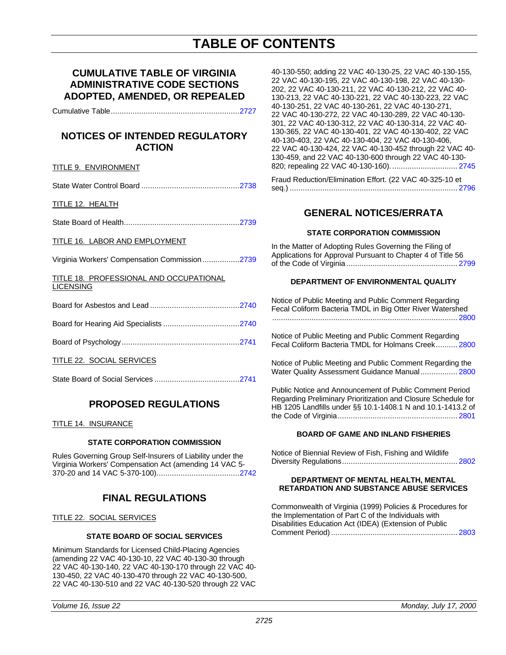# **TABLE OF CONTENTS**

# **CUMULATIVE TABLE OF VIRGINIA ADMINISTRATIVE CODE SECTIONS ADOPTED, AMENDED, OR REPEALED**

Cumulative Table.........................................................[..2727](#page-4-0)

# **NOTICES OF INTENDED REGULATORY ACTION**

# TITLE 9. ENVIRONMENT

State Water Control Board ............................................[.2738](#page-15-0)

TITLE 12. HEALTH

State Board of Health...................................................[..2739](#page-16-0)

## TITLE 16. LABOR AND EMPLOYMENT

Virginia Workers' Compensation Commission.................2739

TITLE 18. PROFESSIONAL AND OCCUPATIONAL LICENSING

|--|

Board of Psychology....................................................[..2741](#page-18-0)

TITLE 22. SOCIAL SERVICES

State Board of Social Services .......................................2741

# **PROPOSED REGULATIONS**

## TITLE 14. INSURANCE

## **STATE CORPORATION COMMISSION**

Rules Governing Group Self-Insurers of Liability under the Virginia Workers' Compensation Act (amending 14 VAC 5- 370-20 and 14 VAC 5-370-100)....................................[..2742](#page-19-0)

# **FINAL REGULATIONS**

TITLE 22. SOCIAL SERVICES

## **STATE BOARD OF SOCIAL SERVICES**

Minimum Standards for Licensed Child-Placing Agencies (amending 22 VAC 40-130-10, 22 VAC 40-130-30 through 22 VAC 40-130-140, 22 VAC 40-130-170 through 22 VAC 40- 130-450, 22 VAC 40-130-470 through 22 VAC 40-130-500, 22 VAC 40-130-510 and 22 VAC 40-130-520 through 22 VAC

40-130-550; adding 22 VAC 40-130-25, 22 VAC 40-130-155, 22 VAC 40-130-195, 22 VAC 40-130-198, 22 VAC 40-130- 202, 22 VAC 40-130-211, 22 VAC 40-130-212, 22 VAC 40- 130-213, 22 VAC 40-130-221, 22 VAC 40-130-223, 22 VAC 40-130-251, 22 VAC 40-130-261, 22 VAC 40-130-271, 22 VAC 40-130-272, 22 VAC 40-130-289, 22 VAC 40-130- 301, 22 VAC 40-130-312, 22 VAC 40-130-314, 22 VAC 40- 130-365, 22 VAC 40-130-401, 22 VAC 40-130-402, 22 VAC 40-130-403, 22 VAC 40-130-404, 22 VAC 40-130-406, 22 VAC 40-130-424, 22 VAC 40-130-452 through 22 VAC 40- 130-459, and 22 VAC 40-130-600 through 22 VAC 40-130- 820; repealing 22 VAC 40-130-160)............................... [2745](#page-22-0)

Fraud Reduction/Elimination Effort. (22 VAC 40-325-10 et seq.) ............................................................................. [2796](#page-73-0)

# **GENERAL NOTICES/ERRATA**

## **STATE CORPORATION COMMISSION**

In the Matter of Adopting Rules Governing the Filing of Applications for Approval Pursuant to Chapter 4 of Title 56 of the Code of Virginia ................................................... [2799](#page-76-0)

# **DEPARTMENT OF ENVIRONMENTAL QUALITY**

Notice of Public Meeting and Public Comment Regarding Fecal Coliform Bacteria TMDL in Big Otter River Watershed ..................................................................................... [2800](#page-77-0)

Notice of Public Meeting and Public Comment Regarding Fecal Coliform Bacteria TMDL for Holmans Creek.......... 2800

Notice of Public Meeting and Public Comment Regarding the Water Quality Assessment Guidance Manual.................2800

Public Notice and Announcement of Public Comment Period Regarding Preliminary Prioritization and Closure Schedule for HB 1205 Landfills under §§ 10.1-1408.1 N and 10.1-1413.2 of the Code of Virginia....................................................... [2801](#page-78-0)

# **BOARD OF GAME AND INLAND FISHERIES**

Notice of Biennial Review of Fish, Fishing and Wildlife Diversity Regulations..................................................... [2802](#page-79-0)

#### **DEPARTMENT OF MENTAL HEALTH, MENTAL RETARDATION AND SUBSTANCE ABUSE SERVICES**

Commonwealth of Virginia (1999) Policies & Procedures for the Implementation of Part C of the Individuals with Disabilities Education Act (IDEA) (Extension of Public Comment Period).......................................................... [2803](#page-80-0)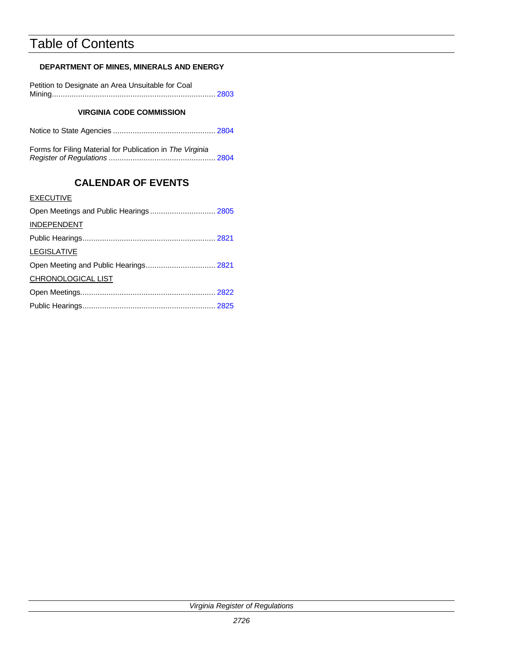# Table of Contents

# **DEPARTMENT OF MINES, MINERALS AND ENERGY**

| Petition to Designate an Area Unsuitable for Coal |  |
|---------------------------------------------------|--|
|                                                   |  |

# **VIRGINIA CODE COMMISSION**

|--|--|

Forms for Filing Material for Publication in *The Virginia Register of Regulations* ................................................. 2804

# **CALENDAR OF EVENTS**

# **EXECUTIVE**

| Open Meetings and Public Hearings 2805 |  |
|----------------------------------------|--|
| <b>INDEPENDENT</b>                     |  |
|                                        |  |
| <b>LEGISLATIVE</b>                     |  |
|                                        |  |
| CHRONOLOGICAL LIST                     |  |
|                                        |  |
|                                        |  |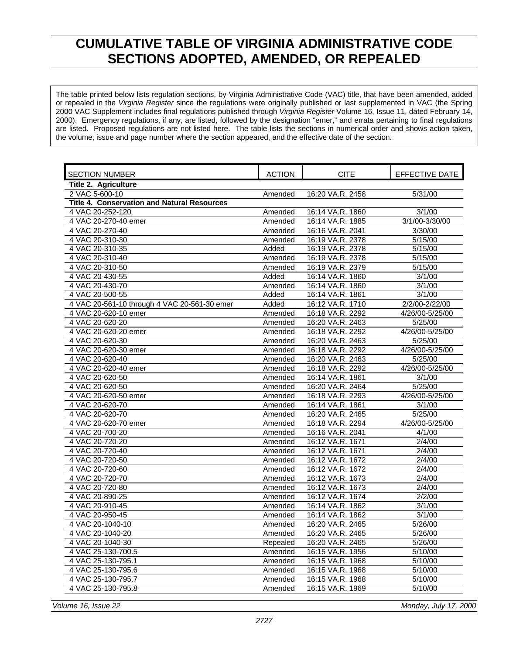# **CUMULATIVE TABLE OF VIRGINIA ADMINISTRATIVE CODE SECTIONS ADOPTED, AMENDED, OR REPEALED**

<span id="page-4-0"></span>The table printed below lists regulation sections, by Virginia Administrative Code (VAC) title, that have been amended, added or repealed in the *Virginia Register* since the regulations were originally published or last supplemented in VAC (the Spring 2000 VAC Supplement includes final regulations published through *Virginia Register* Volume 16, Issue 11, dated February 14, 2000). Emergency regulations, if any, are listed, followed by the designation "emer," and errata pertaining to final regulations are listed. Proposed regulations are not listed here. The table lists the sections in numerical order and shows action taken, the volume, issue and page number where the section appeared, and the effective date of the section.

| <b>SECTION NUMBER</b>                              | <b>ACTION</b> | <b>CITE</b>      | EFFECTIVE DATE  |
|----------------------------------------------------|---------------|------------------|-----------------|
| Title 2. Agriculture                               |               |                  |                 |
| 2 VAC 5-600-10                                     | Amended       | 16:20 VA.R. 2458 | 5/31/00         |
| <b>Title 4. Conservation and Natural Resources</b> |               |                  |                 |
| 4 VAC 20-252-120                                   | Amended       | 16:14 VA.R. 1860 | 3/1/00          |
| 4 VAC 20-270-40 emer                               | Amended       | 16:14 VA.R. 1885 | 3/1/00-3/30/00  |
| 4 VAC 20-270-40                                    | Amended       | 16:16 VA.R. 2041 | 3/30/00         |
| 4 VAC 20-310-30                                    | Amended       | 16:19 VA.R. 2378 | 5/15/00         |
| 4 VAC 20-310-35                                    | Added         | 16:19 VA.R. 2378 | 5/15/00         |
| 4 VAC 20-310-40                                    | Amended       | 16:19 VA.R. 2378 | 5/15/00         |
| 4 VAC 20-310-50                                    | Amended       | 16:19 VA.R. 2379 | 5/15/00         |
| 4 VAC 20-430-55                                    | Added         | 16:14 VA.R. 1860 | 3/1/00          |
| 4 VAC 20-430-70                                    | Amended       | 16:14 VA.R. 1860 | 3/1/00          |
| 4 VAC 20-500-55                                    | Added         | 16:14 VA.R. 1861 | 3/1/00          |
| 4 VAC 20-561-10 through 4 VAC 20-561-30 emer       | Added         | 16:12 VA.R. 1710 | 2/2/00-2/22/00  |
| 4 VAC 20-620-10 emer                               | Amended       | 16:18 VA.R. 2292 | 4/26/00-5/25/00 |
| 4 VAC 20-620-20                                    | Amended       | 16:20 VA.R. 2463 | 5/25/00         |
| 4 VAC 20-620-20 emer                               | Amended       | 16:18 VA.R. 2292 | 4/26/00-5/25/00 |
| 4 VAC 20-620-30                                    | Amended       | 16:20 VA.R. 2463 | 5/25/00         |
| 4 VAC 20-620-30 emer                               | Amended       | 16:18 VA.R. 2292 | 4/26/00-5/25/00 |
| 4 VAC 20-620-40                                    | Amended       | 16:20 VA.R. 2463 | 5/25/00         |
| 4 VAC 20-620-40 emer                               | Amended       | 16:18 VA.R. 2292 | 4/26/00-5/25/00 |
| 4 VAC 20-620-50                                    | Amended       | 16:14 VA.R. 1861 | 3/1/00          |
| 4 VAC 20-620-50                                    | Amended       | 16:20 VA.R. 2464 | 5/25/00         |
| 4 VAC 20-620-50 emer                               | Amended       | 16:18 VA.R. 2293 | 4/26/00-5/25/00 |
| 4 VAC 20-620-70                                    | Amended       | 16:14 VA.R. 1861 | 3/1/00          |
| 4 VAC 20-620-70                                    | Amended       | 16:20 VA.R. 2465 | 5/25/00         |
| 4 VAC 20-620-70 emer                               | Amended       | 16:18 VA.R. 2294 | 4/26/00-5/25/00 |
| 4 VAC 20-700-20                                    | Amended       | 16:16 VA.R. 2041 | 4/1/00          |
| 4 VAC 20-720-20                                    | Amended       | 16:12 VA.R. 1671 | 2/4/00          |
| 4 VAC 20-720-40                                    | Amended       | 16:12 VA.R. 1671 | 2/4/00          |
| 4 VAC 20-720-50                                    | Amended       | 16:12 VA.R. 1672 | $2\sqrt{4/00}$  |
| 4 VAC 20-720-60                                    | Amended       | 16:12 VA.R. 1672 | 2/4/00          |
| 4 VAC 20-720-70                                    | Amended       | 16:12 VA.R. 1673 | 2/4/00          |
| 4 VAC 20-720-80                                    | Amended       | 16:12 VA.R. 1673 | 2/4/00          |
| 4 VAC 20-890-25                                    | Amended       | 16:12 VA.R. 1674 | 2/2/00          |
| 4 VAC 20-910-45                                    | Amended       | 16:14 VA.R. 1862 | 3/1/00          |
| 4 VAC 20-950-45                                    | Amended       | 16:14 VA.R. 1862 | 3/1/00          |
| 4 VAC 20-1040-10                                   | Amended       | 16:20 VA.R. 2465 | 5/26/00         |
| 4 VAC 20-1040-20                                   | Amended       | 16:20 VA.R. 2465 | 5/26/00         |
| 4 VAC 20-1040-30                                   | Repealed      | 16:20 VA.R. 2465 | 5/26/00         |
| 4 VAC 25-130-700.5                                 | Amended       | 16:15 VA.R. 1956 | 5/10/00         |
| 4 VAC 25-130-795.1                                 | Amended       | 16:15 VA.R. 1968 | 5/10/00         |
| 4 VAC 25-130-795.6                                 | Amended       | 16:15 VA.R. 1968 | 5/10/00         |
| 4 VAC 25-130-795.7                                 | Amended       | 16:15 VA.R. 1968 | 5/10/00         |
| 4 VAC 25-130-795.8                                 | Amended       | 16:15 VA.R. 1969 | 5/10/00         |

*Volume 16, Issue 22 Monday, July 17, 2000*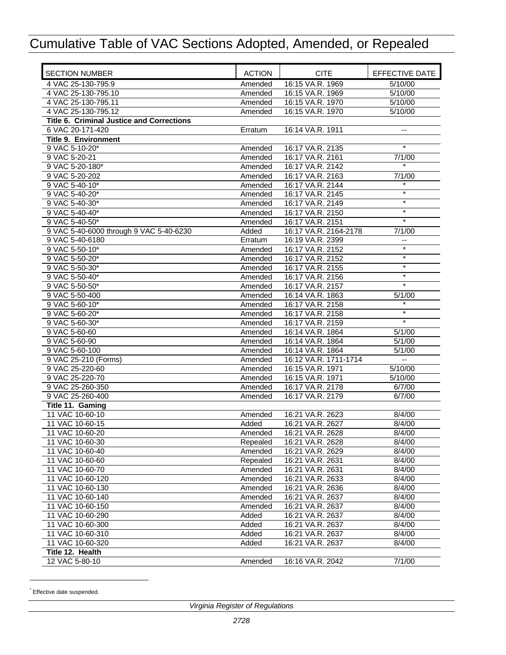| <b>SECTION NUMBER</b>                     | <b>ACTION</b>       | <b>CITE</b>                          | EFFECTIVE DATE   |
|-------------------------------------------|---------------------|--------------------------------------|------------------|
| 4 VAC 25-130-795.9                        | Amended             | 16:15 VA.R. 1969                     | 5/10/00          |
| 4 VAC 25-130-795.10                       | Amended             | 16:15 VA.R. 1969                     | 5/10/00          |
| 4 VAC 25-130-795.11                       | Amended             | 16:15 VA.R. 1970                     | 5/10/00          |
| 4 VAC 25-130-795.12                       | Amended             | 16:15 VA.R. 1970                     | 5/10/00          |
| Title 6. Criminal Justice and Corrections |                     |                                      |                  |
| 6 VAC 20-171-420                          | Erratum             | 16:14 VA.R. 1911                     |                  |
| <b>Title 9. Environment</b>               |                     |                                      |                  |
| 9 VAC 5-10-20*                            | Amended             | 16:17 VA.R. 2135                     | $\star$          |
| 9 VAC 5-20-21                             | Amended             | 16:17 VA.R. 2161                     | 7/1/00           |
| 9 VAC 5-20-180*                           | Amended             | 16:17 VA.R. 2142                     |                  |
| 9 VAC 5-20-202                            | Amended             | 16:17 VA.R. 2163                     | 7/1/00           |
| 9 VAC 5-40-10*                            | Amended             | 16:17 VA.R. 2144                     |                  |
| 9 VAC 5-40-20*                            | Amended             | 16:17 VA.R. 2145                     | $\star$          |
| 9 VAC 5-40-30*                            | Amended             | 16:17 VA.R. 2149                     | $\star$          |
| 9 VAC 5-40-40*                            | Amended             | 16:17 VA.R. 2150                     | $\ast$           |
| 9 VAC 5-40-50*                            | Amended             | 16:17 VA.R. 2151                     | $\ast$           |
| 9 VAC 5-40-6000 through 9 VAC 5-40-6230   | Added               | 16:17 VA.R. 2164-2178                | 7/1/00           |
| 9 VAC 5-40-6180                           | Erratum             | 16:19 VA.R. 2399                     |                  |
| 9 VAC 5-50-10*                            | Amended             | 16:17 VA.R. 2152                     | $\star$          |
| 9 VAC 5-50-20*                            | Amended             | 16:17 VA.R. 2152                     | $\ast$           |
| 9 VAC 5-50-30*                            | Amended             | 16:17 VA.R. 2155                     | $\star$          |
| 9 VAC 5-50-40*                            | Amended             | 16:17 VA.R. 2156                     | $^{\ast}$        |
| 9 VAC 5-50-50*                            | Amended             | 16:17 VA.R. 2157                     | $\star$          |
| 9 VAC 5-50-400                            | Amended             | 16:14 VA.R. 1863                     | 5/1/00           |
| 9 VAC 5-60-10*                            | Amended             | 16:17 VA.R. 2158                     | $\ast$           |
| 9 VAC 5-60-20*                            | Amended             | 16:17 VA.R. 2158                     | $\ast$           |
| 9 VAC 5-60-30*                            | Amended             | 16:17 VA.R. 2159                     | $\star$          |
| 9 VAC 5-60-60                             | Amended             | 16:14 VA.R. 1864                     | 5/1/00           |
| 9 VAC 5-60-90                             | Amended             | 16:14 VA.R. 1864                     | 5/1/00           |
| 9 VAC 5-60-100                            | Amended             | 16:14 VA.R. 1864                     | 5/1/00           |
| 9 VAC 25-210 (Forms)                      | Amended             | 16:12 VA.R. 1711-1714                | Ξ.               |
| 9 VAC 25-220-60                           | Amended             | 16:15 VA.R. 1971                     | 5/10/00          |
| 9 VAC 25-220-70                           | Amended             | 16:15 VA.R. 1971                     | 5/10/00          |
| 9 VAC 25-260-350                          | Amended             | 16:17 VA.R. 2178                     | 6/7/00           |
| 9 VAC 25-260-400                          | Amended             | 16:17 VA.R. 2179                     | 6/7/00           |
| Title 11. Gaming                          |                     |                                      |                  |
| 11 VAC 10-60-10                           | Amended             | 16:21 VA.R. 2623                     | 8/4/00           |
| 11 VAC 10-60-15                           | Added               | 16:21 VA.R. 2627                     | 8/4/00           |
| 11 VAC 10-60-20                           | Amended             | 16:21 VA.R. 2628                     | 8/4/00           |
| 11 VAC 10-60-30                           | Repealed            | 16:21 VA.R. 2628<br>16:21 VA.R. 2629 | 8/4/00           |
| 11 VAC 10-60-40<br>11 VAC 10-60-60        | Amended             |                                      | 8/4/00           |
| 11 VAC 10-60-70                           | Repealed<br>Amended | 16:21 VA.R. 2631<br>16:21 VA.R. 2631 | 8/4/00<br>8/4/00 |
|                                           |                     |                                      |                  |
| 11 VAC 10-60-120<br>11 VAC 10-60-130      | Amended<br>Amended  | 16:21 VA.R. 2633<br>16:21 VA.R. 2636 | 8/4/00<br>8/4/00 |
| 11 VAC 10-60-140                          | Amended             | 16:21 VA.R. 2637                     | 8/4/00           |
| 11 VAC 10-60-150                          | Amended             | 16:21 VA.R. 2637                     | 8/4/00           |
| 11 VAC 10-60-290                          | Added               | 16:21 VA.R. 2637                     | 8/4/00           |
| 11 VAC 10-60-300                          | Added               | 16:21 VA.R. 2637                     | 8/4/00           |
| 11 VAC 10-60-310                          | Added               | 16:21 VA.R. 2637                     | 8/4/00           |
| 11 VAC 10-60-320                          | Added               | 16:21 VA.R. 2637                     | 8/4/00           |
| Title 12. Health                          |                     |                                      |                  |
| 12 VAC 5-80-10                            | Amended             | 16:16 VA.R. 2042                     | 7/1/00           |

\* Effective date suspended.

l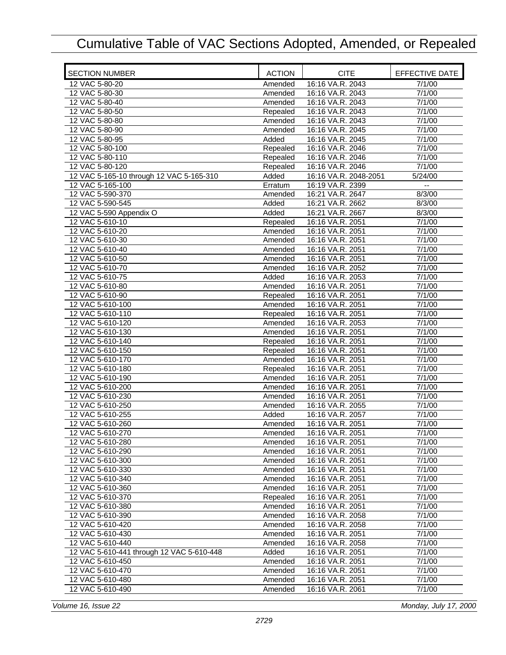| <b>SECTION NUMBER</b>                     | <b>ACTION</b> | <b>CITE</b>           | EFFECTIVE DATE |
|-------------------------------------------|---------------|-----------------------|----------------|
| 12 VAC 5-80-20                            | Amended       | 16:16 VA.R. 2043      | 7/1/00         |
| 12 VAC 5-80-30                            | Amended       | 16:16 VA.R. 2043      | 7/1/00         |
| 12 VAC 5-80-40                            | Amended       | 16:16 VA.R. 2043      | 7/1/00         |
| 12 VAC 5-80-50                            | Repealed      | 16:16 VA.R. 2043      | 7/1/00         |
| 12 VAC 5-80-80                            | Amended       | 16:16 VA.R. 2043      | 7/1/00         |
| 12 VAC 5-80-90                            | Amended       | 16:16 VA.R. 2045      | 7/1/00         |
| 12 VAC 5-80-95                            | Added         | 16:16 VA.R. 2045      | 7/1/00         |
| 12 VAC 5-80-100                           | Repealed      | 16:16 VA.R. 2046      | 7/1/00         |
| 12 VAC 5-80-110                           | Repealed      | 16:16 VA.R. 2046      | 7/1/00         |
| 12 VAC 5-80-120                           | Repealed      | 16:16 VA.R. 2046      | 7/1/00         |
| 12 VAC 5-165-10 through 12 VAC 5-165-310  | Added         | 16:16 VA.R. 2048-2051 | 5/24/00        |
| 12 VAC 5-165-100                          | Erratum       | 16:19 VA.R. 2399      | ۰.             |
| 12 VAC 5-590-370                          | Amended       | 16:21 VA.R. 2647      | 8/3/00         |
| 12 VAC 5-590-545                          | Added         | 16:21 VA.R. 2662      | 8/3/00         |
| 12 VAC 5-590 Appendix O                   | Added         | 16:21 VA.R. 2667      | 8/3/00         |
| 12 VAC 5-610-10                           | Repealed      | 16:16 VA.R. 2051      | 7/1/00         |
| 12 VAC 5-610-20                           | Amended       | 16:16 VA.R. 2051      | 7/1/00         |
| 12 VAC 5-610-30                           | Amended       | 16:16 VA.R. 2051      | 7/1/00         |
| 12 VAC 5-610-40                           | Amended       | 16:16 VA.R. 2051      | 7/1/00         |
| 12 VAC 5-610-50                           | Amended       | 16:16 VA.R. 2051      | 7/1/00         |
| 12 VAC 5-610-70                           | Amended       | 16:16 VA.R. 2052      | 7/1/00         |
| 12 VAC 5-610-75                           | Added         | 16:16 VA.R. 2053      | 7/1/00         |
| 12 VAC 5-610-80                           | Amended       | 16:16 VA.R. 2051      | 7/1/00         |
| 12 VAC 5-610-90                           | Repealed      | 16:16 VA.R. 2051      | 7/1/00         |
| 12 VAC 5-610-100                          | Amended       | 16:16 VA.R. 2051      | 7/1/00         |
| 12 VAC 5-610-110                          | Repealed      | 16:16 VA.R. 2051      | 7/1/00         |
| 12 VAC 5-610-120                          | Amended       | 16:16 VA.R. 2053      | 7/1/00         |
| 12 VAC 5-610-130                          | Amended       | 16:16 VA.R. 2051      | 7/1/00         |
| 12 VAC 5-610-140                          | Repealed      | 16:16 VA.R. 2051      | 7/1/00         |
| 12 VAC 5-610-150                          | Repealed      | 16:16 VA.R. 2051      | 7/1/00         |
| 12 VAC 5-610-170                          | Amended       | 16:16 VA.R. 2051      | 7/1/00         |
| 12 VAC 5-610-180                          | Repealed      | 16:16 VA.R. 2051      | 7/1/00         |
| 12 VAC 5-610-190                          | Amended       | 16:16 VA.R. 2051      | 7/1/00         |
| 12 VAC 5-610-200                          | Amended       | 16:16 VA.R. 2051      | 7/1/00         |
| 12 VAC 5-610-230                          | Amended       | 16:16 VA.R. 2051      | 7/1/00         |
| 12 VAC 5-610-250                          | Amended       | 16:16 VA.R. 2055      | 7/1/00         |
| 12 VAC 5-610-255                          | Added         | 16:16 VA.R. 2057      | 7/1/00         |
| 12 VAC 5-610-260                          | Amended       | 16:16 VA.R. 2051      | 7/1/00         |
| 12 VAC 5-610-270                          | Amended       | 16:16 VA.R. 2051      | 7/1/00         |
| 12 VAC 5-610-280                          | Amended       | 16:16 VA.R. 2051      | 7/1/00         |
| 12 VAC 5-610-290                          | Amended       | 16:16 VA.R. 2051      | 7/1/00         |
| 12 VAC 5-610-300                          | Amended       | 16:16 VA.R. 2051      | 7/1/00         |
| 12 VAC 5-610-330                          | Amended       | 16:16 VA.R. 2051      | 7/1/00         |
| 12 VAC 5-610-340                          | Amended       | 16:16 VA.R. 2051      | 7/1/00         |
| 12 VAC 5-610-360                          | Amended       | 16:16 VA.R. 2051      | 7/1/00         |
| 12 VAC 5-610-370                          | Repealed      | 16:16 VA.R. 2051      | 7/1/00         |
| 12 VAC 5-610-380                          | Amended       | 16:16 VA.R. 2051      | 7/1/00         |
| 12 VAC 5-610-390                          | Amended       | 16:16 VA.R. 2058      | 7/1/00         |
| 12 VAC 5-610-420                          | Amended       | 16:16 VA.R. 2058      | 7/1/00         |
| 12 VAC 5-610-430                          | Amended       | 16:16 VA.R. 2051      | 7/1/00         |
| 12 VAC 5-610-440                          | Amended       | 16:16 VA.R. 2058      | 7/1/00         |
| 12 VAC 5-610-441 through 12 VAC 5-610-448 | Added         | 16:16 VA.R. 2051      | 7/1/00         |
| 12 VAC 5-610-450                          | Amended       | 16:16 VA.R. 2051      | 7/1/00         |
| 12 VAC 5-610-470                          | Amended       | 16:16 VA.R. 2051      | 7/1/00         |
| 12 VAC 5-610-480                          | Amended       | 16:16 VA.R. 2051      | 7/1/00         |
| 12 VAC 5-610-490                          | Amended       | 16:16 VA.R. 2061      | 7/1/00         |
|                                           |               |                       |                |

*Volume 16, Issue 22 Monday, July 17, 2000*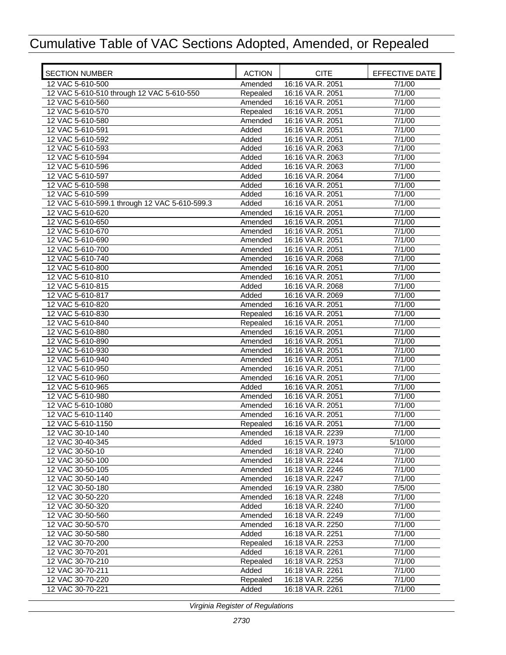| <b>SECTION NUMBER</b>                         | <b>ACTION</b>      | <b>CITE</b>                          | EFFECTIVE DATE |
|-----------------------------------------------|--------------------|--------------------------------------|----------------|
| 12 VAC 5-610-500                              | Amended            | 16:16 VA.R. 2051                     | 7/1/00         |
| 12 VAC 5-610-510 through 12 VAC 5-610-550     | Repealed           | 16:16 VA.R. 2051                     | 7/1/00         |
| 12 VAC 5-610-560                              | Amended            | 16:16 VA.R. 2051                     | 7/1/00         |
| 12 VAC 5-610-570                              | Repealed           | 16:16 VA.R. 2051                     | 7/1/00         |
| 12 VAC 5-610-580                              | Amended            | 16:16 VA.R. 2051                     | 7/1/00         |
| 12 VAC 5-610-591                              | Added              | 16:16 VA.R. 2051                     | 7/1/00         |
| 12 VAC 5-610-592                              | Added              | 16:16 VA.R. 2051                     | 7/1/00         |
| 12 VAC 5-610-593                              | Added              | 16:16 VA.R. 2063                     | 7/1/00         |
| 12 VAC 5-610-594                              | Added              | 16:16 VA.R. 2063                     | 7/1/00         |
| 12 VAC 5-610-596                              | Added              | 16:16 VA.R. 2063                     | 7/1/00         |
| 12 VAC 5-610-597                              | Added              | 16:16 VA.R. 2064                     | 7/1/00         |
| 12 VAC 5-610-598                              | Added              | 16:16 VA.R. 2051                     | 7/1/00         |
| 12 VAC 5-610-599                              | Added              | 16:16 VA.R. 2051                     | 7/1/00         |
| 12 VAC 5-610-599.1 through 12 VAC 5-610-599.3 | Added              | 16:16 VA.R. 2051                     | 7/1/00         |
| 12 VAC 5-610-620                              | Amended            | 16:16 VA.R. 2051                     | 7/1/00         |
| 12 VAC 5-610-650                              | Amended            | 16:16 VA.R. 2051                     | 7/1/00         |
| 12 VAC 5-610-670                              | Amended            | 16:16 VA.R. 2051                     | 7/1/00         |
| 12 VAC 5-610-690                              | Amended            | 16:16 VA.R. 2051                     | 7/1/00         |
| 12 VAC 5-610-700                              | Amended            | 16:16 VA.R. 2051                     | 7/1/00         |
| 12 VAC 5-610-740                              | Amended            | 16:16 VA.R. 2068                     | 7/1/00         |
| 12 VAC 5-610-800                              |                    | 16:16 VA.R. 2051                     | 7/1/00         |
| 12 VAC 5-610-810                              | Amended<br>Amended | 16:16 VA.R. 2051                     | 7/1/00         |
|                                               |                    | 16:16 VA.R. 2068                     |                |
| 12 VAC 5-610-815                              | Added              |                                      | 7/1/00         |
| 12 VAC 5-610-817                              | Added              | 16:16 VA.R. 2069<br>16:16 VA.R. 2051 | 7/1/00         |
| 12 VAC 5-610-820                              | Amended            |                                      | 7/1/00         |
| 12 VAC 5-610-830                              | Repealed           | 16:16 VA.R. 2051                     | 7/1/00         |
| 12 VAC 5-610-840                              | Repealed           | 16:16 VA.R. 2051                     | 7/1/00         |
| 12 VAC 5-610-880                              | Amended            | 16:16 VA.R. 2051                     | 7/1/00         |
| 12 VAC 5-610-890                              | Amended            | 16:16 VA.R. 2051                     | 7/1/00         |
| 12 VAC 5-610-930                              | Amended            | 16:16 VA.R. 2051                     | 7/1/00         |
| 12 VAC 5-610-940                              | Amended            | 16:16 VA.R. 2051                     | 7/1/00         |
| 12 VAC 5-610-950                              | Amended            | 16:16 VA.R. 2051                     | 7/1/00         |
| 12 VAC 5-610-960                              | Amended            | 16:16 VA.R. 2051                     | 7/1/00         |
| 12 VAC 5-610-965                              | Added              | 16:16 VA.R. 2051                     | 7/1/00         |
| 12 VAC 5-610-980                              | Amended            | 16:16 VA.R. 2051                     | 7/1/00         |
| 12 VAC 5-610-1080                             | Amended            | 16:16 VA.R. 2051                     | 7/1/00         |
| 12 VAC 5-610-1140                             | Amended            | 16:16 VA.R. 2051                     | 7/1/00         |
| 12 VAC 5-610-1150                             | Repealed           | 16:16 VA.R. 2051                     | 7/1/00         |
| 12 VAC 30-10-140                              | Amended            | 16:18 VA.R. 2239                     | 7/1/00         |
| 12 VAC 30-40-345                              | Added              | 16:15 VA.R. 1973                     | 5/10/00        |
| 12 VAC 30-50-10                               | Amended            | 16:18 VA.R. 2240                     | 7/1/00         |
| 12 VAC 30-50-100                              | Amended            | 16:18 VA.R. 2244                     | 7/1/00         |
| 12 VAC 30-50-105                              | Amended            | 16:18 VA.R. 2246                     | 7/1/00         |
| 12 VAC 30-50-140                              | Amended            | 16:18 VA.R. 2247                     | 7/1/00         |
| 12 VAC 30-50-180                              | Amended            | 16:19 VA.R. 2380                     | 7/5/00         |
| 12 VAC 30-50-220                              | Amended            | 16:18 VA.R. 2248                     | 7/1/00         |
| 12 VAC 30-50-320                              | Added              | 16:18 VA.R. 2240                     | 7/1/00         |
| 12 VAC 30-50-560                              | Amended            | 16:18 VA.R. 2249                     | 7/1/00         |
| 12 VAC 30-50-570                              | Amended            | 16:18 VA.R. 2250                     | 7/1/00         |
| 12 VAC 30-50-580                              | Added              | 16:18 VA.R. 2251                     | 7/1/00         |
| 12 VAC 30-70-200                              | Repealed           | 16:18 VA.R. 2253                     | 7/1/00         |
| 12 VAC 30-70-201                              | Added              | 16:18 VA.R. 2261                     | 7/1/00         |
| 12 VAC 30-70-210                              | Repealed           | 16:18 VA.R. 2253                     | 7/1/00         |
| 12 VAC 30-70-211                              | Added              | 16:18 VA.R. 2261                     | 7/1/00         |
| 12 VAC 30-70-220                              | Repealed           | 16:18 VA.R. 2256                     | 7/1/00         |
| 12 VAC 30-70-221                              | Added              | 16:18 VA.R. 2261                     | 7/1/00         |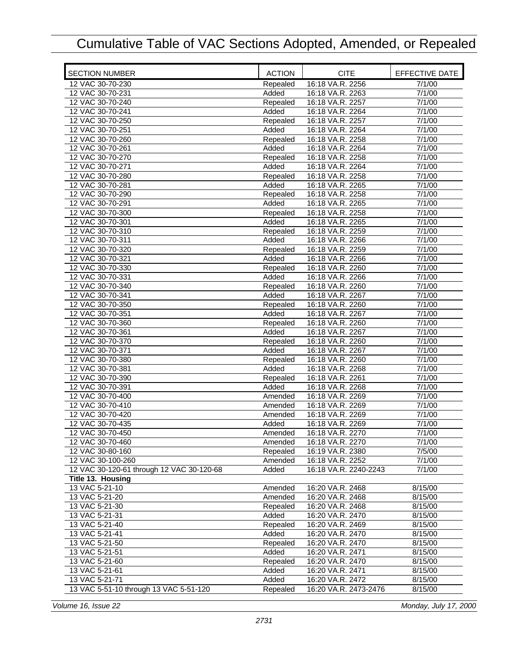| <b>SECTION NUMBER</b>                     | <b>ACTION</b> | <b>CITE</b>           | EFFECTIVE DATE |
|-------------------------------------------|---------------|-----------------------|----------------|
| 12 VAC 30-70-230                          | Repealed      | 16:18 VA.R. 2256      | 7/1/00         |
| 12 VAC 30-70-231                          | Added         | 16:18 VA.R. 2263      | 7/1/00         |
| 12 VAC 30-70-240                          | Repealed      | 16:18 VA.R. 2257      | 7/1/00         |
| 12 VAC 30-70-241                          | Added         | 16:18 VA.R. 2264      | 7/1/00         |
| 12 VAC 30-70-250                          | Repealed      | 16:18 VA.R. 2257      | 7/1/00         |
| 12 VAC 30-70-251                          | Added         | 16:18 VA.R. 2264      | 7/1/00         |
| 12 VAC 30-70-260                          | Repealed      | 16:18 VA.R. 2258      | 7/1/00         |
| 12 VAC 30-70-261                          | Added         | 16:18 VA.R. 2264      | 7/1/00         |
| 12 VAC 30-70-270                          | Repealed      | 16:18 VA.R. 2258      | 7/1/00         |
| 12 VAC 30-70-271                          | Added         | 16:18 VA.R. 2264      | 7/1/00         |
| 12 VAC 30-70-280                          | Repealed      | 16:18 VA.R. 2258      | 7/1/00         |
| 12 VAC 30-70-281                          | Added         | 16:18 VA.R. 2265      | 7/1/00         |
| 12 VAC 30-70-290                          | Repealed      | 16:18 VA.R. 2258      | 7/1/00         |
| 12 VAC 30-70-291                          | Added         | 16:18 VA.R. 2265      | 7/1/00         |
| 12 VAC 30-70-300                          | Repealed      | 16:18 VA.R. 2258      | 7/1/00         |
| 12 VAC 30-70-301                          | Added         | 16:18 VA.R. 2265      | 7/1/00         |
| 12 VAC 30-70-310                          | Repealed      | 16:18 VA.R. 2259      | 7/1/00         |
| 12 VAC 30-70-311                          | Added         | 16:18 VA.R. 2266      | 7/1/00         |
| 12 VAC 30-70-320                          | Repealed      | 16:18 VA.R. 2259      | 7/1/00         |
| 12 VAC 30-70-321                          | Added         | 16:18 VA.R. 2266      | 7/1/00         |
|                                           |               |                       |                |
| 12 VAC 30-70-330                          | Repealed      | 16:18 VA.R. 2260      | 7/1/00         |
| 12 VAC 30-70-331                          | Added         | 16:18 VA.R. 2266      | 7/1/00         |
| 12 VAC 30-70-340                          | Repealed      | 16:18 VA.R. 2260      | 7/1/00         |
| 12 VAC 30-70-341                          | Added         | 16:18 VA.R. 2267      | 7/1/00         |
| 12 VAC 30-70-350                          | Repealed      | 16:18 VA.R. 2260      | 7/1/00         |
| 12 VAC 30-70-351                          | Added         | 16:18 VA.R. 2267      | 7/1/00         |
| 12 VAC 30-70-360                          | Repealed      | 16:18 VA.R. 2260      | 7/1/00         |
| 12 VAC 30-70-361                          | Added         | 16:18 VA.R. 2267      | 7/1/00         |
| 12 VAC 30-70-370                          | Repealed      | 16:18 VA.R. 2260      | 7/1/00         |
| 12 VAC 30-70-371                          | Added         | 16:18 VA.R. 2267      | 7/1/00         |
| 12 VAC 30-70-380                          | Repealed      | 16:18 VA.R. 2260      | 7/1/00         |
| 12 VAC 30-70-381                          | Added         | 16:18 VA.R. 2268      | 7/1/00         |
| 12 VAC 30-70-390                          | Repealed      | 16:18 VA.R. 2261      | 7/1/00         |
| 12 VAC 30-70-391                          | Added         | 16:18 VA.R. 2268      | 7/1/00         |
| 12 VAC 30-70-400                          | Amended       | 16:18 VA.R. 2269      | 7/1/00         |
| 12 VAC 30-70-410                          | Amended       | 16:18 VA.R. 2269      | 7/1/00         |
| 12 VAC 30-70-420                          | Amended       | 16:18 VA.R. 2269      | 7/1/00         |
| 12 VAC 30-70-435                          | Added         | 16:18 VA.R. 2269      | 7/1/00         |
| 12 VAC 30-70-450                          | Amended       | 16:18 VA.R. 2270      | 7/1/00         |
| 12 VAC 30-70-460                          | Amended       | 16:18 VA.R. 2270      | 7/1/00         |
| 12 VAC 30-80-160                          | Repealed      | 16:19 VA.R. 2380      | 7/5/00         |
| 12 VAC 30-100-260                         | Amended       | 16:18 VA.R. 2252      | 7/1/00         |
| 12 VAC 30-120-61 through 12 VAC 30-120-68 | Added         | 16:18 VA.R. 2240-2243 | 7/1/00         |
| Title 13. Housing                         |               |                       |                |
| 13 VAC 5-21-10                            | Amended       | 16:20 VA.R. 2468      | 8/15/00        |
| 13 VAC 5-21-20                            | Amended       | 16:20 VA.R. 2468      | 8/15/00        |
| 13 VAC 5-21-30                            | Repealed      | 16:20 VA.R. 2468      | 8/15/00        |
| 13 VAC 5-21-31                            | Added         | 16:20 VA.R. 2470      | 8/15/00        |
| 13 VAC 5-21-40                            | Repealed      | 16:20 VA.R. 2469      | 8/15/00        |
| 13 VAC 5-21-41                            | Added         | 16:20 VA.R. 2470      | 8/15/00        |
| 13 VAC 5-21-50                            | Repealed      | 16:20 VA.R. 2470      | 8/15/00        |
| 13 VAC 5-21-51                            | Added         | 16:20 VA.R. 2471      | 8/15/00        |
| 13 VAC 5-21-60                            | Repealed      | 16:20 VA.R. 2470      | 8/15/00        |
| 13 VAC 5-21-61                            | Added         | 16:20 VA.R. 2471      | 8/15/00        |
|                                           |               |                       |                |
| 13 VAC 5-21-71                            | Added         | 16:20 VA.R. 2472      | 8/15/00        |
| 13 VAC 5-51-10 through 13 VAC 5-51-120    | Repealed      | 16:20 VA.R. 2473-2476 | 8/15/00        |

*Volume 16, Issue 22 Monday, July 17, 2000*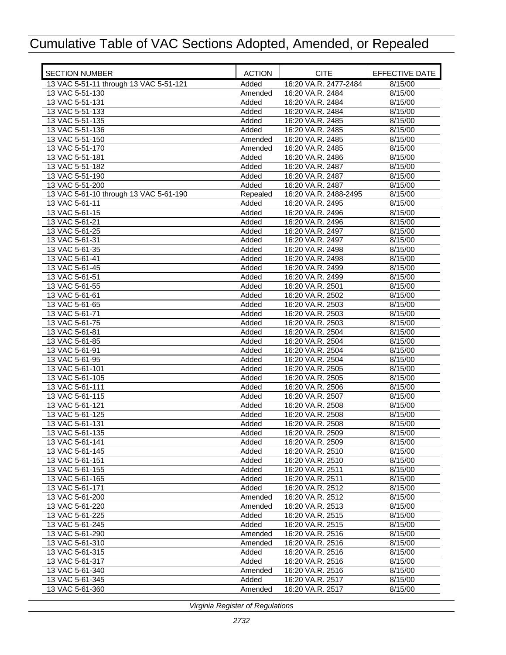| <b>SECTION NUMBER</b>                  | <b>ACTION</b>  | <b>CITE</b>                          | EFFECTIVE DATE     |
|----------------------------------------|----------------|--------------------------------------|--------------------|
| 13 VAC 5-51-11 through 13 VAC 5-51-121 | Added          | 16:20 VA.R. 2477-2484                | 8/15/00            |
| 13 VAC 5-51-130                        | Amended        | 16:20 VA.R. 2484                     | 8/15/00            |
| 13 VAC 5-51-131                        | Added          | 16:20 VA.R. 2484                     | 8/15/00            |
| 13 VAC 5-51-133                        | Added          | 16:20 VA.R. 2484                     | 8/15/00            |
| 13 VAC 5-51-135                        | Added          | 16:20 VA.R. 2485                     | 8/15/00            |
| 13 VAC 5-51-136                        | Added          | 16:20 VA.R. 2485                     | 8/15/00            |
| 13 VAC 5-51-150                        | Amended        | 16:20 VA.R. 2485                     | 8/15/00            |
| 13 VAC 5-51-170                        | Amended        | 16:20 VA.R. 2485                     | 8/15/00            |
| 13 VAC 5-51-181                        | Added          | 16:20 VA.R. 2486                     | 8/15/00            |
| 13 VAC 5-51-182                        | Added          | 16:20 VA.R. 2487                     | 8/15/00            |
| 13 VAC 5-51-190                        | Added          | 16:20 VA.R. 2487                     | 8/15/00            |
| 13 VAC 5-51-200                        | Added          | 16:20 VA.R. 2487                     | 8/15/00            |
| 13 VAC 5-61-10 through 13 VAC 5-61-190 | Repealed       | 16:20 VA.R. 2488-2495                | 8/15/00            |
| 13 VAC 5-61-11                         | Added          | 16:20 VA.R. 2495                     | 8/15/00            |
| 13 VAC 5-61-15                         | Added          | 16:20 VA.R. 2496                     | 8/15/00            |
| 13 VAC 5-61-21                         | Added          | 16:20 VA.R. 2496                     | 8/15/00            |
| 13 VAC 5-61-25                         | Added          | 16:20 VA.R. 2497                     | 8/15/00            |
| 13 VAC 5-61-31                         | Added          | 16:20 VA.R. 2497                     | 8/15/00            |
| 13 VAC 5-61-35                         | Added          | 16:20 VA.R. 2498                     | 8/15/00            |
| 13 VAC 5-61-41                         | Added          | 16:20 VA.R. 2498                     | 8/15/00            |
| 13 VAC 5-61-45                         | Added          | 16:20 VA.R. 2499                     | 8/15/00            |
| 13 VAC 5-61-51                         | Added          | 16:20 VA.R. 2499                     | 8/15/00            |
| 13 VAC 5-61-55                         | Added          | 16:20 VA.R. 2501                     | 8/15/00            |
| 13 VAC 5-61-61                         | Added          | 16:20 VA.R. 2502                     | 8/15/00            |
| 13 VAC 5-61-65<br>13 VAC 5-61-71       | Added          | 16:20 VA.R. 2503<br>16:20 VA.R. 2503 | 8/15/00            |
| 13 VAC 5-61-75                         | Added<br>Added | 16:20 VA.R. 2503                     | 8/15/00<br>8/15/00 |
| 13 VAC 5-61-81                         | Added          | 16:20 VA.R. 2504                     | 8/15/00            |
| 13 VAC 5-61-85                         | Added          | 16:20 VA.R. 2504                     | 8/15/00            |
| 13 VAC 5-61-91                         | Added          | 16:20 VA.R. 2504                     | 8/15/00            |
| 13 VAC 5-61-95                         | Added          | 16:20 VA.R. 2504                     | 8/15/00            |
| 13 VAC 5-61-101                        | Added          | 16:20 VA.R. 2505                     | 8/15/00            |
| 13 VAC 5-61-105                        | Added          | 16:20 VA.R. 2505                     | 8/15/00            |
| 13 VAC 5-61-111                        | Added          | 16:20 VA.R. 2506                     | 8/15/00            |
| 13 VAC 5-61-115                        | Added          | 16:20 VA.R. 2507                     | 8/15/00            |
| 13 VAC 5-61-121                        | Added          | 16:20 VA.R. 2508                     | 8/15/00            |
| 13 VAC 5-61-125                        | Added          | 16:20 VA.R. 2508                     | 8/15/00            |
| 13 VAC 5-61-131                        | Added          | 16:20 VA.R. 2508                     | 8/15/00            |
| 13 VAC 5-61-135                        | Added          | 16:20 VA.R. 2509                     | 8/15/00            |
| 13 VAC 5-61-141                        | Added          | 16:20 VA.R. 2509                     | 8/15/00            |
| 13 VAC 5-61-145                        | Added          | 16:20 VA.R. 2510                     | 8/15/00            |
| 13 VAC 5-61-151                        | Added          | 16:20 VA.R. 2510                     | 8/15/00            |
| 13 VAC 5-61-155                        | Added          | 16:20 VA.R. 2511                     | 8/15/00            |
| 13 VAC 5-61-165                        | Added          | 16:20 VA.R. 2511                     | 8/15/00            |
| 13 VAC 5-61-171                        | Added          | 16:20 VA.R. 2512                     | 8/15/00            |
| 13 VAC 5-61-200                        | Amended        | 16:20 VA.R. 2512                     | 8/15/00            |
| 13 VAC 5-61-220                        | Amended        | 16:20 VA.R. 2513                     | 8/15/00            |
| 13 VAC 5-61-225                        | Added          | 16:20 VA.R. 2515                     | 8/15/00            |
| 13 VAC 5-61-245                        | Added          | 16:20 VA.R. 2515                     | 8/15/00            |
| 13 VAC 5-61-290                        | Amended        | 16:20 VA.R. 2516                     | 8/15/00            |
| 13 VAC 5-61-310                        | Amended        | 16:20 VA.R. 2516                     | 8/15/00            |
| 13 VAC 5-61-315                        | Added          | 16:20 VA.R. 2516                     | 8/15/00            |
| 13 VAC 5-61-317                        | Added          | 16:20 VA.R. 2516                     | 8/15/00            |
| 13 VAC 5-61-340                        | Amended        | 16:20 VA.R. 2516                     | 8/15/00            |
| 13 VAC 5-61-345                        | Added          | 16:20 VA.R. 2517                     | 8/15/00            |
| 13 VAC 5-61-360                        | Amended        | 16:20 VA.R. 2517                     | 8/15/00            |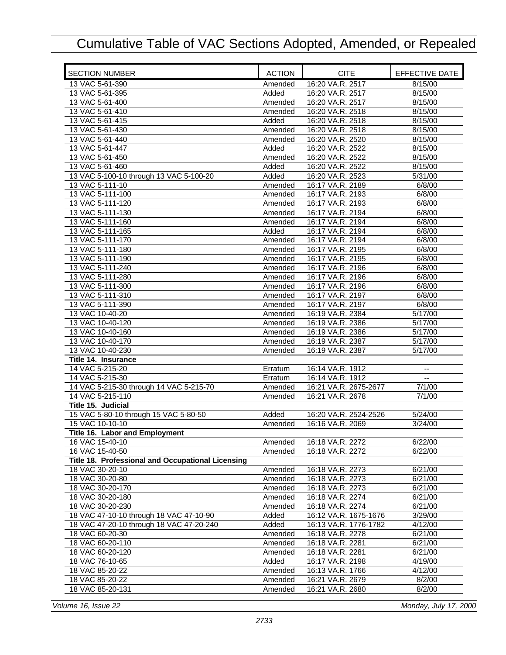| <b>SECTION NUMBER</b>                             | <b>ACTION</b> | <b>CITE</b>           | EFFECTIVE DATE           |
|---------------------------------------------------|---------------|-----------------------|--------------------------|
| 13 VAC 5-61-390                                   | Amended       | 16:20 VA.R. 2517      | 8/15/00                  |
| 13 VAC 5-61-395                                   | Added         | 16:20 VA.R. 2517      | 8/15/00                  |
| 13 VAC 5-61-400                                   | Amended       | 16:20 VA.R. 2517      | 8/15/00                  |
| 13 VAC 5-61-410                                   | Amended       | 16:20 VA.R. 2518      | 8/15/00                  |
| 13 VAC 5-61-415                                   | Added         | 16:20 VA.R. 2518      | 8/15/00                  |
| 13 VAC 5-61-430                                   | Amended       | 16:20 VA.R. 2518      | 8/15/00                  |
| 13 VAC 5-61-440                                   | Amended       | 16:20 VA.R. 2520      | 8/15/00                  |
| 13 VAC 5-61-447                                   | Added         | 16:20 VA.R. 2522      | 8/15/00                  |
| 13 VAC 5-61-450                                   | Amended       | 16:20 VA.R. 2522      | 8/15/00                  |
| 13 VAC 5-61-460                                   | Added         | 16:20 VA.R. 2522      | 8/15/00                  |
| 13 VAC 5-100-10 through 13 VAC 5-100-20           | Added         | 16:20 VA.R. 2523      | 5/31/00                  |
| 13 VAC 5-111-10                                   | Amended       | 16:17 VA.R. 2189      | 6/8/00                   |
| 13 VAC 5-111-100                                  | Amended       | 16:17 VA.R. 2193      | 6/8/00                   |
| 13 VAC 5-111-120                                  | Amended       | 16:17 VA.R. 2193      | 6/8/00                   |
| 13 VAC 5-111-130                                  | Amended       | 16:17 VA.R. 2194      | 6/8/00                   |
| 13 VAC 5-111-160                                  | Amended       | 16:17 VA.R. 2194      | 6/8/00                   |
| 13 VAC 5-111-165                                  | Added         | 16:17 VA.R. 2194      | 6/8/00                   |
| 13 VAC 5-111-170                                  | Amended       | 16:17 VA.R. 2194      | 6/8/00                   |
| 13 VAC 5-111-180                                  | Amended       | 16:17 VA.R. 2195      | 6/8/00                   |
| 13 VAC 5-111-190                                  | Amended       | 16:17 VA.R. 2195      | 6/8/00                   |
|                                                   |               |                       |                          |
| 13 VAC 5-111-240                                  | Amended       | 16:17 VA.R. 2196      | 6/8/00                   |
| 13 VAC 5-111-280                                  | Amended       | 16:17 VA.R. 2196      | 6/8/00                   |
| 13 VAC 5-111-300                                  | Amended       | 16:17 VA.R. 2196      | 6/8/00                   |
| 13 VAC 5-111-310                                  | Amended       | 16:17 VA.R. 2197      | 6/8/00                   |
| 13 VAC 5-111-390                                  | Amended       | 16:17 VA.R. 2197      | 6/8/00                   |
| 13 VAC 10-40-20                                   | Amended       | 16:19 VA.R. 2384      | 5/17/00                  |
| 13 VAC 10-40-120                                  | Amended       | 16:19 VA.R. 2386      | 5/17/00                  |
| 13 VAC 10-40-160                                  | Amended       | 16:19 VA.R. 2386      | 5/17/00                  |
| 13 VAC 10-40-170                                  | Amended       | 16:19 VA.R. 2387      | 5/17/00                  |
| 13 VAC 10-40-230                                  | Amended       | 16:19 VA.R. 2387      | 5/17/00                  |
| Title 14. Insurance                               |               |                       |                          |
| 14 VAC 5-215-20                                   | Erratum       | 16:14 VA.R. 1912      | $\overline{\phantom{a}}$ |
| 14 VAC 5-215-30                                   | Erratum       | 16:14 VA.R. 1912      | $\overline{a}$           |
| 14 VAC 5-215-30 through 14 VAC 5-215-70           | Amended       | 16:21 VA.R. 2675-2677 | 7/1/00                   |
| 14 VAC 5-215-110                                  | Amended       | 16:21 VA.R. 2678      | 7/1/00                   |
| Title 15. Judicial                                |               |                       |                          |
| 15 VAC 5-80-10 through 15 VAC 5-80-50             | Added         | 16:20 VA.R. 2524-2526 | 5/24/00                  |
| 15 VAC 10-10-10                                   | Amended       | 16:16 VA.R. 2069      | 3/24/00                  |
| Title 16. Labor and Employment                    |               |                       |                          |
| 16 VAC 15-40-10                                   | Amended       | 16:18 VA.R. 2272      | 6/22/00                  |
| 16 VAC 15-40-50                                   | Amended       | 16:18 VA.R. 2272      | 6/22/00                  |
| Title 18. Professional and Occupational Licensing |               |                       |                          |
| 18 VAC 30-20-10                                   | Amended       | 16:18 VA.R. 2273      | 6/21/00                  |
| 18 VAC 30-20-80                                   | Amended       | 16:18 VA.R. 2273      | 6/21/00                  |
| 18 VAC 30-20-170                                  | Amended       | 16:18 VA.R. 2273      | 6/21/00                  |
| 18 VAC 30-20-180                                  | Amended       | 16:18 VA.R. 2274      | 6/21/00                  |
| 18 VAC 30-20-230                                  | Amended       | 16:18 VA.R. 2274      | 6/21/00                  |
| 18 VAC 47-10-10 through 18 VAC 47-10-90           | Added         | 16:12 VA.R. 1675-1676 | 3/29/00                  |
| 18 VAC 47-20-10 through 18 VAC 47-20-240          | Added         | 16:13 VA.R. 1776-1782 | 4/12/00                  |
| 18 VAC 60-20-30                                   | Amended       | 16:18 VA.R. 2278      | 6/21/00                  |
| 18 VAC 60-20-110                                  | Amended       | 16:18 VA.R. 2281      | 6/21/00                  |
| 18 VAC 60-20-120                                  | Amended       | 16:18 VA.R. 2281      | 6/21/00                  |
| 18 VAC 76-10-65                                   | Added         | 16:17 VA.R. 2198      | 4/19/00                  |
| 18 VAC 85-20-22                                   | Amended       | 16:13 VA.R. 1766      | 4/12/00                  |
| 18 VAC 85-20-22                                   | Amended       | 16:21 VA.R. 2679      | 8/2/00                   |
|                                                   |               |                       |                          |
| 18 VAC 85-20-131                                  | Amended       | 16:21 VA.R. 2680      | 8/2/00                   |

*Volume 16, Issue 22 Monday, July 17, 2000*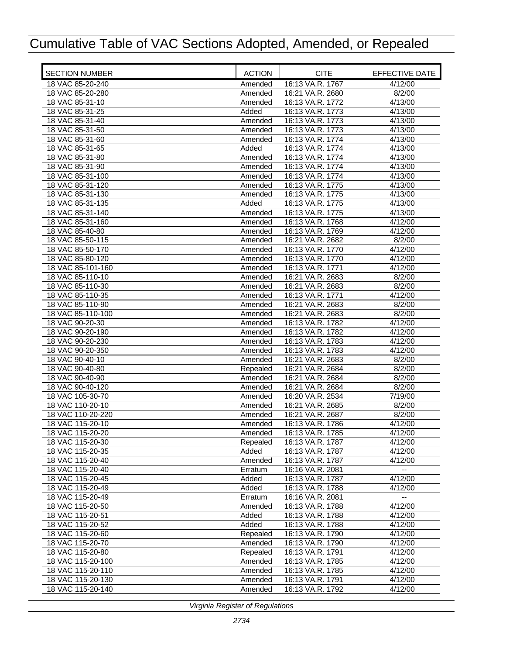| <b>SECTION NUMBER</b>                | <b>ACTION</b>       | <b>CITE</b>                          | EFFECTIVE DATE     |
|--------------------------------------|---------------------|--------------------------------------|--------------------|
| 18 VAC 85-20-240                     | Amended             | 16:13 VA.R. 1767                     | 4/12/00            |
| 18 VAC 85-20-280                     | Amended             | 16:21 VA.R. 2680                     | 8/2/00             |
| 18 VAC 85-31-10                      | Amended             | 16:13 VA.R. 1772                     | 4/13/00            |
| 18 VAC 85-31-25                      | Added               | 16:13 VA.R. 1773                     | 4/13/00            |
| 18 VAC 85-31-40                      | Amended             | 16:13 VA.R. 1773                     | 4/13/00            |
| 18 VAC 85-31-50                      | Amended             | 16:13 VA.R. 1773                     | 4/13/00            |
| 18 VAC 85-31-60                      | Amended             | 16:13 VA.R. 1774                     | 4/13/00            |
| 18 VAC 85-31-65                      | Added               | 16:13 VA.R. 1774                     | 4/13/00            |
| 18 VAC 85-31-80                      | Amended             | 16:13 VA.R. 1774                     | 4/13/00            |
| 18 VAC 85-31-90                      | Amended             | 16:13 VA.R. 1774                     | 4/13/00            |
| 18 VAC 85-31-100                     | Amended             | 16:13 VA.R. 1774                     | 4/13/00            |
| 18 VAC 85-31-120                     | Amended             | 16:13 VA.R. 1775                     | 4/13/00            |
| 18 VAC 85-31-130                     | Amended             | 16:13 VA.R. 1775                     | 4/13/00            |
| 18 VAC 85-31-135                     | Added               | 16:13 VA.R. 1775                     | 4/13/00            |
| 18 VAC 85-31-140                     | Amended             | 16:13 VA.R. 1775                     | 4/13/00            |
| 18 VAC 85-31-160                     | Amended             | 16:13 VA.R. 1768                     | 4/12/00            |
| 18 VAC 85-40-80                      | Amended             | 16:13 VA.R. 1769                     | 4/12/00            |
| 18 VAC 85-50-115                     | Amended             | 16:21 VA.R. 2682                     | 8/2/00             |
| 18 VAC 85-50-170                     | Amended             | 16:13 VA.R. 1770                     | 4/12/00            |
| 18 VAC 85-80-120                     | Amended             | 16:13 VA.R. 1770                     | 4/12/00            |
| 18 VAC 85-101-160                    | Amended             | 16:13 VA.R. 1771                     | 4/12/00            |
| 18 VAC 85-110-10                     | Amended             | 16:21 VA.R. 2683                     | 8/2/00             |
| 18 VAC 85-110-30                     | Amended             | 16:21 VA.R. 2683                     | 8/2/00             |
| 18 VAC 85-110-35                     | Amended             | 16:13 VA.R. 1771                     | 4/12/00            |
| 18 VAC 85-110-90                     | Amended             | 16:21 VA.R. 2683                     | 8/2/00             |
| 18 VAC 85-110-100                    | Amended             | 16:21 VA.R. 2683                     | 8/2/00             |
| 18 VAC 90-20-30                      | Amended             | 16:13 VA.R. 1782                     | 4/12/00            |
| 18 VAC 90-20-190                     | Amended             | 16:13 VA.R. 1782                     | 4/12/00            |
| 18 VAC 90-20-230                     | Amended             | 16:13 VA.R. 1783                     | 4/12/00            |
| 18 VAC 90-20-350                     | Amended             | 16:13 VA.R. 1783                     | 4/12/00            |
| 18 VAC 90-40-10                      | Amended             | 16:21 VA.R. 2683                     | 8/2/00             |
| 18 VAC 90-40-80                      | Repealed            | 16:21 VA.R. 2684                     | 8/2/00             |
| 18 VAC 90-40-90                      | Amended             | 16:21 VA.R. 2684                     | 8/2/00             |
| 18 VAC 90-40-120                     | Amended             | 16:21 VA.R. 2684                     | 8/2/00             |
| 18 VAC 105-30-70                     | Amended             | 16:20 VA.R. 2534                     | 7/19/00            |
| 18 VAC 110-20-10                     | Amended             | 16:21 VA.R. 2685                     | 8/2/00             |
| 18 VAC 110-20-220                    | Amended             | 16:21 VA.R. 2687                     | 8/2/00             |
| 18 VAC 115-20-10                     | Amended             | 16:13 VA.R. 1786                     | 4/12/00            |
| 18 VAC 115-20-20                     | Amended             | 16:13 VA.R. 1785                     | 4/12/00            |
| 18 VAC 115-20-30                     | Repealed            | 16:13 VA.R. 1787                     | 4/12/00            |
| 18 VAC 115-20-35                     | Added               | 16:13 VA.R. 1787                     | 4/12/00            |
| 18 VAC 115-20-40                     | Amended             | 16:13 VA.R. 1787                     | 4/12/00            |
| 18 VAC 115-20-40                     | Erratum             | 16:16 VA.R. 2081                     | $\overline{a}$     |
| 18 VAC 115-20-45                     | Added               | 16:13 VA.R. 1787                     | 4/12/00            |
| 18 VAC 115-20-49<br>18 VAC 115-20-49 | Added               | 16:13 VA.R. 1788                     | 4/12/00            |
|                                      | Erratum             | 16:16 VA.R. 2081                     |                    |
| 18 VAC 115-20-50<br>18 VAC 115-20-51 | Amended             | 16:13 VA.R. 1788<br>16:13 VA.R. 1788 | 4/12/00            |
| 18 VAC 115-20-52                     | Added               | 16:13 VA.R. 1788                     | 4/12/00<br>4/12/00 |
|                                      | Added               | 16:13 VA.R. 1790                     | 4/12/00            |
| 18 VAC 115-20-60<br>18 VAC 115-20-70 | Repealed            | 16:13 VA.R. 1790                     | 4/12/00            |
| 18 VAC 115-20-80                     | Amended             | 16:13 VA.R. 1791                     | 4/12/00            |
| 18 VAC 115-20-100                    | Repealed<br>Amended | 16:13 VA.R. 1785                     | 4/12/00            |
| 18 VAC 115-20-110                    | Amended             | 16:13 VA.R. 1785                     | 4/12/00            |
| 18 VAC 115-20-130                    | Amended             | 16:13 VA.R. 1791                     | 4/12/00            |
| 18 VAC 115-20-140                    | Amended             | 16:13 VA.R. 1792                     | 4/12/00            |
|                                      |                     |                                      |                    |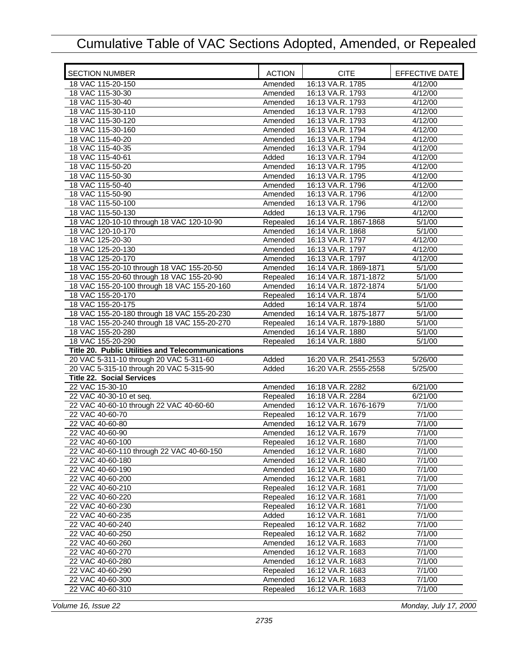| <b>SECTION NUMBER</b>                             | <b>ACTION</b> | <b>CITE</b>           | EFFECTIVE DATE |
|---------------------------------------------------|---------------|-----------------------|----------------|
| 18 VAC 115-20-150                                 | Amended       | 16:13 VA.R. 1785      | 4/12/00        |
| 18 VAC 115-30-30                                  | Amended       | 16:13 VA.R. 1793      | 4/12/00        |
| 18 VAC 115-30-40                                  | Amended       | 16:13 VA.R. 1793      | 4/12/00        |
| 18 VAC 115-30-110                                 | Amended       | 16:13 VA.R. 1793      | 4/12/00        |
| 18 VAC 115-30-120                                 | Amended       | 16:13 VA.R. 1793      | 4/12/00        |
| 18 VAC 115-30-160                                 | Amended       | 16:13 VA.R. 1794      | 4/12/00        |
| 18 VAC 115-40-20                                  | Amended       | 16:13 VA.R. 1794      | 4/12/00        |
| 18 VAC 115-40-35                                  | Amended       | 16:13 VA.R. 1794      | 4/12/00        |
| 18 VAC 115-40-61                                  | Added         | 16:13 VA.R. 1794      | 4/12/00        |
| 18 VAC 115-50-20                                  | Amended       | 16:13 VA.R. 1795      | 4/12/00        |
| 18 VAC 115-50-30                                  | Amended       | 16:13 VA.R. 1795      | 4/12/00        |
| 18 VAC 115-50-40                                  | Amended       | 16:13 VA.R. 1796      | 4/12/00        |
| 18 VAC 115-50-90                                  | Amended       | 16:13 VA.R. 1796      | 4/12/00        |
| 18 VAC 115-50-100                                 | Amended       | 16:13 VA.R. 1796      | 4/12/00        |
| 18 VAC 115-50-130                                 | Added         | 16:13 VA.R. 1796      | 4/12/00        |
| 18 VAC 120-10-10 through 18 VAC 120-10-90         | Repealed      | 16:14 VA.R. 1867-1868 | 5/1/00         |
| 18 VAC 120-10-170                                 | Amended       | 16:14 VA.R. 1868      | 5/1/00         |
| 18 VAC 125-20-30                                  | Amended       | 16:13 VA.R. 1797      | 4/12/00        |
| 18 VAC 125-20-130                                 | Amended       | 16:13 VA.R. 1797      | 4/12/00        |
| 18 VAC 125-20-170                                 | Amended       | 16:13 VA.R. 1797      | 4/12/00        |
| 18 VAC 155-20-10 through 18 VAC 155-20-50         | Amended       | 16:14 VA.R. 1869-1871 | 5/1/00         |
| 18 VAC 155-20-60 through 18 VAC 155-20-90         | Repealed      | 16:14 VA.R. 1871-1872 | 5/1/00         |
| 18 VAC 155-20-100 through 18 VAC 155-20-160       | Amended       | 16:14 VA.R. 1872-1874 | 5/1/00         |
| 18 VAC 155-20-170                                 | Repealed      | 16:14 VA.R. 1874      | 5/1/00         |
| 18 VAC 155-20-175                                 | Added         | 16:14 VA.R. 1874      | 5/1/00         |
| 18 VAC 155-20-180 through 18 VAC 155-20-230       | Amended       | 16:14 VA.R. 1875-1877 | 5/1/00         |
| 18 VAC 155-20-240 through 18 VAC 155-20-270       | Repealed      | 16:14 VA.R. 1879-1880 | 5/1/00         |
| 18 VAC 155-20-280                                 | Amended       | 16:14 VA.R. 1880      | 5/1/00         |
| 18 VAC 155-20-290                                 | Repealed      | 16:14 VA.R. 1880      | 5/1/00         |
| Title 20. Public Utilities and Telecommunications |               |                       |                |
| 20 VAC 5-311-10 through 20 VAC 5-311-60           | Added         | 16:20 VA.R. 2541-2553 | 5/26/00        |
| 20 VAC 5-315-10 through 20 VAC 5-315-90           | Added         | 16:20 VA.R. 2555-2558 | 5/25/00        |
| <b>Title 22. Social Services</b>                  |               |                       |                |
| 22 VAC 15-30-10                                   | Amended       | 16:18 VA.R. 2282      | 6/21/00        |
| 22 VAC 40-30-10 et seq.                           | Repealed      | 16:18 VA.R. 2284      | 6/21/00        |
| 22 VAC 40-60-10 through 22 VAC 40-60-60           | Amended       | 16:12 VA.R. 1676-1679 | 7/1/00         |
| 22 VAC 40-60-70                                   | Repealed      | 16:12 VA.R. 1679      | 7/1/00         |
| 22 VAC 40-60-80                                   | Amended       | 16:12 VA.R. 1679      | 7/1/00         |
| 22 VAC 40-60-90                                   | Amended       | 16:12 VA.R. 1679      | 7/1/00         |
| 22 VAC 40-60-100                                  | Repealed      | 16:12 VA.R. 1680      | 7/1/00         |
| 22 VAC 40-60-110 through 22 VAC 40-60-150         | Amended       | 16:12 VA.R. 1680      | 7/1/00         |
| 22 VAC 40-60-180                                  | Amended       | 16:12 VA.R. 1680      | 7/1/00         |
| 22 VAC 40-60-190                                  | Amended       | 16:12 VA.R. 1680      | 7/1/00         |
| 22 VAC 40-60-200                                  | Amended       | 16:12 VA.R. 1681      | 7/1/00         |
| 22 VAC 40-60-210                                  | Repealed      | 16:12 VA.R. 1681      | 7/1/00         |
| 22 VAC 40-60-220                                  | Repealed      | 16:12 VA.R. 1681      | 7/1/00         |
| 22 VAC 40-60-230                                  | Repealed      | 16:12 VA.R. 1681      | 7/1/00         |
| 22 VAC 40-60-235                                  | Added         | 16:12 VA.R. 1681      | 7/1/00         |
| 22 VAC 40-60-240                                  | Repealed      | 16:12 VA.R. 1682      | 7/1/00         |
| 22 VAC 40-60-250                                  | Repealed      | 16:12 VA.R. 1682      | 7/1/00         |
| 22 VAC 40-60-260                                  | Amended       | 16:12 VA.R. 1683      | 7/1/00         |
| 22 VAC 40-60-270                                  | Amended       | 16:12 VA.R. 1683      | 7/1/00         |
| 22 VAC 40-60-280                                  | Amended       | 16:12 VA.R. 1683      | 7/1/00         |
| 22 VAC 40-60-290                                  | Repealed      | 16:12 VA.R. 1683      | 7/1/00         |
| 22 VAC 40-60-300                                  | Amended       | 16:12 VA.R. 1683      | 7/1/00         |
| 22 VAC 40-60-310                                  | Repealed      | 16:12 VA.R. 1683      | 7/1/00         |

*Volume 16, Issue 22 Monday, July 17, 2000*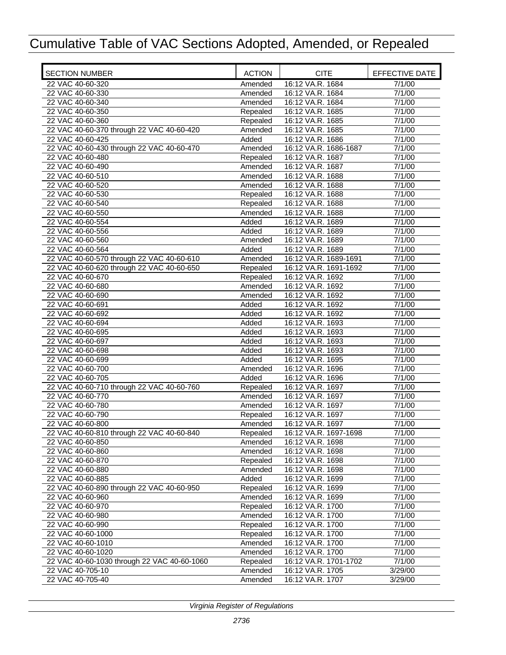| <b>SECTION NUMBER</b>                       | <b>ACTION</b> | <b>CITE</b>           | EFFECTIVE DATE |
|---------------------------------------------|---------------|-----------------------|----------------|
| 22 VAC 40-60-320                            | Amended       | 16:12 VA.R. 1684      | 7/1/00         |
| 22 VAC 40-60-330                            | Amended       | 16:12 VA.R. 1684      | 7/1/00         |
| 22 VAC 40-60-340                            | Amended       | 16:12 VA.R. 1684      | 7/1/00         |
| 22 VAC 40-60-350                            | Repealed      | 16:12 VA.R. 1685      | 7/1/00         |
| 22 VAC 40-60-360                            | Repealed      | 16:12 VA.R. 1685      | 7/1/00         |
| 22 VAC 40-60-370 through 22 VAC 40-60-420   | Amended       | 16:12 VA.R. 1685      | 7/1/00         |
| 22 VAC 40-60-425                            | Added         | 16:12 VA.R. 1686      | 7/1/00         |
| 22 VAC 40-60-430 through 22 VAC 40-60-470   | Amended       | 16:12 VA.R. 1686-1687 | 7/1/00         |
| 22 VAC 40-60-480                            | Repealed      | 16:12 VA.R. 1687      | 7/1/00         |
| 22 VAC 40-60-490                            | Amended       | 16:12 VA.R. 1687      | 7/1/00         |
| 22 VAC 40-60-510                            | Amended       | 16:12 VA.R. 1688      | 7/1/00         |
| 22 VAC 40-60-520                            | Amended       | 16:12 VA.R. 1688      | 7/1/00         |
| 22 VAC 40-60-530                            | Repealed      | 16:12 VA.R. 1688      | 7/1/00         |
| 22 VAC 40-60-540                            | Repealed      | 16:12 VA.R. 1688      | 7/1/00         |
| 22 VAC 40-60-550                            | Amended       | 16:12 VA.R. 1688      | 7/1/00         |
| 22 VAC 40-60-554                            | Added         | 16:12 VA.R. 1689      | 7/1/00         |
| 22 VAC 40-60-556                            | Added         | 16:12 VA.R. 1689      | 7/1/00         |
| 22 VAC 40-60-560                            | Amended       | 16:12 VA.R. 1689      | 7/1/00         |
| 22 VAC 40-60-564                            | Added         | 16:12 VA.R. 1689      | 7/1/00         |
| 22 VAC 40-60-570 through 22 VAC 40-60-610   | Amended       | 16:12 VA.R. 1689-1691 | 7/1/00         |
| 22 VAC 40-60-620 through 22 VAC 40-60-650   | Repealed      | 16:12 VA.R. 1691-1692 | 7/1/00         |
| 22 VAC 40-60-670                            | Repealed      | 16:12 VA.R. 1692      | 7/1/00         |
| 22 VAC 40-60-680                            | Amended       | 16:12 VA.R. 1692      | 7/1/00         |
| 22 VAC 40-60-690                            | Amended       | 16:12 VA.R. 1692      | 7/1/00         |
| 22 VAC 40-60-691                            | Added         | 16:12 VA.R. 1692      | 7/1/00         |
| 22 VAC 40-60-692                            | Added         | 16:12 VA.R. 1692      | 7/1/00         |
| 22 VAC 40-60-694                            | Added         | 16:12 VA.R. 1693      | 7/1/00         |
| 22 VAC 40-60-695                            | Added         | 16:12 VA.R. 1693      | 7/1/00         |
| 22 VAC 40-60-697                            | Added         | 16:12 VA.R. 1693      | 7/1/00         |
| 22 VAC 40-60-698                            | Added         | 16:12 VA.R. 1693      | 7/1/00         |
| 22 VAC 40-60-699                            | Added         | 16:12 VA.R. 1695      | 7/1/00         |
| 22 VAC 40-60-700                            | Amended       | 16:12 VA.R. 1696      | 7/1/00         |
| 22 VAC 40-60-705                            | Added         | 16:12 VA.R. 1696      | 7/1/00         |
| 22 VAC 40-60-710 through 22 VAC 40-60-760   | Repealed      | 16:12 VA.R. 1697      | 7/1/00         |
| 22 VAC 40-60-770                            | Amended       | 16:12 VA.R. 1697      | 7/1/00         |
| 22 VAC 40-60-780                            | Amended       | 16:12 VA.R. 1697      | 7/1/00         |
| 22 VAC 40-60-790                            | Repealed      | 16:12 VA.R. 1697      | 7/1/00         |
| 22 VAC 40-60-800                            | Amended       | 16:12 VA.R. 1697      | 7/1/00         |
| 22 VAC 40-60-810 through 22 VAC 40-60-840   | Repealed      | 16:12 VA.R. 1697-1698 | 7/1/00         |
| 22 VAC 40-60-850                            | Amended       | 16:12 VA.R. 1698      | 7/1/00         |
| 22 VAC 40-60-860                            | Amended       | 16:12 VA.R. 1698      | 7/1/00         |
| 22 VAC 40-60-870                            | Repealed      | 16:12 VA.R. 1698      | 7/1/00         |
| 22 VAC 40-60-880                            | Amended       | 16:12 VA.R. 1698      | 7/1/00         |
| 22 VAC 40-60-885                            | Added         | 16:12 VA.R. 1699      | 7/1/00         |
| 22 VAC 40-60-890 through 22 VAC 40-60-950   | Repealed      | 16:12 VA.R. 1699      | 7/1/00         |
| 22 VAC 40-60-960                            | Amended       | 16:12 VA.R. 1699      | 7/1/00         |
| 22 VAC 40-60-970                            | Repealed      | 16:12 VA.R. 1700      | 7/1/00         |
| 22 VAC 40-60-980                            | Amended       | 16:12 VA.R. 1700      | 7/1/00         |
| 22 VAC 40-60-990                            | Repealed      | 16:12 VA.R. 1700      | 7/1/00         |
| 22 VAC 40-60-1000                           | Repealed      | 16:12 VA.R. 1700      | 7/1/00         |
| 22 VAC 40-60-1010                           | Amended       | 16:12 VA.R. 1700      | 7/1/00         |
| 22 VAC 40-60-1020                           | Amended       | 16:12 VA.R. 1700      | 7/1/00         |
| 22 VAC 40-60-1030 through 22 VAC 40-60-1060 | Repealed      | 16:12 VA.R. 1701-1702 | 7/1/00         |
| 22 VAC 40-705-10                            | Amended       | 16:12 VA.R. 1705      | 3/29/00        |
| 22 VAC 40-705-40                            | Amended       | 16:12 VA.R. 1707      | 3/29/00        |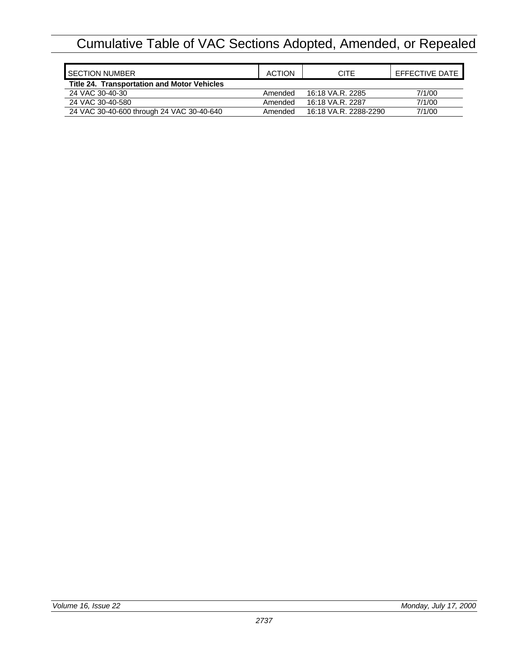| <b>I</b> SECTION NUMBER                            | <b>ACTION</b> | CITE                  | EFFECTIVE DATE |
|----------------------------------------------------|---------------|-----------------------|----------------|
| <b>Title 24. Transportation and Motor Vehicles</b> |               |                       |                |
| 24 VAC 30-40-30                                    | Amended       | 16:18 VA.R. 2285      | 7/1/00         |
| 24 VAC 30-40-580                                   | Amended       | 16:18 VA.R. 2287      | 7/1/00         |
| 24 VAC 30-40-600 through 24 VAC 30-40-640          | Amended       | 16:18 VA.R. 2288-2290 | 7/1/00         |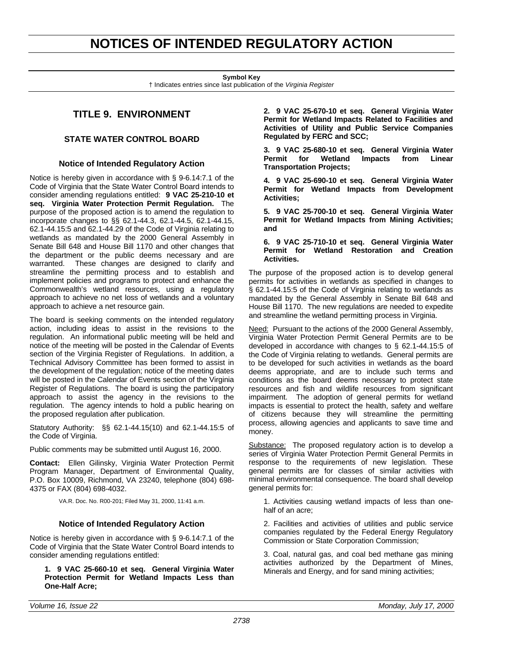# <span id="page-15-0"></span>**NOTICES OF INTENDED REGULATORY ACTION**

**Symbol Key**

† Indicates entries since last publication of the *Virginia Register*

# **TITLE 9. ENVIRONMENT**

# **STATE WATER CONTROL BOARD**

# **Notice of Intended Regulatory Action**

Notice is hereby given in accordance with § 9-6.14:7.1 of the Code of Virginia that the State Water Control Board intends to consider amending regulations entitled: **9 VAC 25-210-10 et seq. Virginia Water Protection Permit Regulation.** The purpose of the proposed action is to amend the regulation to incorporate changes to §§ 62.1-44.3, 62.1-44.5, 62.1-44.15, 62.1-44.15:5 and 62.1-44.29 of the Code of Virginia relating to wetlands as mandated by the 2000 General Assembly in Senate Bill 648 and House Bill 1170 and other changes that the department or the public deems necessary and are warranted. These changes are designed to clarify and streamline the permitting process and to establish and implement policies and programs to protect and enhance the Commonwealth's wetland resources, using a regulatory approach to achieve no net loss of wetlands and a voluntary approach to achieve a net resource gain.

The board is seeking comments on the intended regulatory action, including ideas to assist in the revisions to the regulation. An informational public meeting will be held and notice of the meeting will be posted in the Calendar of Events section of the Virginia Register of Regulations. In addition, a Technical Advisory Committee has been formed to assist in the development of the regulation; notice of the meeting dates will be posted in the Calendar of Events section of the Virginia Register of Regulations. The board is using the participatory approach to assist the agency in the revisions to the regulation. The agency intends to hold a public hearing on the proposed regulation after publication.

Statutory Authority: §§ 62.1-44.15(10) and 62.1-44.15:5 of the Code of Virginia.

Public comments may be submitted until August 16, 2000.

**Contact:** Ellen Gilinsky, Virginia Water Protection Permit Program Manager, Department of Environmental Quality, P.O. Box 10009, Richmond, VA 23240, telephone (804) 698- 4375 or FAX (804) 698-4032.

VA.R. Doc. No. R00-201; Filed May 31, 2000, 11:41 a.m.

## **Notice of Intended Regulatory Action**

Notice is hereby given in accordance with § 9-6.14:7.1 of the Code of Virginia that the State Water Control Board intends to consider amending regulations entitled:

### **1. 9 VAC 25-660-10 et seq. General Virginia Water Protection Permit for Wetland Impacts Less than One-Half Acre;**

**2. 9 VAC 25-670-10 et seq. General Virginia Water Permit for Wetland Impacts Related to Facilities and Activities of Utility and Public Service Companies Regulated by FERC and SCC;**

**3. 9 VAC 25-680-10 et seq. General Virginia Water Permit for Wetland Impacts from Linear Transportation Projects;**

**4. 9 VAC 25-690-10 et seq. General Virginia Water Permit for Wetland Impacts from Development Activities;**

**5. 9 VAC 25-700-10 et seq. General Virginia Water Permit for Wetland Impacts from Mining Activities; and**

### **6. 9 VAC 25-710-10 et seq. General Virginia Water Permit for Wetland Restoration and Creation Activities.**

The purpose of the proposed action is to develop general permits for activities in wetlands as specified in changes to § 62.1-44.15:5 of the Code of Virginia relating to wetlands as mandated by the General Assembly in Senate Bill 648 and House Bill 1170. The new regulations are needed to expedite and streamline the wetland permitting process in Virginia.

Need: Pursuant to the actions of the 2000 General Assembly, Virginia Water Protection Permit General Permits are to be developed in accordance with changes to § 62.1-44.15:5 of the Code of Virginia relating to wetlands. General permits are to be developed for such activities in wetlands as the board deems appropriate, and are to include such terms and conditions as the board deems necessary to protect state resources and fish and wildlife resources from significant impairment. The adoption of general permits for wetland impacts is essential to protect the health, safety and welfare of citizens because they will streamline the permitting process, allowing agencies and applicants to save time and money.

Substance: The proposed regulatory action is to develop a series of Virginia Water Protection Permit General Permits in response to the requirements of new legislation. These general permits are for classes of similar activities with minimal environmental consequence. The board shall develop general permits for:

1. Activities causing wetland impacts of less than onehalf of an acre;

2. Facilities and activities of utilities and public service companies regulated by the Federal Energy Regulatory Commission or State Corporation Commission;

3. Coal, natural gas, and coal bed methane gas mining activities authorized by the Department of Mines, Minerals and Energy, and for sand mining activities;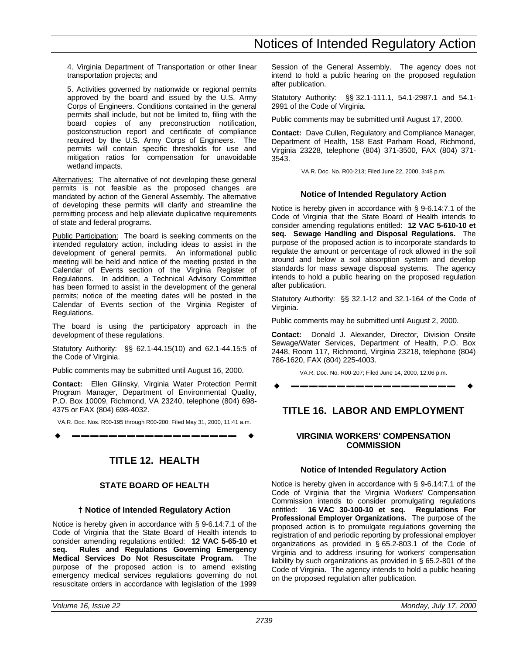4. Virginia Department of Transportation or other linear transportation projects; and

<span id="page-16-0"></span>5. Activities governed by nationwide or regional permits approved by the board and issued by the U.S. Army Corps of Engineers. Conditions contained in the general permits shall include, but not be limited to, filing with the board copies of any preconstruction notification, postconstruction report and certificate of compliance required by the U.S. Army Corps of Engineers. The permits will contain specific thresholds for use and mitigation ratios for compensation for unavoidable wetland impacts.

Alternatives: The alternative of not developing these general permits is not feasible as the proposed changes are mandated by action of the General Assembly. The alternative of developing these permits will clarify and streamline the permitting process and help alleviate duplicative requirements of state and federal programs.

Public Participation: The board is seeking comments on the intended regulatory action, including ideas to assist in the development of general permits. An informational public meeting will be held and notice of the meeting posted in the Calendar of Events section of the Virginia Register of Regulations. In addition, a Technical Advisory Committee has been formed to assist in the development of the general permits; notice of the meeting dates will be posted in the Calendar of Events section of the Virginia Register of Regulations.

The board is using the participatory approach in the development of these regulations.

Statutory Authority: §§ 62.1-44.15(10) and 62.1-44.15:5 of the Code of Virginia.

Public comments may be submitted until August 16, 2000.

**Contact:** Ellen Gilinsky, Virginia Water Protection Permit Program Manager, Department of Environmental Quality, P.O. Box 10009, Richmond, VA 23240, telephone (804) 698- 4375 or FAX (804) 698-4032.

VA.R. Doc. Nos. R00-195 through R00-200; Filed May 31, 2000, 11:41 a.m.

w **––––––––––––––––––** w

# **TITLE 12. HEALTH**

# **STATE BOARD OF HEALTH**

# **† Notice of Intended Regulatory Action**

Notice is hereby given in accordance with § 9-6.14:7.1 of the Code of Virginia that the State Board of Health intends to consider amending regulations entitled: **12 VAC 5-65-10 et seq. Rules and Regulations Governing Emergency Medical Services Do Not Resuscitate Program.** The purpose of the proposed action is to amend existing emergency medical services regulations governing do not resuscitate orders in accordance with legislation of the 1999

Session of the General Assembly. The agency does not intend to hold a public hearing on the proposed regulation after publication.

Statutory Authority: §§ 32.1-111.1, 54.1-2987.1 and 54.1- 2991 of the Code of Virginia.

Public comments may be submitted until August 17, 2000.

**Contact:** Dave Cullen, Regulatory and Compliance Manager, Department of Health, 158 East Parham Road, Richmond, Virginia 23228, telephone (804) 371-3500, FAX (804) 371- 3543.

VA.R. Doc. No. R00-213; Filed June 22, 2000, 3:48 p.m.

# **Notice of Intended Regulatory Action**

Notice is hereby given in accordance with § 9-6.14:7.1 of the Code of Virginia that the State Board of Health intends to consider amending regulations entitled: **12 VAC 5-610-10 et seq. Sewage Handling and Disposal Regulations.** The purpose of the proposed action is to incorporate standards to regulate the amount or percentage of rock allowed in the soil around and below a soil absorption system and develop standards for mass sewage disposal systems. The agency intends to hold a public hearing on the proposed regulation after publication.

Statutory Authority: §§ 32.1-12 and 32.1-164 of the Code of Virginia.

Public comments may be submitted until August 2, 2000.

**Contact:** Donald J. Alexander, Director, Division Onsite Sewage/Water Services, Department of Health, P.O. Box 2448, Room 117, Richmond, Virginia 23218, telephone (804) 786-1620, FAX (804) 225-4003.

VA.R. Doc. No. R00-207; Filed June 14, 2000, 12:06 p.m.

w **––––––––––––––––––** w

# **TITLE 16. LABOR AND EMPLOYMENT**

# **VIRGINIA WORKERS' COMPENSATION COMMISSION**

# **Notice of Intended Regulatory Action**

Notice is hereby given in accordance with § 9-6.14:7.1 of the Code of Virginia that the Virginia Workers' Compensation Commission intends to consider promulgating regulations entitled: 16 VAC 30-100-10 et seq. Regulations For entitled: **16 VAC 30-100-10 et seq. Professional Employer Organizations.** The purpose of the proposed action is to promulgate regulations governing the registration of and periodic reporting by professional employer organizations as provided in § 65.2-803.1 of the Code of Virginia and to address insuring for workers' compensation liability by such organizations as provided in § 65.2-801 of the Code of Virginia. The agency intends to hold a public hearing on the proposed regulation after publication.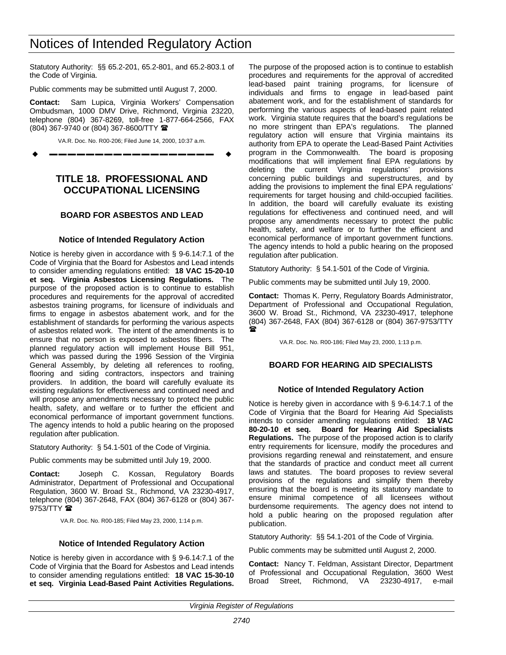# Notices of Intended Regulatory Action

Statutory Authority: §§ 65.2-201, 65.2-801, and 65.2-803.1 of the Code of Virginia.

Public comments may be submitted until August 7, 2000.

<span id="page-17-0"></span>**Contact:** Sam Lupica, Virginia Workers' Compensation Ombudsman, 1000 DMV Drive, Richmond, Virginia 23220, telephone (804) 367-8269, toll-free 1-877-664-2566, FAX (804) 367-9740 or (804) 367-8600/TTY (

VA.R. Doc. No. R00-206; Filed June 14, 2000, 10:37 a.m.

w **––––––––––––––––––** w

# **TITLE 18. PROFESSIONAL AND OCCUPATIONAL LICENSING**

# **BOARD FOR ASBESTOS AND LEAD**

# **Notice of Intended Regulatory Action**

Notice is hereby given in accordance with § 9-6.14:7.1 of the Code of Virginia that the Board for Asbestos and Lead intends to consider amending regulations entitled: **18 VAC 15-20-10 et seq. Virginia Asbestos Licensing Regulations.** The purpose of the proposed action is to continue to establish procedures and requirements for the approval of accredited asbestos training programs, for licensure of individuals and firms to engage in asbestos abatement work, and for the establishment of standards for performing the various aspects of asbestos related work. The intent of the amendments is to ensure that no person is exposed to asbestos fibers. The planned regulatory action will implement House Bill 951, which was passed during the 1996 Session of the Virginia General Assembly, by deleting all references to roofing, flooring and siding contractors, inspectors and training providers. In addition, the board will carefully evaluate its existing regulations for effectiveness and continued need and will propose any amendments necessary to protect the public health, safety, and welfare or to further the efficient and economical performance of important government functions. The agency intends to hold a public hearing on the proposed regulation after publication.

Statutory Authority: § 54.1-501 of the Code of Virginia.

Public comments may be submitted until July 19, 2000.

**Contact:** Joseph C. Kossan, Regulatory Boards Administrator, Department of Professional and Occupational Regulation, 3600 W. Broad St., Richmond, VA 23230-4917, telephone (804) 367-2648, FAX (804) 367-6128 or (804) 367- 9753/TTY <sup>2</sup>

VA.R. Doc. No. R00-185; Filed May 23, 2000, 1:14 p.m.

## **Notice of Intended Regulatory Action**

Notice is hereby given in accordance with § 9-6.14:7.1 of the Code of Virginia that the Board for Asbestos and Lead intends to consider amending regulations entitled: **18 VAC 15-30-10 et seq. Virginia Lead-Based Paint Activities Regulations.** The purpose of the proposed action is to continue to establish procedures and requirements for the approval of accredited lead-based paint training programs, for licensure of individuals and firms to engage in lead-based paint abatement work, and for the establishment of standards for performing the various aspects of lead-based paint related work. Virginia statute requires that the board's regulations be no more stringent than EPA's regulations. The planned regulatory action will ensure that Virginia maintains its authority from EPA to operate the Lead-Based Paint Activities program in the Commonwealth. The board is proposing modifications that will implement final EPA regulations by deleting the current Virginia regulations' provisions concerning public buildings and superstructures, and by adding the provisions to implement the final EPA regulations' requirements for target housing and child-occupied facilities. In addition, the board will carefully evaluate its existing regulations for effectiveness and continued need, and will propose any amendments necessary to protect the public health, safety, and welfare or to further the efficient and economical performance of important government functions. The agency intends to hold a public hearing on the proposed regulation after publication.

Statutory Authority: § 54.1-501 of the Code of Virginia.

Public comments may be submitted until July 19, 2000.

**Contact:** Thomas K. Perry, Regulatory Boards Administrator, Department of Professional and Occupational Regulation, 3600 W. Broad St., Richmond, VA 23230-4917, telephone (804) 367-2648, FAX (804) 367-6128 or (804) 367-9753/TTY  $\mathbf{r}$ 

VA.R. Doc. No. R00-186; Filed May 23, 2000, 1:13 p.m.

# **BOARD FOR HEARING AID SPECIALISTS**

## **Notice of Intended Regulatory Action**

Notice is hereby given in accordance with § 9-6.14:7.1 of the Code of Virginia that the Board for Hearing Aid Specialists intends to consider amending regulations entitled: **18 VAC 80-20-10 et seq. Board for Hearing Aid Specialists Regulations.** The purpose of the proposed action is to clarify entry requirements for licensure, modify the procedures and provisions regarding renewal and reinstatement, and ensure that the standards of practice and conduct meet all current laws and statutes. The board proposes to review several provisions of the regulations and simplify them thereby ensuring that the board is meeting its statutory mandate to ensure minimal competence of all licensees without burdensome requirements. The agency does not intend to hold a public hearing on the proposed regulation after publication.

Statutory Authority: §§ 54.1-201 of the Code of Virginia.

Public comments may be submitted until August 2, 2000.

**Contact:** Nancy T. Feldman, Assistant Director, Department of Professional and Occupational Regulation, 3600 West Broad Street, Richmond, VA 23230-4917, e-mail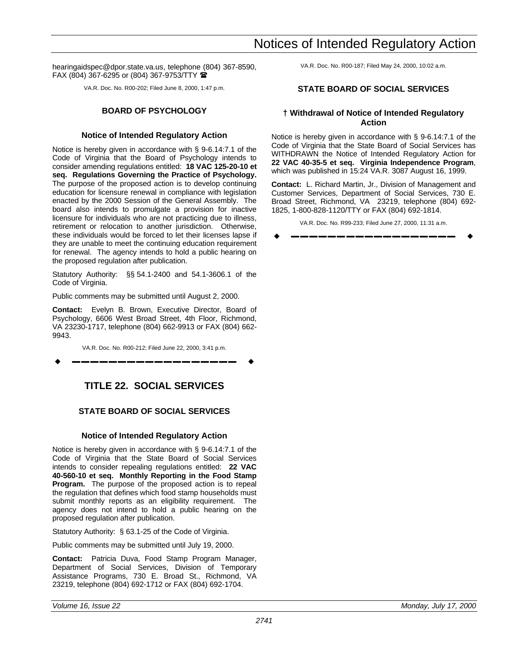<span id="page-18-0"></span>hearingaidspec@dpor.state.va.us, telephone (804) 367-8590, FAX (804) 367-6295 or (804) 367-9753/TTY  $\blacksquare$ 

VA.R. Doc. No. R00-202; Filed June 8, 2000, 1:47 p.m.

# **BOARD OF PSYCHOLOGY**

# **Notice of Intended Regulatory Action**

Notice is hereby given in accordance with § 9-6.14:7.1 of the Code of Virginia that the Board of Psychology intends to consider amending regulations entitled: **18 VAC 125-20-10 et seq. Regulations Governing the Practice of Psychology.** The purpose of the proposed action is to develop continuing education for licensure renewal in compliance with legislation enacted by the 2000 Session of the General Assembly. The board also intends to promulgate a provision for inactive licensure for individuals who are not practicing due to illness, retirement or relocation to another jurisdiction. Otherwise, these individuals would be forced to let their licenses lapse if they are unable to meet the continuing education requirement for renewal. The agency intends to hold a public hearing on the proposed regulation after publication.

Statutory Authority: §§ 54.1-2400 and 54.1-3606.1 of the Code of Virginia.

Public comments may be submitted until August 2, 2000.

**Contact:** Evelyn B. Brown, Executive Director, Board of Psychology, 6606 West Broad Street, 4th Floor, Richmond, VA 23230-1717, telephone (804) 662-9913 or FAX (804) 662- 9943.

VA.R. Doc. No. R00-212; Filed June 22, 2000, 3:41 p.m. w **––––––––––––––––––** w

# **TITLE 22. SOCIAL SERVICES**

# **STATE BOARD OF SOCIAL SERVICES**

# **Notice of Intended Regulatory Action**

Notice is hereby given in accordance with § 9-6.14:7.1 of the Code of Virginia that the State Board of Social Services intends to consider repealing regulations entitled: **22 VAC 40-560-10 et seq. Monthly Reporting in the Food Stamp Program.** The purpose of the proposed action is to repeal the regulation that defines which food stamp households must submit monthly reports as an eligibility requirement. The agency does not intend to hold a public hearing on the proposed regulation after publication.

Statutory Authority: § 63.1-25 of the Code of Virginia.

Public comments may be submitted until July 19, 2000.

**Contact:** Patricia Duva, Food Stamp Program Manager, Department of Social Services, Division of Temporary Assistance Programs, 730 E. Broad St., Richmond, VA 23219, telephone (804) 692-1712 or FAX (804) 692-1704.

VA.R. Doc. No. R00-187; Filed May 24, 2000, 10:02 a.m.

# **STATE BOARD OF SOCIAL SERVICES**

# **† Withdrawal of Notice of Intended Regulatory Action**

Notice is hereby given in accordance with § 9-6.14:7.1 of the Code of Virginia that the State Board of Social Services has WITHDRAWN the Notice of Intended Regulatory Action for **22 VAC 40-35-5 et seq. Virginia Independence Program**, which was published in 15:24 VA.R. 3087 August 16, 1999.

**Contact:** L. Richard Martin, Jr., Division of Management and Customer Services, Department of Social Services, 730 E. Broad Street, Richmond, VA 23219, telephone (804) 692- 1825, 1-800-828-1120/TTY or FAX (804) 692-1814.

VA.R. Doc. No. R99-233; Filed June 27, 2000, 11:31 a.m.

w **––––––––––––––––––** w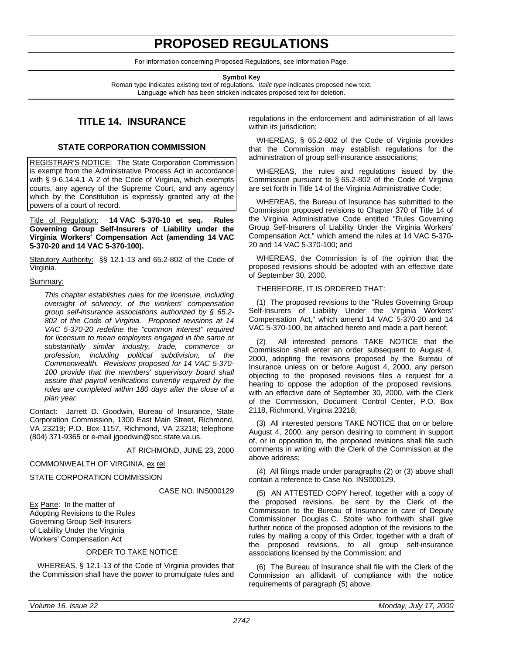# **PROPOSED REGULATIONS**

For information concerning Proposed Regulations, see Information Page.

#### **Symbol Key**

Roman type indicates existing text of regulations. *Italic type* indicates proposed new text. Language which has been stricken indicates proposed text for deletion.

# **TITLE 14. INSURANCE**

# **STATE CORPORATION COMMISSION**

<span id="page-19-0"></span>REGISTRAR'S NOTICE: The State Corporation Commission is exempt from the Administrative Process Act in accordance with § 9-6.14:4.1 A 2 of the Code of Virginia, which exempts courts, any agency of the Supreme Court, and any agency which by the Constitution is expressly granted any of the powers of a court of record.

Title of Regulation: **14 VAC 5-370-10 et seq. Rules Governing Group Self-Insurers of Liability under the Virginia Workers' Compensation Act (amending 14 VAC 5-370-20 and 14 VAC 5-370-100).**

Statutory Authority: §§ 12.1-13 and 65.2-802 of the Code of Virginia.

### Summary:

*This chapter establishes rules for the licensure, including oversight of solvency, of the workers' compensation group self-insurance associations authorized by § 65.2- 802 of the Code of Virginia. Proposed revisions at 14 VAC 5-370-20 redefine the "common interest" required for licensure to mean employers engaged in the same or substantially similar industry, trade, commerce or profession, including political subdivision, of the Commonwealth. Revisions proposed for 14 VAC 5-370- 100 provide that the members' supervisory board shall assure that payroll verifications currently required by the rules are completed within 180 days after the close of a plan year.*

Contact: Jarrett D. Goodwin, Bureau of Insurance, State Corporation Commission, 1300 East Main Street, Richmond, VA 23219; P.O. Box 1157, Richmond, VA 23218; telephone (804) 371-9365 or e-mail jgoodwin@scc.state.va.us.

AT RICHMOND, JUNE 23, 2000

# COMMONWEALTH OF VIRGINIA, ex rel.

STATE CORPORATION COMMISSION

CASE NO. INS000129

Ex Parte: In the matter of Adopting Revisions to the Rules Governing Group Self-Insurers of Liability Under the Virginia Workers' Compensation Act

## ORDER TO TAKE NOTICE

WHEREAS, § 12.1-13 of the Code of Virginia provides that the Commission shall have the power to promulgate rules and

regulations in the enforcement and administration of all laws within its jurisdiction;

WHEREAS, § 65.2-802 of the Code of Virginia provides that the Commission may establish regulations for the administration of group self-insurance associations;

WHEREAS, the rules and regulations issued by the Commission pursuant to § 65.2-802 of the Code of Virginia are set forth in Title 14 of the Virginia Administrative Code;

WHEREAS, the Bureau of Insurance has submitted to the Commission proposed revisions to Chapter 370 of Title 14 of the Virginia Administrative Code entitled "Rules Governing Group Self-Insurers of Liability Under the Virginia Workers' Compensation Act," which amend the rules at 14 VAC 5-370- 20 and 14 VAC 5-370-100; and

WHEREAS, the Commission is of the opinion that the proposed revisions should be adopted with an effective date of September 30, 2000.

## THEREFORE, IT IS ORDERED THAT:

(1) The proposed revisions to the "Rules Governing Group Self-Insurers of Liability Under the Virginia Workers' Compensation Act," which amend 14 VAC 5-370-20 and 14 VAC 5-370-100, be attached hereto and made a part hereof;

(2) All interested persons TAKE NOTICE that the Commission shall enter an order subsequent to August 4, 2000, adopting the revisions proposed by the Bureau of Insurance unless on or before August 4, 2000, any person objecting to the proposed revisions files a request for a hearing to oppose the adoption of the proposed revisions, with an effective date of September 30, 2000, with the Clerk of the Commission, Document Control Center, P.O. Box 2118, Richmond, Virginia 23218;

(3) All interested persons TAKE NOTICE that on or before August 4, 2000, any person desiring to comment in support of, or in opposition to, the proposed revisions shall file such comments in writing with the Clerk of the Commission at the above address;

(4) All filings made under paragraphs (2) or (3) above shall contain a reference to Case No. INS000129.

(5) AN ATTESTED COPY hereof, together with a copy of the proposed revisions, be sent by the Clerk of the Commission to the Bureau of Insurance in care of Deputy Commissioner Douglas C. Stolte who forthwith shall give further notice of the proposed adoption of the revisions to the rules by mailing a copy of this Order, together with a draft of the proposed revisions, to all group self-insurance associations licensed by the Commission; and

(6) The Bureau of Insurance shall file with the Clerk of the Commission an affidavit of compliance with the notice requirements of paragraph (5) above.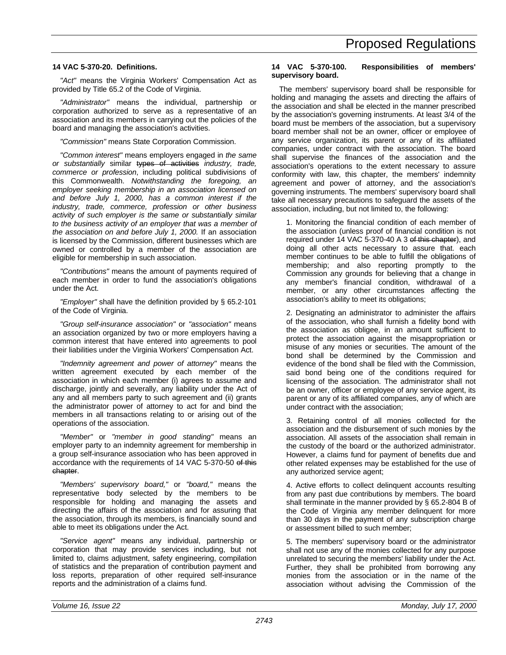# **14 VAC 5-370-20. Definitions.**

*"Act"* means the Virginia Workers' Compensation Act as provided by Title 65.2 of the Code of Virginia.

*"Administrator"* means the individual, partnership or corporation authorized to serve as a representative of an association and its members in carrying out the policies of the board and managing the association's activities.

*"Commission"* means State Corporation Commission.

*"Common interest"* means employers engaged in *the same or substantially* similar types of activities *industry, trade, commerce or profession*, including political subdivisions of this Commonwealth. *Notwithstanding the foregoing, an employer seeking membership in an association licensed on and before July 1, 2000, has a common interest if the industry, trade, commerce, profession or other business activity of such employer is the same or substantially similar to the business activity of an employer that was a member of the association on and before July 1, 2000.* If an association is licensed by the Commission, different businesses which are owned or controlled by a member of the association are eligible for membership in such association.

*"Contributions"* means the amount of payments required of each member in order to fund the association's obligations under the Act.

*"Employer"* shall have the definition provided by § 65.2-101 of the Code of Virginia.

*"Group self-insurance association"* or *"association"* means an association organized by two or more employers having a common interest that have entered into agreements to pool their liabilities under the Virginia Workers' Compensation Act.

*"Indemnity agreement and power of attorney"* means the written agreement executed by each member of the association in which each member (i) agrees to assume and discharge, jointly and severally, any liability under the Act of any and all members party to such agreement and (ii) grants the administrator power of attorney to act for and bind the members in all transactions relating to or arising out of the operations of the association.

*"Member"* or *"member in good standing"* means an employer party to an indemnity agreement for membership in a group self-insurance association who has been approved in accordance with the requirements of 14 VAC 5-370-50 of this chapter.

*"Members' supervisory board,"* or *"board,"* means the representative body selected by the members to be responsible for holding and managing the assets and directing the affairs of the association and for assuring that the association, through its members, is financially sound and able to meet its obligations under the Act.

*"Service agent"* means any individual, partnership or corporation that may provide services including, but not limited to, claims adjustment, safety engineering, compilation of statistics and the preparation of contribution payment and loss reports, preparation of other required self-insurance reports and the administration of a claims fund.

# **14 VAC 5-370-100. Responsibilities of members' supervisory board.**

The members' supervisory board shall be responsible for holding and managing the assets and directing the affairs of the association and shall be elected in the manner prescribed by the association's governing instruments. At least 3/4 of the board must be members of the association, but a supervisory board member shall not be an owner, officer or employee of any service organization, its parent or any of its affiliated companies, under contract with the association. The board shall supervise the finances of the association and the association's operations to the extent necessary to assure conformity with law, this chapter, the members' indemnity agreement and power of attorney, and the association's governing instruments. The members' supervisory board shall take all necessary precautions to safeguard the assets of the association, including, but not limited to, the following:

1. Monitoring the financial condition of each member of the association (unless proof of financial condition is not required under 14 VAC 5-370-40 A 3 of this chapter), and doing all other acts necessary to assure that. each member continues to be able to fulfill the obligations of membership; and also reporting promptly to the Commission any grounds for believing that a change in any member's financial condition, withdrawal of a member, or any other circumstances affecting the association's ability to meet its obligations;

2. Designating an administrator to administer the affairs of the association, who shall furnish a fidelity bond with the association as obligee, in an amount sufficient to protect the association against the misappropriation or misuse of any monies or securities. The amount of the bond shall be determined by the Commission and evidence of the bond shall be filed with the Commission, said bond being one of the conditions required for licensing of the association. The administrator shall not be an owner, officer or employee of any service agent, its parent or any of its affiliated companies, any of which are under contract with the association;

3. Retaining control of all monies collected for the association and the disbursement of such monies by the association. All assets of the association shall remain in the custody of the board or the authorized administrator. However, a claims fund for payment of benefits due and other related expenses may be established for the use of any authorized service agent;

4. Active efforts to collect delinquent accounts resulting from any past due contributions by members. The board shall terminate in the manner provided by § 65.2-804 B of the Code of Virginia any member delinquent for more than 30 days in the payment of any subscription charge or assessment billed to such member;

5. The members' supervisory board or the administrator shall not use any of the monies collected for any purpose unrelated to securing the members' liability under the Act. Further, they shall be prohibited from borrowing any monies from the association or in the name of the association without advising the Commission of the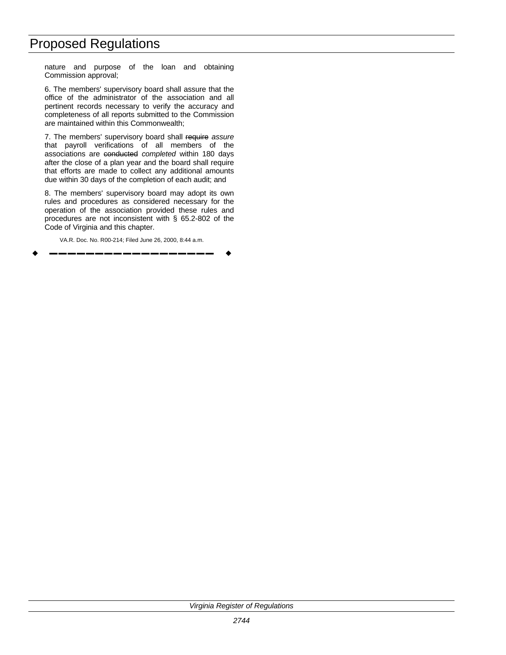# Proposed Regulations

nature and purpose of the loan and obtaining Commission approval;

6. The members' supervisory board shall assure that the office of the administrator of the association and all pertinent records necessary to verify the accuracy and completeness of all reports submitted to the Commission are maintained within this Commonwealth;

7. The members' supervisory board shall require *assure* that payroll verifications of all members of the associations are conducted *completed* within 180 days after the close of a plan year and the board shall require that efforts are made to collect any additional amounts due within 30 days of the completion of each audit; and

8. The members' supervisory board may adopt its own rules and procedures as considered necessary for the operation of the association provided these rules and procedures are not inconsistent with § 65.2-802 of the Code of Virginia and this chapter.

VA.R. Doc. No. R00-214; Filed June 26, 2000, 8:44 a.m.

w **––––––––––––––––––** w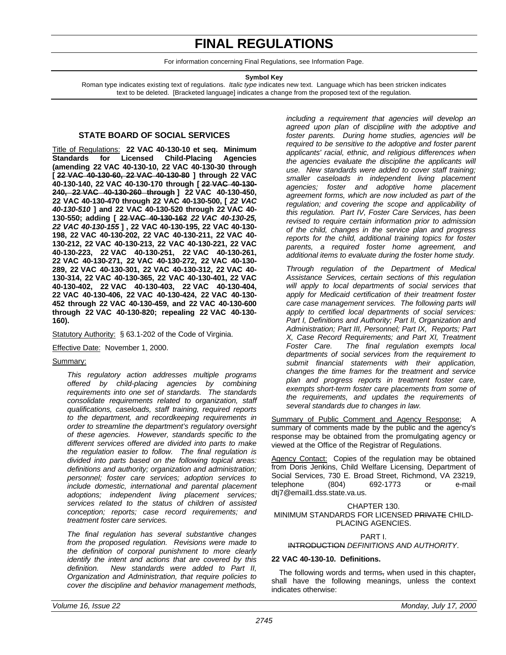# **FINAL REGULATIONS**

For information concerning Final Regulations, see Information Page.

**Symbol Key**

<span id="page-22-0"></span>Roman type indicates existing text of regulations. *Italic type* indicates new text. Language which has been stricken indicates text to be deleted. [Bracketed language] indicates a change from the proposed text of the regulation.

# **STATE BOARD OF SOCIAL SERVICES**

Title of Regulations: **22 VAC 40-130-10 et seq. Minimum Standards for Licensed Child-Placing Agencies (amending 22 VAC 40-130-10, 22 VAC 40-130-30 through [ 22 VAC 40-130-60, 22 VAC 40-130-80 ] through 22 VAC 40-130-140, 22 VAC 40-130-170 through [ 22 VAC 40-130- 240, 22 VAC 40-130-260 through ] 22 VAC 40-130-450, 22 VAC 40-130-470 through 22 VAC 40-130-500, [** *22 VAC 40-130-510* **] and 22 VAC 40-130-520 through 22 VAC 40- 130-550; adding [ 22 VAC 40-130-162** *22 VAC 40-130-25, 22 VAC 40-130-155* **] , 22 VAC 40-130-195, 22 VAC 40-130- 198, 22 VAC 40-130-202, 22 VAC 40-130-211, 22 VAC 40- 130-212, 22 VAC 40-130-213, 22 VAC 40-130-221, 22 VAC 40-130-223, 22 VAC 40-130-251, 22 VAC 40-130-261, 22 VAC 40-130-271, 22 VAC 40-130-272, 22 VAC 40-130- 289, 22 VAC 40-130-301, 22 VAC 40-130-312, 22 VAC 40- 130-314, 22 VAC 40-130-365, 22 VAC 40-130-401, 22 VAC 40-130-402, 22 VAC 40-130-403, 22 VAC 40-130-404, 22 VAC 40-130-406, 22 VAC 40-130-424, 22 VAC 40-130- 452 through 22 VAC 40-130-459, and 22 VAC 40-130-600 through 22 VAC 40-130-820; repealing 22 VAC 40-130- 160).**

Statutory Authority: § 63.1-202 of the Code of Virginia.

Effective Date: November 1, 2000.

# Summary:

*This regulatory action addresses multiple programs offered by child-placing agencies by combining requirements into one set of standards. The standards consolidate requirements related to organization, staff qualifications, caseloads, staff training, required reports to the department, and recordkeeping requirements in order to streamline the department's regulatory oversight of these agencies. However, standards specific to the different services offered are divided into parts to make the regulation easier to follow. The final regulation is divided into parts based on the following topical areas: definitions and authority; organization and administration; personnel; foster care services; adoption services to include domestic, international and parental placement adoptions; independent living placement services; services related to the status of children of assisted conception; reports; case record requirements; and treatment foster care services.*

*The final regulation has several substantive changes from the proposed regulation. Revisions were made to the definition of corporal punishment to more clearly identify the intent and actions that are covered by this definition. New standards were added to Part II, Organization and Administration, that require policies to cover the discipline and behavior management methods,* *including a requirement that agencies will develop an agreed upon plan of discipline with the adoptive and foster parents. During home studies, agencies will be required to be sensitive to the adoptive and foster parent applicants' racial, ethnic, and religious differences when the agencies evaluate the discipline the applicants will use. New standards were added to cover staff training; smaller caseloads in independent living placement agencies; foster and adoptive home placement agreement forms, which are now included as part of the regulation; and covering the scope and applicability of this regulation. Part IV, Foster Care Services, has been revised to require certain information prior to admission of the child, changes in the service plan and progress reports for the child, additional training topics for foster parents, a required foster home agreement, and additional items to evaluate during the foster home study.*

*Through regulation of the Department of Medical Assistance Services, certain sections of this regulation will apply to local departments of social services that apply for Medicaid certification of their treatment foster care case management services. The following parts will apply to certified local departments of social services: Part I, Definitions and Authority; Part II, Organization and Administration; Part III, Personnel; Part IX, Reports; Part X, Case Record Requirements; and Part XI, Treatment Foster Care. The final regulation exempts local departments of social services from the requirement to submit financial statements with their application, changes the time frames for the treatment and service plan and progress reports in treatment foster care, exempts short-term foster care placements from some of the requirements, and updates the requirements of several standards due to changes in law.*

Summary of Public Comment and Agency Response: A summary of comments made by the public and the agency's response may be obtained from the promulgating agency or viewed at the Office of the Registrar of Regulations.

Agency Contact: Copies of the regulation may be obtained from Doris Jenkins, Child Welfare Licensing, Department of Social Services, 730 E. Broad Street, Richmond, VA 23219, telephone (804) 692-1773 or e-mail dtj7@email1.dss.state.va.us.

## CHAPTER 130.

### MINIMUM STANDARDS FOR LICENSED PRIVATE CHILD-PLACING AGENCIES.

PART I.

INTRODUCTION *DEFINITIONS AND AUTHORITY*.

## **22 VAC 40-130-10. Definitions.**

The following words and terms, when used in this chapter, shall have the following meanings, unless the context indicates otherwise: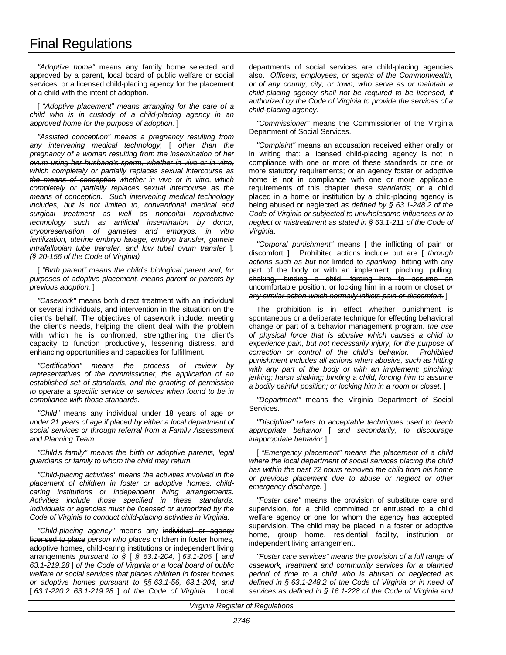*"Adoptive home"* means any family home selected and approved by a parent, local board of public welfare or social services, or a licensed child-placing agency for the placement of a child with the intent of adoption.

[ *"Adoptive placement" means arranging for the care of a child who is in custody of a child-placing agency in an approved home for the purpose of adoption.* ]

*"Assisted conception" means a pregnancy resulting from any intervening medical technology,* [ *other than the pregnancy of a woman resulting from the insemination of her ovum using her husband's sperm, whether in vivo or in vitro, which completely or partially replaces sexual intercourse as the means of conception whether in vivo or in vitro, which completely or partially replaces sexual intercourse as the means of conception. Such intervening medical technology includes, but is not limited to, conventional medical and surgical treatment as well as noncoital reproductive technology such as artificial insemination by donor, cryopreservation of gametes and embryos, in vitro fertilization, uterine embryo lavage, embryo transfer, gamete intrafallopian tube transfer, and low tubal ovum transfer* ]*. (§ 20-156 of the Code of Virginia)*

[ *"Birth parent" means the child's biological parent and, for purposes of adoptive placement, means parent or parents by previous adoption.* ]

*"Casework"* means both direct treatment with an individual or several individuals, and intervention in the situation on the client's behalf. The objectives of casework include: meeting the client's needs, helping the client deal with the problem with which he is confronted, strengthening the client's capacity to function productively, lessening distress, and enhancing opportunities and capacities for fulfillment.

*"Certification" means the process of review by representatives of the commissioner, the application of an established set of standards, and the granting of permission to operate a specific service or services when found to be in compliance with those standards.*

*"Child"* means any individual under 18 years of age *or under 21 years of age if placed by either a local department of social services or through referral from a Family Assessment and Planning Team*.

*"Child's family" means the birth or adoptive parents, legal guardians or family to whom the child may return.*

*"Child-placing activities" means the activities involved in the placement of children in foster or adoptive homes, childcaring institutions or independent living arrangements. Activities include those specified in these standards. Individuals or agencies must be licensed or authorized by the Code of Virginia to conduct child-placing activities in Virginia.*

*"Child-placing agency"* means any individual or agency licensed to place *person who places* children in foster homes, adoptive homes, child-caring institutions or independent living arrangements *pursuant to §* [ *§ 63.1-204,* ] *63.1-205* [ *and 63.1-219.28* ] *of the Code of Virginia or a local board of public welfare or social services that places children in foster homes or adoptive homes pursuant to §§ 63.1-56, 63.1-204, and* [ *63.1-220.2 63.1-219.28* ] *of the Code of Virginia*. Local departments of social services are child-placing agencies also. *Officers, employees, or agents of the Commonwealth, or of any county, city, or town, who serve as or maintain a child-placing agency shall not be required to be licensed, if authorized by the Code of Virginia to provide the services of a child-placing agency.*

*"Commissioner"* means the Commissioner of the Virginia Department of Social Services.

*"Complaint"* means an accusation received either orally or in writing that: a licensed child-placing agency is not in compliance with one or more of these standards or one or more statutory requirements; or an agency foster or adoptive home is not in compliance with one or more applicable requirements of this chapter *these standards*; or a child placed in a home or institution by a child-placing agency is being abused or neglected *as defined by § 63.1-248.2 of the Code of Virginia or subjected to unwholesome influences or to neglect or mistreatment as stated in § 63.1-211 of the Code of Virginia*.

*"Corporal punishment"* means [ the inflicting of pain or discomfort ] . Prohibited actions include but are [ *through actions such as but* not limited to *spanking,* hitting with any part of the body or with an implement, pinching, pulling, shaking, binding a child, forcing him to assume an uncomfortable position, or locking him in a room or closet *or any similar action which normally inflicts pain or discomfort.* ]

The prohibition is in effect whether punishment is spontaneous or a deliberate technique for effecting behavioral change or part of a behavior management program. *the use of physical force that is abusive which causes a child to experience pain, but not necessarily injury, for the purpose of correction or control of the child's behavior. Prohibited punishment includes all actions when abusive, such as hitting with any part of the body or with an implement; pinching; jerking; harsh shaking; binding a child; forcing him to assume a bodily painful position; or locking him in a room or closet.* ]

*"Department"* means the Virginia Department of Social Services.

*"Discipline" refers to acceptable techniques used to teach appropriate behavior* [ *and secondarily, to discourage inappropriate behavior* ]*.*

[ *"Emergency placement" means the placement of a child where the local department of social services placing the child has within the past 72 hours removed the child from his home or previous placement due to abuse or neglect or other emergency discharge.* ]

*"Foster care"* means the provision of substitute care and supervision, for a child committed or entrusted to a child welfare agency or one for whom the agency has accepted supervision. The child may be placed in a foster or adoptive home, group home, residential facility, institution or independent living arrangement.

*"Foster care services" means the provision of a full range of casework, treatment and community services for a planned period of time to a child who is abused or neglected as defined in § 63.1-248.2 of the Code of Virginia or in need of services as defined in § 16.1-228 of the Code of Virginia and*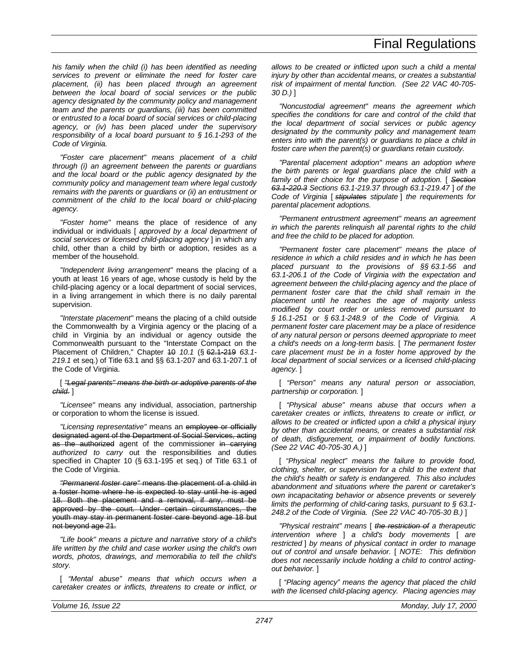*his family when the child (i) has been identified as needing services to prevent or eliminate the need for foster care placement, (ii) has been placed through an agreement between the local board of social services or the public agency designated by the community policy and management team and the parents or guardians, (iii) has been committed or entrusted to a local board of social services or child-placing agency, or (iv) has been placed under the supervisory responsibility of a local board pursuant to § 16.1-293 of the Code of Virginia.*

*"Foster care placement" means placement of a child through (i) an agreement between the parents or guardians and the local board or the public agency designated by the community policy and management team where legal custody remains with the parents or guardians or (ii) an entrustment or commitment of the child to the local board or child-placing agency.*

*"Foster home"* means the place of residence of any individual or individuals [ *approved by a local department of social services or licensed child-placing agency* ] in which any child, other than a child by birth or adoption, resides as a member of the household.

*"Independent living arrangement"* means the placing of a youth at least 16 years of age, whose custody is held by the child-placing agency or a local department of social services, in a living arrangement in which there is no daily parental supervision.

*"Interstate placement"* means the placing of a child outside the Commonwealth by a Virginia agency or the placing of a child in Virginia by an individual or agency outside the Commonwealth pursuant to the "Interstate Compact on the Placement of Children," Chapter 10 *10.1* (§ 62.1-219 *63.1- 219.1* et seq.) of Title 63.1 and §§ 63.1-207 and 63.1-207.1 of the Code of Virginia.

#### [ *"Legal parents" means the birth or adoptive parents of the child.* ]

*"Licensee"* means any individual, association, partnership or corporation to whom the license is issued.

*"Licensing representative"* means an employee or officially designated agent of the Department of Social Services, acting as the authorized agent of the commissioner in carrying *authorized to carry* out the responsibilities and duties specified in Chapter 10 (§ 63.1-195 et seq.) of Title 63.1 of the Code of Virginia.

*"Permanent foster care"* means the placement of a child in a foster home where he is expected to stay until he is aged 18. Both the placement and a removal, if any, must be approved by the court. Under certain circumstances, the youth may stay in permanent foster care beyond age 18 but not beyond age 21.

*"Life book" means a picture and narrative story of a child's life written by the child and case worker using the child's own words, photos, drawings, and memorabilia to tell the child's story.*

[ *"Mental abuse" means that which occurs when a caretaker creates or inflicts, threatens to create or inflict, or* *allows to be created or inflicted upon such a child a mental injury by other than accidental means, or creates a substantial risk of impairment of mental function. (See 22 VAC 40-705- 30 D.)* ]

*"Noncustodial agreement" means the agreement which specifies the conditions for care and control of the child that the local department of social services or public agency designated by the community policy and management team enters into with the parent(s) or guardians to place a child in foster care when the parent(s) or guardians retain custody.*

*"Parental placement adoption" means an adoption where the birth parents or legal guardians place the child with a family of their choice for the purpose of adoption.* [ *Section 63.1-220.3 Sections 63.1-219.37 through 63.1-219.47* ] *of the Code of Virginia* [ *stipulates stipulate* ] *the requirements for parental placement adoptions.*

*"Permanent entrustment agreement" means an agreement in which the parents relinquish all parental rights to the child and free the child to be placed for adoption.*

*"Permanent foster care placement" means the place of residence in which a child resides and in which he has been placed pursuant to the provisions of §§ 63.1-56 and 63.1-206.1 of the Code of Virginia with the expectation and agreement between the child-placing agency and the place of permanent foster care that the child shall remain in the placement until he reaches the age of majority unless modified by court order or unless removed pursuant to § 16.1-251 or § 63.1-248.9 of the Code of Virginia. A permanent foster care placement may be a place of residence of any natural person or persons deemed appropriate to meet a child's needs on a long-term basis.* [ *The permanent foster care placement must be in a foster home approved by the local department of social services or a licensed child-placing agency.* ]

[ *"Person" means any natural person or association, partnership or corporation.* ]

[ *"Physical abuse" means abuse that occurs when a caretaker creates or inflicts, threatens to create or inflict, or allows to be created or inflicted upon a child a physical injury by other than accidental means, or creates a substantial risk of death, disfigurement, or impairment of bodily functions. (See 22 VAC 40-705-30 A.)* ]

[ *"Physical neglect" means the failure to provide food, clothing, shelter, or supervision for a child to the extent that the child's health or safety is endangered. This also includes abandonment and situations where the parent or caretaker's own incapacitating behavior or absence prevents or severely limits the performing of child-caring tasks, pursuant to § 63.1- 248.2 of the Code of Virginia. (See 22 VAC 40-705-30 B.)* ]

*"Physical restraint" means* [ *the restriction of a therapeutic intervention where* ] *a child's body movements* [ *are restricted* ] *by means of physical contact in order to manage out of control and unsafe behavior.* [ *NOTE: This definition does not necessarily include holding a child to control actingout behavior.* ]

[ *"Placing agency" means the agency that placed the child with the licensed child-placing agency. Placing agencies may*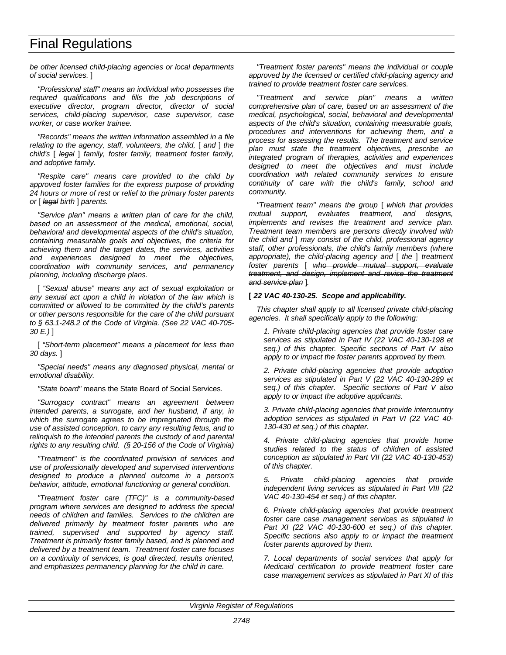*be other licensed child-placing agencies or local departments of social services.* ]

*"Professional staff" means an individual who possesses the required qualifications and fills the job descriptions of executive director, program director, director of social services, child-placing supervisor, case supervisor, case worker, or case worker trainee.*

*"Records" means the written information assembled in a file relating to the agency, staff, volunteers, the child,* [ *and* ] *the child's* [ *legal* ] *family, foster family, treatment foster family, and adoptive family.*

*"Respite care" means care provided to the child by approved foster families for the express purpose of providing 24 hours or more of rest or relief to the primary foster parents or* [ *legal birth* ] *parents.*

*"Service plan" means a written plan of care for the child, based on an assessment of the medical, emotional, social, behavioral and developmental aspects of the child's situation, containing measurable goals and objectives, the criteria for achieving them and the target dates, the services, activities and experiences designed to meet the objectives, coordination with community services, and permanency planning, including discharge plans.*

[ *"Sexual abuse" means any act of sexual exploitation or any sexual act upon a child in violation of the law which is committed or allowed to be committed by the child's parents or other persons responsible for the care of the child pursuant to § 63.1-248.2 of the Code of Virginia. (See 22 VAC 40-705- 30 E.)* ]

[ *"Short-term placement" means a placement for less than 30 days.* ]

*"Special needs" means any diagnosed physical, mental or emotional disability.*

*"State board"* means the State Board of Social Services.

*"Surrogacy contract" means an agreement between intended parents, a surrogate, and her husband, if any, in which the surrogate agrees to be impregnated through the use of assisted conception, to carry any resulting fetus, and to relinquish to the intended parents the custody of and parental rights to any resulting child. (§ 20-156 of the Code of Virginia)*

*"Treatment" is the coordinated provision of services and use of professionally developed and supervised interventions designed to produce a planned outcome in a person's behavior, attitude, emotional functioning or general condition.*

*"Treatment foster care (TFC)" is a community-based program where services are designed to address the special needs of children and families. Services to the children are delivered primarily by treatment foster parents who are trained, supervised and supported by agency staff. Treatment is primarily foster family based, and is planned and delivered by a treatment team. Treatment foster care focuses on a continuity of services, is goal directed, results oriented, and emphasizes permanency planning for the child in care.*

*"Treatment foster parents" means the individual or couple approved by the licensed or certified child-placing agency and trained to provide treatment foster care services.*

*"Treatment and service plan" means a written comprehensive plan of care, based on an assessment of the medical, psychological, social, behavioral and developmental aspects of the child's situation, containing measurable goals, procedures and interventions for achieving them, and a process for assessing the results. The treatment and service plan must state the treatment objectives, prescribe an integrated program of therapies, activities and experiences designed to meet the objectives and must include coordination with related community services to ensure continuity of care with the child's family, school and community.*

*"Treatment team" means the group* [ *which that provides mutual support, evaluates treatment, and designs, implements and revises the treatment and service plan. Treatment team members are persons directly involved with the child and* ] *may consist of the child, professional agency staff, other professionals, the child's family members (where appropriate), the child-placing agency and* [ *the* ] *treatment foster parents* [ *who provide mutual support, evaluate treatment, and design, implement and revise the treatment and service plan* ]*.*

## **[** *22 VAC 40-130-25. Scope and applicability.*

*This chapter shall apply to all licensed private child-placing agencies. It shall specifically apply to the following:*

*1. Private child-placing agencies that provide foster care services as stipulated in Part IV (22 VAC 40-130-198 et seq.) of this chapter. Specific sections of Part IV also apply to or impact the foster parents approved by them.*

*2. Private child-placing agencies that provide adoption services as stipulated in Part V (22 VAC 40-130-289 et seq.) of this chapter. Specific sections of Part V also apply to or impact the adoptive applicants.*

*3. Private child-placing agencies that provide intercountry adoption services as stipulated in Part VI (22 VAC 40- 130-430 et seq.) of this chapter.*

*4. Private child-placing agencies that provide home studies related to the status of children of assisted conception as stipulated in Part VII (22 VAC 40-130-453) of this chapter.*

*5. Private child-placing agencies that provide independent living services as stipulated in Part VIII (22 VAC 40-130-454 et seq.) of this chapter.*

*6. Private child-placing agencies that provide treatment foster care case management services as stipulated in Part XI (22 VAC 40-130-600 et seq.) of this chapter. Specific sections also apply to or impact the treatment foster parents approved by them.*

*7. Local departments of social services that apply for Medicaid certification to provide treatment foster care case management services as stipulated in Part XI of this*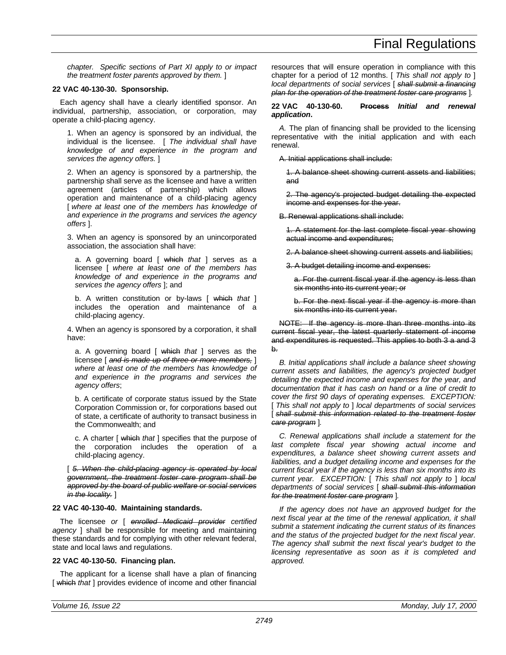*chapter. Specific sections of Part XI apply to or impact the treatment foster parents approved by them.* ]

## **22 VAC 40-130-30. Sponsorship.**

Each agency shall have a clearly identified sponsor. An individual, partnership, association, or corporation, may operate a child-placing agency.

1. When an agency is sponsored by an individual, the individual is the licensee. [ *The individual shall have knowledge of and experience in the program and services the agency offers.* ]

2. When an agency is sponsored by a partnership, the partnership shall serve as the licensee and have a written agreement (articles of partnership) which allows operation and maintenance of a child-placing agency [ *where at least one of the members has knowledge of and experience in the programs and services the agency offers* ].

3. When an agency is sponsored by an unincorporated association, the association shall have:

a. A governing board [ which *that* ] serves as a licensee [ *where at least one of the members has knowledge of and experience in the programs and services the agency offers* ]; and

b. A written constitution or by-laws [ which *that* ] includes the operation and maintenance of a child-placing agency.

4. When an agency is sponsored by a corporation, it shall have:

a. A governing board [ which *that* ] serves as the licensee [ *and is made up of three or more members,* ] *where at least one of the members has knowledge of and experience in the programs and services the agency offers*;

b. A certificate of corporate status issued by the State Corporation Commission or, for corporations based out of state, a certificate of authority to transact business in the Commonwealth; and

c. A charter [ which *that* ] specifies that the purpose of the corporation includes the operation of a child-placing agency.

[ *5. When the child-placing agency is operated by local government, the treatment foster care program shall be approved by the board of public welfare or social services in the locality.* ]

## **22 VAC 40-130-40. Maintaining standards.**

The licensee *or* [ *enrolled Medicaid provider certified agency* ] shall be responsible for meeting and maintaining these standards and for complying with other relevant federal, state and local laws and regulations.

#### **22 VAC 40-130-50. Financing plan.**

The applicant for a license shall have a plan of financing [ which *that* ] provides evidence of income and other financial resources that will ensure operation in compliance with this chapter for a period of 12 months. [ *This shall not apply to* ] *local departments of social services* [ *shall submit a financing plan for the operation of the treatment foster care programs* ]*.*

#### **22 VAC 40-130-60. Process** *Initial and renewal application***.**

*A.* The plan of financing shall be provided to the licensing representative with the initial application and with each renewal.

A. Initial applications shall include:

1. A balance sheet showing current assets and liabilities; and

2. The agency's projected budget detailing the expected income and expenses for the year.

B. Renewal applications shall include:

1. A statement for the last complete fiscal year showing actual income and expenditures;

2. A balance sheet showing current assets and liabilities;

3. A budget detailing income and expenses:

a. For the current fiscal year if the agency is less than six months into its current year; or

b. For the next fiscal year if the agency is more than six months into its current year.

NOTE: If the agency is more than three months into its current fiscal year, the latest quarterly statement of income and expenditures is requested. This applies to both 3 a and 3 b.

*B. Initial applications shall include a balance sheet showing current assets and liabilities, the agency's projected budget detailing the expected income and expenses for the year, and documentation that it has cash on hand or a line of credit to cover the first 90 days of operating expenses. EXCEPTION:* [ *This shall not apply to* ] *local departments of social services* [ *shall submit this information related to the treatment foster care program* ]*.*

*C. Renewal applications shall include a statement for the last complete fiscal year showing actual income and expenditures, a balance sheet showing current assets and liabilities, and a budget detailing income and expenses for the current fiscal year if the agency is less than six months into its current year. EXCEPTION:* [ *This shall not apply to* ] *local departments of social services* [ *shall submit this information for the treatment foster care program* ]*.*

*If the agency does not have an approved budget for the next fiscal year at the time of the renewal application, it shall submit a statement indicating the current status of its finances and the status of the projected budget for the next fiscal year. The agency shall submit the next fiscal year's budget to the licensing representative as soon as it is completed and approved.*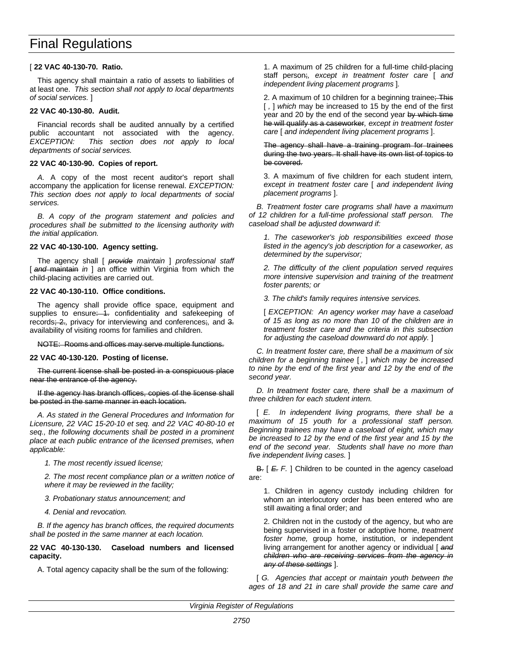## [ **22 VAC 40-130-70. Ratio.**

This agency shall maintain a ratio of assets to liabilities of at least one. *This section shall not apply to local departments of social services.* ]

# **22 VAC 40-130-80. Audit.**

Financial records shall be audited annually by a certified public accountant not associated with the agency. *EXCEPTION: This section does not apply to local departments of social services.*

# **22 VAC 40-130-90. Copies of report.**

*A.* A copy of the most recent auditor's report shall accompany the application for license renewal. *EXCEPTION: This section does not apply to local departments of social services.*

*B. A copy of the program statement and policies and procedures shall be submitted to the licensing authority with the initial application.*

# **22 VAC 40-130-100. Agency setting.**

The agency shall [ *provide maintain* ] *professional staff* [ and maintain *in* ] an office within Virginia from which the child-placing activities are carried out.

# **22 VAC 40-130-110. Office conditions.**

The agency shall provide office space, equipment and supplies to ensure: 1. confidentiality and safekeeping of records; 2.*,* privacy for interviewing and conferences;*,* and 3. availability of visiting rooms for families and children.

NOTE: Rooms and offices may serve multiple functions.

## **22 VAC 40-130-120. Posting of license.**

The current license shall be posted in a conspicuous place near the entrance of the agency.

If the agency has branch offices, copies of the license shall be posted in the same manner in each location.

*A. As stated in the General Procedures and Information for Licensure, 22 VAC 15-20-10 et seq. and 22 VAC 40-80-10 et seq., the following documents shall be posted in a prominent place at each public entrance of the licensed premises, when applicable:*

*1. The most recently issued license;*

*2. The most recent compliance plan or a written notice of where it may be reviewed in the facility;*

*3. Probationary status announcement; and*

*4. Denial and revocation.*

*B. If the agency has branch offices, the required documents shall be posted in the same manner at each location.*

## **22 VAC 40-130-130. Caseload numbers and licensed capacity.**

A. Total agency capacity shall be the sum of the following:

1. A maximum of 25 children for a full-time child-placing staff person;*, except in treatment foster care* [ *and independent living placement programs* ]*.*

2. A maximum of 10 children for a beginning trainee; This [ *,* ] *which* may be increased to 15 by the end of the first year and 20 by the end of the second year by which time he will qualify as a caseworker*, except in treatment foster care* [ *and independent living placement programs* ].

The agency shall have a training program for trainees during the two years. It shall have its own list of topics to be covered.

3. A maximum of five children for each student intern*, except in treatment foster care* [ *and independent living placement programs* ].

*B. Treatment foster care programs shall have a maximum of 12 children for a full-time professional staff person. The caseload shall be adjusted downward if:*

*1. The caseworker's job responsibilities exceed those listed in the agency's job description for a caseworker, as determined by the supervisor;*

*2. The difficulty of the client population served requires more intensive supervision and training of the treatment foster parents; or*

*3. The child's family requires intensive services.*

[ *EXCEPTION: An agency worker may have a caseload of 15 as long as no more than 10 of the children are in treatment foster care and the criteria in this subsection for adjusting the caseload downward do not apply.* ]

*C. In treatment foster care, there shall be a maximum of six children for a beginning trainee* [ *,* ] *which may be increased to nine by the end of the first year and 12 by the end of the second year.*

*D. In treatment foster care, there shall be a maximum of three children for each student intern.*

[ *E. In independent living programs, there shall be a maximum of 15 youth for a professional staff person. Beginning trainees may have a caseload of eight, which may be increased to 12 by the end of the first year and 15 by the end of the second year. Students shall have no more than five independent living cases.* ]

B. [ *E. F.* ] Children to be counted in the agency caseload are:

1. Children in agency custody including children for whom an interlocutory order has been entered who are still awaiting a final order; and

2. Children not in the custody of the agency, but who are being supervised in a foster or adoptive home, *treatment foster home,* group home, institution, or independent living arrangement for another agency or individual [ *and children who are receiving services from the agency in any of these settings* ].

[ *G. Agencies that accept or maintain youth between the ages of 18 and 21 in care shall provide the same care and*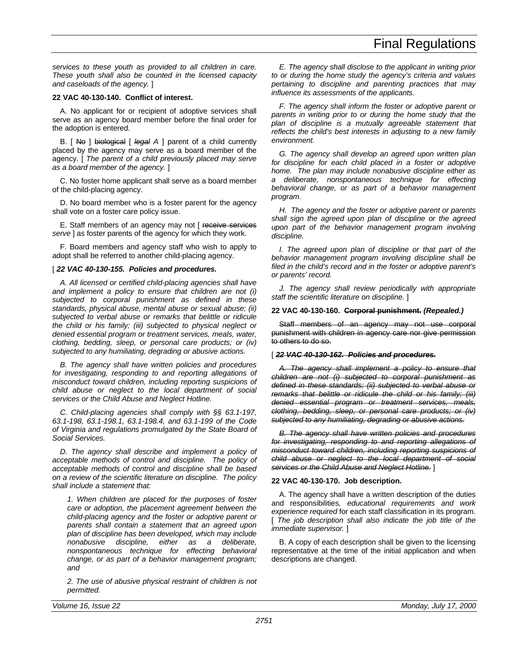*services to these youth as provided to all children in care. These youth shall also be counted in the licensed capacity and caseloads of the agency.* ]

# **22 VAC 40-130-140. Conflict of interest.**

A. No applicant for or recipient of adoptive services shall serve as an agency board member before the final order for the adoption is entered.

B. [ No ] biological [ *legal A* ] parent of a child currently placed by the agency may serve as a board member of the agency. [ *The parent of a child previously placed may serve as a board member of the agency.* ]

C. No foster home applicant shall serve as a board member of the child-placing agency.

D. No board member who is a foster parent for the agency shall vote on a foster care policy issue.

E. Staff members of an agency may not I receive services *serve* ] as foster parents of the agency for which they work.

F. Board members and agency staff who wish to apply to adopt shall be referred to another child-placing agency.

## [  $22$  VAC 40-130-155. Policies and procedures.

*A. All licensed or certified child-placing agencies shall have and implement a policy to ensure that children are not (i) subjected to corporal punishment as defined in these standards, physical abuse, mental abuse or sexual abuse; (ii) subjected to verbal abuse or remarks that belittle or ridicule the child or his family; (iii) subjected to physical neglect or denied essential program or treatment services, meals, water, clothing, bedding, sleep, or personal care products; or (iv) subjected to any humiliating, degrading or abusive actions.*

*B. The agency shall have written policies and procedures for investigating, responding to and reporting allegations of misconduct toward children, including reporting suspicions of child abuse or neglect to the local department of social services or the Child Abuse and Neglect Hotline.*

*C. Child-placing agencies shall comply with §§ 63.1-197, 63.1-198, 63.1-198.1, 63.1-198.4, and 63.1-199 of the Code of Virginia and regulations promulgated by the State Board of Social Services.*

*D. The agency shall describe and implement a policy of acceptable methods of control and discipline. The policy of acceptable methods of control and discipline shall be based on a review of the scientific literature on discipline. The policy shall include a statement that:*

*1. When children are placed for the purposes of foster care or adoption, the placement agreement between the child-placing agency and the foster or adoptive parent or parents shall contain a statement that an agreed upon plan of discipline has been developed, which may include nonabusive discipline, either as a deliberate, nonspontaneous technique for effecting behavioral change, or as part of a behavior management program; and*

*2. The use of abusive physical restraint of children is not permitted.*

*E. The agency shall disclose to the applicant in writing prior to or during the home study the agency's criteria and values pertaining to discipline and parenting practices that may influence its assessments of the applicants.*

*F. The agency shall inform the foster or adoptive parent or parents in writing prior to or during the home study that the plan of discipline is a mutually agreeable statement that reflects the child's best interests in adjusting to a new family environment.*

*G. The agency shall develop an agreed upon written plan for discipline for each child placed in a foster or adoptive home. The plan may include nonabusive discipline either as a deliberate, nonspontaneous technique for effecting behavioral change, or as part of a behavior management program.*

*H. The agency and the foster or adoptive parent or parents shall sign the agreed upon plan of discipline or the agreed upon part of the behavior management program involving discipline.*

*I. The agreed upon plan of discipline or that part of the behavior management program involving discipline shall be filed in the child's record and in the foster or adoptive parent's or parents' record.*

*J. The agency shall review periodically with appropriate staff the scientific literature on discipline.* ]

## **22 VAC 40-130-160. Corporal punishment.** *(Repealed.)*

Staff members of an agency may not use corporal punishment with children in agency care nor give permission to others to do so.

# [ *22 VAC 40-130-162. Policies and procedures.*

*A. The agency shall implement a policy to ensure that children are not (i) subjected to corporal punishment as defined in these standards; (ii) subjected to verbal abuse or remarks that belittle or ridicule the child or his family; (iii) denied essential program or treatment services, meals, clothing, bedding, sleep, or personal care products; or (iv) subjected to any humiliating, degrading or abusive actions.*

*B. The agency shall have written policies and procedures for investigating, responding to and reporting allegations of misconduct toward children, including reporting suspicions of child abuse or neglect to the local department of social services or the Child Abuse and Neglect Hotline.* ]

# **22 VAC 40-130-170. Job description.**

A. The agency shall have a written description of the duties and responsibilities*, educational requirements and work experience required* for each staff classification in its program. [ *The job description shall also indicate the job title of the immediate supervisor.* ]

B. A copy of each description shall be given to the licensing representative at the time of the initial application and when descriptions are changed.

*Volume 16, Issue 22 Monday, July 17, 2000*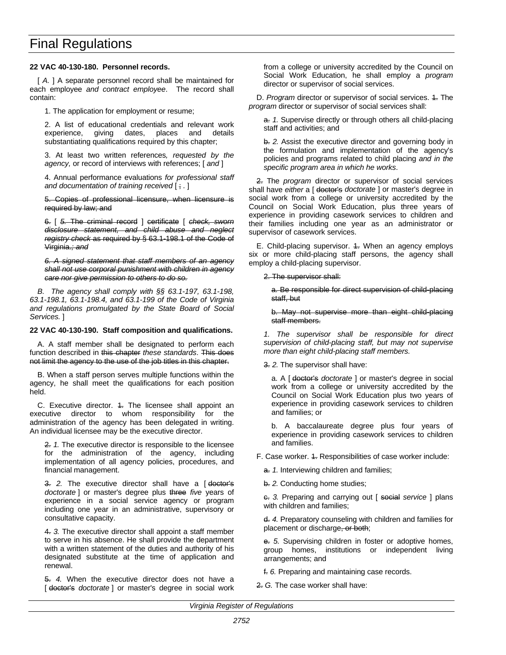## **22 VAC 40-130-180. Personnel records.**

[  $A$ . ] A separate personnel record shall be maintained for each employee *and contract employee*. The record shall contain:

1. The application for employment or resume;

2. A list of educational credentials and relevant work experience, giving dates, places and details substantiating qualifications required by this chapter;

3. At least two written references*, requested by the agency,* or record of interviews with references; [ *and* ]

4. Annual performance evaluations *for professional staff and documentation of training received* [ ; *.* ]

5. Copies of professional licensure, when licensure is required by law; and

6. [ *5.* The criminal record ] certificate [ *check, sworn disclosure statement, and child abuse and neglect registry check* as required by § 63.1-198.1 of the Code of Virginia.*; and*

*6. A signed statement that staff members of an agency shall not use corporal punishment with children in agency care nor give permission to others to do so.*

*B. The agency shall comply with §§ 63.1-197, 63.1-198, 63.1-198.1, 63.1-198.4, and 63.1-199 of the Code of Virginia and regulations promulgated by the State Board of Social Services.* ]

### **22 VAC 40-130-190. Staff composition and qualifications.**

A. A staff member shall be designated to perform each function described in this chapter *these standards*. This does not limit the agency to the use of the job titles in this chapter.

B. When a staff person serves multiple functions within the agency, he shall meet the qualifications for each position held.

C. Executive director. 4. The licensee shall appoint an executive director to whom responsibility for the administration of the agency has been delegated in writing. An individual licensee may be the executive director.

2. *1.* The executive director is responsible to the licensee for the administration of the agency, including implementation of all agency policies, procedures, and financial management.

3. 2. The executive director shall have a [doctor's *doctorate* ] or master's degree plus three *five* years of experience in a social service agency or program including one year in an administrative, supervisory or consultative capacity.

4. *3.* The executive director shall appoint a staff member to serve in his absence. He shall provide the department with a written statement of the duties and authority of his designated substitute at the time of application and renewal.

5. *4.* When the executive director does not have a [ doctor's *doctorate* ] or master's degree in social work from a college or university accredited by the Council on Social Work Education, he shall employ a *program* director or supervisor of social services.

D. *Program* director or supervisor of social services. 4. The *program* director or supervisor of social services shall:

a. *1.* Supervise directly or through others all child-placing staff and activities; and

b. *2.* Assist the executive director and governing body in the formulation and implementation of the agency's policies and programs related to child placing *and in the specific program area in which he works*.

2. The *program* director or supervisor of social services shall have *either* a [ doctor's *doctorate* ] or master's degree in social work from a college or university accredited by the Council on Social Work Education, plus three years of experience in providing casework services to children and their families including one year as an administrator or supervisor of casework services.

E. Child-placing supervisor. 4. When an agency employs six or more child-placing staff persons, the agency shall employ a child-placing supervisor.

### 2. The supervisor shall:

a. Be responsible for direct supervision of child-placing staff, but

b. May not supervise more than eight child-placing staff members.

*1. The supervisor shall be responsible for direct supervision of child-placing staff, but may not supervise more than eight child-placing staff members.*

3. *2.* The supervisor shall have:

a. A [ doctor's *doctorate* ] or master's degree in social work from a college or university accredited by the Council on Social Work Education plus two years of experience in providing casework services to children and families; or

b. A baccalaureate degree plus four years of experience in providing casework services to children and families.

F. Case worker. 4. Responsibilities of case worker include:

a. *1.* Interviewing children and families;

b. *2.* Conducting home studies;

c. *3.* Preparing and carrying out [ social *service* ] plans with children and families;

d. *4.* Preparatory counseling with children and families for placement or discharge, or both;

e. *5.* Supervising children in foster or adoptive homes, group homes, institutions or independent living arrangements; and

f. *6.* Preparing and maintaining case records.

2. *G.* The case worker shall have: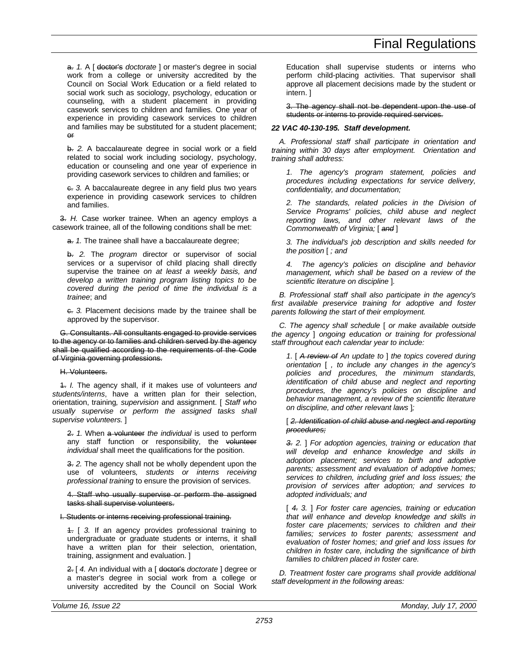a. *1.* A [ doctor's *doctorate* ] or master's degree in social work from a college or university accredited by the Council on Social Work Education or a field related to social work such as sociology, psychology, education or counseling, with a student placement in providing casework services to children and families. One year of experience in providing casework services to children and families may be substituted for a student placement; or

b. *2.* A baccalaureate degree in social work or a field related to social work including sociology, psychology, education or counseling and one year of experience in providing casework services to children and families; or

c. *3.* A baccalaureate degree in any field plus two years experience in providing casework services to children and families.

3. *H.* Case worker trainee. When an agency employs a casework trainee, all of the following conditions shall be met:

a. *1.* The trainee shall have a baccalaureate degree;

b. *2.* The *program* director or supervisor of social services or a supervisor of child placing shall directly supervise the trainee *on at least a weekly basis, and develop a written training program listing topics to be covered during the period of time the individual is a trainee*; and

c. *3.* Placement decisions made by the trainee shall be approved by the supervisor.

G. Consultants. All consultants engaged to provide services to the agency or to families and children served by the agency shall be qualified according to the requirements of the Code of Virginia governing professions.

## H. Volunteers.

1. *I.* The agency shall, if it makes use of volunteers *and students/interns*, have a written plan for their selection, orientation, training*, supervision* and assignment. [ *Staff who usually supervise or perform the assigned tasks shall supervise volunteers.* ]

2. *1.* When a volunteer *the individual* is used to perform any staff function or responsibility, the volunteer *individual* shall meet the qualifications for the position.

3. *2.* The agency shall not be wholly dependent upon the use of volunteers*, students or interns receiving professional training* to ensure the provision of services.

4. Staff who usually supervise or perform the assigned tasks shall supervise volunteers.

I. Students or interns receiving professional training.

1. [ *3.* If an agency provides professional training to undergraduate or graduate students or interns, it shall have a written plan for their selection, orientation, training, assignment and evaluation. ]

2. [ *4.* An individual with a [ doctor's *doctorate* ] degree or a master's degree in social work from a college or university accredited by the Council on Social Work Education shall supervise students or interns who perform child-placing activities. That supervisor shall approve all placement decisions made by the student or intern. ]

3. The agency shall not be dependent upon the use of students or interns to provide required services.

# *22 VAC 40-130-195. Staff development.*

*A. Professional staff shall participate in orientation and training within 30 days after employment. Orientation and training shall address:*

*1. The agency's program statement, policies and procedures including expectations for service delivery, confidentiality, and documentation;*

*2. The standards, related policies in the Division of Service Programs' policies, child abuse and neglect reporting laws, and other relevant laws of the Commonwealth of Virginia;* [ *and* ]

*3. The individual's job description and skills needed for the position* [ *; and*

*4. The agency's policies on discipline and behavior management, which shall be based on a review of the scientific literature on discipline* ]*.*

*B. Professional staff shall also participate in the agency's first available preservice training for adoptive and foster parents following the start of their employment.*

*C. The agency shall schedule* [ *or make available outside the agency* ] *ongoing education or training for professional staff throughout each calendar year to include:*

*1.* [ *A review of An update to* ] *the topics covered during orientation* [ *, to include any changes in the agency's policies and procedures, the minimum standards, identification of child abuse and neglect and reporting procedures, the agency's policies on discipline and behavior management, a review of the scientific literature on discipline, and other relevant laws* ]*;*

### [ *2. Identification of child abuse and neglect and reporting procedures;*

*3. 2.* ] *For adoption agencies, training or education that will develop and enhance knowledge and skills in adoption placement; services to birth and adoptive parents; assessment and evaluation of adoptive homes; services to children, including grief and loss issues; the provision of services after adoption; and services to adopted individuals; and*

[ *4. 3.* ] *For foster care agencies, training or education that will enhance and develop knowledge and skills in foster care placements; services to children and their families; services to foster parents; assessment and evaluation of foster homes; and grief and loss issues for children in foster care, including the significance of birth families to children placed in foster care.*

*D. Treatment foster care programs shall provide additional staff development in the following areas:*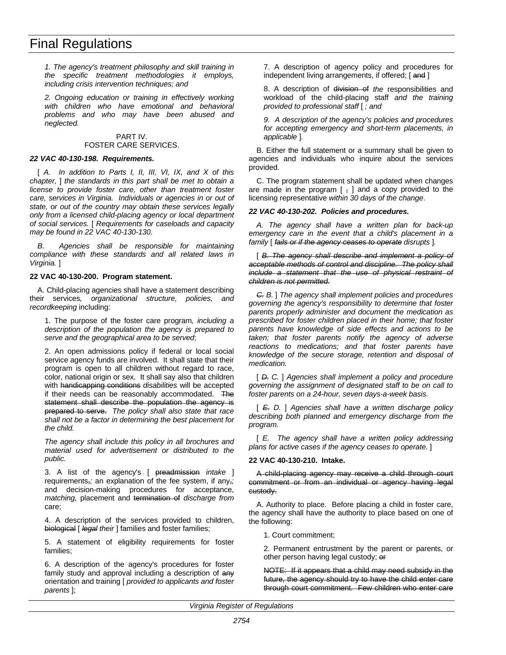*1. The agency's treatment philosophy and skill training in the specific treatment methodologies it employs, including crisis intervention techniques; and*

*2. Ongoing education or training in effectively working with children who have emotional and behavioral problems and who may have been abused and neglected.*

### PART IV. FOSTER CARE SERVICES.

## *22 VAC 40-130-198. Requirements.*

[ *A. In addition to Parts I, II, III, VI, IX, and X of this chapter,* ] *the standards in this part shall be met to obtain a license to provide foster care, other than treatment foster care, services in Virginia. Individuals or agencies in or out of state, or out of the country may obtain these services legally only from a licensed child-placing agency or local department of social services.* [ *Requirements for caseloads and capacity may be found in 22 VAC 40-130-130.*

*B. Agencies shall be responsible for maintaining compliance with these standards and all related laws in Virginia.* ]

### **22 VAC 40-130-200. Program statement.**

A. Child-placing agencies shall have a statement describing their services*, organizational structure, policies, and recordkeeping* including:

1. The purpose of the foster care program*, including a description of the population the agency is prepared to serve and the geographical area to be served*;

2. An open admissions policy if federal or local social service agency funds are involved. It shall state that their program is open to all children without regard to race, color, national origin or sex. It shall say also that children with handicapping conditions *disabilities* will be accepted if their needs can be reasonably accommodated. The statement shall describe the population the agency is prepared to serve. *The policy shall also state that race shall not be a factor in determining the best placement for the child.*

*The agency shall include this policy in all brochures and material used for advertisement or distributed to the public.*

3. A list of the agency's [ preadmission *intake* ] requirements,*;* an explanation of the fee system, if any,*;* and decision-making procedures for acceptance, *matching,* placement and termination of *discharge from* care;

4. A description of the services provided to children, biological [ *legal their* ] families and foster families;

5. A statement of eligibility requirements for foster families;

6. A description of the agency's procedures for foster family study and approval including a description of any orientation and training [ *provided to applicants and foster parents* ];

7. A description of agency policy and procedures for independent living arrangements, if offered; [and ]

8. A description of division of *the* responsibilities and workload of the child-placing staff *and the training provided to professional staff* [ *; and*

*9. A description of the agency's policies and procedures for accepting emergency and short-term placements, in applicable* ]*.*

B. Either the full statement or a summary shall be given to agencies and individuals who inquire about the services provided.

C. The program statement shall be updated when changes are made in the program  $[ , ]$  and a copy provided to the licensing representative *within 30 days of the change*.

### *22 VAC 40-130-202. Policies and procedures.*

*A. The agency shall have a written plan for back-up emergency care in the event that a child's placement in a family* [ *fails or if the agency ceases to operate disrupts* ]*.*

[ *B. The agency shall describe and implement a policy of acceptable methods of control and discipline. The policy shall include a statement that the use of physical restraint of children is not permitted.*

*C. B.* ] *The agency shall implement policies and procedures governing the agency's responsibility to determine that foster parents properly administer and document the medication as prescribed for foster children placed in their home; that foster parents have knowledge of side effects and actions to be taken; that foster parents notify the agency of adverse reactions to medications; and that foster parents have knowledge of the secure storage, retention and disposal of medication.*

[ *D. C.* ] *Agencies shall implement a policy and procedure governing the assignment of designated staff to be on call to foster parents on a 24-hour, seven days-a-week basis.*

[ *E. D.* ] *Agencies shall have a written discharge policy describing both planned and emergency discharge from the program.*

[ *E. The agency shall have a written policy addressing plans for active cases if the agency ceases to operate.* ]

#### **22 VAC 40-130-210. Intake.**

A child-placing agency may receive a child through court commitment or from an individual or agency having legal custody.

A. Authority to place. Before placing a child in foster care, the agency shall have the authority to place based on one of the following:

1. Court commitment;

2. Permanent entrustment by the parent or parents, or other person having legal custody; or

NOTE: If it appears that a child may need subsidy in the future, the agency should try to have the child enter care through court commitment. Few children who enter care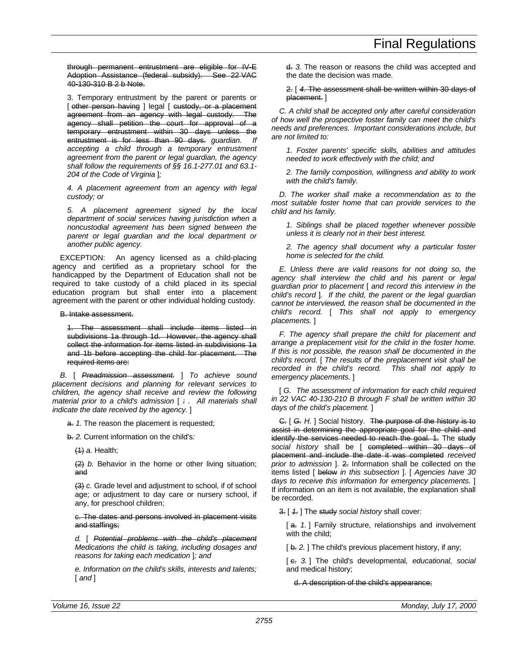through permanent entrustment are eligible for IV-E Adoption Assistance (federal subsidy). See 22 VAC 40-130-310 B 2 b Note.

3. Temporary entrustment by the parent or parents or [ other person having ] legal [ custody, or a placement agreement from an agency with legal custody. The agency shall petition the court for approval of a temporary entrustment within 30 days unless the entrustment is for less than 90 days. *guardian. If accepting a child through a temporary entrustment agreement from the parent or legal guardian, the agency shall follow the requirements of §§ 16.1-277.01 and 63.1- 204 of the Code of Virginia* ]*;*

*4. A placement agreement from an agency with legal custody; or*

*5. A placement agreement signed by the local department of social services having jurisdiction when a noncustodial agreement has been signed between the parent or legal guardian and the local department or another public agency.*

EXCEPTION: An agency licensed as a child-placing agency and certified as a proprietary school for the handicapped by the Department of Education shall not be required to take custody of a child placed in its special education program but shall enter into a placement agreement with the parent or other individual holding custody.

### B. Intake assessment.

1. The assessment shall include items listed in subdivisions 1a through 1d. However, the agency shall collect the information for items listed in subdivisions 1a and 1b before accepting the child for placement. The required items are:

*B.* [ *Preadmission assessment.* ] *To achieve sound placement decisions and planning for relevant services to children, the agency shall receive and review the following material prior to a child's admission* [ *: . All materials shall indicate the date received by the agency.* ]

a. *1.* The reason the placement is requested;

b. *2.* Current information on the child's*:*

(1) *a.* Health;

(2) *b.* Behavior in the home or other living situation; and

(3) *c.* Grade level and adjustment to school, if of school age; or adjustment to day care or nursery school, if any, for preschool children;

c. The dates and persons involved in placement visits and staffings;

*d.* [ *Potential problems with the child's placement Medications the child is taking, including dosages and reasons for taking each medication* ]*; and*

*e. Information on the child's skills, interests and talents;* [ *and* ]

d. *3.* The reason or reasons the child was accepted and the date the decision was made.

### 2. [ *4.* The assessment shall be written within 30 days of placement. ]

*C. A child shall be accepted only after careful consideration of how well the prospective foster family can meet the child's needs and preferences. Important considerations include, but are not limited to:*

*1. Foster parents' specific skills, abilities and attitudes needed to work effectively with the child; and*

*2. The family composition, willingness and ability to work with the child's family.*

*D. The worker shall make a recommendation as to the most suitable foster home that can provide services to the child and his family.*

*1. Siblings shall be placed together whenever possible unless it is clearly not in their best interest.*

*2. The agency shall document why a particular foster home is selected for the child.*

*E. Unless there are valid reasons for not doing so, the agency shall interview the child and his parent or legal guardian prior to placement* [ *and record this interview in the child's record* ]*. If the child, the parent or the legal guardian cannot be interviewed, the reason shall be documented in the child's record.* [ *This shall not apply to emergency placements.* ]

*F. The agency shall prepare the child for placement and arrange a preplacement visit for the child in the foster home. If this is not possible, the reason shall be documented in the child's record.* [ *The results of the preplacement visit shall be recorded in the child's record. This shall not apply to emergency placements.* ]

[ *G. The assessment of information for each child required in 22 VAC 40-130-210 B through F shall be written within 30 days of the child's placement.* ]

C. [ *G. H.* ] Social history. The purpose of the history is to assist in determining the appropriate goal for the child and identify the services needed to reach the goal. 1. The study *social history* shall be [ completed within 30 days of placement and include the date it was completed *received prior to admission* ]. 2. Information shall be collected on the items listed [ below *in this subsection* ]. [ *Agencies have 30 days to receive this information for emergency placements.* ] If information on an item is not available, the explanation shall be recorded.

3. [ *1.* ] The study *social history* shall cover:

[a. 1.] Family structure, relationships and involvement with the child;

[b. 2.] The child's previous placement history, if any;

[ c. *3.* ] The child's developmental*, educational, social* and medical history;

d. A description of the child's appearance;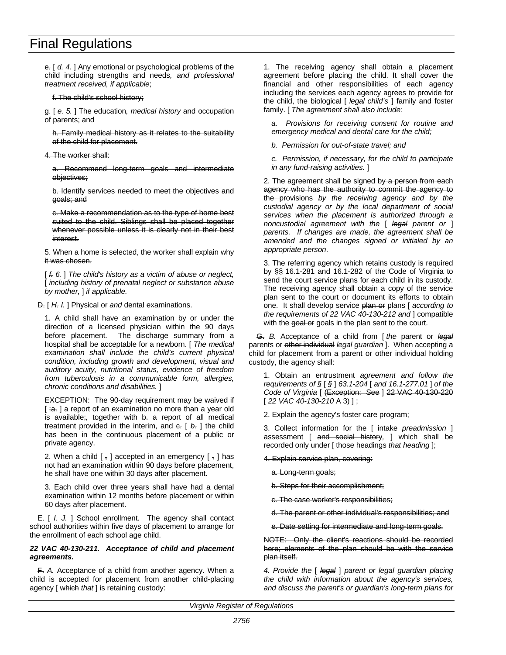e. [ *d. 4.* ] Any emotional or psychological problems of the child including strengths and needs*, and professional treatment received, if applicable*;

f. The child's school history;

g. [ *e. 5.* ] The education*, medical history* and occupation of parents; and

h. Family medical history as it relates to the suitability of the child for placement.

4. The worker shall:

a. Recommend long-term goals and intermediate objectives;

b. Identify services needed to meet the objectives and goals; and

c. Make a recommendation as to the type of home best suited to the child. Siblings shall be placed together whenever possible unless it is clearly not in their best interest.

5. When a home is selected, the worker shall explain why it was chosen.

[ *f. 6.* ] *The child's history as a victim of abuse or neglect,* [ *including history of prenatal neglect or substance abuse by mother,* ] *if applicable.*

D. [ *H. I.* ] Physical or *and* dental examinations.

1. A child shall have an examination by or under the direction of a licensed physician within the 90 days before placement. The discharge summary from a hospital shall be acceptable for a newborn. [ *The medical examination shall include the child's current physical condition, including growth and development, visual and auditory acuity, nutritional status, evidence of freedom from tuberculosis in a communicable form, allergies, chronic conditions and disabilities.* ]

EXCEPTION: The 90-day requirement may be waived if  $[i\theta, \frac{1}{2}a]$  a report of an examination no more than a year old is available;, together with b. a report of all medical treatment provided in the interim, and  $\epsilon$ .  $\beta$ .  $\alpha$  and  $\beta$ .  $\beta$  interiment has been in the continuous placement of a public or private agency.

2. When a child  $\lceil \frac{1}{2} \rceil$  accepted in an emergency  $\lceil \frac{1}{2} \rceil$  has not had an examination within 90 days before placement, he shall have one within 30 days after placement.

3. Each child over three years shall have had a dental examination within 12 months before placement or within 60 days after placement.

E. [ *I. J.* ] School enrollment. The agency shall contact school authorities within five days of placement to arrange for the enrollment of each school age child.

## *22 VAC 40-130-211. Acceptance of child and placement agreements.*

F. *A.* Acceptance of a child from another agency. When a child is accepted for placement from another child-placing agency [ which *that* ] is retaining custody:

1. The receiving agency shall obtain a placement agreement before placing the child. It shall cover the financial and other responsibilities of each agency including the services each agency agrees to provide for the child, the biological [ *legal child's* ] family and foster family. [ *The agreement shall also include:*

*a. Provisions for receiving consent for routine and emergency medical and dental care for the child;*

*b. Permission for out-of-state travel; and*

*c. Permission, if necessary, for the child to participate in any fund-raising activities.* ]

2. The agreement shall be signed by a person from each agency who has the authority to commit the agency to the provisions *by the receiving agency and by the custodial agency or by the local department of social services when the placement is authorized through a noncustodial agreement with the* [ *legal parent or* ] *parents. If changes are made, the agreement shall be amended and the changes signed or initialed by an appropriate person*.

3. The referring agency which retains custody is required by §§ 16.1-281 and 16.1-282 of the Code of Virginia to send the court service plans for each child in its custody. The receiving agency shall obtain a copy of the service plan sent to the court or document its efforts to obtain one. It shall develop service plan or plans [ *according to the requirements of 22 VAC 40-130-212 and* ] compatible with the goal or goals in the plan sent to the court.

G. *B.* Acceptance of a child from [ *the* parent or *legal* parents or other individual *legal guardian* ]. When accepting a child for placement from a parent or other individual holding custody, the agency shall:

1. Obtain an entrustment *agreement and follow the requirements of §* [ *§* ] *63.1-204* [ *and 16.1-277.01* ] *of the Code of Virginia* [ (Exception: See ] 22 VAC 40-130-220 [ *22 VAC 40-130-210* A 3) ] ;

2. Explain the agency's foster care program;

3. Collect information for the [ intake *preadmission* ] assessment [ and social history*,* ] which shall be recorded only under [ those headings *that heading* ];

4. Explain service plan, covering:

a. Long-term goals;

b. Steps for their accomplishment;

c. The case worker's responsibilities;

d. The parent or other individual's responsibilities; and

e. Date setting for intermediate and long-term goals.

NOTE: Only the client's reactions should be recorded here; elements of the plan should be with the service plan itself.

*4. Provide the* [ *legal* ] *parent or legal guardian placing the child with information about the agency's services, and discuss the parent's or guardian's long-term plans for*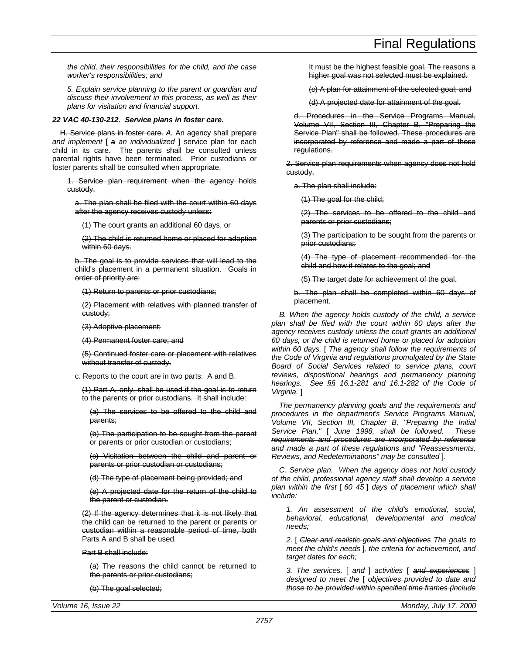*the child, their responsibilities for the child, and the case worker's responsibilities; and*

*5. Explain service planning to the parent or guardian and discuss their involvement in this process, as well as their plans for visitation and financial support.*

### *22 VAC 40-130-212. Service plans in foster care.*

H. Service plans in foster care. *A.* An agency shall prepare *and implement* [ a *an individualized* ] service plan for each child in its care. The parents shall be consulted unless parental rights have been terminated. Prior custodians or foster parents shall be consulted when appropriate.

1. Service plan requirement when the agency holds custody.

a. The plan shall be filed with the court within 60 days after the agency receives custody unless:

(1) The court grants an additional 60 days, or

(2) The child is returned home or placed for adoption within 60 days.

b. The goal is to provide services that will lead to the child's placement in a permanent situation. Goals in order of priority are:

(1) Return to parents or prior custodians;

(2) Placement with relatives with planned transfer of custody;

(3) Adoptive placement;

(4) Permanent foster care; and

(5) Continued foster care or placement with relatives without transfer of custody.

c. Reports to the court are in two parts: A and B.

(1) Part A, only, shall be used if the goal is to return to the parents or prior custodians. It shall include:

(a) The services to be offered to the child and parents;

(b) The participation to be sought from the parent or parents or prior custodian or custodians;

(c) Visitation between the child and parent or parents or prior custodian or custodians;

(d) The type of placement being provided; and

(e) A projected date for the return of the child to the parent or custodian.

(2) If the agency determines that it is not likely that the child can be returned to the parent or parents or custodian within a reasonable period of time, both Parts A and B shall be used.

Part B shall include:

(a) The reasons the child cannot be returned to the parents or prior custodians;

(b) The goal selected;

It must be the highest feasible goal. The reasons a higher goal was not selected must be explained.

(c) A plan for attainment of the selected goal; and

(d) A projected date for attainment of the goal.

Procedures in the Service Programs Manual, Volume VII, Section III, Chapter B, "Preparing the Service Plan" shall be followed. These procedures are incorporated by reference and made a part of these regulations.

2. Service plan requirements when agency does not hold custody.

a. The plan shall include:

(1) The goal for the child;

(2) The services to be offered to the child and parents or prior custodians;

(3) The participation to be sought from the parents or prior custodians;

(4) The type of placement recommended for the child and how it relates to the goal; and

(5) The target date for achievement of the goal.

b. The plan shall be completed within 60 days of placement.

*B. When the agency holds custody of the child, a service plan shall be filed with the court within 60 days after the agency receives custody unless the court grants an additional 60 days, or the child is returned home or placed for adoption within 60 days.* [ *The agency shall follow the requirements of the Code of Virginia and regulations promulgated by the State Board of Social Services related to service plans, court reviews, dispositional hearings and permanency planning hearings. See §§ 16.1-281 and 16.1-282 of the Code of Virginia.* ]

*The permanency planning goals and the requirements and procedures in the department's Service Programs Manual, Volume VII, Section III, Chapter B, "Preparing the Initial Service Plan,"* [ *June 1998, shall be followed. These requirements and procedures are incorporated by reference and made a part of these regulations and "Reassessments, Reviews, and Redeterminations" may be consulted* ]*.*

*C. Service plan. When the agency does not hold custody of the child, professional agency staff shall develop a service plan within the first* [ *60 45* ] *days of placement which shall include:*

*1. An assessment of the child's emotional, social, behavioral, educational, developmental and medical needs;*

*2.* [ *Clear and realistic goals and objectives The goals to meet the child's needs* ]*, the criteria for achievement, and target dates for each;*

*3. The services,* [ *and* ] *activities* [ *and experiences* ] *designed to meet the* [ *objectives provided to date and those to be provided within specified time frames (include*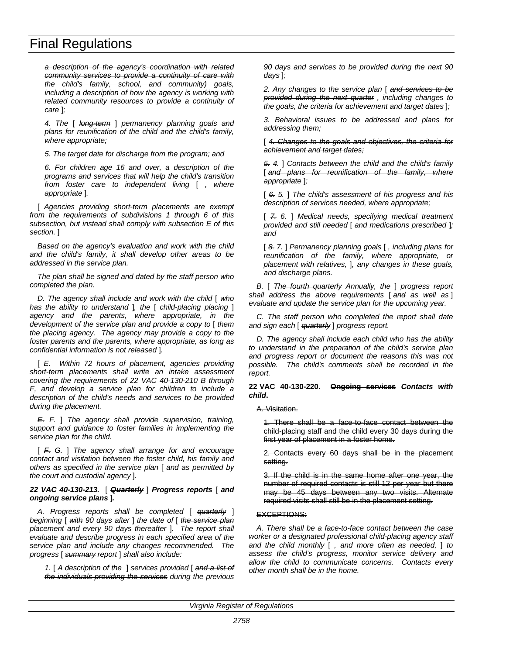*a description of the agency's coordination with related community services to provide a continuity of care with the child's family, school, and community) goals, including a description of how the agency is working with related community resources to provide a continuity of care* ]*;*

*4. The* [ *long-term* ] *permanency planning goals and plans for reunification of the child and the child's family, where appropriate;*

*5. The target date for discharge from the program; and*

*6. For children age 16 and over, a description of the programs and services that will help the child's transition from foster care to independent living* [ *, where appropriate* ]*.*

[ *Agencies providing short-term placements are exempt from the requirements of subdivisions 1 through 6 of this subsection, but instead shall comply with subsection E of this section.* ]

*Based on the agency's evaluation and work with the child and the child's family, it shall develop other areas to be addressed in the service plan.*

*The plan shall be signed and dated by the staff person who completed the plan.*

*D. The agency shall include and work with the child* [ *who has the ability to understand* ]*, the* [ *child-placing placing* ] *agency and the parents, where appropriate, in the development of the service plan and provide a copy to* [ *them the placing agency. The agency may provide a copy to the foster parents and the parents, where appropriate, as long as confidential information is not released* ]*.*

[ *E. Within 72 hours of placement, agencies providing short-term placements shall write an intake assessment covering the requirements of 22 VAC 40-130-210 B through F, and develop a service plan for children to include a description of the child's needs and services to be provided during the placement.*

*E. F.* ] *The agency shall provide supervision, training, support and guidance to foster families in implementing the service plan for the child.*

[ *F. G.* ] *The agency shall arrange for and encourage contact and visitation between the foster child, his family and others as specified in the service plan* [ *and as permitted by the court and custodial agency* ]*.*

#### *22 VAC 40-130-213.* [ *Quarterly* ] *Progress reports* [ *and ongoing service plans* ]*.*

*A. Progress reports shall be completed* [ *quarterly* ] *beginning* [ *with 90 days after* ] *the date of* [ *the service plan placement and every 90 days thereafter* ]*. The report shall evaluate and describe progress in each specified area of the service plan and include any changes recommended. The progress* [ *summary report* ] *shall also include:*

*1.* [ *A description of the* ] *services provided* [ *and a list of the individuals providing the services during the previous* *90 days and services to be provided during the next 90 days* ]*;*

*2. Any changes to the service plan* [ *and services to be provided during the next quarter , including changes to the goals, the criteria for achievement and target dates* ]*;*

*3. Behavioral issues to be addressed and plans for addressing them;*

[ *4. Changes to the goals and objectives, the criteria for achievement and target dates;*

*5. 4.* ] *Contacts between the child and the child's family* [ and plans for reunification of the family, where *appropriate* ]*;*

[ *6. 5.* ] *The child's assessment of his progress and his description of services needed, where appropriate;*

[ *7. 6.* ] *Medical needs, specifying medical treatment provided and still needed* [ *and medications prescribed* ]*; and*

[ *8. 7.* ] *Permanency planning goals* [ *, including plans for reunification of the family, where appropriate, or placement with relatives,* ]*, any changes in these goals, and discharge plans.*

*B.* [ *The fourth quarterly Annually, the* ] *progress report shall address the above requirements* [ *and as well as* ] *evaluate and update the service plan for the upcoming year.*

*C. The staff person who completed the report shall date and sign each* [ *quarterly* ] *progress report.*

*D. The agency shall include each child who has the ability to understand in the preparation of the child's service plan and progress report or document the reasons this was not possible. The child's comments shall be recorded in the report.*

### **22 VAC 40-130-220. Ongoing services** *Contacts with child***.**

A. Visitation.

1. There shall be a face-to-face contact between the child-placing staff and the child every 30 days during the first year of placement in a foster home.

2. Contacts every 60 days shall be in the placement setting.

3. If the child is in the same home after one year, the number of required contacts is still 12 per year but there may be 45 days between any two visits. Alternate required visits shall still be in the placement setting.

# EXCEPTIONS:

*A. There shall be a face-to-face contact between the case worker or a designated professional child-placing agency staff and the child monthly* [ *, and more often as needed,* ] *to assess the child's progress, monitor service delivery and allow the child to communicate concerns. Contacts every other month shall be in the home.*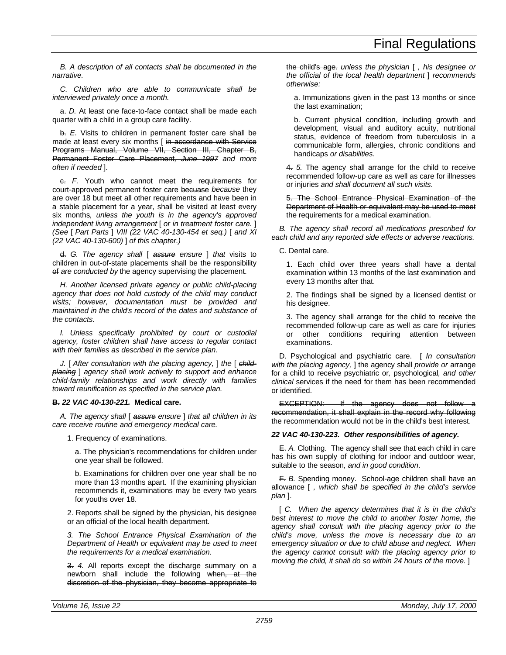*B. A description of all contacts shall be documented in the narrative.*

*C. Children who are able to communicate shall be interviewed privately once a month.*

a. *D.* At least one face-to-face contact shall be made each quarter with a child in a group care facility.

b. *E.* Visits to children in permanent foster care shall be made at least every six months [ in accordance with Service Programs Manual, Volume VII, Section III, Chapter B, Permanent Foster Care Placement*, June 1997 and more often if needed* ].

c. *F.* Youth who cannot meet the requirements for court-approved permanent foster care becuase *because* they are over 18 but meet all other requirements and have been in a stable placement for a year, shall be visited at least every six months*, unless the youth is in the agency's approved independent living arrangement* [ *or in treatment foster care.* ] *(See* [ *Part Parts* ] *VIII (22 VAC 40-130-454 et seq.)* [ *and XI (22 VAC 40-130-600)* ] *of this chapter.)*

d. *G. The agency shall* [ *assure ensure* ] *that* visits to children in out-of-state placements shall be the responsibility of *are conducted by* the agency supervising the placement.

*H. Another licensed private agency or public child-placing agency that does not hold custody of the child may conduct visits; however, documentation must be provided and maintained in the child's record of the dates and substance of the contacts.*

*I. Unless specifically prohibited by court or custodial agency, foster children shall have access to regular contact with their families as described in the service plan.*

*J.* [ *After consultation with the placing agency,* ] *the* [ *childplacing* ] *agency shall work actively to support and enhance child-family relationships and work directly with families toward reunification as specified in the service plan.*

# **B.** *22 VAC 40-130-221.* **Medical care.**

*A. The agency shall* [ *assure ensure* ] *that all children in its care receive routine and emergency medical care.*

1. Frequency of examinations.

a. The physician's recommendations for children under one year shall be followed.

b. Examinations for children over one year shall be no more than 13 months apart. If the examining physician recommends it, examinations may be every two years for youths over 18.

2. Reports shall be signed by the physician, his designee or an official of the local health department.

*3. The School Entrance Physical Examination of the Department of Health or equivalent may be used to meet the requirements for a medical examination.*

3. *4.* All reports except the discharge summary on a newborn shall include the following when, at the discretion of the physician, they become appropriate to the child's age. *unless the physician* [ *, his designee or the official of the local health department* ] *recommends otherwise:*

a. Immunizations given in the past 13 months or since the last examination;

b. Current physical condition, including growth and development, visual and auditory acuity, nutritional status, evidence of freedom from tuberculosis in a communicable form, allergies, chronic conditions and handicaps *or disabilities*.

4. *5.* The agency shall arrange for the child to receive recommended follow-up care as well as care for illnesses or injuries *and shall document all such visits*.

5. The School Entrance Physical Examination of the Department of Health or equivalent may be used to meet the requirements for a medical examination.

*B. The agency shall record all medications prescribed for each child and any reported side effects or adverse reactions.*

C. Dental care.

1. Each child over three years shall have a dental examination within 13 months of the last examination and every 13 months after that.

2. The findings shall be signed by a licensed dentist or his designee.

3. The agency shall arrange for the child to receive the recommended follow-up care as well as care for injuries or other conditions requiring attention between examinations.

D. Psychological and psychiatric care. [ *In consultation with the placing agency,* ] the agency shall *provide or* arrange for a child to receive psychiatric or*,* psychological*, and other clinical* services if the need for them has been recommended or identified.

EXCEPTION: If the agency does not follow a recommendation, it shall explain in the record why following the recommendation would not be in the child's best interest.

# *22 VAC 40-130-223. Other responsibilities of agency.*

E. *A.* Clothing. The agency shall see that each child in care has his own supply of clothing for indoor and outdoor wear, suitable to the season*, and in good condition*.

F. *B.* Spending money. School-age children shall have an allowance [ *, which shall be specified in the child's service plan* ].

[ *C. When the agency determines that it is in the child's best interest to move the child to another foster home, the agency shall consult with the placing agency prior to the child's move, unless the move is necessary due to an emergency situation or due to child abuse and neglect. When the agency cannot consult with the placing agency prior to moving the child, it shall do so within 24 hours of the move.* ]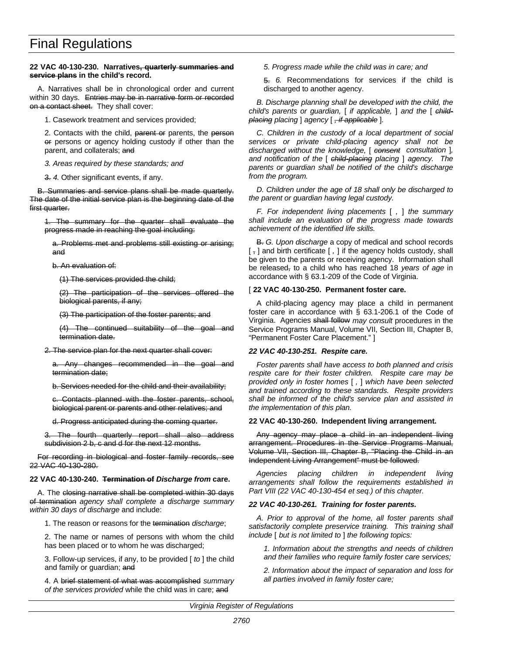#### **22 VAC 40-130-230. Narratives, quarterly summaries and service plans in the child's record.**

A. Narratives shall be in chronological order and current within 30 days. Entries may be in narrative form or recorded on a contact sheet. They shall cover:

1. Casework treatment and services provided;

2. Contacts with the child, parent or parents, the person or persons or agency holding custody if other than the parent, and collaterals; and

*3. Areas required by these standards; and*

3. *4.* Other significant events, if any.

B. Summaries and service plans shall be made quarterly. The date of the initial service plan is the beginning date of the first quarter.

1. The summary for the quarter shall evaluate the progress made in reaching the goal including:

a. Problems met and problems still existing or arising; and

b. An evaluation of:

(1) The services provided the child;

(2) The participation of the services offered the biological parents, if any;

(3) The participation of the foster parents; and

(4) The continued suitability of the goal and termination date.

2. The service plan for the next quarter shall cover:

Any changes recommended in the goal and termination date;

b. Services needed for the child and their availability;

c. Contacts planned with the foster parents, school, biological parent or parents and other relatives; and

d. Progress anticipated during the coming quarter.

3. The fourth quarterly report shall also address subdivision 2 b, c and d for the next 12 months.

For recording in biological and foster family records, see 22 VAC 40-130-280.

#### **22 VAC 40-130-240. Termination of** *Discharge from* **care.**

A. The closing narrative shall be completed within 30 days of termination *agency shall complete a discharge summary within 30 days of discharge* and include:

1. The reason or reasons for the termination *discharge*;

2. The name or names of persons with whom the child has been placed or to whom he was discharged;

3. Follow-up services, if any, to be provided [ *to* ] the child and family or guardian; and

4. A brief statement of what was accomplished *summary of the services provided* while the child was in care; and

*5. Progress made while the child was in care; and*

5. *6.* Recommendations for services if the child is discharged to another agency.

*B. Discharge planning shall be developed with the child, the child's parents or guardian,* [ *if applicable,* ] *and the* [ *childplacing placing* ] *agency* [ *, if applicable* ]*.*

*C. Children in the custody of a local department of social services or private child-placing agency shall not be discharged without the knowledge,* [ *consent consultation* ]*, and notification of the* [ *child-placing placing* ] *agency. The parents or guardian shall be notified of the child's discharge from the program.*

*D. Children under the age of 18 shall only be discharged to the parent or guardian having legal custody.*

*F. For independent living placements* [ *,* ] *the summary shall include an evaluation of the progress made towards achievement of the identified life skills.*

B. *G. Upon discharge* a copy of medical and school records [,] and birth certificate [,] if the agency holds custody, shall be given to the parents or receiving agency. Information shall be released, to a child who has reached 18 *years of age* in accordance with § 63.1-209 of the Code of Virginia.

#### [ **22 VAC 40-130-250. Permanent foster care.**

A child-placing agency may place a child in permanent foster care in accordance with § 63.1-206.1 of the Code of Virginia. Agencies shall follow *may consult* procedures in the Service Programs Manual, Volume VII, Section III, Chapter B, "Permanent Foster Care Placement." ]

#### *22 VAC 40-130-251. Respite care.*

*Foster parents shall have access to both planned and crisis respite care for their foster children. Respite care may be provided only in foster homes* [ *,* ] *which have been selected and trained according to these standards. Respite providers shall be informed of the child's service plan and assisted in the implementation of this plan.*

#### **22 VAC 40-130-260. Independent living arrangement.**

Any agency may place a child in an independent living arrangement. Procedures in the Service Programs Manual, Volume VII, Section III, Chapter B, "Placing the Child in an Independent Living Arrangement" must be followed.

*Agencies placing children in independent living arrangements shall follow the requirements established in Part VIII (22 VAC 40-130-454 et seq.) of this chapter.*

# *22 VAC 40-130-261. Training for foster parents.*

*A. Prior to approval of the home, all foster parents shall satisfactorily complete preservice training. This training shall include* [ *but is not limited to* ] *the following topics:*

*1. Information about the strengths and needs of children and their families who require family foster care services;*

*2. Information about the impact of separation and loss for all parties involved in family foster care;*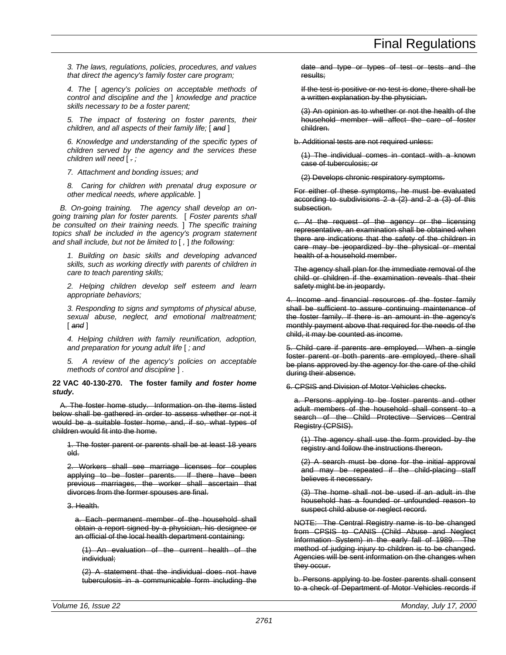*3. The laws, regulations, policies, procedures, and values that direct the agency's family foster care program;*

*4. The* [ *agency's policies on acceptable methods of control and discipline and the* ] *knowledge and practice skills necessary to be a foster parent;*

*5. The impact of fostering on foster parents, their children, and all aspects of their family life;* [ *and* ]

*6. Knowledge and understanding of the specific types of children served by the agency and the services these children will need* [ *. ;*

*7. Attachment and bonding issues; and*

*8. Caring for children with prenatal drug exposure or other medical needs, where applicable.* ]

*B. On-going training. The agency shall develop an ongoing training plan for foster parents.* [ *Foster parents shall be consulted on their training needs.* ] *The specific training topics shall be included in the agency's program statement and shall include, but not be limited to* [ *,* ] *the following:*

*1. Building on basic skills and developing advanced skills, such as working directly with parents of children in care to teach parenting skills;*

*2. Helping children develop self esteem and learn appropriate behaviors;*

*3. Responding to signs and symptoms of physical abuse, sexual abuse, neglect, and emotional maltreatment;* [ *and* ]

*4. Helping children with family reunification, adoption, and preparation for young adult life* [ *; and*

*5. A review of the agency's policies on acceptable methods of control and discipline* ] .

**22 VAC 40-130-270. The foster family** *and foster home study***.**

A. The foster home study. Information on the items listed below shall be gathered in order to assess whether or not it would be a suitable foster home, and, if so, what types of children would fit into the home.

1. The foster parent or parents shall be at least 18 years old.

2. Workers shall see marriage licenses for couples applying to be foster parents. If there have been previous marriages, the worker shall ascertain that divorces from the former spouses are final.

3. Health.

a. Each permanent member of the household shall obtain a report signed by a physician, his designee or an official of the local health department containing:

(1) An evaluation of the current health of the individual;

(2) A statement that the individual does not have tuberculosis in a communicable form including the

date and type or types of test or tests and the results;

If the test is positive or no test is done, there shall be a written explanation by the physician.

(3) An opinion as to whether or not the health of the household member will affect the care of foster children.

b. Additional tests are not required unless:

(1) The individual comes in contact with a known case of tuberculosis; or

(2) Develops chronic respiratory symptoms.

For either of these symptoms, he must be evaluated according to subdivisions 2 a (2) and 2 a (3) of this subsection.

c. At the request of the agency or the licensing representative, an examination shall be obtained when there are indications that the safety of the children in care may be jeopardized by the physical or mental health of a household member.

The agency shall plan for the immediate removal of the child or children if the examination reveals that their safety might be in jeopardy.

4. Income and financial resources of the foster family shall be sufficient to assure continuing maintenance of the foster family. If there is an amount in the agency's monthly payment above that required for the needs of the child, it may be counted as income.

5. Child care if parents are employed. When a single foster parent or both parents are employed, there shall be plans approved by the agency for the care of the child during their absence.

6. CPSIS and Division of Motor Vehicles checks.

a. Persons applying to be foster parents and other adult members of the household shall consent to a search of the Child Protective Services Central Registry (CPSIS).

(1) The agency shall use the form provided by the registry and follow the instructions thereon.

(2) A search must be done for the initial approval and may be repeated if the child-placing staff believes it necessary.

(3) The home shall not be used if an adult in the household has a founded or unfounded reason to suspect child abuse or neglect record.

NOTE: The Central Registry name is to be changed from CPSIS to CANIS (Child Abuse and Neglect Information System) in the early fall of 1989. The method of judging injury to children is to be changed. Agencies will be sent information on the changes when they occur.

b. Persons applying to be foster parents shall consent to a check of Department of Motor Vehicles records if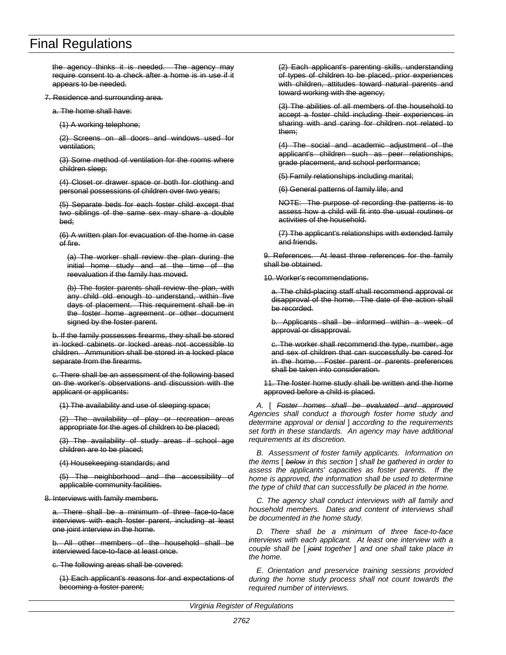the agency thinks it is needed. The agency may require consent to a check after a home is in use if it appears to be needed.

7. Residence and surrounding area.

a. The home shall have:

(1) A working telephone;

(2) Screens on all doors and windows used for ventilation;

(3) Some method of ventilation for the rooms where children sleep;

(4) Closet or drawer space or both for clothing and personal possessions of children over two years;

(5) Separate beds for each foster child except that two siblings of the same sex may share a double bed;

(6) A written plan for evacuation of the home in case of fire.

(a) The worker shall review the plan during the initial home study and at the time of the reevaluation if the family has moved.

(b) The foster parents shall review the plan, with any child old enough to understand, within five days of placement. This requirement shall be in the foster home agreement or other document signed by the foster parent.

b. If the family possesses firearms, they shall be stored in locked cabinets or locked areas not accessible to children. Ammunition shall be stored in a locked place separate from the firearms.

c. There shall be an assessment of the following based on the worker's observations and discussion with the applicant or applicants:

(1) The availability and use of sleeping space;

(2) The availability of play or recreation areas appropriate for the ages of children to be placed;

(3) The availability of study areas if school age children are to be placed;

(4) Housekeeping standards; and

(5) The neighborhood and the accessibility of applicable community facilities.

8. Interviews with family members.

a. There shall be a minimum of three face-to-face interviews with each foster parent, including at least one joint interview in the home.

b. All other members of the household shall be interviewed face-to-face at least once.

c. The following areas shall be covered:

(1) Each applicant's reasons for and expectations of becoming a foster parent;

(2) Each applicant's parenting skills, understanding of types of children to be placed, prior experiences with children, attitudes toward natural parents and toward working with the agency;

(3) The abilities of all members of the household to accept a foster child including their experiences in sharing with and caring for children not related to them;

(4) The social and academic adjustment of the applicant's children such as peer relationships, grade placement, and school performance;

(5) Family relationships including marital;

(6) General patterns of family life; and

NOTE: The purpose of recording the patterns is to assess how a child will fit into the usual routines or activities of the household.

(7) The applicant's relationships with extended family and friends.

9. References. At least three references for the family shall be obtained.

10. Worker's recommendations.

a. The child-placing staff shall recommend approval or disapproval of the home. The date of the action shall be recorded.

b. Applicants shall be informed within a week of approval or disapproval.

c. The worker shall recommend the type, number, age and sex of children that can successfully be cared for in the home. Foster parent or parents preferences shall be taken into consideration.

11. The foster home study shall be written and the home approved before a child is placed.

*A.* [ *Foster homes shall be evaluated and approved Agencies shall conduct a thorough foster home study and determine approval or denial* ] *according to the requirements set forth in these standards. An agency may have additional requirements at its discretion.*

*B. Assessment of foster family applicants. Information on the items* [ *below in this section* ] *shall be gathered in order to assess the applicants' capacities as foster parents. If the home is approved, the information shall be used to determine the type of child that can successfully be placed in the home.*

*C. The agency shall conduct interviews with all family and household members. Dates and content of interviews shall be documented in the home study.*

*D. There shall be a minimum of three face-to-face interviews with each applicant. At least one interview with a couple shall be* [ *joint together* ] *and one shall take place in the home.*

*E. Orientation and preservice training sessions provided during the home study process shall not count towards the required number of interviews.*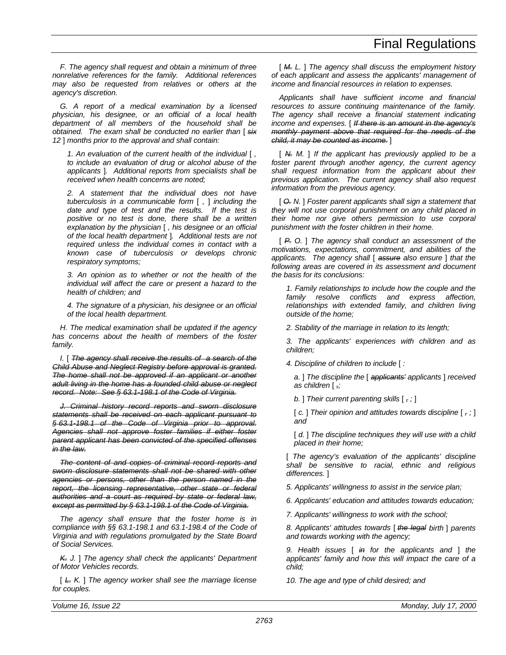*F. The agency shall request and obtain a minimum of three nonrelative references for the family. Additional references may also be requested from relatives or others at the agency's discretion.*

*G. A report of a medical examination by a licensed physician, his designee, or an official of a local health department of all members of the household shall be obtained. The exam shall be conducted no earlier than* [ *six 12* ] *months prior to the approval and shall contain:*

*1. An evaluation of the current health of the individual* [ *, to include an evaluation of drug or alcohol abuse of the applicants* ]*. Additional reports from specialists shall be received when health concerns are noted;*

*2. A statement that the individual does not have tuberculosis in a communicable form* [ *,* ] *including the date and type of test and the results. If the test is positive or no test is done, there shall be a written explanation by the physician* [ *, his designee or an official of the local health department* ]*. Additional tests are not required unless the individual comes in contact with a known case of tuberculosis or develops chronic respiratory symptoms;*

*3. An opinion as to whether or not the health of the individual will affect the care or present a hazard to the health of children; and*

*4. The signature of a physician, his designee or an official of the local health department.*

*H. The medical examination shall be updated if the agency has concerns about the health of members of the foster family.*

*I.* [ *The agency shall receive the results of a search of the Child Abuse and Neglect Registry before approval is granted. The home shall not be approved if an applicant or another adult living in the home has a founded child abuse or neglect record. Note: See § 63.1-198.1 of the Code of Virginia.*

*J. Criminal history record reports and sworn disclosure statements shall be received on each applicant pursuant to § 63.1-198.1 of the Code of Virginia prior to approval. Agencies shall not approve foster families if either foster parent applicant has been convicted of the specified offenses in the law.*

*The content of and copies of criminal record reports and sworn disclosure statements shall not be shared with other agencies or persons, other than the person named in the report, the licensing representative, other state or federal authorities and a court as required by state or federal law, except as permitted by § 63.1-198.1 of the Code of Virginia.*

*The agency shall ensure that the foster home is in compliance with §§ 63.1-198.1 and 63.1-198.4 of the Code of Virginia and with regulations promulgated by the State Board of Social Services.*

*K. J.* ] *The agency shall check the applicants' Department of Motor Vehicles records.*

[ *L. K.* ] *The agency worker shall see the marriage license for couples.*

[ *M. L.* ] *The agency shall discuss the employment history of each applicant and assess the applicants' management of income and financial resources in relation to expenses.*

*Applicants shall have sufficient income and financial resources to assure continuing maintenance of the family. The agency shall receive a financial statement indicating income and expenses.* [ *If there is an amount in the agency's monthly payment above that required for the needs of the child, it may be counted as income.* ]

[ *N. M.* ] *If the applicant has previously applied to be a foster parent through another agency, the current agency shall request information from the applicant about their previous application. The current agency shall also request information from the previous agency.*

[ *O. N.* ] *Foster parent applicants shall sign a statement that they will not use corporal punishment on any child placed in their home nor give others permission to use corporal punishment with the foster children in their home.*

[ *P. O.* ] *The agency shall conduct an assessment of the motivations, expectations, commitment, and abilities of the applicants. The agency shall* [ *assure also ensure* ] *that the following areas are covered in its assessment and document the basis for its conclusions:*

*1. Family relationships to include how the couple and the family resolve conflicts and express affection, relationships with extended family, and children living outside of the home;*

*2. Stability of the marriage in relation to its length;*

*3. The applicants' experiences with children and as children;*

*4. Discipline of children to include* [ *:*

*a.* ] *The discipline the* [ *applicants' applicants* ] *received as children* [ *,;*

*b.* ] *Their current parenting skills* [ *, ;* ]

[ *c.* ] *Their opinion and attitudes towards discipline* [ *, ;* ] *and*

[  $d.$  ] The discipline techniques they will use with a child *placed in their home;*

[ *The agency's evaluation of the applicants' discipline shall be sensitive to racial, ethnic and religious differences.* ]

*5. Applicants' willingness to assist in the service plan;*

*6. Applicants' education and attitudes towards education;*

*7. Applicants' willingness to work with the school;*

*8. Applicants' attitudes towards* [ *the legal birth* ] *parents and towards working with the agency;*

*9. Health issues* [ *in for the applicants and* ] *the applicants' family and how this will impact the care of a child;*

*10. The age and type of child desired; and*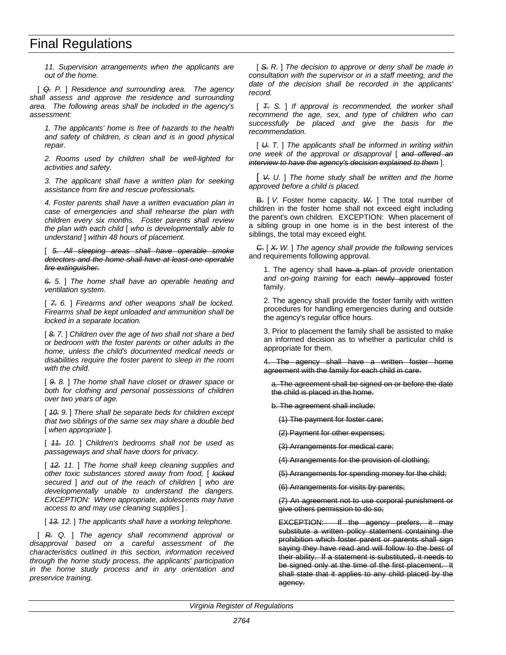*11. Supervision arrangements when the applicants are out of the home.*

[ *Q. P.* ] *Residence and surrounding area. The agency shall assess and approve the residence and surrounding area. The following areas shall be included in the agency's assessment:*

*1. The applicants' home is free of hazards to the health and safety of children, is clean and is in good physical repair.*

*2. Rooms used by children shall be well-lighted for activities and safety.*

*3. The applicant shall have a written plan for seeking assistance from fire and rescue professionals.*

*4. Foster parents shall have a written evacuation plan in case of emergencies and shall rehearse the plan with children every six months. Foster parents shall review the plan with each child* [ *who is developmentally able to understand* ] *within 48 hours of placement.*

[ *5. All sleeping areas shall have operable smoke detectors and the home shall have at least one operable fire extinguisher.*

*6. 5.* ] *The home shall have an operable heating and ventilation system.*

[ *7. 6.* ] *Firearms and other weapons shall be locked. Firearms shall be kept unloaded and ammunition shall be locked in a separate location.*

[ *8. 7.* ] *Children over the age of two shall not share a bed or bedroom with the foster parents or other adults in the home, unless the child's documented medical needs or disabilities require the foster parent to sleep in the room with the child.*

[ *9. 8.* ] *The home shall have closet or drawer space or both for clothing and personal possessions of children over two years of age.*

[ *10. 9.* ] *There shall be separate beds for children except that two siblings of the same sex may share a double bed* [ *when appropriate* ]*.*

[ *11. 10.* ] *Children's bedrooms shall not be used as passageways and shall have doors for privacy.*

[ *12. 11.* ] *The home shall keep cleaning supplies and other toxic substances stored away from food,* [ *locked secured* ] *and out of the reach of children* [ *who are developmentally unable to understand the dangers. EXCEPTION: Where appropriate, adolescents may have access to and may use cleaning supplies* ] *.*

[ *13. 12.* ] *The applicants shall have a working telephone.*

[ *R. Q.* ] *The agency shall recommend approval or disapproval based on a careful assessment of the characteristics outlined in this section, information received through the home study process, the applicants' participation in the home study process and in any orientation and preservice training.*

[ *S. R.* ] *The decision to approve or deny shall be made in consultation with the supervisor or in a staff meeting, and the date of the decision shall be recorded in the applicants' record.*

[ *T. S.* ] *If approval is recommended, the worker shall recommend the age, sex, and type of children who can successfully be placed and give the basis for the recommendation.*

[ *U. T.* ] *The applicants shall be informed in writing within one week of the approval or disapproval* [ *and offered an interview to have the agency's decision explained to them* ]*.*

[ *V. U.* ] *The home study shall be written and the home approved before a child is placed.*

B. [ *V.* Foster home capacity. *W.* ] The total number of children in the foster home shall not exceed eight including the parent's own children. EXCEPTION: When placement of a sibling group in one home is in the best interest of the siblings, the total may exceed eight.

C. [ *X. W.* ] *The agency shall provide the following* services and requirements following approval.

1. The agency shall have a plan of *provide* orientation and on-going training for each newly approved foster family.

2. The agency shall provide the foster family with written procedures for handling emergencies during and outside the agency's regular office hours.

3. Prior to placement the family shall be assisted to make an informed decision as to whether a particular child is appropriate for them.

4. The agency shall have a written foster home agreement with the family for each child in care.

a. The agreement shall be signed on or before the date the child is placed in the home.

b. The agreement shall include:

(1) The payment for foster care;

(2) Payment for other expenses;

(3) Arrangements for medical care;

(4) Arrangements for the provision of clothing;

(5) Arrangements for spending money for the child;

(6) Arrangements for visits by parents;

(7) An agreement not to use corporal punishment or give others permission to do so;

EXCEPTION: If the agency prefers, it may substitute a written policy statement containing the prohibition which foster parent or parents shall sign saying they have read and will follow to the best of their ability. If a statement is substituted, it needs to be signed only at the time of the first placement. It shall state that it applies to any child placed by the agency.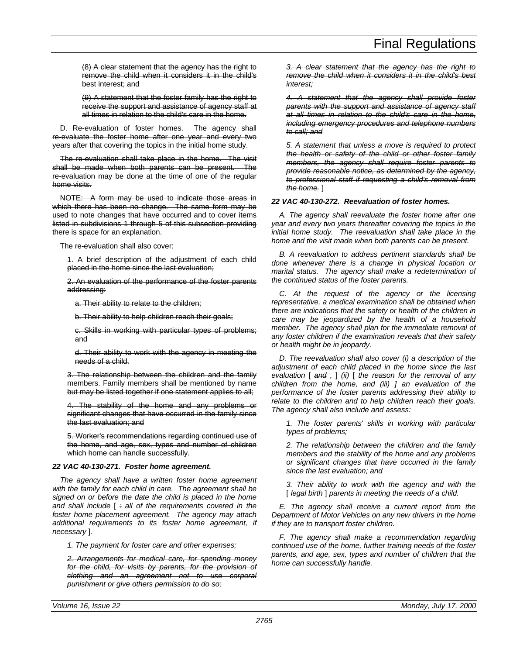(8) A clear statement that the agency has the right to remove the child when it considers it in the child's best interest; and

(9) A statement that the foster family has the right to receive the support and assistance of agency staff at all times in relation to the child's care in the home.

D. Re-evaluation of foster homes. The agency shall re-evaluate the foster home after one year and every two years after that covering the topics in the initial home study.

The re-evaluation shall take place in the home. The visit shall be made when both parents can be present. The re-evaluation may be done at the time of one of the regular home visits.

NOTE: A form may be used to indicate those areas in which there has been no change. The same form may be used to note changes that have occurred and to cover items listed in subdivisions 1 through 5 of this subsection providing there is space for an explanation.

The re-evaluation shall also cover:

1. A brief description of the adjustment of each child placed in the home since the last evaluation;

2. An evaluation of the performance of the foster parents addressing:

a. Their ability to relate to the children;

b. Their ability to help children reach their goals;

c. Skills in working with particular types of problems; and

d. Their ability to work with the agency in meeting the needs of a child.

3. The relationship between the children and the family members. Family members shall be mentioned by name but may be listed together if one statement applies to all;

4. The stability of the home and any problems or significant changes that have occurred in the family since the last evaluation; and

5. Worker's recommendations regarding continued use of the home, and age, sex, types and number of children which home can handle successfully.

# *22 VAC 40-130-271. Foster home agreement.*

*The agency shall have a written foster home agreement with the family for each child in care. The agreement shall be signed on or before the date the child is placed in the home and shall include* [ *: all of the requirements covered in the foster home placement agreement. The agency may attach additional requirements to its foster home agreement, if necessary* ]*.*

*1. The payment for foster care and other expenses;*

*2. Arrangements for medical care, for spending money for the child, for visits by parents, for the provision of clothing and an agreement not to use corporal punishment or give others permission to do so;*

*3. A clear statement that the agency has the right to remove the child when it considers it in the child's best interest;*

*4. A statement that the agency shall provide foster parents with the support and assistance of agency staff at all times in relation to the child's care in the home, including emergency procedures and telephone numbers to call; and*

*5. A statement that unless a move is required to protect the health or safety of the child or other foster family members, the agency shall require foster parents to provide reasonable notice, as determined by the agency, to professional staff if requesting a child's removal from the home.* ]

# *22 VAC 40-130-272. Reevaluation of foster homes.*

*A. The agency shall reevaluate the foster home after one year and every two years thereafter covering the topics in the initial home study. The reevaluation shall take place in the home and the visit made when both parents can be present.*

*B. A reevaluation to address pertinent standards shall be done whenever there is a change in physical location or marital status. The agency shall make a redetermination of the continued status of the foster parents.*

*C. At the request of the agency or the licensing representative, a medical examination shall be obtained when there are indications that the safety or health of the children in care may be jeopardized by the health of a household member. The agency shall plan for the immediate removal of any foster children if the examination reveals that their safety or health might be in jeopardy.*

*D. The reevaluation shall also cover (i) a description of the adjustment of each child placed in the home since the last evaluation* [ *and ,* ] *(ii)* [ *the reason for the removal of any children from the home, and (iii) ] an evaluation of the performance of the foster parents addressing their ability to relate to the children and to help children reach their goals. The agency shall also include and assess:*

*1. The foster parents' skills in working with particular types of problems;*

*2. The relationship between the children and the family members and the stability of the home and any problems or significant changes that have occurred in the family since the last evaluation; and*

*3. Their ability to work with the agency and with the* [ *legal birth* ] *parents in meeting the needs of a child.*

*E. The agency shall receive a current report from the Department of Motor Vehicles on any new drivers in the home if they are to transport foster children.*

*F. The agency shall make a recommendation regarding continued use of the home, further training needs of the foster parents, and age, sex, types and number of children that the home can successfully handle.*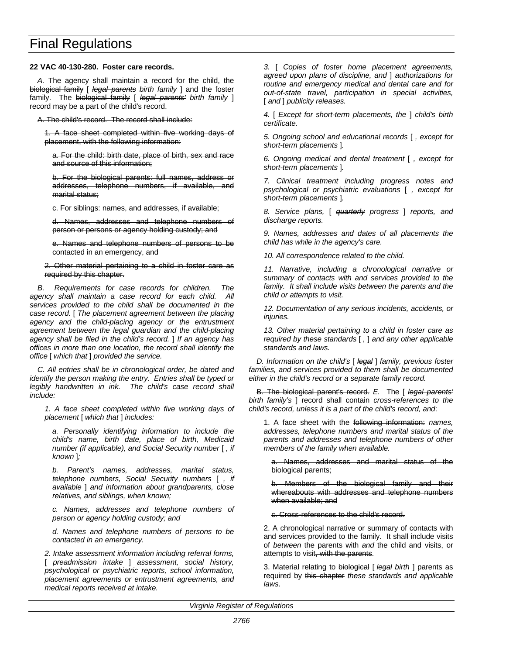# **22 VAC 40-130-280. Foster care records.**

*A.* The agency shall maintain a record for the child, the biological family [ *legal parents birth family* ] and the foster family. The biological family [ *legal parents' birth family* ] record may be a part of the child's record.

A. The child's record. The record shall include:

1. A face sheet completed within five working days of placement, with the following information:

a. For the child: birth date, place of birth, sex and race and source of this information;

b. For the biological parents: full names, address or addresses, telephone numbers, if available, and marital status;

c. For siblings: names, and addresses, if available;

d. Names, addresses and telephone numbers of person or persons or agency holding custody; and

e. Names and telephone numbers of persons to be contacted in an emergency, and

2. Other material pertaining to a child in foster care as required by this chapter.

*B. Requirements for case records for children. The agency shall maintain a case record for each child. All services provided to the child shall be documented in the case record.* [ *The placement agreement between the placing agency and the child-placing agency or the entrustment agreement between the legal guardian and the child-placing agency shall be filed in the child's record.* ] *If an agency has offices in more than one location, the record shall identify the office* [ *which that* ] *provided the service.*

*C. All entries shall be in chronological order, be dated and identify the person making the entry. Entries shall be typed or legibly handwritten in ink. The child's case record shall include:*

*1. A face sheet completed within five working days of placement* [ *which that* ] *includes:*

*a. Personally identifying information to include the child's name, birth date, place of birth, Medicaid number (if applicable), and Social Security number* [ *, if known* ]*;*

*b. Parent's names, addresses, marital status, telephone numbers, Social Security numbers* [ *, if available* ] *and information about grandparents, close relatives, and siblings, when known;*

*c. Names, addresses and telephone numbers of person or agency holding custody; and*

*d. Names and telephone numbers of persons to be contacted in an emergency.*

*2. Intake assessment information including referral forms,* [ *preadmission intake* ] *assessment, social history, psychological or psychiatric reports, school information, placement agreements or entrustment agreements, and medical reports received at intake.*

*3.* [ *Copies of foster home placement agreements, agreed upon plans of discipline, and* ] *authorizations for routine and emergency medical and dental care and for out-of-state travel, participation in special activities,* [ *and* ] *publicity releases.*

*4.* [ *Except for short-term placements, the* ] *child's birth certificate.*

*5. Ongoing school and educational records* [ *, except for short-term placements* ]*.*

*6. Ongoing medical and dental treatment* [ *, except for short-term placements* ]*.*

*7. Clinical treatment including progress notes and psychological or psychiatric evaluations* [ *, except for short-term placements* ]*.*

*8. Service plans,* [ *quarterly progress* ] *reports, and discharge reports.*

*9. Names, addresses and dates of all placements the child has while in the agency's care.*

*10. All correspondence related to the child.*

*11. Narrative, including a chronological narrative or summary of contacts with and services provided to the family. It shall include visits between the parents and the child or attempts to visit.*

*12. Documentation of any serious incidents, accidents, or injuries.*

*13. Other material pertaining to a child in foster care as required by these standards* [ *,* ] *and any other applicable standards and laws.*

*D. Information on the child's* [ *legal* ] *family, previous foster families, and services provided to them shall be documented either in the child's record or a separate family record.*

B. The biological parent's record. *E.* The [ *legal parents' birth family's* ] record shall contain *cross-references to the child's record, unless it is a part of the child's record, and*:

1. A face sheet with the following information: *names, addresses, telephone numbers and marital status of the parents and addresses and telephone numbers of other members of the family when available.*

a. Names, addresses and marital status of the biological parents;

b. Members of the biological family and their whereabouts with addresses and telephone numbers when available; and

c. Cross-references to the child's record.

2. A chronological narrative or summary of contacts with and services provided to the family. It shall include visits of *between* the parents with *and* the child and visits, or attempts to visit, with the parents.

3. Material relating to biological [ *legal birth* ] parents as required by this chapter *these standards and applicable laws*.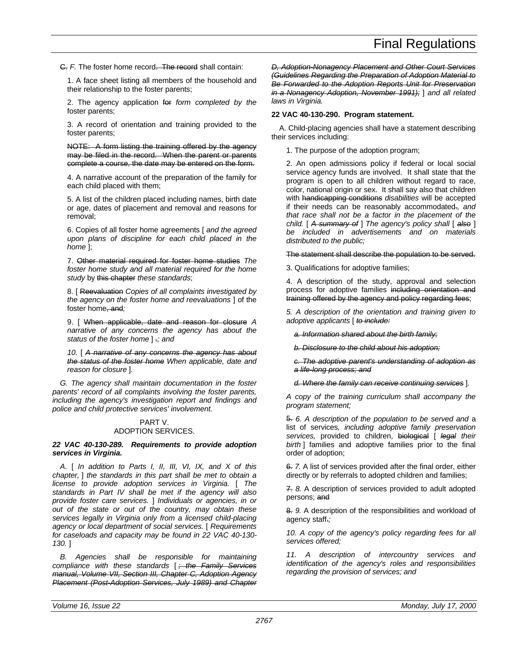C. *F.* The foster home record. The record shall contain:

1. A face sheet listing all members of the household and their relationship to the foster parents;

2. The agency application for *form completed by the* foster parents;

3. A record of orientation and training provided to the foster parents;

NOTE: A form listing the training offered by the agency may be filed in the record. When the parent or parents complete a course, the date may be entered on the form.

4. A narrative account of the preparation of the family for each child placed with them;

5. A list of the children placed including names, birth date or age, dates of placement and removal and reasons for removal;

6. Copies of all foster home agreements [ *and the agreed upon plans of discipline for each child placed in the home* ];

7. Other material required for foster home studies *The foster home study and all material required for the home study* by this chapter *these standards*;

8. [ Reevaluation *Copies of all complaints investigated by the agency on the foster home and reevaluations* ] of the foster home, and*;*

9. [ When applicable, date and reason for closure *A narrative of any concerns the agency has about the status of the foster home* ] .*; and*

*10.* [ *A narrative of any concerns the agency has about the status of the foster home When applicable, date and reason for closure* ]*.*

*G. The agency shall maintain documentation in the foster parents' record of all complaints involving the foster parents, including the agency's investigation report and findings and police and child protective services' involvement.*

# PART V.

# ADOPTION SERVICES.

*22 VAC 40-130-289. Requirements to provide adoption services in Virginia.*

*A.* [ *In addition to Parts I, II, III, VI, IX, and X of this chapter,* ] *the standards in this part shall be met to obtain a license to provide adoption services in Virginia.* [ *The standards in Part IV shall be met if the agency will also provide foster care services.* ] *Individuals or agencies, in or out of the state or out of the country, may obtain these services legally in Virginia only from a licensed child-placing agency or local department of social services.* [ *Requirements for caseloads and capacity may be found in 22 VAC 40-130- 130.* ]

*B. Agencies shall be responsible for maintaining compliance with these standards* [ *; the Family Services manual, Volume VII, Section III, Chapter C, Adoption Agency Placement (Post-Adoption Services, July 1989) and Chapter* *D, Adoption-Nonagency Placement and Other Court Services (Guidelines Regarding the Preparation of Adoption Material to Be Forwarded to the Adoption Reports Unit for Preservation in a Nonagency Adoption, November 1991);* ] *and all related laws in Virginia.*

### **22 VAC 40-130-290. Program statement.**

A. Child-placing agencies shall have a statement describing their services including:

1. The purpose of the adoption program;

2. An open admissions policy if federal or local social service agency funds are involved. It shall state that the program is open to all children without regard to race, color, national origin or sex. It shall say also that children with handicapping conditions *disabilities* will be accepted if their needs can be reasonably accommodated.*, and that race shall not be a factor in the placement of the child.* [ *A summary of* ] *The agency's policy shall* [ *also* ] *be included in advertisements and on materials distributed to the public;*

The statement shall describe the population to be served.

3. Qualifications for adoptive families;

4. A description of the study, approval and selection process for adoptive families including orientation and training offered by the agency and policy regarding fees;

*5. A description of the orientation and training given to adoptive applicants* [ *to include:*

*a. Information shared about the birth family;*

*b. Disclosure to the child about his adoption;*

*c. The adoptive parent's understanding of adoption as a life-long process; and*

*d. Where the family can receive continuing services* ]*.*

*A copy of the training curriculum shall accompany the program statement;*

5. *6. A description of the population to be served and* a list of services*, including adoptive family preservation services,* provided to children, biological [ *legal their birth* ] families and adoptive families prior to the final order of adoption;

6. *7.* A list of services provided after the final order, either directly or by referrals to adopted children and families;

7. *8.* A description of services provided to adult adopted persons; and

8. *9.* A description of the responsibilities and workload of agency staff.*;*

*10. A copy of the agency's policy regarding fees for all services offered;*

*11. A description of intercountry services and identification of the agency's roles and responsibilities regarding the provision of services; and*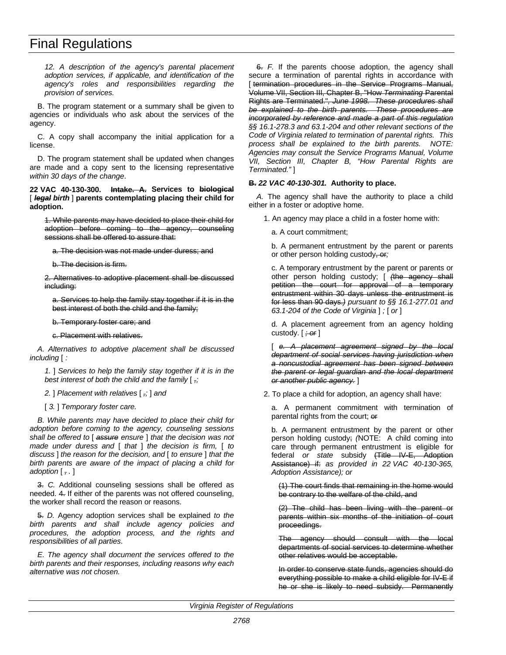*12. A description of the agency's parental placement adoption services, if applicable, and identification of the agency's roles and responsibilities regarding the provision of services.*

B. The program statement or a summary shall be given to agencies or individuals who ask about the services of the agency.

C. A copy shall accompany the initial application for a license.

D. The program statement shall be updated when changes are made and a copy sent to the licensing representative *within 30 days of the change*.

**22 VAC 40-130-300. Intake. A. Services to biological** [ *legal birth* ] **parents contemplating placing their child for adoption.**

1. While parents may have decided to place their child for adoption before coming to the agency, counseling sessions shall be offered to assure that:

a. The decision was not made under duress; and

b. The decision is firm.

2. Alternatives to adoptive placement shall be discussed including:

a. Services to help the family stay together if it is in the best interest of both the child and the family;

b. Temporary foster care; and

c. Placement with relatives.

*A. Alternatives to adoptive placement shall be discussed including* [ *:*

*1.* ] *Services to help the family stay together if it is in the best interest of both the child and the family* [ *,;*

*2.* ] *Placement with relatives* [ *,;* ] *and*

[ *3.* ] *Temporary foster care.*

*B. While parents may have decided to place their child for adoption before coming to the agency, counseling sessions shall be offered to* [ *assure ensure* ] *that the decision was not made under duress and* [ *that* ] *the decision is firm,* [ *to discuss* ] *the reason for the decision, and* [ *to ensure* ] *that the birth parents are aware of the impact of placing a child for adoption* [ *, .* ]

3. *C.* Additional counseling sessions shall be offered as needed. 4. If either of the parents was not offered counseling, the worker shall record the reason or reasons.

5. *D.* Agency adoption services shall be explained *to the birth parents and shall include agency policies and procedures, the adoption process, and the rights and responsibilities of all parties*.

*E. The agency shall document the services offered to the birth parents and their responses, including reasons why each alternative was not chosen.*

6. *F.* If the parents choose adoption, the agency shall secure a termination of parental rights in accordance with [ termination procedures in the Service Programs Manual, Volume VII, Section III, Chapter B, "How *Terminating* Parental Rights are Terminated."*, June 1998. These procedures shall be explained to the birth parents. These procedures are incorporated by reference and made a part of this regulation §§ 16.1-278.3 and 63.1-204 and other relevant sections of the Code of Virginia related to termination of parental rights. This process shall be explained to the birth parents. NOTE: Agencies may consult the Service Programs Manual, Volume VII, Section III, Chapter B, "How Parental Rights are Terminated."* ]

#### **B.** *22 VAC 40-130-301.* **Authority to place.**

*A.* The agency shall have the authority to place a child either in a foster or adoptive home.

1. An agency may place a child in a foster home with:

a. A court commitment;

b. A permanent entrustment by the parent or parents or other person holding custody, or*;*

c. A temporary entrustment by the parent or parents or other person holding custody; [ *(*the agency shall petition the court for approval of a temporary entrustment within 30 days unless the entrustment is for less than 90 days.*) pursuant to §§ 16.1-277.01 and 63.1-204 of the Code of Virginia* ] *;* [ *or* ]

d. A placement agreement from an agency holding custody. [ *; or* ]

[ *e. A placement agreement signed by the local department of social services having jurisdiction when a noncustodial agreement has been signed between the parent or legal guardian and the local department or another public agency.* ]

2. To place a child for adoption, an agency shall have:

a. A permanent commitment with termination of parental rights from the court; or

b. A permanent entrustment by the parent or other person holding custody; *(*NOTE: A child coming into care through permanent entrustment is eligible for federal *or state* subsidy (Title IV-E, Adoption Assistance) if: *as provided in 22 VAC 40-130-365, Adoption Assistance); or*

(1) The court finds that remaining in the home would be contrary to the welfare of the child, and

(2) The child has been living with the parent or parents within six months of the initiation of court proceedings.

The agency should consult with the local departments of social services to determine whether other relatives would be acceptable.

In order to conserve state funds, agencies should do everything possible to make a child eligible for IV-E if he or she is likely to need subsidy. Permanently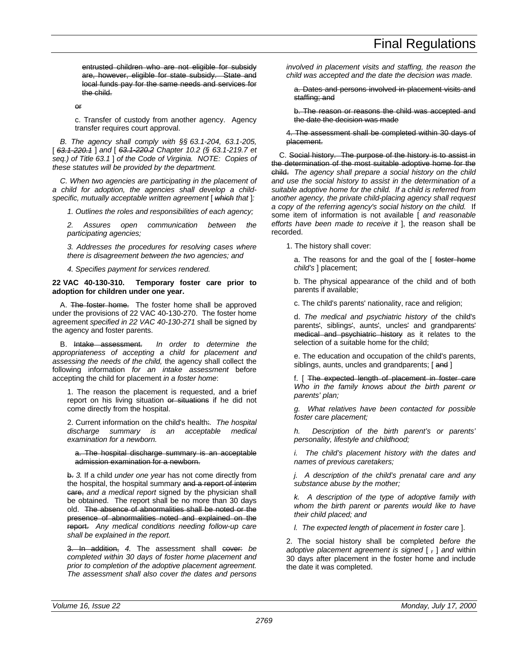entrusted children who are not eligible for subsidy are, however, eligible for state subsidy. State and local funds pay for the same needs and services for the child.

or

c. Transfer of custody from another agency. Agency transfer requires court approval.

*B. The agency shall comply with §§ 63.1-204, 63.1-205,* [ *63.1-220.1* ] *and* [ *63.1-220.2 Chapter 10.2 (§ 63.1-219.7 et seq.) of Title 63.1* ] *of the Code of Virginia. NOTE: Copies of these statutes will be provided by the department.*

*C. When two agencies are participating in the placement of a child for adoption, the agencies shall develop a childspecific, mutually acceptable written agreement* [ *which that* ]*:*

*1. Outlines the roles and responsibilities of each agency;*

*2. Assures open communication between the participating agencies;*

*3. Addresses the procedures for resolving cases where there is disagreement between the two agencies; and*

*4. Specifies payment for services rendered.*

# **22 VAC 40-130-310. Temporary foster care prior to adoption for children under one year.**

A. The foster home. The foster home shall be approved under the provisions of 22 VAC 40-130-270. The foster home agreement *specified in 22 VAC 40-130-271* shall be signed by the agency and foster parents.

B. Intake assessment. *In order to determine the appropriateness of accepting a child for placement and assessing the needs of the child,* the agency shall collect the following information *for an intake assessment* before accepting the child for placement *in a foster home*:

1. The reason the placement is requested, and a brief report on his living situation or situations if he did not come directly from the hospital.

2. Current information on the child's health:*. The hospital discharge summary is an acceptable medical examination for a newborn.*

#### a. The hospital discharge summary is an acceptable admission examination for a newborn.

b. *3.* If a child *under one year* has not come directly from the hospital, the hospital summary and a report of interim care, *and a medical report* signed by the physician shall be obtained. The report shall be no more than 30 days old. The absence of abnormalities shall be noted or the presence of abnormalities noted and explained on the report. *Any medical conditions needing follow-up care shall be explained in the report.*

3. In addition, *4.* The assessment shall cover: *be completed within 30 days of foster home placement and prior to completion of the adoptive placement agreement. The assessment shall also cover the dates and persons*

*involved in placement visits and staffing, the reason the child was accepted and the date the decision was made.*

a. Dates and persons involved in placement visits and staffing; and

b. The reason or reasons the child was accepted and the date the decision was made

4. The assessment shall be completed within 30 days of placement.

C. Social history. The purpose of the history is to assist in the determination of the most suitable adoptive home for the child. *The agency shall prepare a social history on the child and use the social history to assist in the determination of a suitable adoptive home for the child. If a child is referred from another agency, the private child-placing agency shall request a copy of the referring agency's social history on the child.* If some item of information is not available [ *and reasonable efforts have been made to receive it* ], the reason shall be recorded.

1. The history shall cover:

a. The reasons for and the goal of the [ foster home *child's* ] placement;

b. The physical appearance of the child and of both parents if available;

c. The child's parents' nationality, race and religion;

d. *The medical and psychiatric history of* the child's parents', siblings', aunts', uncles' and grandparents' medical and psychiatric history as it relates to the selection of a suitable home for the child;

e. The education and occupation of the child's parents, siblings, aunts, uncles and grandparents; [and ]

f. [ The expected length of placement in foster care *Who in the family knows about the birth parent or parents' plan;*

*g. What relatives have been contacted for possible foster care placement;*

*h. Description of the birth parent's or parents' personality, lifestyle and childhood;*

*i. The child's placement history with the dates and names of previous caretakers;*

*j. A description of the child's prenatal care and any substance abuse by the mother;*

*k. A description of the type of adoptive family with whom the birth parent or parents would like to have their child placed; and*

*l. The expected length of placement in foster care* ].

2. The social history shall be completed *before the adoptive placement agreement is signed* [ *,* ] *and* within 30 days after placement in the foster home and include the date it was completed.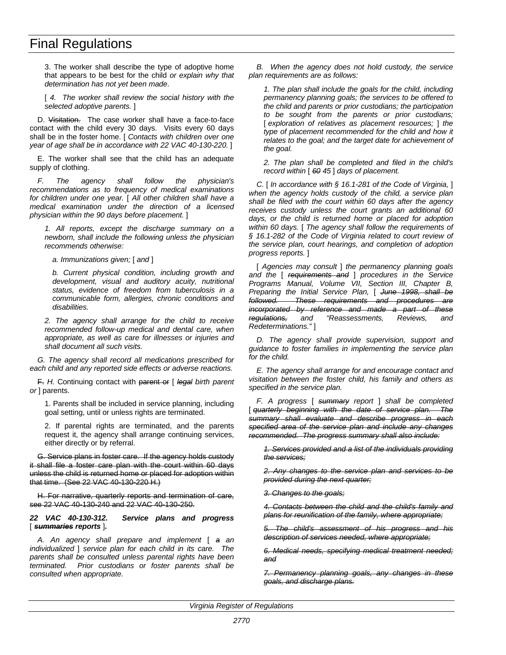3. The worker shall describe the type of adoptive home that appears to be best for the child *or explain why that determination has not yet been made*.

[ *4. The worker shall review the social history with the selected adoptive parents.* ]

D. Visitation. The case worker shall have a face-to-face contact with the child every 30 days. Visits every 60 days shall be in the foster home. [ *Contacts with children over one year of age shall be in accordance with 22 VAC 40-130-220.* ]

E. The worker shall see that the child has an adequate supply of clothing.

*F. The agency shall follow the physician's recommendations as to frequency of medical examinations for children under one year.* [ *All other children shall have a medical examination under the direction of a licensed physician within the 90 days before placement.* ]

*1. All reports, except the discharge summary on a newborn, shall include the following unless the physician recommends otherwise:*

*a. Immunizations given;* [ *and* ]

*b. Current physical condition, including growth and development, visual and auditory acuity, nutritional status, evidence of freedom from tuberculosis in a communicable form, allergies, chronic conditions and disabilities.*

*2. The agency shall arrange for the child to receive recommended follow-up medical and dental care, when appropriate, as well as care for illnesses or injuries and shall document all such visits.*

*G. The agency shall record all medications prescribed for each child and any reported side effects or adverse reactions.*

F. *H.* Continuing contact with parent or [ *legal birth parent or* ] parents.

1. Parents shall be included in service planning, including goal setting, until or unless rights are terminated.

2. If parental rights are terminated, and the parents request it, the agency shall arrange continuing services, either directly or by referral.

G. Service plans in foster care. If the agency holds custody it shall file a foster care plan with the court within 60 days unless the child is returned home or placed for adoption within that time. (See 22 VAC 40-130-220 H.)

H. For narrative, quarterly reports and termination of care, see 22 VAC 40-130-240 and 22 VAC 40-130-250.

#### *22 VAC 40-130-312. Service plans and progress* [ *summaries reports* ]*.*

*A. An agency shall prepare and implement* [ *a an individualized* ] *service plan for each child in its care. The parents shall be consulted unless parental rights have been terminated. Prior custodians or foster parents shall be consulted when appropriate.*

*B. When the agency does not hold custody, the service plan requirements are as follows:*

*1. The plan shall include the goals for the child, including permanency planning goals; the services to be offered to the child and parents or prior custodians; the participation to be sought from the parents or prior custodians;* [ *exploration of relatives as placement resources;* ] *the type of placement recommended for the child and how it relates to the goal; and the target date for achievement of the goal.*

*2. The plan shall be completed and filed in the child's record within* [ *60 45* ] *days of placement.*

*C.* [ *In accordance with § 16.1-281 of the Code of Virginia,* ] *when the agency holds custody of the child, a service plan shall be filed with the court within 60 days after the agency receives custody unless the court grants an additional 60 days, or the child is returned home or placed for adoption within 60 days.* [ *The agency shall follow the requirements of § 16.1-282 of the Code of Virginia related to court review of the service plan, court hearings, and completion of adoption progress reports.* ]

[ *Agencies may consult* ] *the permanency planning goals and the* [ *requirements and* ] *procedures in the Service Programs Manual, Volume VII, Section III, Chapter B, Preparing the Initial Service Plan,* [ *June 1998, shall be followed. These requirements and procedures are incorporated by reference and made a part of these regulations, and "Reassessments, Reviews, and Redeterminations."* ]

*D. The agency shall provide supervision, support and guidance to foster families in implementing the service plan for the child.*

*E. The agency shall arrange for and encourage contact and visitation between the foster child, his family and others as specified in the service plan.*

*F. A progress* [ *summary report* ] *shall be completed* [ *quarterly beginning with the date of service plan. The summary shall evaluate and describe progress in each specified area of the service plan and include any changes recommended. The progress summary shall also include:*

*1. Services provided and a list of the individuals providing the services;*

*2. Any changes to the service plan and services to be provided during the next quarter;*

*3. Changes to the goals;*

*4. Contacts between the child and the child's family and plans for reunification of the family, where appropriate;*

*5. The child's assessment of his progress and his description of services needed, where appropriate;*

*6. Medical needs, specifying medical treatment needed; and*

*7. Permanency planning goals, any changes in these goals, and discharge plans.*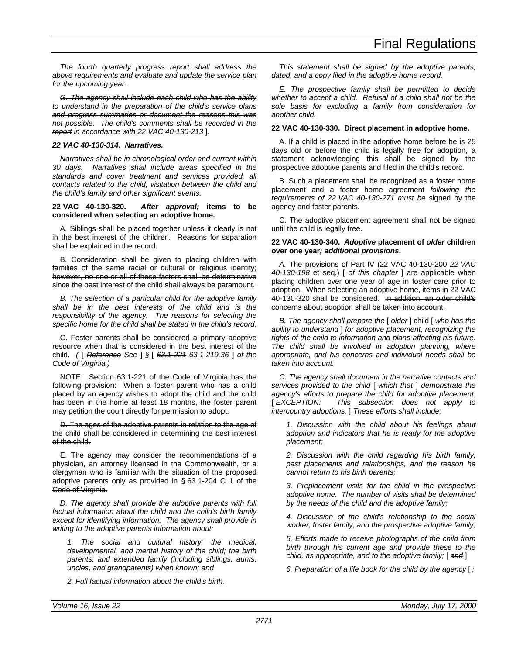*The fourth quarterly progress report shall address the above requirements and evaluate and update the service plan for the upcoming year.*

*G. The agency shall include each child who has the ability to understand in the preparation of the child's service plans and progress summaries or document the reasons this was not possible. The child's comments shall be recorded in the report in accordance with 22 VAC 40-130-213* ]*.*

# *22 VAC 40-130-314. Narratives.*

*Narratives shall be in chronological order and current within 30 days. Narratives shall include areas specified in the standards and cover treatment and services provided, all contacts related to the child, visitation between the child and the child's family and other significant events.*

#### **22 VAC 40-130-320.** *After approval;* **items to be considered when selecting an adoptive home.**

A. Siblings shall be placed together unless it clearly is not in the best interest of the children. Reasons for separation shall be explained in the record.

B. Consideration shall be given to placing children with families of the same racial or cultural or religious identity; however, no one or all of these factors shall be determinative since the best interest of the child shall always be paramount.

*B. The selection of a particular child for the adoptive family shall be in the best interests of the child and is the responsibility of the agency. The reasons for selecting the specific home for the child shall be stated in the child's record.*

C. Foster parents shall be considered a primary adoptive resource when that is considered in the best interest of the child. *(* [ *Reference See* ] *§* [ *63.1-221 63.1-219.36* ] *of the Code of Virginia.)*

NOTE: Section 63.1-221 of the Code of Virginia has the following provision: When a foster parent who has a child placed by an agency wishes to adopt the child and the child has been in the home at least 18 months, the foster parent may petition the court directly for permission to adopt.

D. The ages of the adoptive parents in relation to the age of the child shall be considered in determining the best interest of the child.

E. The agency may consider the recommendations of a physician, an attorney licensed in the Commonwealth, or a clergyman who is familiar with the situation of the proposed adoptive parents only as provided in § 63.1-204 C 1 of the Code of Virginia.

*D. The agency shall provide the adoptive parents with full factual information about the child and the child's birth family except for identifying information. The agency shall provide in writing to the adoptive parents information about:*

*1. The social and cultural history; the medical, developmental, and mental history of the child; the birth parents; and extended family (including siblings, aunts, uncles, and grandparents) when known; and*

*2. Full factual information about the child's birth.*

*This statement shall be signed by the adoptive parents, dated, and a copy filed in the adoptive home record.*

*E. The prospective family shall be permitted to decide whether to accept a child. Refusal of a child shall not be the sole basis for excluding a family from consideration for another child.*

#### **22 VAC 40-130-330. Direct placement in adoptive home.**

A. If a child is placed in the adoptive home before he is 25 days old or before the child is legally free for adoption, a statement acknowledging this shall be signed by the prospective adoptive parents and filed in the child's record.

B. Such a placement shall be recognized as a foster home placement and a foster home agreement *following the requirements of 22 VAC 40-130-271 must be* signed by the agency and foster parents.

C. The adoptive placement agreement shall not be signed until the child is legally free.

#### **22 VAC 40-130-340.** *Adoptive* **placement of** *older* **children over one year***; additional provisions***.**

*A.* The provisions of Part IV (22 VAC 40-130-200 *22 VAC 40-130-198* et seq.) [ *of this chapter* ] are applicable when placing children over one year of age in foster care prior to adoption. When selecting an adoptive home, items in 22 VAC 40-130-320 shall be considered. In addition, an older child's concerns about adoption shall be taken into account.

*B. The agency shall prepare the* [ *older* ] child [ *who has the ability to understand* ] *for adoptive placement, recognizing the rights of the child to information and plans affecting his future. The child shall be involved in adoption planning, where appropriate, and his concerns and individual needs shall be taken into account.*

*C. The agency shall document in the narrative contacts and services provided to the child* [ *which that* ] *demonstrate the agency's efforts to prepare the child for adoptive placement.* [ *EXCEPTION: This subsection does not apply to intercountry adoptions.* ] *These efforts shall include:*

*1. Discussion with the child about his feelings about adoption and indicators that he is ready for the adoptive placement;*

*2. Discussion with the child regarding his birth family, past placements and relationships, and the reason he cannot return to his birth parents;*

*3. Preplacement visits for the child in the prospective adoptive home. The number of visits shall be determined by the needs of the child and the adoptive family;*

*4. Discussion of the child's relationship to the social worker, foster family, and the prospective adoptive family;*

*5. Efforts made to receive photographs of the child from birth through his current age and provide these to the child, as appropriate, and to the adoptive family;* [ *and* ]

*6. Preparation of a life book for the child by the agency* [ *;*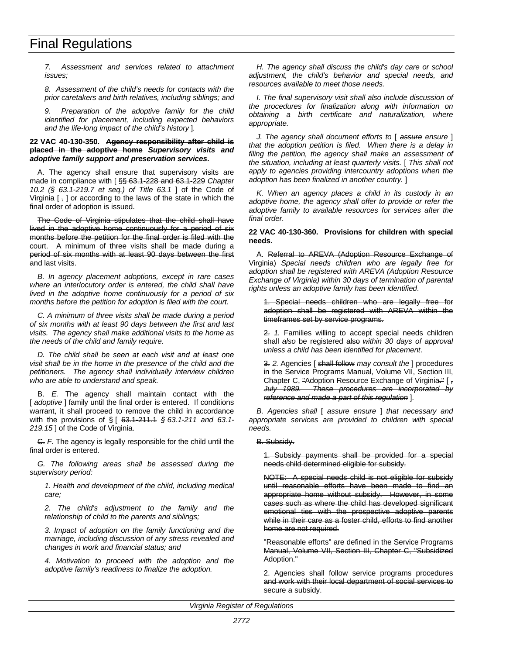*7. Assessment and services related to attachment issues;*

*8. Assessment of the child's needs for contacts with the prior caretakers and birth relatives, including siblings; and*

*9. Preparation of the adoptive family for the child identified for placement, including expected behaviors and the life-long impact of the child's history* ]*.*

#### **22 VAC 40-130-350. Agency responsibility after child is placed in the adoptive home** *Supervisory visits and adoptive family support and preservation services***.**

A. The agency shall ensure that supervisory visits are made in compliance with [ §§ 63.1-228 and 63.1-229 *Chapter 10.2 (§ 63.1-219.7 et seq.) of Title 63.1* ] of the Code of Virginia [ , ] or according to the laws of the state in which the final order of adoption is issued.

The Code of Virginia stipulates that the child shall have lived in the adoptive home continuously for a period of six months before the petition for the final order is filed with the court. A minimum of three visits shall be made during a period of six months with at least 90 days between the first and last visits.

*B. In agency placement adoptions, except in rare cases where an interlocutory order is entered, the child shall have lived in the adoptive home continuously for a period of six months before the petition for adoption is filed with the court.*

*C. A minimum of three visits shall be made during a period of six months with at least 90 days between the first and last visits. The agency shall make additional visits to the home as the needs of the child and family require.*

*D. The child shall be seen at each visit and at least one visit shall be in the home in the presence of the child and the petitioners. The agency shall individually interview children who are able to understand and speak.*

B. *E.* The agency shall maintain contact with the [ *adoptive* ] family until the final order is entered. If conditions warrant, it shall proceed to remove the child in accordance with the provisions of § [ 63.1-211.1 *§ 63.1-211 and 63.1-* 219.15<sup>]</sup> of the Code of Virginia.

C. *F.* The agency is legally responsible for the child until the final order is entered.

*G. The following areas shall be assessed during the supervisory period:*

*1. Health and development of the child, including medical care;*

*2. The child's adjustment to the family and the relationship of child to the parents and siblings;*

*3. Impact of adoption on the family functioning and the marriage, including discussion of any stress revealed and changes in work and financial status; and*

*4. Motivation to proceed with the adoption and the adoptive family's readiness to finalize the adoption.*

*H. The agency shall discuss the child's day care or school adjustment, the child's behavior and special needs, and resources available to meet those needs.*

*I. The final supervisory visit shall also include discussion of the procedures for finalization along with information on obtaining a birth certificate and naturalization, where appropriate.*

*J. The agency shall document efforts to* [ *assure ensure* ] *that the adoption petition is filed. When there is a delay in filing the petition, the agency shall make an assessment of the situation, including at least quarterly visits.* [ *This shall not apply to agencies providing intercountry adoptions when the adoption has been finalized in another country.* ]

*K. When an agency places a child in its custody in an adoptive home, the agency shall offer to provide or refer the adoptive family to available resources for services after the final order.*

#### **22 VAC 40-130-360. Provisions for children with special needs.**

A. Referral to AREVA (Adoption Resource Exchange of Virginia) *Special needs children who are legally free for adoption shall be registered with AREVA (Adoption Resource Exchange of Virginia) within 30 days of termination of parental rights unless an adoptive family has been identified*.

1. Special needs children who are legally free for adoption shall be registered with AREVA within the timeframes set by service programs.

2. *1.* Families willing to accept special needs children shall *also* be registered also *within 30 days of approval unless a child has been identified for placement*.

3. *2.* Agencies [ shall follow *may consult the* ] procedures in the Service Programs Manual, Volume VII, Section III, Chapter C, "Adoption Resource Exchange of Virginia." [ *, July 1989. These procedures are incorporated by reference and made a part of this regulation* ]*.*

*B. Agencies shall* [ *assure ensure* ] *that necessary and appropriate services are provided to children with special needs.*

#### B. Subsidy.

1. Subsidy payments shall be provided for a special needs child determined eligible for subsidy.

NOTE: A special needs child is not eligible for subsidy until reasonable efforts have been made to find an appropriate home without subsidy. However, in some cases such as where the child has developed significant emotional ties with the prospective adoptive parents while in their care as a foster child, efforts to find another home are not required.

"Reasonable efforts" are defined in the Service Programs Manual, Volume VII, Section III, Chapter C, "Subsidized Adoption."

2. Agencies shall follow service programs procedures and work with their local department of social services to secure a subsidy.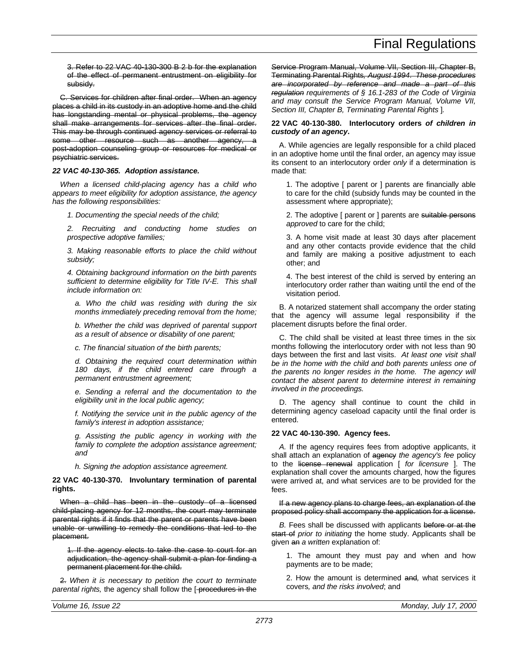3. Refer to 22 VAC 40-130-300 B 2 b for the explanation of the effect of permanent entrustment on eligibility for subsidy.

C. Services for children after final order. When an agency places a child in its custody in an adoptive home and the child has longstanding mental or physical problems, the agency shall make arrangements for services after the final order. This may be through continued agency services or referral to some other resource such as another agency, post-adoption counseling group or resources for medical or psychiatric services.

# *22 VAC 40-130-365. Adoption assistance.*

*When a licensed child-placing agency has a child who appears to meet eligibility for adoption assistance, the agency has the following responsibilities:*

*1. Documenting the special needs of the child;*

*2. Recruiting and conducting home studies on prospective adoptive families;*

*3. Making reasonable efforts to place the child without subsidy;*

*4. Obtaining background information on the birth parents sufficient to determine eligibility for Title IV-E. This shall include information on:*

*a. Who the child was residing with during the six months immediately preceding removal from the home;*

*b. Whether the child was deprived of parental support as a result of absence or disability of one parent;*

*c. The financial situation of the birth parents;*

*d. Obtaining the required court determination within 180 days, if the child entered care through a permanent entrustment agreement;*

*e. Sending a referral and the documentation to the eligibility unit in the local public agency;*

*f. Notifying the service unit in the public agency of the family's interest in adoption assistance;*

*g. Assisting the public agency in working with the family to complete the adoption assistance agreement; and*

*h. Signing the adoption assistance agreement.*

**22 VAC 40-130-370. Involuntary termination of parental rights.**

When a child has been in the custody of a licensed child-placing agency for 12 months, the court may terminate parental rights if it finds that the parent or parents have been unable or unwilling to remedy the conditions that led to the placement.

1. If the agency elects to take the case to court for an adjudication, the agency shall submit a plan for finding a permanent placement for the child.

2. *When it is necessary to petition the court to terminate* parental rights, the agency shall follow the [-procedures in the Service Program Manual, Volume VII, Section III, Chapter B, Terminating Parental Rights*, August 1994*. *These procedures are incorporated by reference and made a part of this regulation requirements of § 16.1-283 of the Code of Virginia and may consult the Service Program Manual, Volume VII, Section III, Chapter B, Terminating Parental Rights* ]*.*

### **22 VAC 40-130-380. Interlocutory orders** *of children in custody of an agency***.**

A. While agencies are legally responsible for a child placed in an adoptive home until the final order, an agency may issue its consent to an interlocutory order *only* if a determination is made that:

1. The adoptive [ parent or ] parents are financially able to care for the child (subsidy funds may be counted in the assessment where appropriate);

2. The adoptive [ parent or ] parents are suitable persons *approved* to care for the child;

3. A home visit made at least 30 days after placement and any other contacts provide evidence that the child and family are making a positive adjustment to each other; and

4. The best interest of the child is served by entering an interlocutory order rather than waiting until the end of the visitation period.

B. A notarized statement shall accompany the order stating that the agency will assume legal responsibility if the placement disrupts before the final order.

C. The child shall be visited at least three times in the six months following the interlocutory order with not less than 90 days between the first and last visits. *At least one visit shall be in the home with the child and both parents unless one of the parents no longer resides in the home. The agency will contact the absent parent to determine interest in remaining involved in the proceedings.*

D. The agency shall continue to count the child in determining agency caseload capacity until the final order is entered.

# **22 VAC 40-130-390. Agency fees.**

*A.* If the agency requires fees from adoptive applicants, it shall attach an explanation of agency *the agency's fee* policy to the license renewal application [ *for licensure* ]. The explanation shall cover the amounts charged, how the figures were arrived at, and what services are to be provided for the fees.

If a new agency plans to charge fees, an explanation of the proposed policy shall accompany the application for a license.

*B.* Fees shall be discussed with applicants before or at the start of *prior to initiating* the home study. Applicants shall be given an *a written* explanation of:

1. The amount they must pay and when and how payments are to be made;

2. How the amount is determined and*,* what services it covers*, and the risks involved*; and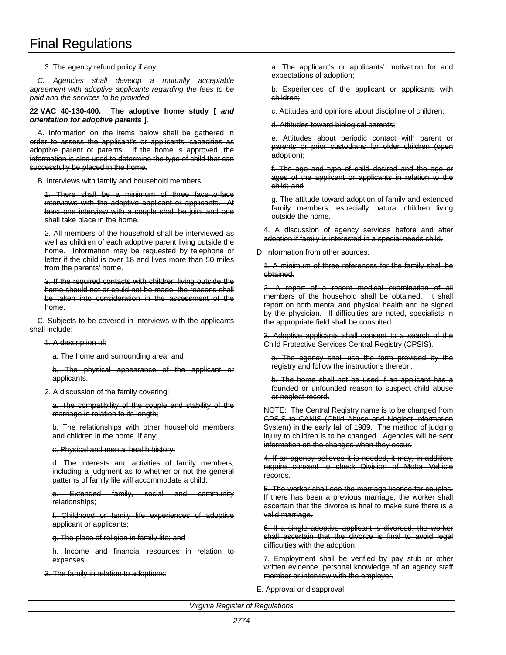3. The agency refund policy if any.

*C. Agencies shall develop a mutually acceptable agreement with adoptive applicants regarding the fees to be paid and the services to be provided.*

**22 VAC 40-130-400. The adoptive home study [** *and orientation for adoptive parents* **].**

A. Information on the items below shall be gathered in order to assess the applicant's or applicants' capacities as adoptive parent or parents. If the home is approved, the information is also used to determine the type of child that can successfully be placed in the home.

B. Interviews with family and household members.

1. There shall be a minimum of three face-to-face interviews with the adoptive applicant or applicants. At least one interview with a couple shall be joint and one shall take place in the home.

2. All members of the household shall be interviewed as well as children of each adoptive parent living outside the home. Information may be requested by telephone or letter if the child is over 18 and lives more than 50 miles from the parents' home.

3. If the required contacts with children living outside the home should not or could not be made, the reasons shall be taken into consideration in the assessment of the home.

C. Subjects to be covered in interviews with the applicants shall include:

1. A description of:

a. The home and surrounding area; and

b. The physical appearance of the applicant or applicants.

# 2. A discussion of the family covering:

a. The compatibility of the couple and stability of the marriage in relation to its length;

b. The relationships with other household members and children in the home, if any;

c. Physical and mental health history;

d. The interests and activities of family members, including a judgment as to whether or not the general patterns of family life will accommodate a child;

e. Extended family, social and community relationships;

f. Childhood or family life experiences of adoptive applicant or applicants;

g. The place of religion in family life; and

h. Income and financial resources in relation to expenses.

3. The family in relation to adoptions:

a. The applicant's or applicants' motivation for and expectations of adoption;

b. Experiences of the applicant or applicants with children;

c. Attitudes and opinions about discipline of children;

d. Attitudes toward biological parents;

e. Attitudes about periodic contact with parent or parents or prior custodians for older children (open adoption);

f. The age and type of child desired and the age or ages of the applicant or applicants in relation to the child; and

g. The attitude toward adoption of family and extended family members, especially natural children living outside the home.

4. A discussion of agency services before and after adoption if family is interested in a special needs child.

D. Information from other sources.

1. A minimum of three references for the family shall be obtained.

2. A report of a recent medical examination of all members of the household shall be obtained. It shall report on both mental and physical health and be signed by the physician. If difficulties are noted, specialists in the appropriate field shall be consulted.

3. Adoptive applicants shall consent to a search of the Child Protective Services Central Registry (CPSIS).

a. The agency shall use the form provided by the registry and follow the instructions thereon.

b. The home shall not be used if an applicant has a founded or unfounded reason to suspect child abuse or neglect record.

NOTE: The Central Registry name is to be changed from CPSIS to CANIS (Child Abuse and Neglect Information System) in the early fall of 1989. The method of judging injury to children is to be changed. Agencies will be sent information on the changes when they occur.

4. If an agency believes it is needed, it may, in addition, require consent to check Division of Motor Vehicle records.

5. The worker shall see the marriage license for couples. If there has been a previous marriage, the worker shall ascertain that the divorce is final to make sure there is a valid marriage.

6. If a single adoptive applicant is divorced, the worker shall ascertain that the divorce is final to avoid legal difficulties with the adoption.

7. Employment shall be verified by pay stub or other written evidence, personal knowledge of an agency staff member or interview with the employer.

E. Approval or disapproval.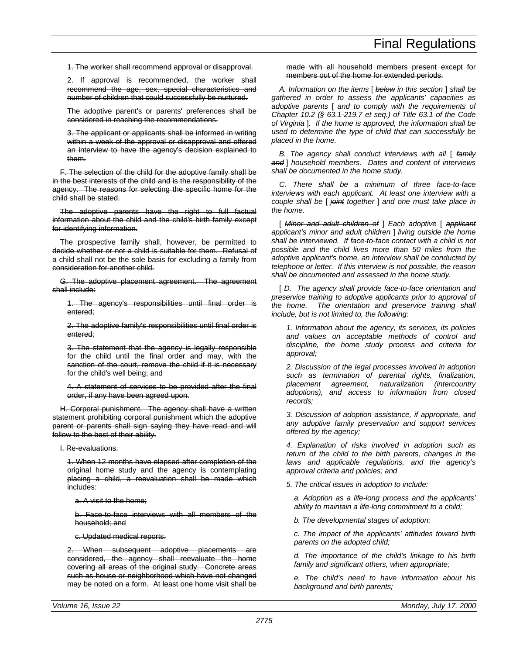1. The worker shall recommend approval or disapproval.

2. If approval is recommended, the worker shall recommend the age, sex, special characteristics and number of children that could successfully be nurtured.

The adoptive parent's or parents' preferences shall be considered in reaching the recommendations.

3. The applicant or applicants shall be informed in writing within a week of the approval or disapproval and offered an interview to have the agency's decision explained to them.

F. The selection of the child for the adoptive family shall be in the best interests of the child and is the responsibility of the agency. The reasons for selecting the specific home for the child shall be stated.

The adoptive parents have the right to full factual information about the child and the child's birth family except for identifying information.

The prospective family shall, however, be permitted to decide whether or not a child is suitable for them. Refusal of a child shall not be the sole basis for excluding a family from consideration for another child.

G. The adoptive placement agreement. The agreement shall include:

1. The agency's responsibilities until final order is entered;

2. The adoptive family's responsibilities until final order is entered;

3. The statement that the agency is legally responsible for the child until the final order and may, with the sanction of the court, remove the child if it is necessary for the child's well being; and

4. A statement of services to be provided after the final order, if any have been agreed upon.

H. Corporal punishment. The agency shall have a written statement prohibiting corporal punishment which the adoptive parent or parents shall sign saying they have read and will follow to the best of their ability.

I. Re-evaluations.

1. When 12 months have elapsed after completion of the original home study and the agency is contemplating placing a child, a reevaluation shall be made which includes:

a. A visit to the home;

b. Face-to-face interviews with all members of the household; and

c. Updated medical reports.

When subsequent adoptive placements are considered, the agency shall reevaluate the home covering all areas of the original study. Concrete areas such as house or neighborhood which have not changed may be noted on a form. At least one home visit shall be made with all household members present except for members out of the home for extended periods.

*A. Information on the items* [ *below in this section* ] *shall be gathered in order to assess the applicants' capacities as adoptive parents* [ *and to comply with the requirements of Chapter 10.2 (§ 63.1-219.7 et seq.) of Title 63.1 of the Code of Virginia* ]*. If the home is approved, the information shall be used to determine the type of child that can successfully be placed in the home.*

*B. The agency shall conduct interviews with all* [ *family and* ] *household members. Dates and content of interviews shall be documented in the home study.*

*C. There shall be a minimum of three face-to-face interviews with each applicant. At least one interview with a couple shall be* [ *joint together* ] *and one must take place in the home.*

[ *Minor and adult children of* ] *Each adoptive* [ *applicant applicant's minor and adult children* ] *living outside the home shall be interviewed. If face-to-face contact with a child is not possible and the child lives more than 50 miles from the adoptive applicant's home, an interview shall be conducted by telephone or letter. If this interview is not possible, the reason shall be documented and assessed in the home study.*

[ *D. The agency shall provide face-to-face orientation and preservice training to adoptive applicants prior to approval of the home. The orientation and preservice training shall include, but is not limited to, the following:*

*1. Information about the agency, its services, its policies and values on acceptable methods of control and discipline, the home study process and criteria for approval;*

*2. Discussion of the legal processes involved in adoption such as termination of parental rights, finalization, placement agreement, naturalization (intercountry adoptions), and access to information from closed records;*

*3. Discussion of adoption assistance, if appropriate, and any adoptive family preservation and support services offered by the agency;*

*4. Explanation of risks involved in adoption such as return of the child to the birth parents, changes in the laws and applicable regulations, and the agency's approval criteria and policies; and*

*5. The critical issues in adoption to include:*

*a. Adoption as a life-long process and the applicants' ability to maintain a life-long commitment to a child;*

*b. The developmental stages of adoption;*

*c. The impact of the applicants' attitudes toward birth parents on the adopted child;*

*d. The importance of the child's linkage to his birth family and significant others, when appropriate;*

*e. The child's need to have information about his background and birth parents;*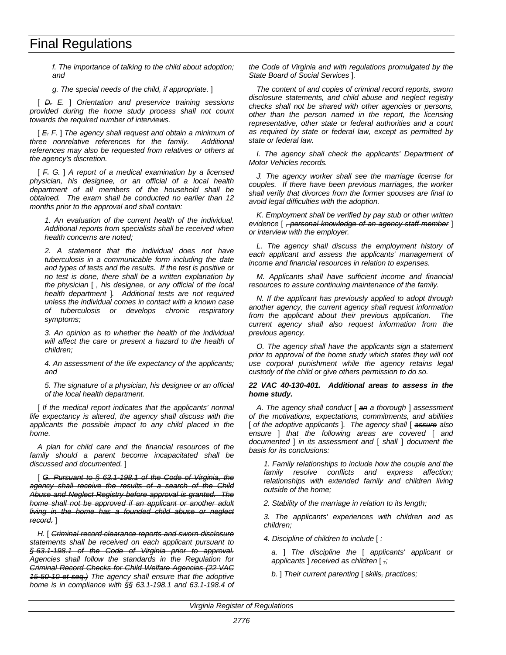*f. The importance of talking to the child about adoption; and*

*g. The special needs of the child, if appropriate.* ]

[ *D. E.* ] *Orientation and preservice training sessions provided during the home study process shall not count towards the required number of interviews.*

[ *E. F.* ] *The agency shall request and obtain a minimum of three nonrelative references for the family. Additional references may also be requested from relatives or others at the agency's discretion.*

[ *F. G.* ] *A report of a medical examination by a licensed physician, his designee, or an official of a local health department of all members of the household shall be obtained. The exam shall be conducted no earlier than 12 months prior to the approval and shall contain:*

*1. An evaluation of the current health of the individual. Additional reports from specialists shall be received when health concerns are noted;*

*2. A statement that the individual does not have tuberculosis in a communicable form including the date and types of tests and the results. If the test is positive or no test is done, there shall be a written explanation by the physician* [ *, his designee, or any official of the local health department* ]*. Additional tests are not required unless the individual comes in contact with a known case of tuberculosis or develops chronic respiratory symptoms;*

*3. An opinion as to whether the health of the individual will affect the care or present a hazard to the health of children;*

*4. An assessment of the life expectancy of the applicants; and*

*5. The signature of a physician, his designee or an official of the local health department.*

[ *If the medical report indicates that the applicants' normal life expectancy is altered, the agency shall discuss with the applicants the possible impact to any child placed in the home.*

*A plan for child care and the financial resources of the family should a parent become incapacitated shall be discussed and documented.* ]

[ *G. Pursuant to § 63.1-198.1 of the Code of Virginia, the agency shall receive the results of a search of the Child Abuse and Neglect Registry before approval is granted. The home shall not be approved if an applicant or another adult living in the home has a founded child abuse or neglect record.* ]

*H.* [ *Criminal record clearance reports and sworn disclosure statements shall be received on each applicant pursuant to § 63.1-198.1 of the Code of Virginia prior to approval. Agencies shall follow the standards in the Regulation for Criminal Record Checks for Child Welfare Agencies (22 VAC 15-50-10 et seq.) The agency shall ensure that the adoptive home is in compliance with §§ 63.1-198.1 and 63.1-198.4 of* *the Code of Virginia and with regulations promulgated by the State Board of Social Services* ]*.*

*The content of and copies of criminal record reports, sworn disclosure statements, and child abuse and neglect registry checks shall not be shared with other agencies or persons, other than the person named in the report, the licensing representative, other state or federal authorities and a court as required by state or federal law, except as permitted by state or federal law.*

*I. The agency shall check the applicants' Department of Motor Vehicles records.*

*J. The agency worker shall see the marriage license for couples. If there have been previous marriages, the worker shall verify that divorces from the former spouses are final to avoid legal difficulties with the adoption.*

*K. Employment shall be verified by pay stub or other written evidence* [ *, personal knowledge of an agency staff member* ] *or interview with the employer.*

*L. The agency shall discuss the employment history of each applicant and assess the applicants' management of income and financial resources in relation to expenses.*

*M. Applicants shall have sufficient income and financial resources to assure continuing maintenance of the family.*

*N. If the applicant has previously applied to adopt through another agency, the current agency shall request information from the applicant about their previous application. The current agency shall also request information from the previous agency.*

*O. The agency shall have the applicants sign a statement prior to approval of the home study which states they will not use corporal punishment while the agency retains legal custody of the child or give others permission to do so.*

#### *22 VAC 40-130-401. Additional areas to assess in the home study.*

*A. The agency shall conduct* [ *an a thorough* ] *assessment of the motivations, expectations, commitments, and abilities* [ *of the adoptive applicants* ]*. The agency shall* [ *assure also ensure* ] *that the following areas are covered* [ *and documented* ] *in its assessment and* [ *shall* ] *document the basis for its conclusions:*

*1. Family relationships to include how the couple and the family resolve conflicts and express affection; relationships with extended family and children living outside of the home;*

*2. Stability of the marriage in relation to its length;*

*3. The applicants' experiences with children and as children;*

*4. Discipline of children to include* [ *:*

*a.* ] *The discipline the* [ *applicants' applicant or applicants* ] *received as children* [ *,;*

*b.* ] *Their current parenting* [ *skills, practices;*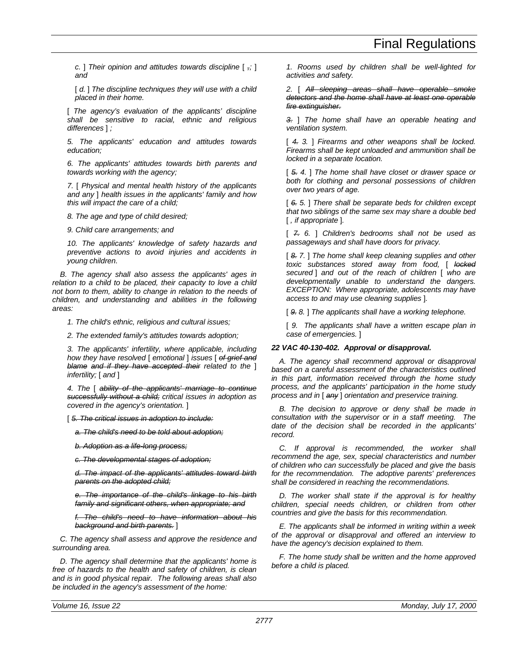*c.* ] *Their opinion and attitudes towards discipline* [ *,;* ] *and*

[  $d.$  ] The discipline techniques they will use with a child *placed in their home.*

[ *The agency's evaluation of the applicants' discipline shall be sensitive to racial, ethnic and religious differences* ] *;*

*5. The applicants' education and attitudes towards education;*

*6. The applicants' attitudes towards birth parents and towards working with the agency;*

*7.* [ *Physical and mental health history of the applicants and any* ] *health issues in the applicants' family and how this will impact the care of a child;*

*8. The age and type of child desired;*

*9. Child care arrangements; and*

*10. The applicants' knowledge of safety hazards and preventive actions to avoid injuries and accidents in young children.*

*B. The agency shall also assess the applicants' ages in relation to a child to be placed, their capacity to love a child not born to them, ability to change in relation to the needs of children, and understanding and abilities in the following areas:*

*1. The child's ethnic, religious and cultural issues;*

*2. The extended family's attitudes towards adoption;*

*3. The applicants' infertility, where applicable, including how they have resolved* [ *emotional* ] *issues* [ *of grief and blame and if they have accepted their related to the* ] *infertility;* [ *and* ]

*4. The* [ *ability of the applicants' marriage to continue successfully without a child; critical issues in adoption as covered in the agency's orientation.* ]

[ *5. The critical issues in adoption to include:*

*a. The child's need to be told about adoption;*

*b. Adoption as a life-long process;*

*c. The developmental stages of adoption;*

*d. The impact of the applicants' attitudes toward birth parents on the adopted child;*

*e. The importance of the child's linkage to his birth family and significant others, when appropriate; and*

*f. The child's need to have information about his background and birth parents.* ]

*C. The agency shall assess and approve the residence and surrounding area.*

*D. The agency shall determine that the applicants' home is free of hazards to the health and safety of children, is clean and is in good physical repair. The following areas shall also be included in the agency's assessment of the home:*

*1. Rooms used by children shall be well-lighted for activities and safety.*

*2.* [ *All sleeping areas shall have operable smoke detectors and the home shall have at least one operable fire extinguisher.*

*3.* ] *The home shall have an operable heating and ventilation system.*

[ *4. 3.* ] *Firearms and other weapons shall be locked. Firearms shall be kept unloaded and ammunition shall be locked in a separate location.*

[ *5. 4.* ] *The home shall have closet or drawer space or both for clothing and personal possessions of children over two years of age.*

[ *6. 5.* ] *There shall be separate beds for children except that two siblings of the same sex may share a double bed* [ *, if appropriate* ]*.*

[ *7. 6.* ] *Children's bedrooms shall not be used as passageways and shall have doors for privacy.*

[ *8. 7.* ] *The home shall keep cleaning supplies and other toxic substances stored away from food,* [ *locked secured* ] *and out of the reach of children* [ *who are developmentally unable to understand the dangers. EXCEPTION: Where appropriate, adolescents may have access to and may use cleaning supplies* ]*.*

[ *9. 8.* ] *The applicants shall have a working telephone.*

[ *9. The applicants shall have a written escape plan in case of emergencies.* ]

# *22 VAC 40-130-402. Approval or disapproval.*

*A. The agency shall recommend approval or disapproval based on a careful assessment of the characteristics outlined in this part, information received through the home study process, and the applicants' participation in the home study process and in* [ *any* ] *orientation and preservice training.*

*B. The decision to approve or deny shall be made in consultation with the supervisor or in a staff meeting. The date of the decision shall be recorded in the applicants' record.*

*C. If approval is recommended, the worker shall recommend the age, sex, special characteristics and number of children who can successfully be placed and give the basis for the recommendation. The adoptive parents' preferences shall be considered in reaching the recommendations.*

*D. The worker shall state if the approval is for healthy children, special needs children, or children from other countries and give the basis for this recommendation.*

*E. The applicants shall be informed in writing within a week of the approval or disapproval and offered an interview to have the agency's decision explained to them.*

*F. The home study shall be written and the home approved before a child is placed.*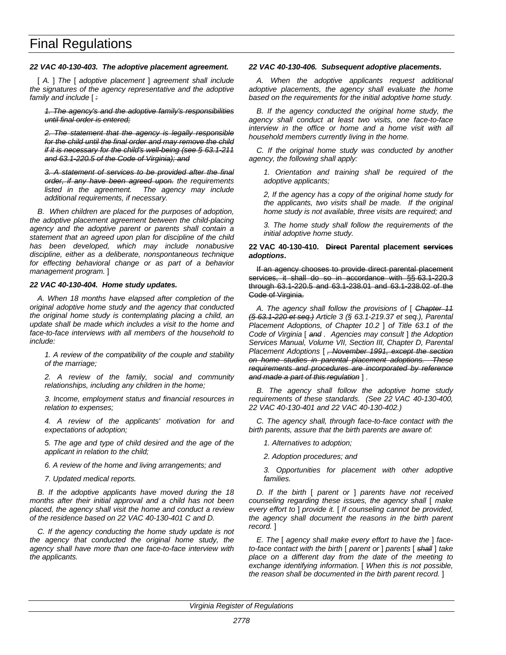## *22 VAC 40-130-403. The adoptive placement agreement.*

[ *A.* ] *The* [ *adoptive placement* ] *agreement shall include the signatures of the agency representative and the adoptive family and include* [ *:*

*1. The agency's and the adoptive family's responsibilities until final order is entered;*

*2. The statement that the agency is legally responsible for the child until the final order and may remove the child if it is necessary for the child's well-being (see § 63.1-211 and 63.1-220.5 of the Code of Virginia); and*

*3. A statement of services to be provided after the final order, if any have been agreed upon. the requirements listed in the agreement. The agency may include additional requirements, if necessary.*

*B. When children are placed for the purposes of adoption, the adoptive placement agreement between the child-placing agency and the adoptive parent or parents shall contain a statement that an agreed upon plan for discipline of the child has been developed, which may include nonabusive discipline, either as a deliberate, nonspontaneous technique for effecting behavioral change or as part of a behavior management program.* ]

#### *22 VAC 40-130-404. Home study updates.*

*A. When 18 months have elapsed after completion of the original adoptive home study and the agency that conducted the original home study is contemplating placing a child, an update shall be made which includes a visit to the home and face-to-face interviews with all members of the household to include:*

*1. A review of the compatibility of the couple and stability of the marriage;*

*2. A review of the family, social and community relationships, including any children in the home;*

*3. Income, employment status and financial resources in relation to expenses;*

*4. A review of the applicants' motivation for and expectations of adoption;*

*5. The age and type of child desired and the age of the applicant in relation to the child;*

*6. A review of the home and living arrangements; and*

*7. Updated medical reports.*

*B. If the adoptive applicants have moved during the 18 months after their initial approval and a child has not been placed, the agency shall visit the home and conduct a review of the residence based on 22 VAC 40-130-401 C and D.*

*C. If the agency conducting the home study update is not the agency that conducted the original home study, the agency shall have more than one face-to-face interview with the applicants.*

#### *22 VAC 40-130-406. Subsequent adoptive placements.*

*A. When the adoptive applicants request additional adoptive placements, the agency shall evaluate the home based on the requirements for the initial adoptive home study.*

*B. If the agency conducted the original home study, the agency shall conduct at least two visits, one face-to-face interview in the office or home and a home visit with all household members currently living in the home.*

*C. If the original home study was conducted by another agency, the following shall apply:*

*1. Orientation and training shall be required of the adoptive applicants;*

*2, If the agency has a copy of the original home study for the applicants, two visits shall be made. If the original home study is not available, three visits are required; and*

*3. The home study shall follow the requirements of the initial adoptive home study.*

#### **22 VAC 40-130-410. Direct Parental placement services** *adoptions***.**

If an agency chooses to provide direct parental placement services, it shall do so in accordance with §§ 63.1-220.3 through 63.1-220.5 and 63.1-238.01 and 63.1-238.02 of the Code of Virginia.

*A. The agency shall follow the provisions of* [ *Chapter 11 (§ 63.1-220 et seq.) Article 3 (§ 63.1-219.37 et seq.), Parental Placement Adoptions, of Chapter 10.2* ] *of Title 63.1 of the Code of Virginia* [ *and . Agencies may consult* ] *the Adoption Services Manual, Volume VII, Section III, Chapter D, Parental Placement Adoptions* [ *, November 1991, except the section on home studies in parental placement adoptions. These requirements and procedures are incorporated by reference and made a part of this regulation* ] *.*

*B. The agency shall follow the adoptive home study requirements of these standards. (See 22 VAC 40-130-400, 22 VAC 40-130-401 and 22 VAC 40-130-402.)*

*C. The agency shall, through face-to-face contact with the birth parents, assure that the birth parents are aware of:*

*1. Alternatives to adoption;*

*2. Adoption procedures; and*

*3. Opportunities for placement with other adoptive families.*

*D. If the birth* [ *parent or* ] *parents have not received counseling regarding these issues, the agency shall* [ *make every effort to* ] *provide it.* [ *If counseling cannot be provided, the agency shall document the reasons in the birth parent record.* ]

*E. The* [ *agency shall make every effort to have the* ] *faceto-face contact with the birth* [ *parent or* ] *parents* [ *shall* ] *take place on a different day from the date of the meeting to exchange identifying information.* [ *When this is not possible, the reason shall be documented in the birth parent record.* ]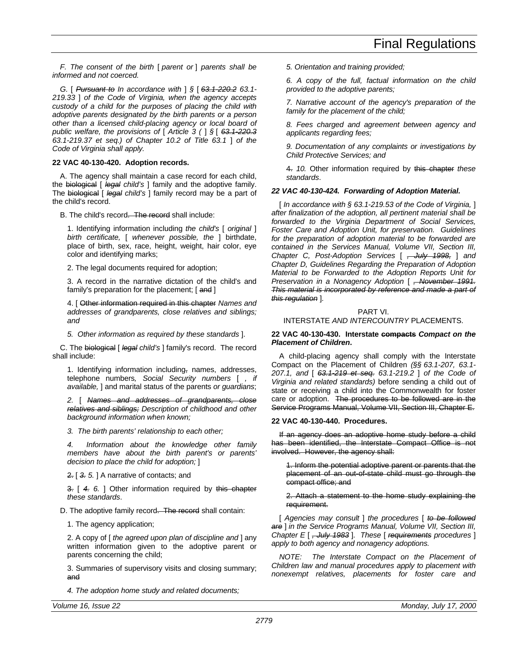*F. The consent of the birth* [ *parent or* ] *parents shall be informed and not coerced.*

*G.* [ *Pursuant to In accordance with* ] *§* [ *63.1-220.2 63.1- 219.33* ] *of the Code of Virginia, when the agency accepts custody of a child for the purposes of placing the child with adoptive parents designated by the birth parents or a person other than a licensed child-placing agency or local board of public welfare, the provisions of* [ *Article 3 (* ] *§* [ *63.1-220.3 63.1-219.37 et seq.) of Chapter 10.2 of Title 63.1* ] *of the Code of Virginia shall apply.*

# **22 VAC 40-130-420. Adoption records.**

A. The agency shall maintain a case record for each child, the biological [ *legal child's* ] family and the adoptive family. The biological [ *legal child's* ] family record may be a part of the child's record.

B. The child's record. The record shall include:

1. Identifying information including *the child's* [ *original* ] *birth certificate,* [ *whenever possible, the* ] birthdate, place of birth, sex, race, height, weight, hair color, eye color and identifying marks;

2. The legal documents required for adoption;

3. A record in the narrative dictation of the child's and family's preparation for the placement; [and ]

4. [ Other information required in this chapter *Names and addresses of grandparents, close relatives and siblings; and*

*5. Other information as required by these standards* ].

C. The biological [ *legal child's* ] family's record. The record shall include:

1. Identifying information including, names, addresses, telephone numbers*, Social Security numbers* [ *, if available,* ] and marital status of the parents *or guardians*;

*2.* [ *Names and addresses of grandparents, close relatives and siblings; Description of childhood and other background information when known;*

*3. The birth parents' relationship to each other;*

*4. Information about the knowledge other family members have about the birth parent's or parents' decision to place the child for adoption;* ]

2. [ *3. 5.* ] A narrative of contacts; and

3. [ *4. 6.* ] Other information required by this chapter *these standards*.

D. The adoptive family record. The record shall contain:

1. The agency application;

2. A copy of [ *the agreed upon plan of discipline and* ] any written information given to the adoptive parent or parents concerning the child;

3. Summaries of supervisory visits and closing summary; and

*4. The adoption home study and related documents;*

*5. Orientation and training provided;*

*6. A copy of the full, factual information on the child provided to the adoptive parents;*

*7. Narrative account of the agency's preparation of the family for the placement of the child;*

*8. Fees charged and agreement between agency and applicants regarding fees;*

*9. Documentation of any complaints or investigations by Child Protective Services; and*

4. *10.* Other information required by this chapter *these standards*.

#### *22 VAC 40-130-424. Forwarding of Adoption Material.*

[ *In accordance with § 63.1-219.53 of the Code of Virginia,* ] *after finalization of the adoption, all pertinent material shall be forwarded to the Virginia Department of Social Services, Foster Care and Adoption Unit, for preservation. Guidelines for the preparation of adoption material to be forwarded are contained in the Services Manual, Volume VII, Section III, Chapter C, Post-Adoption Services* [ *, July 1998,* ] *and Chapter D, Guidelines Regarding the Preparation of Adoption Material to be Forwarded to the Adoption Reports Unit for Preservation in a Nonagency Adoption* [ *, November 1991. This material is incorporated by reference and made a part of this regulation* ]*.*

# PART VI.

# INTERSTATE *AND INTERCOUNTRY* PLACEMENTS.

#### **22 VAC 40-130-430. Interstate compacts** *Compact on the Placement of Children***.**

A child-placing agency shall comply with the Interstate Compact on the Placement of Children *(§§ 63.1-207, 63.1- 207.1, and* [ *63.1-219 et seq. 63.1-219.2* ] *of the Code of Virginia and related standards)* before sending a child out of state or receiving a child into the Commonwealth for foster care or adoption. The procedures to be followed are in the Service Programs Manual, Volume VII, Section III, Chapter E.

# **22 VAC 40-130-440. Procedures.**

If an agency does an adoptive home study before a child has been identified, the Interstate Compact Office is not involved. However, the agency shall:

1. Inform the potential adoptive parent or parents that the placement of an out-of-state child must go through the compact office; and

2. Attach a statement to the home study explaining the requirement.

[ *Agencies may consult* ] *the procedures* [ *to be followed are* ] *in the Service Programs Manual, Volume VII, Section III, Chapter E* [ *, July 1983* ]*. These* [ *requirements procedures* ] *apply to both agency and nonagency adoptions.*

*NOTE: The Interstate Compact on the Placement of Children law and manual procedures apply to placement with nonexempt relatives, placements for foster care and*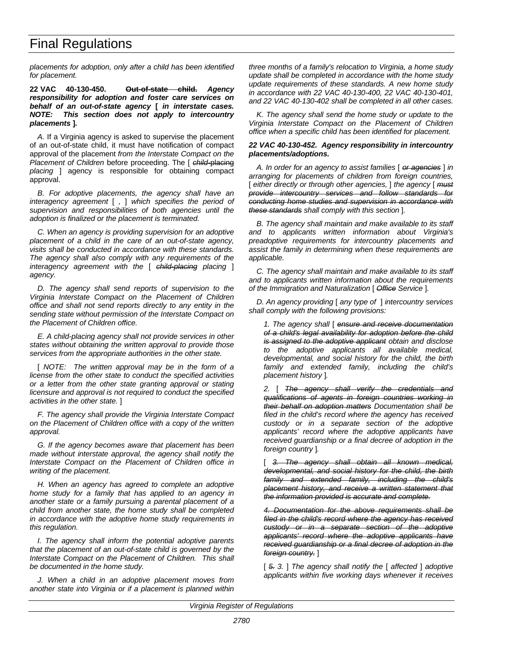*placements for adoption, only after a child has been identified for placement.*

**22 VAC 40-130-450. Out-of-state child.** *Agency responsibility for adoption and foster care services on behalf of an out-of-state agency* **[** *in interstate cases. NOTE: This section does not apply to intercountry placements* **]***.*

*A.* If a Virginia agency is asked to supervise the placement of an out-of-state child, it must have notification of compact approval of the placement *from the Interstate Compact on the Placement of Children* before proceeding. The [ *child-*placing *placing* ] agency is responsible for obtaining compact approval.

*B. For adoptive placements, the agency shall have an interagency agreement* [ *,* ] *which specifies the period of supervision and responsibilities of both agencies until the adoption is finalized or the placement is terminated.*

*C. When an agency is providing supervision for an adoptive placement of a child in the care of an out-of-state agency, visits shall be conducted in accordance with these standards. The agency shall also comply with any requirements of the interagency agreement with the* [ *child-placing placing* ] *agency.*

*D. The agency shall send reports of supervision to the Virginia Interstate Compact on the Placement of Children office and shall not send reports directly to any entity in the sending state without permission of the Interstate Compact on the Placement of Children office.*

*E. A child-placing agency shall not provide services in other states without obtaining the written approval to provide those services from the appropriate authorities in the other state.*

[ *NOTE: The written approval may be in the form of a license from the other state to conduct the specified activities or a letter from the other state granting approval or stating licensure and approval is not required to conduct the specified activities in the other state.* ]

*F. The agency shall provide the Virginia Interstate Compact on the Placement of Children office with a copy of the written approval.*

*G. If the agency becomes aware that placement has been made without interstate approval, the agency shall notify the Interstate Compact on the Placement of Children office in writing of the placement.*

*H. When an agency has agreed to complete an adoptive home study for a family that has applied to an agency in another state or a family pursuing a parental placement of a child from another state, the home study shall be completed in accordance with the adoptive home study requirements in this regulation.*

*I. The agency shall inform the potential adoptive parents that the placement of an out-of-state child is governed by the Interstate Compact on the Placement of Children. This shall be documented in the home study.*

*J. When a child in an adoptive placement moves from another state into Virginia or if a placement is planned within* *three months of a family's relocation to Virginia, a home study update shall be completed in accordance with the home study update requirements of these standards. A new home study in accordance with 22 VAC 40-130-400, 22 VAC 40-130-401, and 22 VAC 40-130-402 shall be completed in all other cases.*

*K. The agency shall send the home study or update to the Virginia Interstate Compact on the Placement of Children office when a specific child has been identified for placement.*

#### *22 VAC 40-130-452. Agency responsibility in intercountry placements/adoptions.*

*A. In order for an agency to assist families* [ *or agencies* ] *in arranging for placements of children from foreign countries,* [ *either directly or through other agencies,* ] *the agency* [ *must provide intercountry services and follow standards for conducting home studies and supervision in accordance with these standards shall comply with this section* ]*.*

*B. The agency shall maintain and make available to its staff and to applicants written information about Virginia's preadoptive requirements for intercountry placements and assist the family in determining when these requirements are applicable.*

*C. The agency shall maintain and make available to its staff and to applicants written information about the requirements of the Immigration and Naturalization* [ *Office Service* ]*.*

*D. An agency providing* [ *any type of* ] *intercountry services shall comply with the following provisions:*

*1. The agency shall* [ *ensure and receive documentation of a child's legal availability for adoption before the child is assigned to the adoptive applicant obtain and disclose to the adoptive applicants all available medical, developmental, and social history for the child, the birth family and extended family, including the child's placement history* ]*.*

*2.* [ *The agency shall verify the credentials and qualifications of agents in foreign countries working in their behalf on adoption matters Documentation shall be filed in the child's record where the agency has received custody or in a separate section of the adoptive applicants' record where the adoptive applicants have received guardianship or a final decree of adoption in the foreign country* ]*.*

[ *3. The agency shall obtain all known medical, developmental, and social history for the child, the birth family and extended family, including the child's placement history, and receive a written statement that the information provided is accurate and complete.*

*4. Documentation for the above requirements shall be filed in the child's record where the agency has received custody or in a separate section of the adoptive applicants' record where the adoptive applicants have received guardianship or a final decree of adoption in the foreign country.* ]

[ *5. 3.* ] *The agency shall notify the* [ *affected* ] *adoptive applicants within five working days whenever it receives*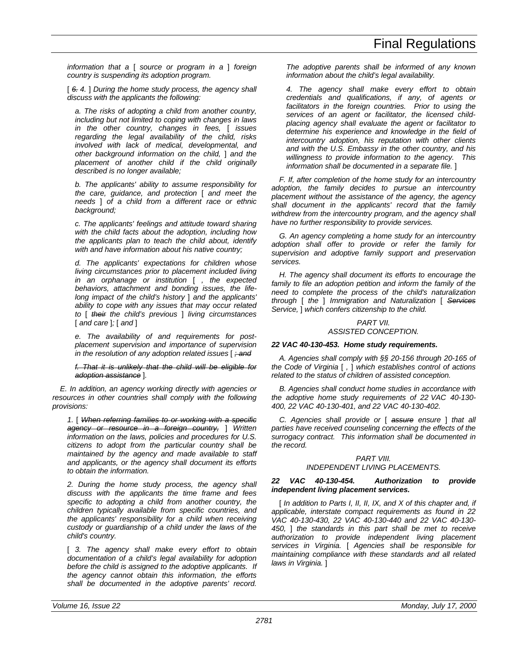*information that a* [ *source or program in a* ] *foreign country is suspending its adoption program.*

[ *6. 4.* ] *During the home study process, the agency shall discuss with the applicants the following:*

*a. The risks of adopting a child from another country, including but not limited to coping with changes in laws in the other country, changes in fees,* [ *issues regarding the legal availability of the child, risks involved with lack of medical, developmental, and other background information on the child,* ] *and the placement of another child if the child originally described is no longer available;*

*b. The applicants' ability to assume responsibility for the care, guidance, and protection* [ *and meet the needs* ] *of a child from a different race or ethnic background;*

*c. The applicants' feelings and attitude toward sharing with the child facts about the adoption, including how the applicants plan to teach the child about, identify with and have information about his native country;*

*d. The applicants' expectations for children whose living circumstances prior to placement included living in an orphanage or institution* [ *, the expected behaviors, attachment and bonding issues, the lifelong impact of the child's history* ] *and the applicants' ability to cope with any issues that may occur related to* [ *their the child's previous* ] *living circumstances* [ *and care* ]*;* [ *and* ]

*e. The availability of and requirements for postplacement supervision and importance of supervision in the resolution of any adoption related issues* [ *; and*

*f. That it is unlikely that the child will be eligible for adoption assistance* ]*.*

*E. In addition, an agency working directly with agencies or resources in other countries shall comply with the following provisions:*

*1.* [ *When referring families to or working with a specific agency or resource in a foreign country,* ] *Written information on the laws, policies and procedures for U.S. citizens to adopt from the particular country shall be maintained by the agency and made available to staff and applicants, or the agency shall document its efforts to obtain the information.*

*2. During the home study process, the agency shall discuss with the applicants the time frame and fees specific to adopting a child from another country, the children typically available from specific countries, and the applicants' responsibility for a child when receiving custody or guardianship of a child under the laws of the child's country.*

[ *3. The agency shall make every effort to obtain documentation of a child's legal availability for adoption before the child is assigned to the adoptive applicants. If the agency cannot obtain this information, the efforts shall be documented in the adoptive parents' record.*

*The adoptive parents shall be informed of any known information about the child's legal availability.*

*4. The agency shall make every effort to obtain credentials and qualifications, if any, of agents or facilitators in the foreign countries. Prior to using the services of an agent or facilitator, the licensed childplacing agency shall evaluate the agent or facilitator to determine his experience and knowledge in the field of intercountry adoption, his reputation with other clients and with the U.S. Embassy in the other country, and his willingness to provide information to the agency. This information shall be documented in a separate file.* ]

*F. If, after completion of the home study for an intercountry adoption, the family decides to pursue an intercountry placement without the assistance of the agency, the agency shall document in the applicants' record that the family withdrew from the intercountry program, and the agency shall have no further responsibility to provide services.*

*G. An agency completing a home study for an intercountry adoption shall offer to provide or refer the family for supervision and adoptive family support and preservation services.*

*H. The agency shall document its efforts to encourage the family to file an adoption petition and inform the family of the need to complete the process of the child's naturalization through* [ *the* ] *Immigration and Naturalization* [ *Services Service,* ] *which confers citizenship to the child.*

# *PART VII. ASSISTED CONCEPTION.*

# *22 VAC 40-130-453. Home study requirements.*

*A. Agencies shall comply with §§ 20-156 through 20-165 of the Code of Virginia* [ *,* ] *which establishes control of actions related to the status of children of assisted conception.*

*B. Agencies shall conduct home studies in accordance with the adoptive home study requirements of 22 VAC 40-130- 400, 22 VAC 40-130-401, and 22 VAC 40-130-402.*

*C. Agencies shall provide or* [ *assure ensure* ] *that all parties have received counseling concerning the effects of the surrogacy contract. This information shall be documented in the record.*

# *PART VIII.*

# *INDEPENDENT LIVING PLACEMENTS.*

# *22 VAC 40-130-454. Authorization to provide independent living placement services.*

[ *In addition to Parts I, II, II, IX, and X of this chapter and, if applicable, interstate compact requirements as found in 22 VAC 40-130-430, 22 VAC 40-130-440 and 22 VAC 40-130- 450,* ] *the standards in this part shall be met to receive authorization to provide independent living placement services in Virginia.* [ *Agencies shall be responsible for maintaining compliance with these standards and all related laws in Virginia.* ]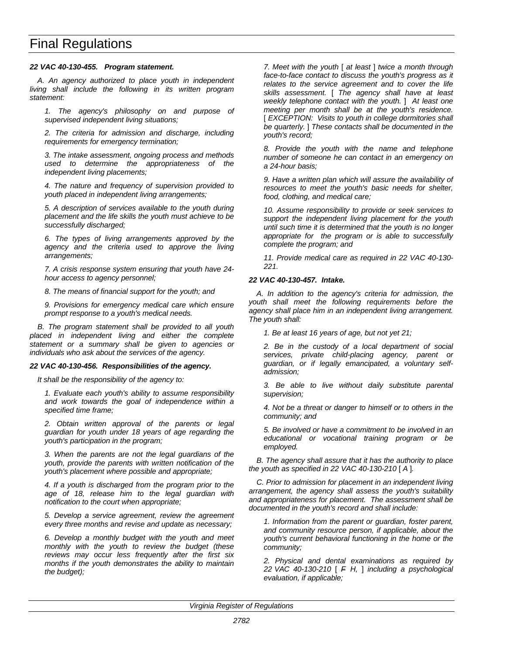# *22 VAC 40-130-455. Program statement.*

*A. An agency authorized to place youth in independent living shall include the following in its written program statement:*

*1. The agency's philosophy on and purpose of supervised independent living situations;*

*2. The criteria for admission and discharge, including requirements for emergency termination;*

*3. The intake assessment, ongoing process and methods used to determine the appropriateness of the independent living placements;*

*4. The nature and frequency of supervision provided to youth placed in independent living arrangements;*

*5. A description of services available to the youth during placement and the life skills the youth must achieve to be successfully discharged;*

*6. The types of living arrangements approved by the agency and the criteria used to approve the living arrangements;*

*7. A crisis response system ensuring that youth have 24 hour access to agency personnel;*

*8. The means of financial support for the youth; and*

*9. Provisions for emergency medical care which ensure prompt response to a youth's medical needs.*

*B. The program statement shall be provided to all youth placed in independent living and either the complete statement or a summary shall be given to agencies or individuals who ask about the services of the agency.*

#### *22 VAC 40-130-456. Responsibilities of the agency.*

*It shall be the responsibility of the agency to:*

*1. Evaluate each youth's ability to assume responsibility and work towards the goal of independence within a specified time frame;*

*2. Obtain written approval of the parents or legal guardian for youth under 18 years of age regarding the youth's participation in the program;*

*3. When the parents are not the legal guardians of the youth, provide the parents with written notification of the youth's placement where possible and appropriate;*

*4. If a youth is discharged from the program prior to the age of 18, release him to the legal guardian with notification to the court when appropriate;*

*5. Develop a service agreement, review the agreement every three months and revise and update as necessary;*

*6. Develop a monthly budget with the youth and meet monthly with the youth to review the budget (these reviews may occur less frequently after the first six months if the youth demonstrates the ability to maintain the budget);*

*7. Meet with the youth* [ *at least* ] *twice a month through face-to-face contact to discuss the youth's progress as it relates to the service agreement and to cover the life skills assessment.* [ *The agency shall have at least weekly telephone contact with the youth.* ] *At least one meeting per month shall be at the youth's residence.* [ *EXCEPTION:* Visits to youth in college dormitories shall *be quarterly.* ] *These contacts shall be documented in the youth's record;*

*8. Provide the youth with the name and telephone number of someone he can contact in an emergency on a 24-hour basis;*

*9. Have a written plan which will assure the availability of resources to meet the youth's basic needs for shelter, food, clothing, and medical care;*

*10. Assume responsibility to provide or seek services to support the independent living placement for the youth until such time it is determined that the youth is no longer appropriate for the program or is able to successfully complete the program; and*

*11. Provide medical care as required in 22 VAC 40-130- 221.*

#### *22 VAC 40-130-457. Intake.*

*A. In addition to the agency's criteria for admission, the youth shall meet the following requirements before the agency shall place him in an independent living arrangement. The youth shall:*

*1. Be at least 16 years of age, but not yet 21;*

*2. Be in the custody of a local department of social services, private child-placing agency, parent or guardian, or if legally emancipated, a voluntary selfadmission;*

*3. Be able to live without daily substitute parental supervision;*

*4. Not be a threat or danger to himself or to others in the community; and*

*5. Be involved or have a commitment to be involved in an educational or vocational training program or be employed.*

*B. The agency shall assure that it has the authority to place the youth as specified in 22 VAC 40-130-210* [ *A* ]*.*

*C. Prior to admission for placement in an independent living arrangement, the agency shall assess the youth's suitability and appropriateness for placement. The assessment shall be documented in the youth's record and shall include:*

*1. Information from the parent or guardian, foster parent, and community resource person, if applicable, about the youth's current behavioral functioning in the home or the community;*

*2. Physical and dental examinations as required by 22 VAC 40-130-210* [ *F H,* ] *including a psychological evaluation, if applicable;*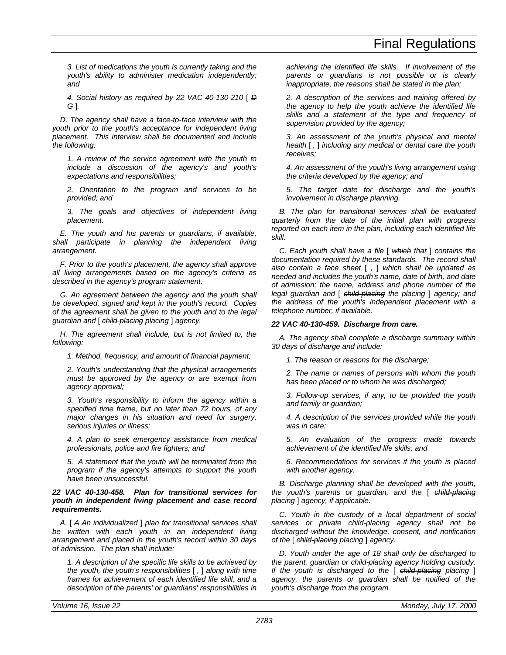*3. List of medications the youth is currently taking and the youth's ability to administer medication independently; and*

*4. Social history as required by 22 VAC 40-130-210* [ *D G* ]*.*

*D. The agency shall have a face-to-face interview with the youth prior to the youth's acceptance for independent living placement. This interview shall be documented and include the following:*

*1. A review of the service agreement with the youth to include a discussion of the agency's and youth's expectations and responsibilities;*

*2. Orientation to the program and services to be provided; and*

*3. The goals and objectives of independent living placement.*

*E. The youth and his parents or guardians, if available, shall participate in planning the independent living arrangement.*

*F. Prior to the youth's placement, the agency shall approve all living arrangements based on the agency's criteria as described in the agency's program statement.*

*G. An agreement between the agency and the youth shall be developed, signed and kept in the youth's record. Copies of the agreement shall be given to the youth and to the legal guardian and* [ *child-placing placing* ] *agency.*

*H. The agreement shall include, but is not limited to, the following:*

*1. Method, frequency, and amount of financial payment;*

*2. Youth's understanding that the physical arrangements must be approved by the agency or are exempt from agency approval;*

*3. Youth's responsibility to inform the agency within a specified time frame, but no later than 72 hours, of any major changes in his situation and need for surgery, serious injuries or illness;*

*4. A plan to seek emergency assistance from medical professionals, police and fire fighters; and*

*5. A statement that the youth will be terminated from the program if the agency's attempts to support the youth have been unsuccessful.*

# *22 VAC 40-130-458. Plan for transitional services for youth in independent living placement and case record requirements.*

*A.* [ *A An individualized* ] *plan for transitional services shall be written with each youth in an independent living arrangement and placed in the youth's record within 30 days of admission. The plan shall include:*

*1. A description of the specific life skills to be achieved by the youth, the youth's responsibilities* [ *,* ] *along with time frames for achievement of each identified life skill, and a description of the parents' or guardians' responsibilities in* *achieving the identified life skills. If involvement of the parents or guardians is not possible or is clearly inappropriate, the reasons shall be stated in the plan;*

*2. A description of the services and training offered by the agency to help the youth achieve the identified life skills and a statement of the type and frequency of supervision provided by the agency;*

*3. An assessment of the youth's physical and mental health* [ *,* ] *including any medical or dental care the youth receives;*

*4. An assessment of the youth's living arrangement using the criteria developed by the agency; and*

*5. The target date for discharge and the youth's involvement in discharge planning.*

*B. The plan for transitional services shall be evaluated quarterly from the date of the initial plan with progress reported on each item in the plan, including each identified life skill.*

*C. Each youth shall have a file* [ *which that* ] *contains the documentation required by these standards. The record shall also contain a face sheet* [ *,* ] *which shall be updated as needed and includes the youth's name, date of birth, and date of admission; the name, address and phone number of the legal guardian and* [ *child-placing the placing* ] *agency; and the address of the youth's independent placement with a telephone number, if available.*

# *22 VAC 40-130-459. Discharge from care.*

*A. The agency shall complete a discharge summary within 30 days of discharge and include:*

*1. The reason or reasons for the discharge;*

*2. The name or names of persons with whom the youth has been placed or to whom he was discharged;*

*3. Follow-up services, if any, to be provided the youth and family or guardian;*

*4. A description of the services provided while the youth was in care;*

*5. An evaluation of the progress made towards achievement of the identified life skills; and*

*6. Recommendations for services if the youth is placed with another agency.*

*B. Discharge planning shall be developed with the youth, the youth's parents or guardian, and the* [ *child-placing placing* ] *agency, if applicable.*

*C. Youth in the custody of a local department of social services or private child-placing agency shall not be discharged without the knowledge, consent, and notification of the* [ *child-placing placing* ] *agency.*

*D. Youth under the age of 18 shall only be discharged to the parent, guardian or child-placing agency holding custody. If the youth is discharged to the* [ *child-placing placing* ] *agency, the parents or guardian shall be notified of the youth's discharge from the program.*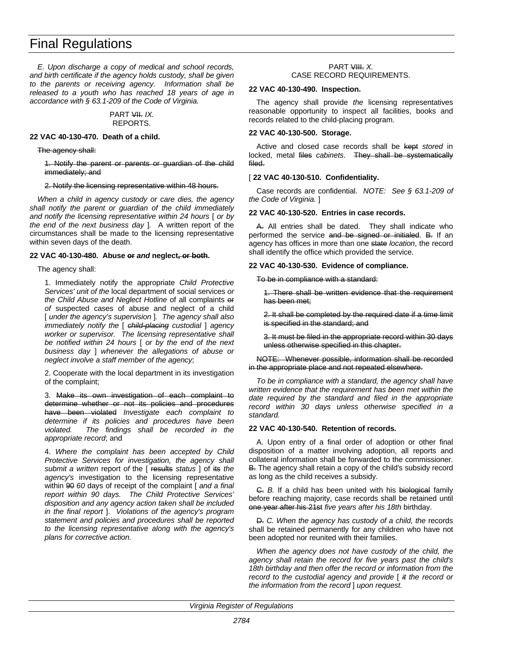*E. Upon discharge a copy of medical and school records, and birth certificate if the agency holds custody, shall be given to the parents or receiving agency. Information shall be released to a youth who has reached 18 years of age in accordance with § 63.1-209 of the Code of Virginia.*

#### PART VII. *IX.* REPORTS.

#### **22 VAC 40-130-470. Death of a child.**

The agency shall:

1. Notify the parent or parents or guardian of the child immediately; and

#### 2. Notify the licensing representative within 48 hours.

*When a child in agency custody or care dies, the agency shall notify the parent or guardian of the child immediately and notify the licensing representative within 24 hours* [ *or by the end of the next business day* ]*.* A written report of the circumstances shall be made to the licensing representative within seven days of the death.

#### **22 VAC 40-130-480. Abuse or** *and* **neglect, or both.**

The agency shall:

1. Immediately notify the appropriate *Child Protective Services' unit of the* local department of social services *or the Child Abuse and Neglect Hotline* of all complaints or *of* suspected cases of abuse and neglect of a child [ *under the agency's supervision* ]*. The agency shall also immediately notify the* [ *child-placing custodial* ] *agency worker or supervisor. The licensing representative shall be notified within 24 hours* [ *or by the end of the next business day* ] *whenever the allegations of abuse or neglect involve a staff member of the agency*;

2. Cooperate with the local department in its investigation of the complaint;

3. Make its own investigation of each complaint to determine whether or not its policies and procedures have been violated *Investigate each complaint to determine if its policies and procedures have been violated. The findings shall be recorded in the appropriate record*; and

4. *Where the complaint has been accepted by Child Protective Services for investigation, the agency shall submit a written* report *of* the [ results *status* ] of its *the agency's* investigation to the licensing representative within 90 *60* days of receipt of the complaint [ *and a final report within 90 days. The Child Protective Services' disposition and any agency action taken shall be included in the final report* ]. *Violations of the agency's program statement and policies and procedures shall be reported to the licensing representative along with the agency's plans for corrective action.*

#### PART VIII. *X.* CASE RECORD REQUIREMENTS.

#### **22 VAC 40-130-490. Inspection.**

The agency shall provide *the* licensing representatives reasonable opportunity to inspect all facilities, books and records related to the child-placing program.

#### **22 VAC 40-130-500. Storage.**

Active and closed case records shall be kept *stored* in locked, metal files *cabinets*. They shall be systematically filed.

# [ **22 VAC 40-130-510. Confidentiality.**

Case records are confidential. *NOTE: See § 63.1-209 of the Code of Virginia.* ]

#### **22 VAC 40-130-520. Entries in case records.**

A. All entries shall be dated. They shall indicate who performed the service and be signed or initialed. B. If an agency has offices in more than one state *location*, the record shall identify the office which provided the service.

# **22 VAC 40-130-530. Evidence of compliance.**

To be in compliance with a standard:

1. There shall be written evidence that the requirement has been met;

2. It shall be completed by the required date if a time limit is specified in the standard; and

3. It must be filed in the appropriate record within 30 days unless otherwise specified in this chapter.

NOTE: Whenever possible, information shall be recorded in the appropriate place and not repeated elsewhere.

*To be in compliance with a standard, the agency shall have written evidence that the requirement has been met within the date required by the standard and filed in the appropriate record within 30 days unless otherwise specified in a standard.*

# **22 VAC 40-130-540. Retention of records.**

A. Upon entry of a final order of adoption or other final disposition of a matter involving adoption, all reports and collateral information shall be forwarded to the commissioner. B. The agency shall retain a copy of the child's subsidy record as long as the child receives a subsidy.

C. *B.* If a child has been united with his biological family before reaching majority, case records shall be retained until one year after his 21st *five years after his 18th* birthday.

D. *C. When the agency has custody of a child, the* records shall be retained permanently for any children who have not been adopted nor reunited with their families.

*When the agency does not have custody of the child, the agency shall retain the record for five years past the child's 18th birthday and then offer the record or information from the record to the custodial agency and provide* [ *it the record or the information from the record* ] *upon request.*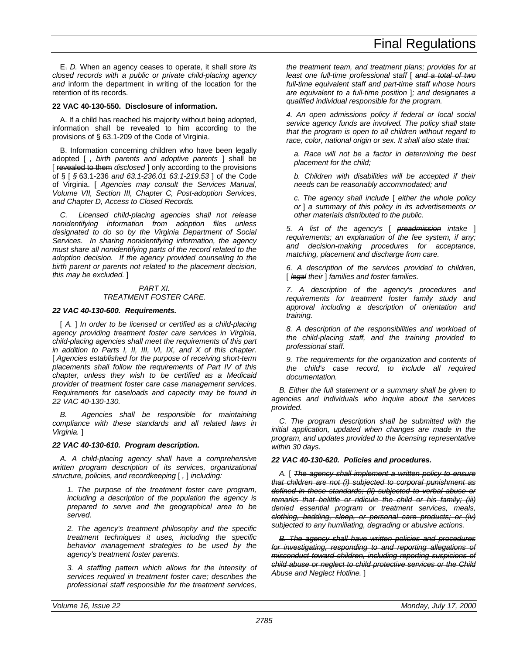E. *D.* When an agency ceases to operate, it shall *store its closed records with a public or private child-placing agency and* inform the department in writing of the location for the retention of its records.

# **22 VAC 40-130-550. Disclosure of information.**

A. If a child has reached his majority without being adopted, information shall be revealed to him according to the provisions of § 63.1-209 of the Code of Virginia.

B. Information concerning children who have been legally adopted [ *, birth parents and adoptive parents* ] shall be [ revealed to them *disclosed* ] only according to the provisions of § [ *§* 63.1-236 *and 63.1-236.01 63.1-219.53* ] of the Code of Virginia. [ *Agencies may consult the Services Manual, Volume VII, Section III, Chapter C, Post-adoption Services, and Chapter D, Access to Closed Records.*

*C. Licensed child-placing agencies shall not release nonidentifying information from adoption files unless designated to do so by the Virginia Department of Social Services. In sharing nonidentifying information, the agency must share all nonidentifying parts of the record related to the adoption decision. If the agency provided counseling to the birth parent or parents not related to the placement decision, this may be excluded.* ]

# *PART XI. TREATMENT FOSTER CARE.*

# *22 VAC 40-130-600. Requirements.*

[ *A.* ] *In order to be licensed or certified as a child-placing agency providing treatment foster care services in Virginia, child-placing agencies shall meet the requirements of this part in addition to Parts I, II, III, VI, IX, and X of this chapter.* [ *Agencies established for the purpose of receiving short-term placements shall follow the requirements of Part IV of this chapter, unless they wish to be certified as a Medicaid provider of treatment foster care case management services. Requirements for caseloads and capacity may be found in 22 VAC 40-130-130.*

*B. Agencies shall be responsible for maintaining compliance with these standards and all related laws in Virginia.* ]

# *22 VAC 40-130-610. Program description.*

*A. A child-placing agency shall have a comprehensive written program description of its services, organizational structure, policies, and recordkeeping* [ *,* ] *including:*

*1. The purpose of the treatment foster care program, including a description of the population the agency is prepared to serve and the geographical area to be served.*

*2. The agency's treatment philosophy and the specific treatment techniques it uses, including the specific behavior management strategies to be used by the agency's treatment foster parents.*

*3. A staffing pattern which allows for the intensity of services required in treatment foster care; describes the professional staff responsible for the treatment services,* *the treatment team, and treatment plans; provides for at least one full-time professional staff* [ *and a total of two full-time equivalent staff and part-time staff whose hours are equivalent to a full-time position* ]*; and designates a qualified individual responsible for the program.*

*4. An open admissions policy if federal or local social service agency funds are involved. The policy shall state that the program is open to all children without regard to race, color, national origin or sex. It shall also state that:*

*a. Race will not be a factor in determining the best placement for the child;*

*b. Children with disabilities will be accepted if their needs can be reasonably accommodated; and*

*c. The agency shall include* [ *either the whole policy or* ] *a summary of this policy in its advertisements or other materials distributed to the public.*

*5. A list of the agency's* [ *preadmission intake* ] *requirements; an explanation of the fee system, if any; and decision-making procedures for acceptance, matching, placement and discharge from care.*

*6. A description of the services provided to children,* [ *legal their* ] *families and foster families.*

*7. A description of the agency's procedures and requirements for treatment foster family study and approval including a description of orientation and training.*

*8. A description of the responsibilities and workload of the child-placing staff, and the training provided to professional staff.*

*9. The requirements for the organization and contents of the child's case record, to include all required documentation.*

*B. Either the full statement or a summary shall be given to agencies and individuals who inquire about the services provided.*

*C. The program description shall be submitted with the initial application, updated when changes are made in the program, and updates provided to the licensing representative within 30 days.*

# *22 VAC 40-130-620. Policies and procedures.*

*A.* [ *The agency shall implement a written policy to ensure that children are not (i) subjected to corporal punishment as defined in these standards; (ii) subjected to verbal abuse or remarks that belittle or ridicule the child or his family; (iii) denied essential program or treatment services, meals, clothing, bedding, sleep, or personal care products; or (iv) subjected to any humiliating, degrading or abusive actions.*

*B. The agency shall have written policies and procedures for investigating, responding to and reporting allegations of misconduct toward children, including reporting suspicions of child abuse or neglect to child protective services or the Child Abuse and Neglect Hotline.* ]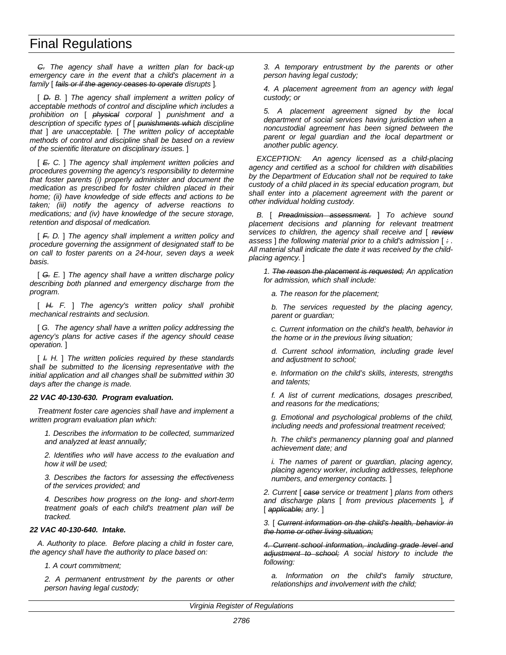*C. The agency shall have a written plan for back-up emergency care in the event that a child's placement in a family* [ *fails or if the agency ceases to operate disrupts* ]*.*

[ *D. B.* ] *The agency shall implement a written policy of acceptable methods of control and discipline which includes a prohibition on* [ *physical corporal* ] *punishment and a description of specific types of* [ *punishments which discipline that* ] *are unacceptable.* [ *The written policy of acceptable methods of control and discipline shall be based on a review of the scientific literature on disciplinary issues.* ]

[ *E. C.* ] *The agency shall implement written policies and procedures governing the agency's responsibility to determine that foster parents (i) properly administer and document the medication as prescribed for foster children placed in their home; (ii) have knowledge of side effects and actions to be taken; (iii) notify the agency of adverse reactions to medications; and (iv) have knowledge of the secure storage, retention and disposal of medication.*

[ *F. D.* ] *The agency shall implement a written policy and procedure governing the assignment of designated staff to be on call to foster parents on a 24-hour, seven days a week basis.*

[ *G. E.* ] *The agency shall have a written discharge policy describing both planned and emergency discharge from the program.*

[ *H. F.* ] *The agency's written policy shall prohibit mechanical restraints and seclusion.*

[ *G. The agency shall have a written policy addressing the agency's plans for active cases if the agency should cease operation.* ]

[ *I. H.* ] *The written policies required by these standards shall be submitted to the licensing representative with the initial application and all changes shall be submitted within 30 days after the change is made.*

# *22 VAC 40-130-630. Program evaluation.*

*Treatment foster care agencies shall have and implement a written program evaluation plan which:*

*1. Describes the information to be collected, summarized and analyzed at least annually;*

*2. Identifies who will have access to the evaluation and how it will be used;*

*3. Describes the factors for assessing the effectiveness of the services provided; and*

*4. Describes how progress on the long- and short-term treatment goals of each child's treatment plan will be tracked.*

# *22 VAC 40-130-640. Intake.*

*A. Authority to place. Before placing a child in foster care, the agency shall have the authority to place based on:*

*1. A court commitment;*

*2. A permanent entrustment by the parents or other person having legal custody;*

*3. A temporary entrustment by the parents or other person having legal custody;*

*4. A placement agreement from an agency with legal custody; or*

*5. A placement agreement signed by the local department of social services having jurisdiction when a noncustodial agreement has been signed between the parent or legal guardian and the local department or another public agency.*

*EXCEPTION: An agency licensed as a child-placing agency and certified as a school for children with disabilities by the Department of Education shall not be required to take custody of a child placed in its special education program, but shall enter into a placement agreement with the parent or other individual holding custody.*

*B.* [ *Preadmission assessment.* ] *To achieve sound placement decisions and planning for relevant treatment services to children, the agency shall receive and* [ *review assess* ] *the following material prior to a child's admission* [ *: . All material shall indicate the date it was received by the childplacing agency.* ]

*1. The reason the placement is requested; An application for admission, which shall include:*

*a. The reason for the placement;*

*b. The services requested by the placing agency, parent or guardian;*

*c. Current information on the child's health, behavior in the home or in the previous living situation;*

*d. Current school information, including grade level and adjustment to school;*

*e. Information on the child's skills, interests, strengths and talents;*

*f. A list of current medications, dosages prescribed, and reasons for the medications;*

*g. Emotional and psychological problems of the child, including needs and professional treatment received;*

*h. The child's permanency planning goal and planned achievement date; and*

*i. The names of parent or guardian, placing agency, placing agency worker, including addresses, telephone numbers, and emergency contacts.* ]

*2. Current* [ *case service or treatment* ] *plans from others and discharge plans* [ *from previous placements* ]*, if* [ *applicable; any.* ]

*3.* [ *Current information on the child's health, behavior in the home or other living situation;*

*4. Current school information, including grade level and adjustment to school; A social history to include the following:*

*a. Information on the child's family structure, relationships and involvement with the child;*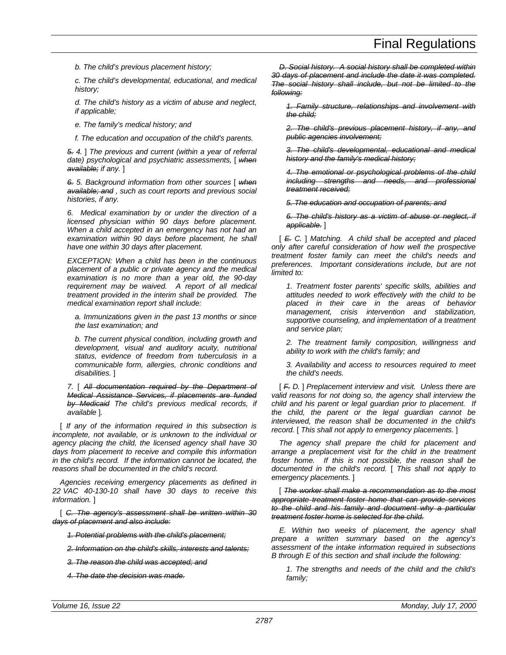*b. The child's previous placement history;*

*c. The child's developmental, educational, and medical history;*

*d. The child's history as a victim of abuse and neglect, if applicable;*

*e. The family's medical history; and*

*f. The education and occupation of the child's parents.*

*5. 4.* ] *The previous and current (within a year of referral date) psychological and psychiatric assessments,* [ *when available; if any.* ]

*6. 5. Background information from other sources* [ *when available; and , such as court reports and previous social histories, if any.*

*6. Medical examination by or under the direction of a licensed physician within 90 days before placement. When a child accepted in an emergency has not had an examination within 90 days before placement, he shall have one within 30 days after placement.*

*EXCEPTION: When a child has been in the continuous placement of a public or private agency and the medical examination is no more than a year old, the 90-day requirement may be waived. A report of all medical treatment provided in the interim shall be provided. The medical examination report shall include:*

*a. Immunizations given in the past 13 months or since the last examination; and*

*b. The current physical condition, including growth and development, visual and auditory acuity, nutritional status, evidence of freedom from tuberculosis in a communicable form, allergies, chronic conditions and disabilities.* ]

*7.* [ *All documentation required by the Department of Medical Assistance Services, if placements are funded by Medicaid The child's previous medical records, if available* ]*.*

[ *If any of the information required in this subsection is incomplete, not available, or is unknown to the individual or agency placing the child, the licensed agency shall have 30 days from placement to receive and compile this information in the child's record. If the information cannot be located, the reasons shall be documented in the child's record.*

*Agencies receiving emergency placements as defined in 22 VAC 40-130-10 shall have 30 days to receive this information.* ]

[ *C. The agency's assessment shall be written within 30 days of placement and also include:*

*1. Potential problems with the child's placement;*

*2. Information on the child's skills, interests and talents;*

*3. The reason the child was accepted; and*

*4. The date the decision was made.*

*D. Social history. A social history shall be completed within 30 days of placement and include the date it was completed. The social history shall include, but not be limited to the following:*

*1. Family structure, relationships and involvement with the child;*

*2. The child's previous placement history, if any, and public agencies involvement;*

*3. The child's developmental, educational and medical history and the family's medical history;*

*4. The emotional or psychological problems of the child including strengths and needs, and professional treatment received;*

*5. The education and occupation of parents; and*

*6. The child's history as a victim of abuse or neglect, if applicable.* ]

[ *E. C.* ] *Matching. A child shall be accepted and placed only after careful consideration of how well the prospective treatment foster family can meet the child's needs and preferences. Important considerations include, but are not limited to:*

*1. Treatment foster parents' specific skills, abilities and attitudes needed to work effectively with the child to be placed in their care in the areas of behavior management, crisis intervention and stabilization, supportive counseling, and implementation of a treatment and service plan;*

*2. The treatment family composition, willingness and ability to work with the child's family; and*

*3. Availability and access to resources required to meet the child's needs.*

[ *F. D.* ] *Preplacement interview and visit. Unless there are valid reasons for not doing so, the agency shall interview the child and his parent or legal guardian prior to placement. If the child, the parent or the legal guardian cannot be interviewed, the reason shall be documented in the child's record.* [ *This shall not apply to emergency placements.* ]

*The agency shall prepare the child for placement and arrange a preplacement visit for the child in the treatment foster home. If this is not possible, the reason shall be documented in the child's record.* [ *This shall not apply to emergency placements.* ]

[ *The worker shall make a recommendation as to the most appropriate treatment foster home that can provide services to the child and his family and document why a particular treatment foster home is selected for the child.*

*E. Within two weeks of placement, the agency shall prepare a written summary based on the agency's assessment of the intake information required in subsections B through E of this section and shall include the following:*

*1. The strengths and needs of the child and the child's family;*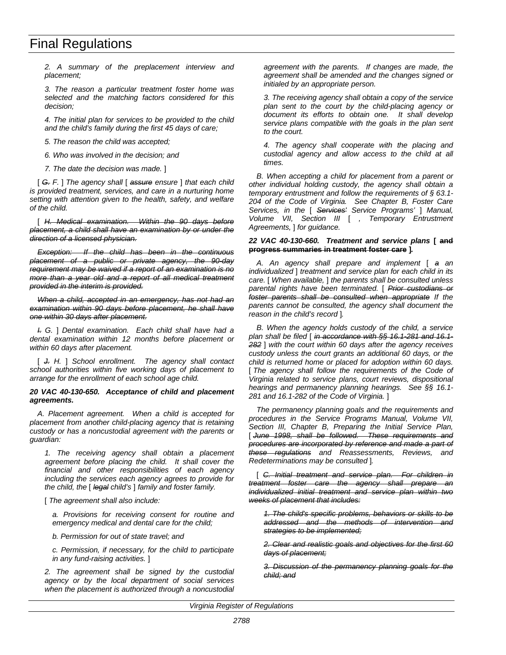*2. A summary of the preplacement interview and placement;*

*3. The reason a particular treatment foster home was selected and the matching factors considered for this decision;*

*4. The initial plan for services to be provided to the child and the child's family during the first 45 days of care;*

*5. The reason the child was accepted;*

*6. Who was involved in the decision; and*

*7. The date the decision was made.* ]

[ *G. F.* ] *The agency shall* [ *assure ensure* ] *that each child is provided treatment, services, and care in a nurturing home setting with attention given to the health, safety, and welfare of the child.*

[ *H. Medical examination. Within the 90 days before placement, a child shall have an examination by or under the direction of a licensed physician.*

*Exception: If the child has been in the continuous placement of a public or private agency, the 90-day requirement may be waived if a report of an examination is no more than a year old and a report of all medical treatment provided in the interim is provided.*

*When a child, accepted in an emergency, has not had an examination within 90 days before placement, he shall have one within 30 days after placement.*

*I. G.* ] *Dental examination. Each child shall have had a dental examination within 12 months before placement or within 60 days after placement.*

[ *J. H.* ] *School enrollment. The agency shall contact school authorities within five working days of placement to arrange for the enrollment of each school age child.*

#### *20 VAC 40-130-650. Acceptance of child and placement agreements.*

*A. Placement agreement. When a child is accepted for placement from another child-placing agency that is retaining custody or has a noncustodial agreement with the parents or guardian:*

*1. The receiving agency shall obtain a placement agreement before placing the child. It shall cover the financial and other responsibilities of each agency including the services each agency agrees to provide for the child, the* [ *legal child's* ] *family and foster family.*

[ *The agreement shall also include:*

*a. Provisions for receiving consent for routine and emergency medical and dental care for the child;*

*b. Permission for out of state travel; and*

*c. Permission, if necessary, for the child to participate in any fund-raising activities.* ]

*2. The agreement shall be signed by the custodial agency or by the local department of social services when the placement is authorized through a noncustodial* *agreement with the parents. If changes are made, the agreement shall be amended and the changes signed or initialed by an appropriate person.*

*3. The receiving agency shall obtain a copy of the service plan sent to the court by the child-placing agency or document its efforts to obtain one. It shall develop service plans compatible with the goals in the plan sent to the court.*

*4. The agency shall cooperate with the placing and custodial agency and allow access to the child at all times.*

*B. When accepting a child for placement from a parent or other individual holding custody, the agency shall obtain a temporary entrustment and follow the requirements of § 63.1- 204 of the Code of Virginia. See Chapter B, Foster Care Services, in the* [ *Services' Service Programs'* ] *Manual, Volume VII, Section III* [ *, Temporary Entrustment Agreements,* ] *for guidance.*

#### *22 VAC 40-130-660. Treatment and service plans* **[ and progress summaries in treatment foster care ]***.*

*A. An agency shall prepare and implement* [ *a an individualized* ] *treatment and service plan for each child in its care.* [ *When available,* ] *the parents shall be consulted unless parental rights have been terminated.* [ *Prior custodians or foster parents shall be consulted when appropriate If the parents cannot be consulted, the agency shall document the reason in the child's record* ]*.*

*B. When the agency holds custody of the child, a service plan shall be filed* [ *in accordance with §§ 16.1-281 and 16.1- 282* ] *with the court within 60 days after the agency receives custody unless the court grants an additional 60 days, or the child is returned home or placed for adoption within 60 days.* [ *The agency shall follow the requirements of the Code of Virginia related to service plans, court reviews, dispositional hearings and permanency planning hearings. See §§ 16.1- 281 and 16.1-282 of the Code of Virginia.* ]

*The permanency planning goals and the requirements and procedures in the Service Programs Manual, Volume VII, Section III, Chapter B, Preparing the Initial Service Plan,* [ *June 1998, shall be followed. These requirements and procedures are incorporated by reference and made a part of these regulations and Reassessments, Reviews, and Redeterminations may be consulted* ]*.*

[ *C. Initial treatment and service plan. For children in treatment foster care the agency shall prepare an individualized initial treatment and service plan within two weeks of placement that includes:*

*1. The child's specific problems, behaviors or skills to be addressed and the methods of intervention and strategies to be implemented;*

*2. Clear and realistic goals and objectives for the first 60 days of placement;*

*3. Discussion of the permanency planning goals for the child; and*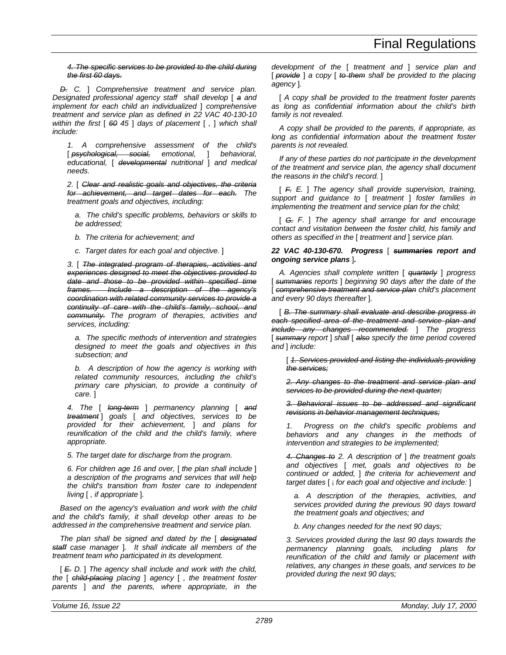*4. The specific services to be provided to the child during the first 60 days.*

*D. C.* ] *Comprehensive treatment and service plan. Designated professional agency staff shall develop* [ *a and implement for each child an individualized* ] *comprehensive treatment and service plan as defined in 22 VAC 40-130-10 within the first* [ *60 45* ] *days of placement* [ *,* ] *which shall include:*

*1. A comprehensive assessment of the child's* [ *psychological, social, emotional,* ] *behavioral, educational,* [ *developmental nutritional* ] *and medical needs.*

*2.* [ *Clear and realistic goals and objectives, the criteria for achievement, and target dates for each. The treatment goals and objectives, including:*

*a. The child's specific problems, behaviors or skills to be addressed;*

*b. The criteria for achievement; and*

*c. Target dates for each goal and objective.* ]

*3.* [ *The integrated program of therapies, activities and experiences designed to meet the objectives provided to date and those to be provided within specified time frames. Include a description of the agency's coordination with related community services to provide a continuity of care with the child's family, school, and community. The program of therapies, activities and services, including:*

*a. The specific methods of intervention and strategies designed to meet the goals and objectives in this subsection; and*

*b. A description of how the agency is working with related community resources, including the child's primary care physician, to provide a continuity of care.* ]

*4. The* [ *long-term* ] *permanency planning* [ *and treatment* ] *goals* [ *and objectives, services to be provided for their achievement,* ] *and plans for reunification of the child and the child's family, where appropriate.*

*5. The target date for discharge from the program.*

*6. For children age 16 and over,* [ *the plan shall include* ] *a description of the programs and services that will help the child's transition from foster care to independent living* [ *, if appropriate* ]*.*

*Based on the agency's evaluation and work with the child and the child's family, it shall develop other areas to be addressed in the comprehensive treatment and service plan.*

*The plan shall be signed and dated by the* [ *designated staff case manager* ]*. It shall indicate all members of the treatment team who participated in its development.*

[ *E. D.* ] *The agency shall include and work with the child, the* [ *child-placing placing* ] *agency* [ *, the treatment foster parents* ] *and the parents, where appropriate, in the* *development of the* [ *treatment and* ] *service plan and* [ *provide* ] *a copy* [ *to them shall be provided to the placing agency* ]*.*

[ *A copy shall be provided to the treatment foster parents as long as confidential information about the child's birth family is not revealed.*

*A copy shall be provided to the parents, if appropriate, as long as confidential information about the treatment foster parents is not revealed.*

*If any of these parties do not participate in the development of the treatment and service plan, the agency shall document the reasons in the child's record.* ]

[ *F. E.* ] *The agency shall provide supervision, training, support and guidance to* [ *treatment* ] *foster families in implementing the treatment and service plan for the child;*

[ *G. F.* ] *The agency shall arrange for and encourage contact and visitation between the foster child, his family and others as specified in the* [ *treatment and* ] *service plan.*

### *22 VAC 40-130-670. Progress* [ *summaries report and ongoing service plans* ]*.*

*A. Agencies shall complete written* [ *quarterly* ] *progress* [ *summaries reports* ] *beginning 90 days after the date of the* [ *comprehensive treatment and service plan child's placement and every 90 days thereafter* ]*.*

[ *B. The summary shall evaluate and describe progress in each specified area of the treatment and service plan and include any changes recommended.* ] *The progress* [ *summary report* ] *shall* [ *also specify the time period covered and* ] *include:*

[ *1. Services provided and listing the individuals providing the services;*

*2. Any changes to the treatment and service plan and services to be provided during the next quarter;*

*3. Behavioral issues to be addressed and significant revisions in behavior management techniques;*

*1. Progress on the child's specific problems and behaviors and any changes in the methods of intervention and strategies to be implemented;*

*4. Changes to 2. A description of* ] *the treatment goals and objectives* [ *met, goals and objectives to be continued or added,* ] *the criteria for achievement and target dates* [ ; *for each goal and objective and include:* ]

*a. A description of the therapies, activities, and services provided during the previous 90 days toward the treatment goals and objectives; and*

*b. Any changes needed for the next 90 days;*

*3. Services provided during the last 90 days towards the permanency planning goals, including plans for reunification of the child and family or placement with relatives, any changes in these goals, and services to be provided during the next 90 days;*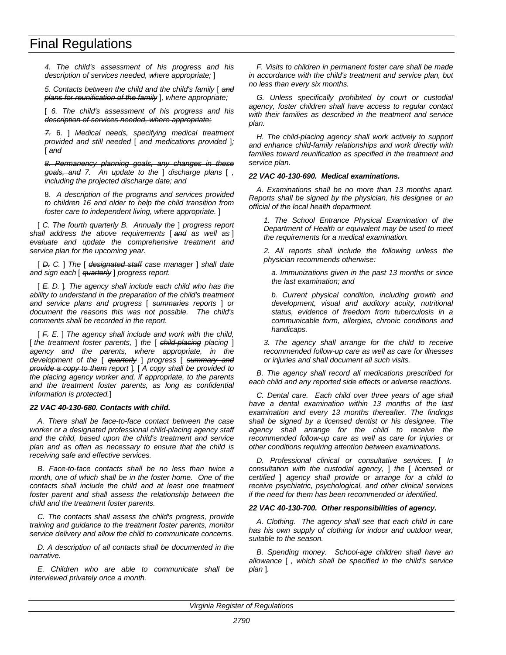*4. The child's assessment of his progress and his description of services needed, where appropriate;* ]

*5. Contacts between the child and the child's family* [ *and plans for reunification of the family* ]*, where appropriate;*

[ *6. The child's assessment of his progress and his description of services needed, where appropriate;*

*7.* 6. ] *Medical needs, specifying medical treatment provided and still needed* [ *and medications provided* ]*;* [ *and*

*8. Permanency planning goals, any changes in these goals, and 7. An update to the* ] *discharge plans* [ *, including the projected discharge date; and*

8. *A description of the programs and services provided to children 16 and older to help the child transition from foster care to independent living, where appropriate.* ]

[ *C. The fourth quarterly B. Annually the* ] *progress report shall address the above requirements* [ *and as well as* ] *evaluate and update the comprehensive treatment and service plan for the upcoming year.*

[ *D. C.* ] *The* [ *designated staff case manager* ] *shall date and sign each* [ *quarterly* ] *progress report.*

[ *E. D.* ]*. The agency shall include each child who has the ability to understand in the preparation of the child's treatment and service plans and progress* [ *summaries reports* ] *or document the reasons this was not possible. The child's comments shall be recorded in the report.*

[ *F. E.* ] *The agency shall include and work with the child,* [ *the treatment foster parents,* ] *the* [ *child-placing placing* ] *agency and the parents, where appropriate, in the development of the* [ *quarterly* ] *progress* [ *summary and provide a copy to them report* ]*.* [ *A copy shall be provided to the placing agency worker and, if appropriate, to the parents and the treatment foster parents, as long as confidential information is protected.*]

# *22 VAC 40-130-680. Contacts with child.*

*A. There shall be face-to-face contact between the case worker or a designated professional child-placing agency staff and the child, based upon the child's treatment and service plan and as often as necessary to ensure that the child is receiving safe and effective services.*

*B. Face-to-face contacts shall be no less than twice a month, one of which shall be in the foster home. One of the contacts shall include the child and at least one treatment foster parent and shall assess the relationship between the child and the treatment foster parents.*

*C. The contacts shall assess the child's progress, provide training and guidance to the treatment foster parents, monitor service delivery and allow the child to communicate concerns.*

*D. A description of all contacts shall be documented in the narrative.*

*E. Children who are able to communicate shall be interviewed privately once a month.*

*F. Visits to children in permanent foster care shall be made in accordance with the child's treatment and service plan, but no less than every six months.*

*G. Unless specifically prohibited by court or custodial agency, foster children shall have access to regular contact with their families as described in the treatment and service plan.*

*H. The child-placing agency shall work actively to support and enhance child-family relationships and work directly with families toward reunification as specified in the treatment and service plan.*

#### *22 VAC 40-130-690. Medical examinations.*

*A. Examinations shall be no more than 13 months apart. Reports shall be signed by the physician, his designee or an official of the local health department.*

*1. The School Entrance Physical Examination of the Department of Health or equivalent may be used to meet the requirements for a medical examination.*

*2. All reports shall include the following unless the physician recommends otherwise:*

*a. Immunizations given in the past 13 months or since the last examination; and*

*b. Current physical condition, including growth and development, visual and auditory acuity, nutritional status, evidence of freedom from tuberculosis in a communicable form, allergies, chronic conditions and handicaps.*

*3. The agency shall arrange for the child to receive recommended follow-up care as well as care for illnesses or injuries and shall document all such visits.*

*B. The agency shall record all medications prescribed for each child and any reported side effects or adverse reactions.*

*C. Dental care. Each child over three years of age shall have a dental examination within 13 months of the last examination and every 13 months thereafter. The findings shall be signed by a licensed dentist or his designee. The agency shall arrange for the child to receive the recommended follow-up care as well as care for injuries or other conditions requiring attention between examinations.*

*D. Professional clinical or consultative services.* [ *In consultation with the custodial agency,* ] *the* [ *licensed or certified* ] *agency shall provide or arrange for a child to receive psychiatric, psychological, and other clinical services if the need for them has been recommended or identified.*

#### *22 VAC 40-130-700. Other responsibilities of agency.*

*A. Clothing. The agency shall see that each child in care has his own supply of clothing for indoor and outdoor wear, suitable to the season.*

*B. Spending money. School-age children shall have an allowance* [ *, which shall be specified in the child's service plan* ]*.*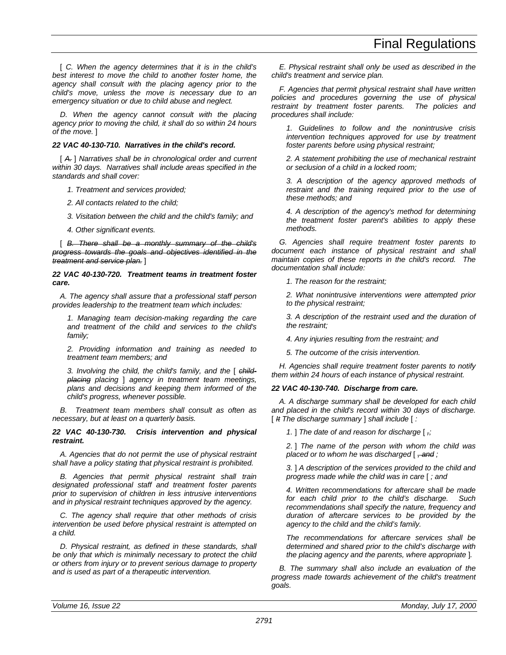[ *C. When the agency determines that it is in the child's best interest to move the child to another foster home, the agency shall consult with the placing agency prior to the child's move, unless the move is necessary due to an emergency situation or due to child abuse and neglect.*

*D. When the agency cannot consult with the placing agency prior to moving the child, it shall do so within 24 hours of the move.* ]

# *22 VAC 40-130-710. Narratives in the child's record.*

[ *A.* ] *Narratives shall be in chronological order and current within 30 days. Narratives shall include areas specified in the standards and shall cover:*

- *1. Treatment and services provided;*
- *2. All contacts related to the child;*
- *3. Visitation between the child and the child's family; and*
- *4. Other significant events.*

[ *B. There shall be a monthly summary of the child's progress towards the goals and objectives identified in the treatment and service plan.* ]

### *22 VAC 40-130-720. Treatment teams in treatment foster care.*

*A. The agency shall assure that a professional staff person provides leadership to the treatment team which includes:*

*1. Managing team decision-making regarding the care and treatment of the child and services to the child's family;*

*2. Providing information and training as needed to treatment team members; and*

*3. Involving the child, the child's family, and the* [ *childplacing placing* ] *agency in treatment team meetings, plans and decisions and keeping them informed of the child's progress, whenever possible.*

*B. Treatment team members shall consult as often as necessary, but at least on a quarterly basis.*

# *22 VAC 40-130-730. Crisis intervention and physical restraint.*

*A. Agencies that do not permit the use of physical restraint shall have a policy stating that physical restraint is prohibited.*

*B. Agencies that permit physical restraint shall train designated professional staff and treatment foster parents prior to supervision of children in less intrusive interventions and in physical restraint techniques approved by the agency.*

*C. The agency shall require that other methods of crisis intervention be used before physical restraint is attempted on a child.*

*D. Physical restraint, as defined in these standards, shall be only that which is minimally necessary to protect the child or others from injury or to prevent serious damage to property and is used as part of a therapeutic intervention.*

*E. Physical restraint shall only be used as described in the child's treatment and service plan.*

*F. Agencies that permit physical restraint shall have written policies and procedures governing the use of physical restraint by treatment foster parents. The policies and procedures shall include:*

*1. Guidelines to follow and the nonintrusive crisis intervention techniques approved for use by treatment foster parents before using physical restraint;*

*2. A statement prohibiting the use of mechanical restraint or seclusion of a child in a locked room;*

*3. A description of the agency approved methods of restraint and the training required prior to the use of these methods; and*

*4. A description of the agency's method for determining the treatment foster parent's abilities to apply these methods.*

*G. Agencies shall require treatment foster parents to document each instance of physical restraint and shall maintain copies of these reports in the child's record. The documentation shall include:*

*1. The reason for the restraint;*

*2. What nonintrusive interventions were attempted prior to the physical restraint;*

*3. A description of the restraint used and the duration of the restraint;*

*4. Any injuries resulting from the restraint; and*

*5. The outcome of the crisis intervention.*

*H. Agencies shall require treatment foster parents to notify them within 24 hours of each instance of physical restraint.*

# *22 VAC 40-130-740. Discharge from care.*

*A. A discharge summary shall be developed for each child and placed in the child's record within 30 days of discharge.* [ *It The discharge summary* ] *shall include* [ *:*

*1.* ] *The date of and reason for discharge* [ *,;*

*2.* ] *The name of the person with whom the child was placed or to whom he was discharged* [ *, and ;*

*3.* ] *A description of the services provided to the child and progress made while the child was in care* [ *; and*

*4. Written recommendations for aftercare shall be made for each child prior to the child's discharge. Such recommendations shall specify the nature, frequency and duration of aftercare services to be provided by the agency to the child and the child's family.*

*The recommendations for aftercare services shall be determined and shared prior to the child's discharge with the placing agency and the parents, where appropriate* ]*.*

*B. The summary shall also include an evaluation of the progress made towards achievement of the child's treatment goals.*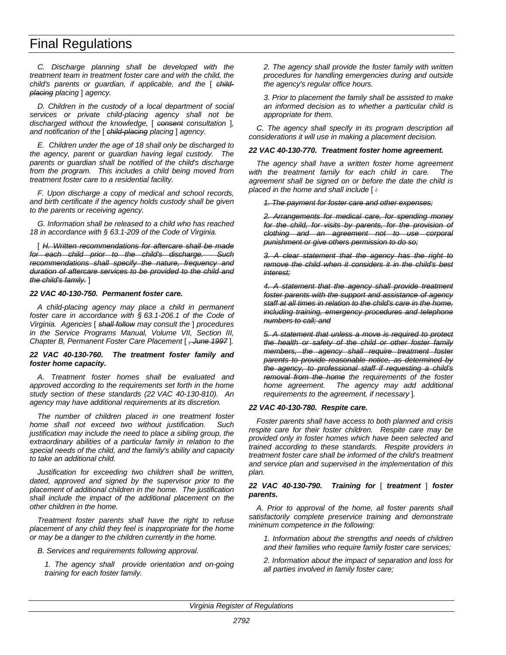*C. Discharge planning shall be developed with the treatment team in treatment foster care and with the child, the child's parents or guardian, if applicable, and the* [ *childplacing placing* ] *agency.*

*D. Children in the custody of a local department of social services or private child-placing agency shall not be discharged without the knowledge,* [ *consent consultation* ]*, and notification of the* [ *child-placing placing* ] *agency.*

*E. Children under the age of 18 shall only be discharged to the agency, parent or guardian having legal custody. The parents or guardian shall be notified of the child's discharge from the program. This includes a child being moved from treatment foster care to a residential facility.*

*F. Upon discharge a copy of medical and school records, and birth certificate if the agency holds custody shall be given to the parents or receiving agency.*

*G. Information shall be released to a child who has reached 18 in accordance with § 63.1-209 of the Code of Virginia.*

[ *H. Written recommendations for aftercare shall be made for each child prior to the child's discharge. recommendations shall specify the nature, frequency and duration of aftercare services to be provided to the child and the child's family.* ]

#### *22 VAC 40-130-750. Permanent foster care.*

*A child-placing agency may place a child in permanent foster care in accordance with § 63.1-206.1 of the Code of Virginia. Agencies* [ *shall follow may consult the* ] *procedures in the Service Programs Manual, Volume VII, Section III, Chapter B, Permanent Foster Care Placement* [ *, June 1997* ]*.*

#### *22 VAC 40-130-760. The treatment foster family and foster home capacity.*

*A. Treatment foster homes shall be evaluated and approved according to the requirements set forth in the home study section of these standards (22 VAC 40-130-810). An agency may have additional requirements at its discretion.*

*The number of children placed in one treatment foster home shall not exceed two without justification. Such justification may include the need to place a sibling group, the extraordinary abilities of a particular family in relation to the special needs of the child, and the family's ability and capacity to take an additional child.*

*Justification for exceeding two children shall be written, dated, approved and signed by the supervisor prior to the placement of additional children in the home. The justification shall include the impact of the additional placement on the other children in the home.*

*Treatment foster parents shall have the right to refuse placement of any child they feel is inappropriate for the home or may be a danger to the children currently in the home.*

*B. Services and requirements following approval.*

*1. The agency shall provide orientation and on-going training for each foster family.*

*2. The agency shall provide the foster family with written procedures for handling emergencies during and outside the agency's regular office hours.*

*3. Prior to placement the family shall be assisted to make an informed decision as to whether a particular child is appropriate for them.*

*C. The agency shall specify in its program description all considerations it will use in making a placement decision.*

#### *22 VAC 40-130-770. Treatment foster home agreement.*

*The agency shall have a written foster home agreement with the treatment family for each child in care. The agreement shall be signed on or before the date the child is placed in the home and shall include* [ *:*

*1. The payment for foster care and other expenses;*

*2. Arrangements for medical care, for spending money for the child, for visits by parents, for the provision of clothing and an agreement not to use corporal punishment or give others permission to do so;*

*3. A clear statement that the agency has the right to remove the child when it considers it in the child's best interest;*

*4. A statement that the agency shall provide treatment foster parents with the support and assistance of agency staff at all times in relation to the child's care in the home, including training, emergency procedures and telephone numbers to call; and*

*5. A statement that unless a move is required to protect the health or safety of the child or other foster family members, the agency shall require treatment foster parents to provide reasonable notice, as determined by the agency, to professional staff if requesting a child's removal from the home the requirements of the foster home agreement. The agency may add additional requirements to the agreement, if necessary* ]*.*

# *22 VAC 40-130-780. Respite care.*

*Foster parents shall have access to both planned and crisis respite care for their foster children. Respite care may be provided only in foster homes which have been selected and trained according to these standards. Respite providers in treatment foster care shall be informed of the child's treatment and service plan and supervised in the implementation of this plan.*

# *22 VAC 40-130-790. Training for* [ *treatment* ] *foster parents.*

*A. Prior to approval of the home, all foster parents shall satisfactorily complete preservice training and demonstrate minimum competence in the following:*

*1. Information about the strengths and needs of children and their families who require family foster care services;*

*2. Information about the impact of separation and loss for all parties involved in family foster care;*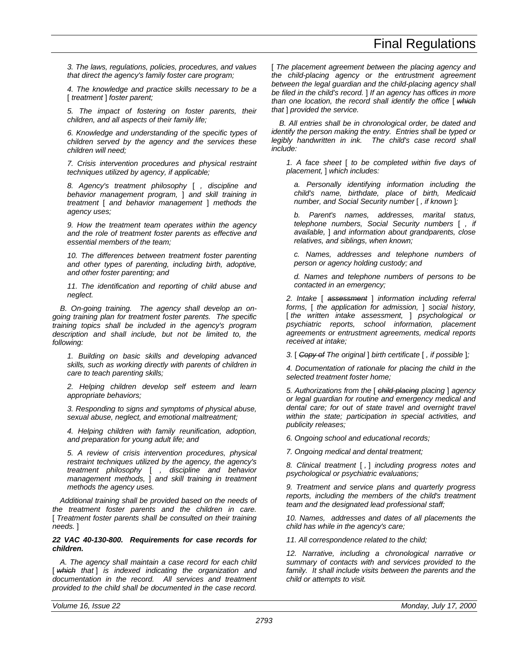*3. The laws, regulations, policies, procedures, and values that direct the agency's family foster care program;*

*4. The knowledge and practice skills necessary to be a* [ *treatment* ] *foster parent;*

*5. The impact of fostering on foster parents, their children, and all aspects of their family life;*

*6. Knowledge and understanding of the specific types of children served by the agency and the services these children will need;*

*7. Crisis intervention procedures and physical restraint techniques utilized by agency, if applicable;*

*8. Agency's treatment philosophy* [ *, discipline and behavior management program,* ] *and skill training in treatment* [ *and behavior management* ] *methods the agency uses;*

*9. How the treatment team operates within the agency and the role of treatment foster parents as effective and essential members of the team;*

*10. The differences between treatment foster parenting and other types of parenting, including birth, adoptive, and other foster parenting; and*

*11. The identification and reporting of child abuse and neglect.*

*B. On-going training. The agency shall develop an ongoing training plan for treatment foster parents. The specific training topics shall be included in the agency's program description and shall include, but not be limited to, the following:*

*1. Building on basic skills and developing advanced skills, such as working directly with parents of children in care to teach parenting skills;*

*2. Helping children develop self esteem and learn appropriate behaviors;*

*3. Responding to signs and symptoms of physical abuse, sexual abuse, neglect, and emotional maltreatment;*

*4. Helping children with family reunification, adoption, and preparation for young adult life; and*

*5. A review of crisis intervention procedures, physical restraint techniques utilized by the agency, the agency's treatment philosophy* [ *, discipline and behavior management methods,* ] *and skill training in treatment methods the agency uses.*

*Additional training shall be provided based on the needs of the treatment foster parents and the children in care.* [ *Treatment foster parents shall be consulted on their training needs.* ]

*22 VAC 40-130-800. Requirements for case records for children.*

*A. The agency shall maintain a case record for each child* [ which that ] is indexed indicating the organization and *documentation in the record. All services and treatment provided to the child shall be documented in the case record.*

[ *The placement agreement between the placing agency and the child-placing agency or the entrustment agreement between the legal guardian and the child-placing agency shall be filed in the child's record.* ] *If an agency has offices in more than one location, the record shall identify the office* [ *which that* ] *provided the service.*

*B. All entries shall be in chronological order, be dated and identify the person making the entry. Entries shall be typed or legibly handwritten in ink. The child's case record shall include:*

*1. A face sheet* [ *to be completed within five days of placement,* ] *which includes:*

*a. Personally identifying information including the child's name, birthdate, place of birth, Medicaid number, and Social Security number* [ *, if known* ]*;*

*b. Parent's names, addresses, marital status, telephone numbers, Social Security numbers* [ *, if available,* ] *and information about grandparents, close relatives, and siblings, when known;*

*c. Names, addresses and telephone numbers of person or agency holding custody; and*

*d. Names and telephone numbers of persons to be contacted in an emergency;*

*2. Intake* [ *assessment* ] *information including referral forms,* [ *the application for admission,* ] *social history,* [ *the written intake assessment,* ] *psychological or psychiatric reports, school information, placement agreements or entrustment agreements, medical reports received at intake;*

*3.* [ *Copy of The original* ] *birth certificate* [ *, if possible* ]*;*

*4. Documentation of rationale for placing the child in the selected treatment foster home;*

*5. Authorizations from the* [ *child-placing placing* ] *agency or legal guardian for routine and emergency medical and dental care; for out of state travel and overnight travel within the state; participation in special activities, and publicity releases;*

*6. Ongoing school and educational records;*

*7. Ongoing medical and dental treatment;*

*8. Clinical treatment* [ *,* ] *including progress notes and psychological or psychiatric evaluations;*

*9. Treatment and service plans and quarterly progress reports, including the members of the child's treatment team and the designated lead professional staff;*

*10. Names, addresses and dates of all placements the child has while in the agency's care;*

*11. All correspondence related to the child;*

*12. Narrative, including a chronological narrative or summary of contacts with and services provided to the family. It shall include visits between the parents and the child or attempts to visit.*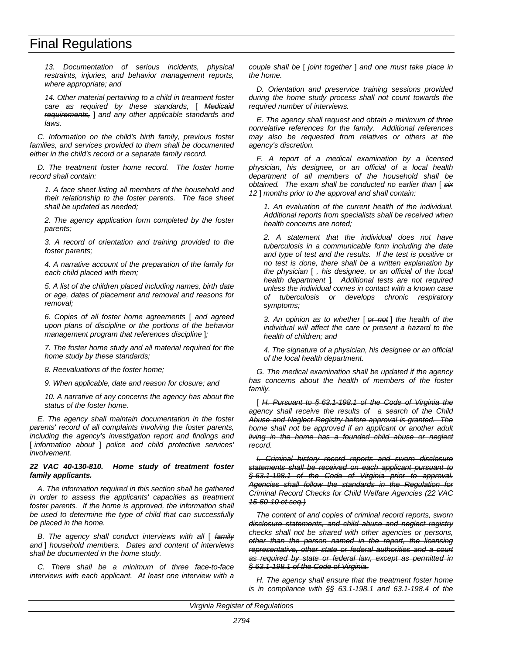*13. Documentation of serious incidents, physical restraints, injuries, and behavior management reports, where appropriate; and*

*14. Other material pertaining to a child in treatment foster care as required by these standards,* [ *Medicaid requirements,* ] *and any other applicable standards and laws.*

*C. Information on the child's birth family, previous foster families, and services provided to them shall be documented either in the child's record or a separate family record.*

*D. The treatment foster home record. The foster home record shall contain:*

*1. A face sheet listing all members of the household and their relationship to the foster parents. The face sheet shall be updated as needed;*

*2. The agency application form completed by the foster parents;*

*3. A record of orientation and training provided to the foster parents;*

*4. A narrative account of the preparation of the family for each child placed with them;*

*5. A list of the children placed including names, birth date or age, dates of placement and removal and reasons for removal;*

*6. Copies of all foster home agreements* [ *and agreed upon plans of discipline or the portions of the behavior management program that references discipline* ]*;*

*7. The foster home study and all material required for the home study by these standards;*

*8. Reevaluations of the foster home;*

*9. When applicable, date and reason for closure; and*

*10. A narrative of any concerns the agency has about the status of the foster home.*

*E. The agency shall maintain documentation in the foster parents' record of all complaints involving the foster parents, including the agency's investigation report and findings and* [ *information about* ] *police and child protective services' involvement.*

#### *22 VAC 40-130-810. Home study of treatment foster family applicants.*

*A. The information required in this section shall be gathered in order to assess the applicants' capacities as treatment foster parents. If the home is approved, the information shall be used to determine the type of child that can successfully be placed in the home.*

*B. The agency shall conduct interviews with all* [ *family and* ] *household members. Dates and content of interviews shall be documented in the home study.*

*C. There shall be a minimum of three face-to-face interviews with each applicant. At least one interview with a* *couple shall be* [ *joint together* ] *and one must take place in the home.*

*D. Orientation and preservice training sessions provided during the home study process shall not count towards the required number of interviews.*

*E. The agency shall request and obtain a minimum of three nonrelative references for the family. Additional references may also be requested from relatives or others at the agency's discretion.*

*F. A report of a medical examination by a licensed physician, his designee, or an official of a local health department of all members of the household shall be obtained. The exam shall be conducted no earlier than* [ *six 12* ] *months prior to the approval and shall contain:*

*1. An evaluation of the current health of the individual. Additional reports from specialists shall be received when health concerns are noted;*

*2. A statement that the individual does not have tuberculosis in a communicable form including the date and type of test and the results. If the test is positive or no test is done, there shall be a written explanation by the physician* [ *, his designee, or an official of the local health department* ]*. Additional tests are not required unless the individual comes in contact with a known case of tuberculosis or develops chronic respiratory symptoms;*

*3. An opinion as to whether* [ *or not* ] *the health of the individual will affect the care or present a hazard to the health of children; and*

*4. The signature of a physician, his designee or an official of the local health department.*

*G. The medical examination shall be updated if the agency has concerns about the health of members of the foster family.*

[ *H. Pursuant to § 63.1-198.1 of the Code of Virginia the agency shall receive the results of a search of the Child Abuse and Neglect Registry before approval is granted. The home shall not be approved if an applicant or another adult living in the home has a founded child abuse or neglect record.*

*I. Criminal history record reports and sworn disclosure statements shall be received on each applicant pursuant to § 63.1-198.1 of the Code of Virginia prior to approval. Agencies shall follow the standards in the Regulation for Criminal Record Checks for Child Welfare Agencies (22 VAC 15-50-10 et seq.)*

*The content of and copies of criminal record reports, sworn disclosure statements, and child abuse and neglect registry checks shall not be shared with other agencies or persons, other than the person named in the report, the licensing representative, other state or federal authorities and a court as required by state or federal law, except as permitted in § 63.1-198.1 of the Code of Virginia.*

*H. The agency shall ensure that the treatment foster home is in compliance with §§ 63.1-198.1 and 63.1-198.4 of the*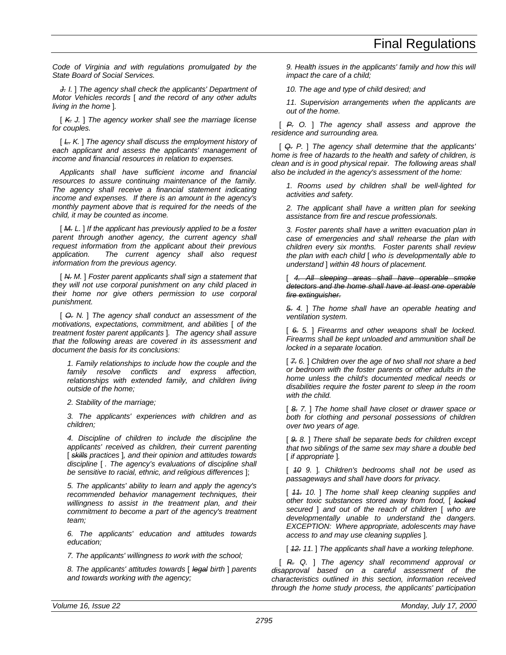*Code of Virginia and with regulations promulgated by the State Board of Social Services.*

*J. I.* ] *The agency shall check the applicants' Department of Motor Vehicles records* [ *and the record of any other adults living in the home* ]*.*

[ *K. J.* ] *The agency worker shall see the marriage license for couples.*

[ *L. K.* ] *The agency shall discuss the employment history of each applicant and assess the applicants' management of income and financial resources in relation to expenses.*

*Applicants shall have sufficient income and financial resources to assure continuing maintenance of the family. The agency shall receive a financial statement indicating income and expenses. If there is an amount in the agency's monthly payment above that is required for the needs of the child, it may be counted as income.*

[ *M. L.* ] *If the applicant has previously applied to be a foster parent through another agency, the current agency shall request information from the applicant about their previous application. The current agency shall also request information from the previous agency.*

[ *N. M.* ] *Foster parent applicants shall sign a statement that they will not use corporal punishment on any child placed in their home nor give others permission to use corporal punishment.*

[ *O. N.* ] *The agency shall conduct an assessment of the motivations, expectations, commitment, and abilities* [ *of the treatment foster parent applicants* ]*. The agency shall assure that the following areas are covered in its assessment and document the basis for its conclusions:*

*1. Family relationships to include how the couple and the family resolve conflicts and express affection, relationships with extended family, and children living outside of the home;*

*2. Stability of the marriage;*

*3. The applicants' experiences with children and as children;*

*4. Discipline of children to include the discipline the applicants' received as children, their current parenting* [ *skills practices* ]*, and their opinion and attitudes towards discipline* [ *. The agency's evaluations of discipline shall be sensitive to racial, ethnic, and religious differences* ];

*5. The applicants' ability to learn and apply the agency's recommended behavior management techniques, their willingness to assist in the treatment plan, and their commitment to become a part of the agency's treatment team;*

*6. The applicants' education and attitudes towards education;*

*7. The applicants' willingness to work with the school;*

*8. The applicants' attitudes towards* [ *legal birth* ] *parents and towards working with the agency;*

*9. Health issues in the applicants' family and how this will impact the care of a child;*

*10. The age and type of child desired; and*

*11. Supervision arrangements when the applicants are out of the home.*

[ *P. O.* ] *The agency shall assess and approve the residence and surrounding area.*

[ *Q. P.* ] *The agency shall determine that the applicants' home is free of hazards to the health and safety of children, is clean and is in good physical repair. The following areas shall also be included in the agency's assessment of the home:*

*1. Rooms used by children shall be well-lighted for activities and safety.*

*2. The applicant shall have a written plan for seeking assistance from fire and rescue professionals.*

*3. Foster parents shall have a written evacuation plan in case of emergencies and shall rehearse the plan with children every six months. Foster parents shall review the plan with each child* [ *who is developmentally able to understand* ] *within 48 hours of placement.*

[ *4. All sleeping areas shall have operable smoke detectors and the home shall have at least one operable fire extinguisher.*

*5. 4.* ] *The home shall have an operable heating and ventilation system.*

[ *6. 5.* ] *Firearms and other weapons shall be locked. Firearms shall be kept unloaded and ammunition shall be locked in a separate location.*

[ *7. 6.* ] *Children over the age of two shall not share a bed or bedroom with the foster parents or other adults in the home unless the child's documented medical needs or disabilities require the foster parent to sleep in the room with the child.*

[ *8. 7.* ] *The home shall have closet or drawer space or both for clothing and personal possessions of children over two years of age.*

[ *9. 8.* ] *There shall be separate beds for children except that two siblings of the same sex may share a double bed* [ *if appropriate* ]*.*

[ *10 9.* ]*. Children's bedrooms shall not be used as passageways and shall have doors for privacy.*

[ *11. 10.* ] *The home shall keep cleaning supplies and other toxic substances stored away from food,* [ *locked secured* ] *and out of the reach of children* [ *who are developmentally unable to understand the dangers. EXCEPTION: Where appropriate, adolescents may have access to and may use cleaning supplies* ]*.*

[ *12. 11.* ] *The applicants shall have a working telephone.*

[ *R. Q.* ] *The agency shall recommend approval or disapproval based on a careful assessment of the characteristics outlined in this section, information received through the home study process, the applicants' participation*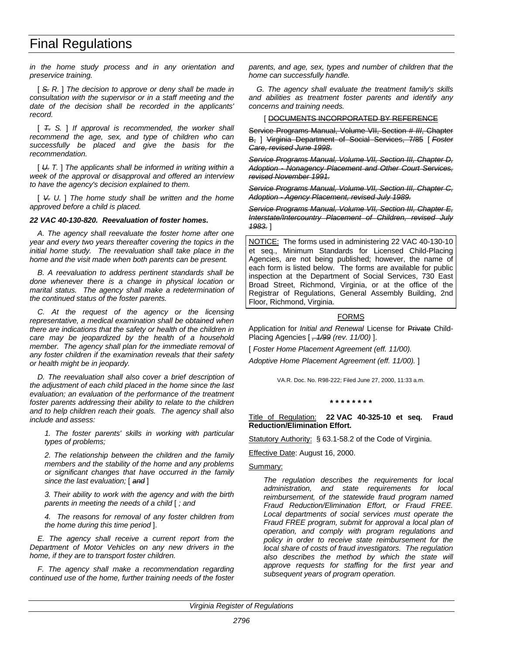# Final Regulations

*in the home study process and in any orientation and preservice training.*

[ *S. R.* ] *The decision to approve or deny shall be made in consultation with the supervisor or in a staff meeting and the date of the decision shall be recorded in the applicants' record.*

[ *T. S.* ] *If approval is recommended, the worker shall recommend the age, sex, and type of children who can successfully be placed and give the basis for the recommendation.*

[ *U. T.* ] *The applicants shall be informed in writing within a week of the approval or disapproval and offered an interview to have the agency's decision explained to them.*

[ *V. U.* ] *The home study shall be written and the home approved before a child is placed.*

#### *22 VAC 40-130-820. Reevaluation of foster homes.*

*A. The agency shall reevaluate the foster home after one year and every two years thereafter covering the topics in the initial home study. The reevaluation shall take place in the home and the visit made when both parents can be present.*

*B. A reevaluation to address pertinent standards shall be done whenever there is a change in physical location or marital status. The agency shall make a redetermination of the continued status of the foster parents.*

*C. At the request of the agency or the licensing representative, a medical examination shall be obtained when there are indications that the safety or health of the children in care may be jeopardized by the health of a household member. The agency shall plan for the immediate removal of any foster children if the examination reveals that their safety or health might be in jeopardy.*

*D. The reevaluation shall also cover a brief description of the adjustment of each child placed in the home since the last evaluation; an evaluation of the performance of the treatment foster parents addressing their ability to relate to the children and to help children reach their goals. The agency shall also include and assess:*

*1. The foster parents' skills in working with particular types of problems;*

*2. The relationship between the children and the family members and the stability of the home and any problems or significant changes that have occurred in the family since the last evaluation;* [ *and* ]

*3. Their ability to work with the agency and with the birth parents in meeting the needs of a child* [ *; and*

*4. The reasons for removal of any foster children from the home during this time period* ].

*E. The agency shall receive a current report from the Department of Motor Vehicles on any new drivers in the home, if they are to transport foster children.*

*F. The agency shall make a recommendation regarding continued use of the home, further training needs of the foster* *parents, and age, sex, types and number of children that the home can successfully handle.*

*G. The agency shall evaluate the treatment family's skills and abilities as treatment foster parents and identify any concerns and training needs.*

#### [ DOCUMENTS INCORPORATED BY REFERENCE

Service Programs Manual, Volume VII, Section # *III*, Chapter B, ] Virginia Department of Social Services, 7/85 [ *Foster Care, revised June 1998*.

*Service Programs Manual, Volume VII, Section III, Chapter D, Adoption - Nonagency Placement and Other Court Services, revised November 1991.*

*Service Programs Manual, Volume VII, Section III, Chapter C, Adoption - Agency Placement, revised July 1989.*

*Service Programs Manual, Volume VII, Section III, Chapter E, Interstate/Intercountry Placement of Children, revised July 1983.* ]

NOTICE: The forms used in administering 22 VAC 40-130-10 et seq., Minimum Standards for Licensed Child-Placing Agencies, are not being published; however, the name of each form is listed below. The forms are available for public inspection at the Department of Social Services, 730 East Broad Street, Richmond, Virginia, or at the office of the Registrar of Regulations, General Assembly Building, 2nd Floor, Richmond, Virginia.

#### FORMS

Application for *Initial and Renewal* License for Private Child-Placing Agencies [ *, 1/99 (rev. 11/00)* ].

[ *Foster Home Placement Agreement (eff. 11/00).*

*Adoptive Home Placement Agreement (eff. 11/00).* ]

VA.R. Doc. No. R98-222; Filed June 27, 2000, 11:33 a.m.

#### **\* \* \* \* \* \* \* \***

Title of Regulation: **22 VAC 40-325-10 et seq. Fraud Reduction/Elimination Effort.**

Statutory Authority: § 63.1-58.2 of the Code of Virginia.

Effective Date: August 16, 2000.

#### Summary:

*The regulation describes the requirements for local administration, and state requirements for local reimbursement, of the statewide fraud program named Fraud Reduction/Elimination Effort, or Fraud FREE. Local departments of social services must operate the Fraud FREE program, submit for approval a local plan of operation, and comply with program regulations and policy in order to receive state reimbursement for the local share of costs of fraud investigators. The regulation also describes the method by which the state will approve requests for staffing for the first year and subsequent years of program operation.*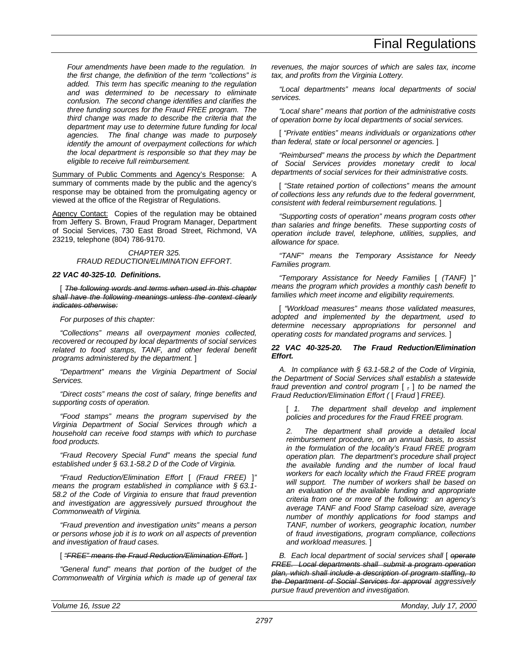*Four amendments have been made to the regulation. In the first change, the definition of the term "collections" is added. This term has specific meaning to the regulation and was determined to be necessary to eliminate confusion. The second change identifies and clarifies the three funding sources for the Fraud FREE program. The third change was made to describe the criteria that the department may use to determine future funding for local agencies. The final change was made to purposely identify the amount of overpayment collections for which the local department is responsible so that they may be eligible to receive full reimbursement.*

Summary of Public Comments and Agency's Response: A summary of comments made by the public and the agency's response may be obtained from the promulgating agency or viewed at the office of the Registrar of Regulations.

Agency Contact: Copies of the regulation may be obtained from Jeffery S. Brown, Fraud Program Manager, Department of Social Services, 730 East Broad Street, Richmond, VA 23219, telephone (804) 786-9170.

## *CHAPTER 325. FRAUD REDUCTION/ELIMINATION EFFORT.*

# *22 VAC 40-325-10. Definitions.*

[ *The following words and terms when used in this chapter shall have the following meanings unless the context clearly indicates otherwise:*

# *For purposes of this chapter:*

*"Collections" means all overpayment monies collected, recovered or recouped by local departments of social services related to food stamps, TANF, and other federal benefit programs administered by the department.* ]

*"Department" means the Virginia Department of Social Services.*

*"Direct costs" means the cost of salary, fringe benefits and supporting costs of operation.*

*"Food stamps" means the program supervised by the Virginia Department of Social Services through which a household can receive food stamps with which to purchase food products.*

*"Fraud Recovery Special Fund" means the special fund established under § 63.1-58.2 D of the Code of Virginia.*

*"Fraud Reduction/Elimination Effort* [ *(Fraud FREE)* ]*" means the program established in compliance with § 63.1- 58.2 of the Code of Virginia to ensure that fraud prevention and investigation are aggressively pursued throughout the Commonwealth of Virginia.*

*"Fraud prevention and investigation units" means a person or persons whose job it is to work on all aspects of prevention and investigation of fraud cases.*

# [ *"FREE" means the Fraud Reduction/Elimination Effort.* ]

*"General fund" means that portion of the budget of the Commonwealth of Virginia which is made up of general tax* *revenues, the major sources of which are sales tax, income tax, and profits from the Virginia Lottery.*

*"Local departments" means local departments of social services.*

*"Local share" means that portion of the administrative costs of operation borne by local departments of social services.*

[ *"Private entities" means individuals or organizations other than federal, state or local personnel or agencies.* ]

*"Reimbursed" means the process by which the Department of Social Services provides monetary credit to local departments of social services for their administrative costs.*

[ "State retained portion of collections" means the amount *of collections less any refunds due to the federal government, consistent with federal reimbursement regulations.* ]

*"Supporting costs of operation" means program costs other than salaries and fringe benefits. These supporting costs of operation include travel, telephone, utilities, supplies, and allowance for space.*

*"TANF" means the Temporary Assistance for Needy Families program.*

*"Temporary Assistance for Needy Families* [ *(TANF)* ]*" means the program which provides a monthly cash benefit to families which meet income and eligibility requirements.*

[ *"Workload measures" means those validated measures, adopted and implemented by the department, used to determine necessary appropriations for personnel and operating costs for mandated programs and services.* ]

## *22 VAC 40-325-20. The Fraud Reduction/Elimination Effort.*

*A. In compliance with § 63.1-58.2 of the Code of Virginia, the Department of Social Services shall establish a statewide fraud prevention and control program* [ *,* ] *to be named the Fraud Reduction/Elimination Effort (* [ *Fraud* ] *FREE).*

[ *1. The department shall develop and implement policies and procedures for the Fraud FREE program.*

*2. The department shall provide a detailed local reimbursement procedure, on an annual basis, to assist in the formulation of the locality's Fraud FREE program operation plan. The department's procedure shall project the available funding and the number of local fraud workers for each locality which the Fraud FREE program will support. The number of workers shall be based on an evaluation of the available funding and appropriate criteria from one or more of the following: an agency's average TANF and Food Stamp caseload size, average number of monthly applications for food stamps and TANF, number of workers, geographic location, number of fraud investigations, program compliance, collections and workload measures.* ]

*B. Each local department of social services shall* [ *operate FREE. Local departments shall submit a program operation plan, which shall include a description of program staffing, to the Department of Social Services for approval aggressively pursue fraud prevention and investigation.*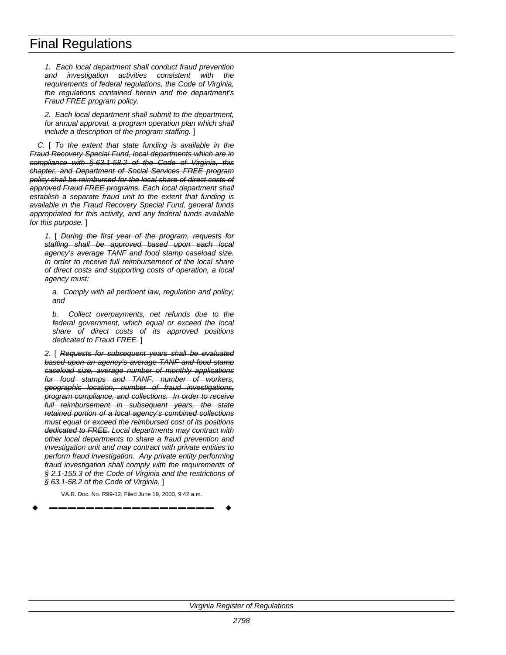# Final Regulations

*1. Each local department shall conduct fraud prevention and investigation activities consistent with the requirements of federal regulations, the Code of Virginia, the regulations contained herein and the department's Fraud FREE program policy.*

*2. Each local department shall submit to the department, for annual approval, a program operation plan which shall include a description of the program staffing.* ]

*C.* [ *To the extent that state funding is available in the Fraud Recovery Special Fund, local departments which are in compliance with § 63.1-58.2 of the Code of Virginia, this chapter, and Department of Social Services FREE program policy shall be reimbursed for the local share of direct costs of approved Fraud FREE programs. Each local department shall establish a separate fraud unit to the extent that funding is available in the Fraud Recovery Special Fund, general funds appropriated for this activity, and any federal funds available for this purpose.* ]

*1.* [ *During the first year of the program, requests for staffing shall be approved based upon each local agency's average TANF and food stamp caseload size. In order to receive full reimbursement of the local share of direct costs and supporting costs of operation, a local agency must:*

*a. Comply with all pertinent law, regulation and policy; and*

*b. Collect overpayments, net refunds due to the federal government, which equal or exceed the local share of direct costs of its approved positions dedicated to Fraud FREE.* ]

*2.* [ *Requests for subsequent years shall be evaluated based upon an agency's average TANF and food stamp caseload size, average number of monthly applications for food stamps and TANF, number of workers, geographic location, number of fraud investigations, program compliance, and collections. In order to receive full reimbursement in subsequent years, the state retained portion of a local agency's combined collections must equal or exceed the reimbursed cost of its positions dedicated to FREE. Local departments may contract with other local departments to share a fraud prevention and investigation unit and may contract with private entities to perform fraud investigation. Any private entity performing fraud investigation shall comply with the requirements of § 2.1-155.3 of the Code of Virginia and the restrictions of § 63.1-58.2 of the Code of Virginia.* ]

VA.R. Doc. No. R99-12; Filed June 19, 2000, 9:42 a.m.

w **––––––––––––––––––** w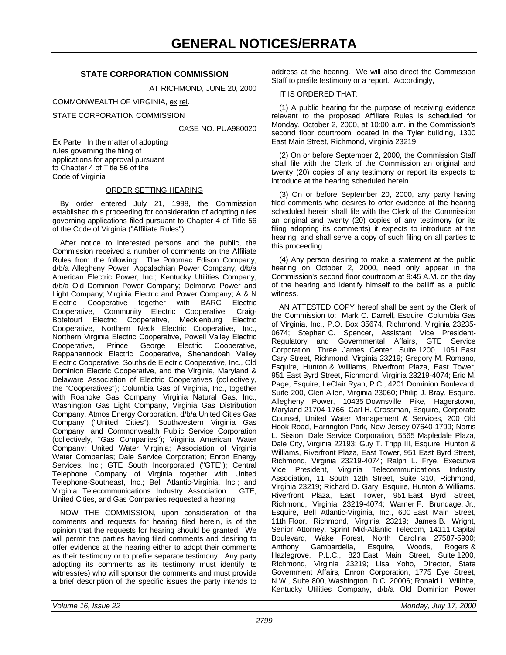# **GENERAL NOTICES/ERRATA**

## **STATE CORPORATION COMMISSION**

AT RICHMOND, JUNE 20, 2000

COMMONWEALTH OF VIRGINIA, ex rel.

STATE CORPORATION COMMISSION

CASE NO. PUA980020

Ex Parte: In the matter of adopting rules governing the filing of applications for approval pursuant to Chapter 4 of Title 56 of the Code of Virginia

#### ORDER SETTING HEARING

By order entered July 21, 1998, the Commission established this proceeding for consideration of adopting rules governing applications filed pursuant to Chapter 4 of Title 56 of the Code of Virginia ("Affiliate Rules").

After notice to interested persons and the public, the Commission received a number of comments on the Affiliate Rules from the following: The Potomac Edison Company, d/b/a Allegheny Power; Appalachian Power Company, d/b/a American Electric Power, Inc.; Kentucky Utilities Company, d/b/a Old Dominion Power Company; Delmarva Power and Light Company; Virginia Electric and Power Company; A & N Electric Cooperative together with BARC Electric Cooperative, Community Electric Cooperative, Craig-Botetourt Electric Cooperative, Mecklenburg Electric Cooperative, Northern Neck Electric Cooperative, Inc., Northern Virginia Electric Cooperative, Powell Valley Electric Cooperative, Prince George Electric Cooperative, Rappahannock Electric Cooperative, Shenandoah Valley Electric Cooperative, Southside Electric Cooperative, Inc., Old Dominion Electric Cooperative, and the Virginia, Maryland & Delaware Association of Electric Cooperatives (collectively, the "Cooperatives"); Columbia Gas of Virginia, Inc., together with Roanoke Gas Company, Virginia Natural Gas, Inc., Washington Gas Light Company, Virginia Gas Distribution Company, Atmos Energy Corporation, d/b/a United Cities Gas Company ("United Cities"), Southwestern Virginia Gas Company, and Commonwealth Public Service Corporation (collectively, "Gas Companies"); Virginia American Water Company; United Water Virginia; Association of Virginia Water Companies; Dale Service Corporation; Enron Energy Services, Inc.; GTE South Incorporated ("GTE"); Central Telephone Company of Virginia together with United Telephone-Southeast, Inc.; Bell Atlantic-Virginia, Inc.; and Virginia Telecommunications Industry Association. GTE, United Cities, and Gas Companies requested a hearing.

NOW THE COMMISSION, upon consideration of the comments and requests for hearing filed herein, is of the opinion that the requests for hearing should be granted. We will permit the parties having filed comments and desiring to offer evidence at the hearing either to adopt their comments as their testimony or to prefile separate testimony. Any party adopting its comments as its testimony must identify its witness(es) who will sponsor the comments and must provide a brief description of the specific issues the party intends to address at the hearing. We will also direct the Commission Staff to prefile testimony or a report. Accordingly,

IT IS ORDERED THAT:

(1) A public hearing for the purpose of receiving evidence relevant to the proposed Affiliate Rules is scheduled for Monday, October 2, 2000, at 10:00 a.m. in the Commission's second floor courtroom located in the Tyler building, 1300 East Main Street, Richmond, Virginia 23219.

(2) On or before September 2, 2000, the Commission Staff shall file with the Clerk of the Commission an original and twenty (20) copies of any testimony or report its expects to introduce at the hearing scheduled herein.

(3) On or before September 20, 2000, any party having filed comments who desires to offer evidence at the hearing scheduled herein shall file with the Clerk of the Commission an original and twenty (20) copies of any testimony (or its filing adopting its comments) it expects to introduce at the hearing, and shall serve a copy of such filing on all parties to this proceeding.

(4) Any person desiring to make a statement at the public hearing on October 2, 2000, need only appear in the Commission's second floor courtroom at 9:45 A.M. on the day of the hearing and identify himself to the bailiff as a public witness.

AN ATTESTED COPY hereof shall be sent by the Clerk of the Commission to: Mark C. Darrell, Esquire, Columbia Gas of Virginia, Inc., P.O. Box 35674, Richmond, Virginia 23235- 0674; Stephen C. Spencer, Assistant Vice President-Regulatory and Governmental Affairs, GTE Service Corporation, Three James Center, Suite 1200, 1051 East Cary Street, Richmond, Virginia 23219; Gregory M. Romano, Esquire, Hunton & Williams, Riverfront Plaza, East Tower, 951 East Byrd Street, Richmond, Virginia 23219-4074; Eric M. Page, Esquire, LeClair Ryan, P.C., 4201 Dominion Boulevard, Suite 200, Glen Allen, Virginia 23060; Philip J. Bray, Esquire, Allegheny Power, 10435 Downsville Pike, Hagerstown, Maryland 21704-1766; Carl H. Grossman, Esquire, Corporate Counsel, United Water Management & Services, 200 Old Hook Road, Harrington Park, New Jersey 07640-1799; Norris L. Sisson, Dale Service Corporation, 5565 Mapledale Plaza, Dale City, Virginia 22193; Guy T. Tripp III, Esquire, Hunton & Williams, Riverfront Plaza, East Tower, 951 East Byrd Street, Richmond, Virginia 23219-4074; Ralph L. Frye, Executive Vice President, Virginia Telecommunications Industry Association, 11 South 12th Street, Suite 310, Richmond, Virginia 23219; Richard D. Gary, Esquire, Hunton & Williams, Riverfront Plaza, East Tower, 951 East Byrd Street, Richmond, Virginia 23219-4074; Warner F. Brundage, Jr., Esquire, Bell Atlantic-Virginia, Inc., 600 East Main Street, 11th Floor, Richmond, Virginia 23219; James B. Wright, Senior Attorney, Sprint Mid-Atlantic Telecom, 14111 Capital Boulevard, Wake Forest, North Carolina 27587-5900; Gambardella, Esquire, Woods, Rogers & Hazlegrove, P.L.C., 823 East Main Street, Suite 1200, Richmond, Virginia 23219; Lisa Yoho, Director, State Government Affairs, Enron Corporation, 1775 Eye Street, N.W., Suite 800, Washington, D.C. 20006; Ronald L. Willhite, Kentucky Utilities Company, d/b/a Old Dominion Power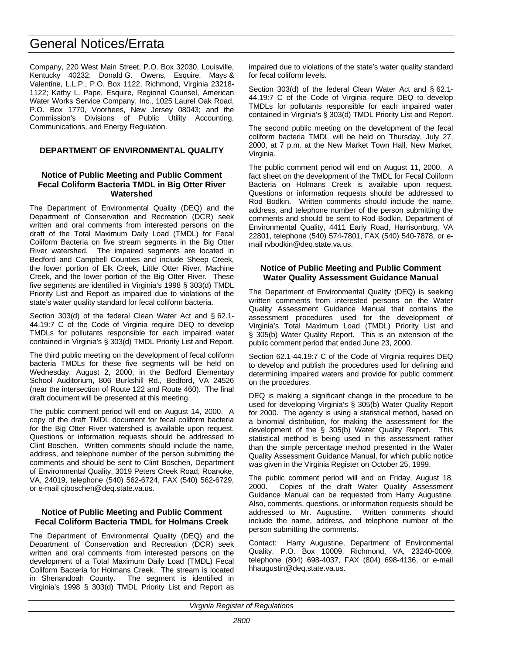# General Notices/Errata

Company, 220 West Main Street, P.O. Box 32030, Louisville, Kentucky 40232; Donald G. Owens, Esquire, Mays & Valentine, L.L.P., P.O. Box 1122, Richmond, Virginia 23218- 1122; Kathy L. Pape, Esquire, Regional Counsel, American Water Works Service Company, Inc., 1025 Laurel Oak Road, P.O. Box 1770, Voorhees, New Jersey 08043; and the Commission's Divisions of Public Utility Accounting, Communications, and Energy Regulation.

# **DEPARTMENT OF ENVIRONMENTAL QUALITY**

## **Notice of Public Meeting and Public Comment Fecal Coliform Bacteria TMDL in Big Otter River Watershed**

The Department of Environmental Quality (DEQ) and the Department of Conservation and Recreation (DCR) seek written and oral comments from interested persons on the draft of the Total Maximum Daily Load (TMDL) for Fecal Coliform Bacteria on five stream segments in the Big Otter River watershed. The impaired segments are located in Bedford and Campbell Counties and include Sheep Creek, the lower portion of Elk Creek, Little Otter River, Machine Creek, and the lower portion of the Big Otter River. These five segments are identified in Virginia's 1998 § 303(d) TMDL Priority List and Report as impaired due to violations of the state's water quality standard for fecal coliform bacteria.

Section 303(d) of the federal Clean Water Act and § 62.1- 44.19:7 C of the Code of Virginia require DEQ to develop TMDLs for pollutants responsible for each impaired water contained in Virginia's § 303(d) TMDL Priority List and Report.

The third public meeting on the development of fecal coliform bacteria TMDLs for these five segments will be held on Wednesday, August 2, 2000, in the Bedford Elementary School Auditorium, 806 Burkshill Rd., Bedford, VA 24526 (near the intersection of Route 122 and Route 460). The final draft document will be presented at this meeting.

The public comment period will end on August 14, 2000. A copy of the draft TMDL document for fecal coliform bacteria for the Big Otter River watershed is available upon request. Questions or information requests should be addressed to Clint Boschen. Written comments should include the name, address, and telephone number of the person submitting the comments and should be sent to Clint Boschen, Department of Environmental Quality, 3019 Peters Creek Road, Roanoke, VA, 24019, telephone (540) 562-6724, FAX (540) 562-6729, or e-mail cjboschen@deq.state.va.us.

# **Notice of Public Meeting and Public Comment Fecal Coliform Bacteria TMDL for Holmans Creek**

The Department of Environmental Quality (DEQ) and the Department of Conservation and Recreation (DCR) seek written and oral comments from interested persons on the development of a Total Maximum Daily Load (TMDL) Fecal Coliform Bacteria for Holmans Creek. The stream is located in Shenandoah County. The segment is identified in Virginia's 1998 § 303(d) TMDL Priority List and Report as

impaired due to violations of the state's water quality standard for fecal coliform levels.

Section 303(d) of the federal Clean Water Act and § 62.1- 44.19:7 C of the Code of Virginia require DEQ to develop TMDLs for pollutants responsible for each impaired water contained in Virginia's § 303(d) TMDL Priority List and Report.

The second public meeting on the development of the fecal coliform bacteria TMDL will be held on Thursday, July 27, 2000, at 7 p.m. at the New Market Town Hall, New Market, Virginia.

The public comment period will end on August 11, 2000. A fact sheet on the development of the TMDL for Fecal Coliform Bacteria on Holmans Creek is available upon request. Questions or information requests should be addressed to Rod Bodkin. Written comments should include the name, address, and telephone number of the person submitting the comments and should be sent to Rod Bodkin, Department of Environmental Quality, 4411 Early Road, Harrisonburg, VA 22801, telephone (540) 574-7801, FAX (540) 540-7878, or email rvbodkin@deq.state.va.us.

## **Notice of Public Meeting and Public Comment Water Quality Assessment Guidance Manual**

The Department of Environmental Quality (DEQ) is seeking written comments from interested persons on the Water Quality Assessment Guidance Manual that contains the assessment procedures used for the development of Virginia's Total Maximum Load (TMDL) Priority List and § 305(b) Water Quality Report. This is an extension of the public comment period that ended June 23, 2000.

Section 62.1-44.19:7 C of the Code of Virginia requires DEQ to develop and publish the procedures used for defining and determining impaired waters and provide for public comment on the procedures.

DEQ is making a significant change in the procedure to be used for developing Virginia's § 305(b) Water Quality Report for 2000. The agency is using a statistical method, based on a binomial distribution, for making the assessment for the development of the § 305(b) Water Quality Report. This statistical method is being used in this assessment rather than the simple percentage method presented in the Water Quality Assessment Guidance Manual, for which public notice was given in the Virginia Register on October 25, 1999.

The public comment period will end on Friday, August 18, 2000. Copies of the draft Water Quality Assessment Copies of the draft Water Quality Assessment Guidance Manual can be requested from Harry Augustine. Also, comments, questions, or information requests should be addressed to Mr. Augustine. Written comments should include the name, address, and telephone number of the person submitting the comments.

Contact: Harry Augustine, Department of Environmental Quality, P.O. Box 10009, Richmond, VA, 23240-0009, telephone (804) 698-4037, FAX (804) 698-4136, or e-mail hhaugustin@deq.state.va.us.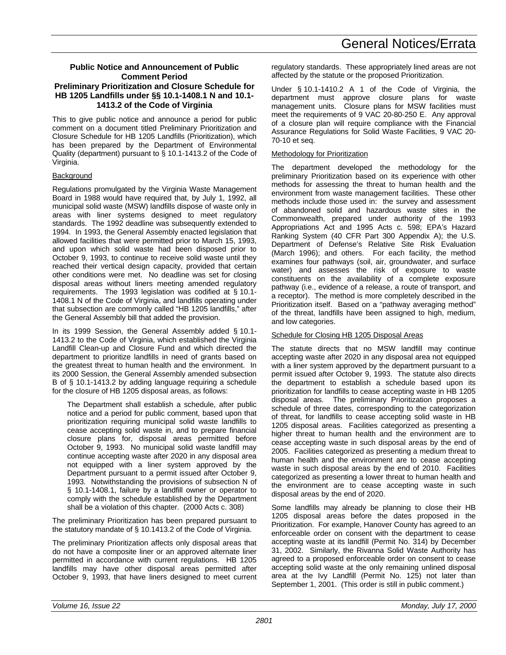## **Public Notice and Announcement of Public Comment Period Preliminary Prioritization and Closure Schedule for HB 1205 Landfills under §§ 10.1-1408.1 N and 10.1- 1413.2 of the Code of Virginia**

This to give public notice and announce a period for public comment on a document titled Preliminary Prioritization and Closure Schedule for HB 1205 Landfills (Prioritization), which has been prepared by the Department of Environmental Quality (department) pursuant to § 10.1-1413.2 of the Code of Virginia.

# **Background**

Regulations promulgated by the Virginia Waste Management Board in 1988 would have required that, by July 1, 1992, all municipal solid waste (MSW) landfills dispose of waste only in areas with liner systems designed to meet regulatory standards. The 1992 deadline was subsequently extended to 1994. In 1993, the General Assembly enacted legislation that allowed facilities that were permitted prior to March 15, 1993, and upon which solid waste had been disposed prior to October 9, 1993, to continue to receive solid waste until they reached their vertical design capacity, provided that certain other conditions were met. No deadline was set for closing disposal areas without liners meeting amended regulatory requirements. The 1993 legislation was codified at § 10.1- 1408.1 N of the Code of Virginia, and landfills operating under that subsection are commonly called "HB 1205 landfills," after the General Assembly bill that added the provision.

In its 1999 Session, the General Assembly added § 10.1- 1413.2 to the Code of Virginia, which established the Virginia Landfill Clean-up and Closure Fund and which directed the department to prioritize landfills in need of grants based on the greatest threat to human health and the environment. In its 2000 Session, the General Assembly amended subsection B of § 10.1-1413.2 by adding language requiring a schedule for the closure of HB 1205 disposal areas, as follows:

The Department shall establish a schedule, after public notice and a period for public comment, based upon that prioritization requiring municipal solid waste landfills to cease accepting solid waste in, and to prepare financial closure plans for, disposal areas permitted before October 9, 1993. No municipal solid waste landfill may continue accepting waste after 2020 in any disposal area not equipped with a liner system approved by the Department pursuant to a permit issued after October 9, 1993. Notwithstanding the provisions of subsection N of § 10.1-1408.1, failure by a landfill owner or operator to comply with the schedule established by the Department shall be a violation of this chapter. (2000 Acts c. 308)

The preliminary Prioritization has been prepared pursuant to the statutory mandate of § 10.1413.2 of the Code of Virginia.

The preliminary Prioritization affects only disposal areas that do not have a composite liner or an approved alternate liner permitted in accordance with current regulations. HB 1205 landfills may have other disposal areas permitted after October 9, 1993, that have liners designed to meet current regulatory standards. These appropriately lined areas are not affected by the statute or the proposed Prioritization.

Under § 10.1-1410.2 A 1 of the Code of Virginia, the department must approve closure plans for waste management units. Closure plans for MSW facilities must meet the requirements of 9 VAC 20-80-250 E. Any approval of a closure plan will require compliance with the Financial Assurance Regulations for Solid Waste Facilities, 9 VAC 20- 70-10 et seq.

# Methodology for Prioritization

The department developed the methodology for the preliminary Prioritization based on its experience with other methods for assessing the threat to human health and the environment from waste management facilities. These other methods include those used in: the survey and assessment of abandoned solid and hazardous waste sites in the Commonwealth, prepared under authority of the 1993 Appropriations Act and 1995 Acts c. 598; EPA's Hazard Ranking System (40 CFR Part 300 Appendix A); the U.S. Department of Defense's Relative Site Risk Evaluation (March 1996); and others. For each facility, the method examines four pathways (soil, air, groundwater, and surface water) and assesses the risk of exposure to waste constituents on the availability of a complete exposure pathway (i.e., evidence of a release, a route of transport, and a receptor). The method is more completely described in the Prioritization itself. Based on a "pathway averaging method" of the threat, landfills have been assigned to high, medium, and low categories.

# Schedule for Closing HB 1205 Disposal Areas

The statute directs that no MSW landfill may continue accepting waste after 2020 in any disposal area not equipped with a liner system approved by the department pursuant to a permit issued after October 9, 1993. The statute also directs the department to establish a schedule based upon its prioritization for landfills to cease accepting waste in HB 1205 disposal areas. The preliminary Prioritization proposes a schedule of three dates, corresponding to the categorization of threat, for landfills to cease accepting solid waste in HB 1205 disposal areas. Facilities categorized as presenting a higher threat to human health and the environment are to cease accepting waste in such disposal areas by the end of 2005. Facilities categorized as presenting a medium threat to human health and the environment are to cease accepting waste in such disposal areas by the end of 2010. Facilities categorized as presenting a lower threat to human health and the environment are to cease accepting waste in such disposal areas by the end of 2020.

Some landfills may already be planning to close their HB 1205 disposal areas before the dates proposed in the Prioritization. For example, Hanover County has agreed to an enforceable order on consent with the department to cease accepting waste at its landfill (Permit No. 314) by December 31, 2002. Similarly, the Rivanna Solid Waste Authority has agreed to a proposed enforceable order on consent to cease accepting solid waste at the only remaining unlined disposal area at the Ivy Landfill (Permit No. 125) not later than September 1, 2001. (This order is still in public comment.)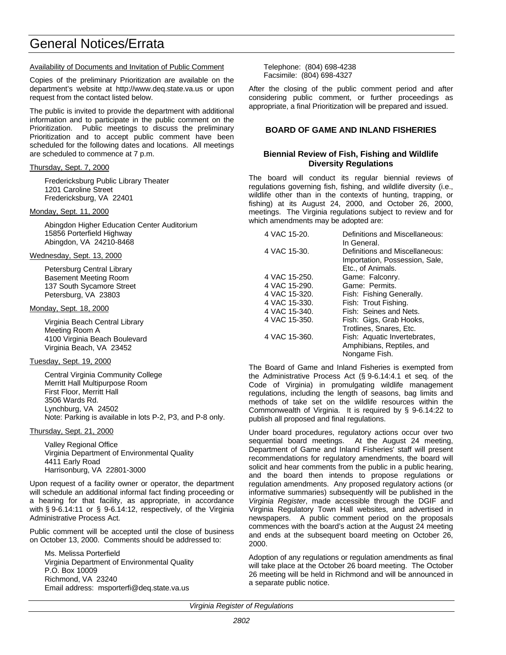# General Notices/Errata

#### Availability of Documents and Invitation of Public Comment

Copies of the preliminary Prioritization are available on the department's website at http://www.deq.state.va.us or upon request from the contact listed below.

The public is invited to provide the department with additional information and to participate in the public comment on the Prioritization. Public meetings to discuss the preliminary Prioritization and to accept public comment have been scheduled for the following dates and locations. All meetings are scheduled to commence at 7 p.m.

#### Thursday, Sept. 7, 2000

Fredericksburg Public Library Theater 1201 Caroline Street Fredericksburg, VA 22401

#### Monday, Sept. 11, 2000

Abingdon Higher Education Center Auditorium 15856 Porterfield Highway Abingdon, VA 24210-8468

#### Wednesday, Sept. 13, 2000

Petersburg Central Library Basement Meeting Room 137 South Sycamore Street Petersburg, VA 23803

#### Monday, Sept. 18, 2000

Virginia Beach Central Library Meeting Room A 4100 Virginia Beach Boulevard Virginia Beach, VA 23452

#### Tuesday, Sept. 19, 2000

Central Virginia Community College Merritt Hall Multipurpose Room First Floor, Merritt Hall 3506 Wards Rd. Lynchburg, VA 24502 Note: Parking is available in lots P-2, P3, and P-8 only.

#### Thursday, Sept. 21, 2000

Valley Regional Office Virginia Department of Environmental Quality 4411 Early Road Harrisonburg, VA 22801-3000

Upon request of a facility owner or operator, the department will schedule an additional informal fact finding proceeding or a hearing for that facility, as appropriate, in accordance with § 9-6.14:11 or § 9-6.14:12, respectively, of the Virginia Administrative Process Act.

Public comment will be accepted until the close of business on October 13, 2000. Comments should be addressed to:

Ms. Melissa Porterfield Virginia Department of Environmental Quality P.O. Box 10009 Richmond, VA 23240 Email address: msporterfi@deq.state.va.us

Telephone: (804) 698-4238 Facsimile: (804) 698-4327

After the closing of the public comment period and after considering public comment, or further proceedings as appropriate, a final Prioritization will be prepared and issued.

## **BOARD OF GAME AND INLAND FISHERIES**

# **Biennial Review of Fish, Fishing and Wildlife Diversity Regulations**

The board will conduct its regular biennial reviews of regulations governing fish, fishing, and wildlife diversity (i.e., wildlife other than in the contexts of hunting, trapping, or fishing) at its August 24, 2000, and October 26, 2000, meetings. The Virginia regulations subject to review and for which amendments may be adopted are:

| 4 VAC 15-20.  | Definitions and Miscellaneous:<br>In General.                                         |
|---------------|---------------------------------------------------------------------------------------|
| 4 VAC 15-30.  | Definitions and Miscellaneous:<br>Importation, Possession, Sale,<br>Etc., of Animals. |
| 4 VAC 15-250. | Game: Falconry.                                                                       |
| 4 VAC 15-290. | Game: Permits.                                                                        |
| 4 VAC 15-320. | Fish: Fishing Generally.                                                              |
| 4 VAC 15-330. | Fish: Trout Fishing.                                                                  |
| 4 VAC 15-340. | Fish: Seines and Nets.                                                                |
| 4 VAC 15-350. | Fish: Gigs, Grab Hooks,                                                               |
|               | Trotlines, Snares, Etc.                                                               |
| 4 VAC 15-360. | Fish: Aquatic Invertebrates,<br>Amphibians, Reptiles, and<br>Nongame Fish.            |

The Board of Game and Inland Fisheries is exempted from the Administrative Process Act (§ 9-6.14:4.1 et seq. of the Code of Virginia) in promulgating wildlife management regulations, including the length of seasons, bag limits and methods of take set on the wildlife resources within the Commonwealth of Virginia. It is required by § 9-6.14:22 to publish all proposed and final regulations.

Under board procedures, regulatory actions occur over two sequential board meetings. At the August 24 meeting, Department of Game and Inland Fisheries' staff will present recommendations for regulatory amendments, the board will solicit and hear comments from the public in a public hearing, and the board then intends to propose regulations or regulation amendments. Any proposed regulatory actions (or informative summaries) subsequently will be published in the *Virginia Register*, made accessible through the DGIF and Virginia Regulatory Town Hall websites, and advertised in newspapers. A public comment period on the proposals commences with the board's action at the August 24 meeting and ends at the subsequent board meeting on October 26, 2000.

Adoption of any regulations or regulation amendments as final will take place at the October 26 board meeting. The October 26 meeting will be held in Richmond and will be announced in a separate public notice.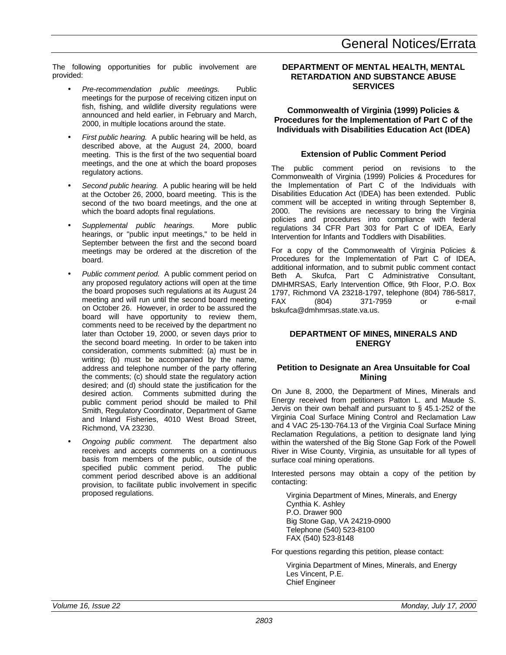The following opportunities for public involvement are provided:

- *Pre-recommendation public meetings.* Public meetings for the purpose of receiving citizen input on fish, fishing, and wildlife diversity regulations were announced and held earlier, in February and March, 2000, in multiple locations around the state.
- *First public hearing.* A public hearing will be held, as described above, at the August 24, 2000, board meeting. This is the first of the two sequential board meetings, and the one at which the board proposes regulatory actions.
- Second public hearing. A public hearing will be held at the October 26, 2000, board meeting. This is the second of the two board meetings, and the one at which the board adopts final regulations.
- *Supplemental public hearings.* More public hearings, or "public input meetings," to be held in September between the first and the second board meetings may be ordered at the discretion of the board.
- *Public comment period.* A public comment period on any proposed regulatory actions will open at the time the board proposes such regulations at its August 24 meeting and will run until the second board meeting on October 26. However, in order to be assured the board will have opportunity to review them, comments need to be received by the department no later than October 19, 2000, or seven days prior to the second board meeting. In order to be taken into consideration, comments submitted: (a) must be in writing; (b) must be accompanied by the name, address and telephone number of the party offering the comments; (c) should state the regulatory action desired; and (d) should state the justification for the desired action. Comments submitted during the public comment period should be mailed to Phil Smith, Regulatory Coordinator, Department of Game and Inland Fisheries, 4010 West Broad Street, Richmond, VA 23230.
- *Ongoing public comment.* The department also receives and accepts comments on a continuous basis from members of the public, outside of the specified public comment period. The public comment period described above is an additional provision, to facilitate public involvement in specific proposed regulations.

# **DEPARTMENT OF MENTAL HEALTH, MENTAL RETARDATION AND SUBSTANCE ABUSE SERVICES**

# **Commonwealth of Virginia (1999) Policies & Procedures for the Implementation of Part C of the Individuals with Disabilities Education Act (IDEA)**

# **Extension of Public Comment Period**

The public comment period on revisions to the Commonwealth of Virginia (1999) Policies & Procedures for the Implementation of Part C of the Individuals with Disabilities Education Act (IDEA) has been extended. Public comment will be accepted in writing through September 8, 2000. The revisions are necessary to bring the Virginia policies and procedures into compliance with federal regulations 34 CFR Part 303 for Part C of IDEA, Early Intervention for Infants and Toddlers with Disabilities.

For a copy of the Commonwealth of Virginia Policies & Procedures for the Implementation of Part C of IDEA, additional information, and to submit public comment contact Beth A. Skufca, Part C Administrative Consultant, DMHMRSAS, Early Intervention Office, 9th Floor, P.O. Box 1797, Richmond VA 23218-1797, telephone (804) 786-5817, FAX (804) 371-7959 or e-mail bskufca@dmhmrsas.state.va.us.

# **DEPARTMENT OF MINES, MINERALS AND ENERGY**

# **Petition to Designate an Area Unsuitable for Coal Mining**

On June 8, 2000, the Department of Mines, Minerals and Energy received from petitioners Patton L. and Maude S. Jervis on their own behalf and pursuant to § 45.1-252 of the Virginia Coal Surface Mining Control and Reclamation Law and 4 VAC 25-130-764.13 of the Virginia Coal Surface Mining Reclamation Regulations, a petition to designate land lying within the watershed of the Big Stone Gap Fork of the Powell River in Wise County, Virginia, as unsuitable for all types of surface coal mining operations.

Interested persons may obtain a copy of the petition by contacting:

Virginia Department of Mines, Minerals, and Energy Cynthia K. Ashley P.O. Drawer 900 Big Stone Gap, VA 24219-0900 Telephone (540) 523-8100 FAX (540) 523-8148

For questions regarding this petition, please contact:

Virginia Department of Mines, Minerals, and Energy Les Vincent, P.E. Chief Engineer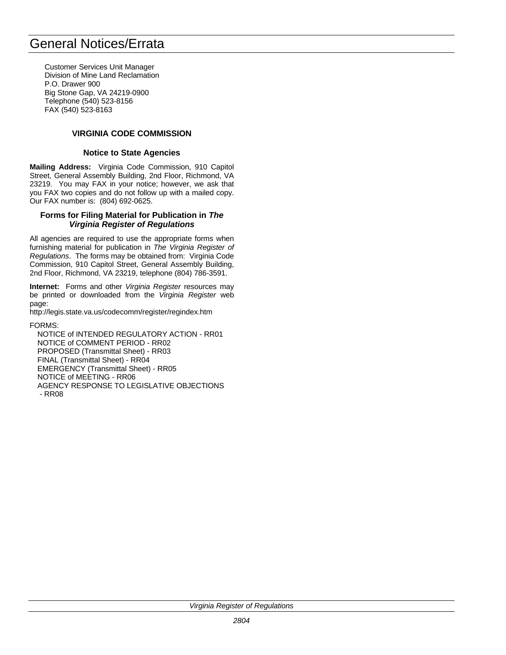# General Notices/Errata

Customer Services Unit Manager Division of Mine Land Reclamation P.O. Drawer 900 Big Stone Gap, VA 24219-0900 Telephone (540) 523-8156 FAX (540) 523-8163

# **VIRGINIA CODE COMMISSION**

#### **Notice to State Agencies**

**Mailing Address:** Virginia Code Commission, 910 Capitol Street, General Assembly Building, 2nd Floor, Richmond, VA 23219. You may FAX in your notice; however, we ask that you FAX two copies and do not follow up with a mailed copy. Our FAX number is: (804) 692-0625.

#### **Forms for Filing Material for Publication in** *The Virginia Register of Regulations*

All agencies are required to use the appropriate forms when furnishing material for publication in *The Virginia Register of Regulations*. The forms may be obtained from: Virginia Code Commission, 910 Capitol Street, General Assembly Building, 2nd Floor, Richmond, VA 23219, telephone (804) 786-3591.

**Internet:** Forms and other *Virginia Register* resources may be printed or downloaded from the *Virginia Register* web page:

http://legis.state.va.us/codecomm/register/regindex.htm

#### FORMS:

NOTICE of INTENDED REGULATORY ACTION - RR01 NOTICE of COMMENT PERIOD - RR02 PROPOSED (Transmittal Sheet) - RR03 FINAL (Transmittal Sheet) - RR04 EMERGENCY (Transmittal Sheet) - RR05 NOTICE of MEETING - RR06 AGENCY RESPONSE TO LEGISLATIVE OBJECTIONS - RR08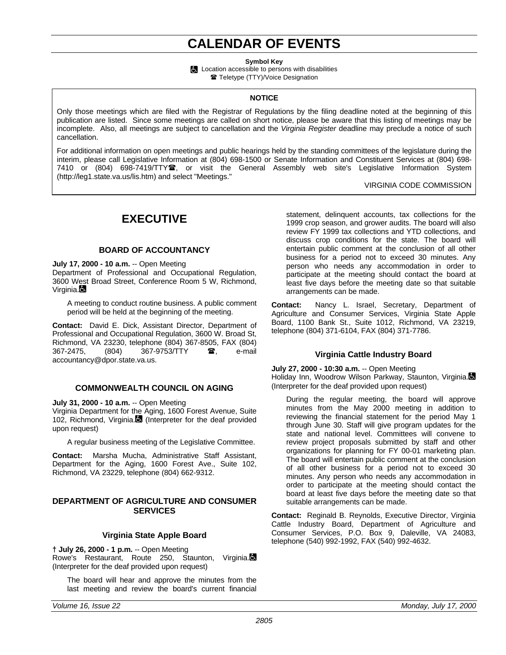# **CALENDAR OF EVENTS**

**Symbol Key**

**Location accessible to persons with disabilities ■ Teletype (TTY)/Voice Designation** 

#### **NOTICE**

Only those meetings which are filed with the Registrar of Regulations by the filing deadline noted at the beginning of this publication are listed. Since some meetings are called on short notice, please be aware that this listing of meetings may be incomplete. Also, all meetings are subject to cancellation and the *Virginia Register* deadline may preclude a notice of such cancellation.

For additional information on open meetings and public hearings held by the standing committees of the legislature during the interim, please call Legislative Information at (804) 698-1500 or Senate Information and Constituent Services at (804) 698- 7410 or (804) 698-7419/TTY雪, or visit the General Assembly web site's Legislative Information System (http://leg1.state.va.us/lis.htm) and select "Meetings."

#### VIRGINIA CODE COMMISSION

# **EXECUTIVE**

# **BOARD OF ACCOUNTANCY**

**July 17, 2000 - 10 a.m.** -- Open Meeting Department of Professional and Occupational Regulation, 3600 West Broad Street, Conference Room 5 W, Richmond, Virginia.

A meeting to conduct routine business. A public comment period will be held at the beginning of the meeting.

**Contact:** David E. Dick, Assistant Director, Department of Professional and Occupational Regulation, 3600 W. Broad St, Richmond, VA 23230, telephone (804) 367-8505, FAX (804) 367-2475, (804) 367-9753/TTY **雷**, e-mail accountancy@dpor.state.va.us.

## **COMMONWEALTH COUNCIL ON AGING**

**July 31, 2000 - 10 a.m.** -- Open Meeting

Virginia Department for the Aging, 1600 Forest Avenue, Suite 102. Richmond, Virginia. (Interpreter for the deaf provided upon request)

A regular business meeting of the Legislative Committee.

**Contact:** Marsha Mucha, Administrative Staff Assistant, Department for the Aging, 1600 Forest Ave., Suite 102, Richmond, VA 23229, telephone (804) 662-9312.

#### **DEPARTMENT OF AGRICULTURE AND CONSUMER SERVICES**

#### **Virginia State Apple Board**

**† July 26, 2000 - 1 p.m.** -- Open Meeting Rowe's Restaurant, Route 250, Staunton, Virginia. (Interpreter for the deaf provided upon request)

The board will hear and approve the minutes from the last meeting and review the board's current financial

statement, delinquent accounts, tax collections for the 1999 crop season, and grower audits. The board will also review FY 1999 tax collections and YTD collections, and discuss crop conditions for the state. The board will entertain public comment at the conclusion of all other business for a period not to exceed 30 minutes. Any person who needs any accommodation in order to participate at the meeting should contact the board at least five days before the meeting date so that suitable arrangements can be made.

**Contact:** Nancy L. Israel, Secretary, Department of Agriculture and Consumer Services, Virginia State Apple Board, 1100 Bank St., Suite 1012, Richmond, VA 23219, telephone (804) 371-6104, FAX (804) 371-7786.

## **Virginia Cattle Industry Board**

#### **July 27, 2000 - 10:30 a.m.** -- Open Meeting

Holiday Inn, Woodrow Wilson Parkway, Staunton, Virginia. (Interpreter for the deaf provided upon request)

During the regular meeting, the board will approve minutes from the May 2000 meeting in addition to reviewing the financial statement for the period May 1 through June 30. Staff will give program updates for the state and national level. Committees will convene to review project proposals submitted by staff and other organizations for planning for FY 00-01 marketing plan. The board will entertain public comment at the conclusion of all other business for a period not to exceed 30 minutes. Any person who needs any accommodation in order to participate at the meeting should contact the board at least five days before the meeting date so that suitable arrangements can be made.

**Contact:** Reginald B. Reynolds, Executive Director, Virginia Cattle Industry Board, Department of Agriculture and Consumer Services, P.O. Box 9, Daleville, VA 24083, telephone (540) 992-1992, FAX (540) 992-4632.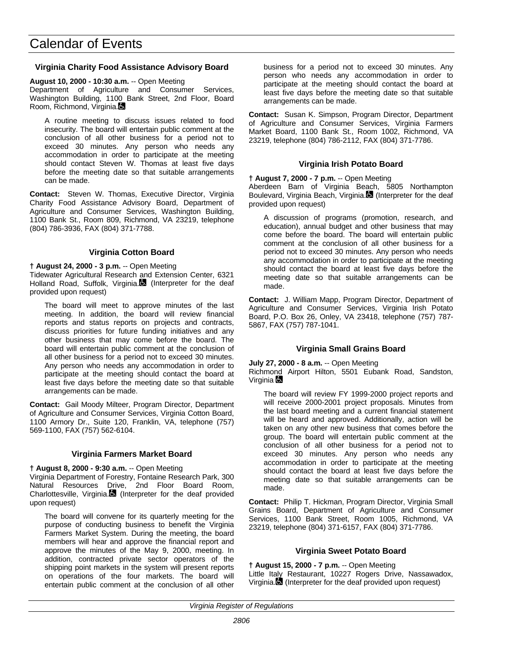## **Virginia Charity Food Assistance Advisory Board**

#### **August 10, 2000 - 10:30 a.m.** -- Open Meeting

Department of Agriculture and Consumer Services, Washington Building, 1100 Bank Street, 2nd Floor, Board Room, Richmond, Virginia.

A routine meeting to discuss issues related to food insecurity. The board will entertain public comment at the conclusion of all other business for a period not to exceed 30 minutes. Any person who needs any accommodation in order to participate at the meeting should contact Steven W. Thomas at least five days before the meeting date so that suitable arrangements can be made.

**Contact:** Steven W. Thomas, Executive Director, Virginia Charity Food Assistance Advisory Board, Department of Agriculture and Consumer Services, Washington Building, 1100 Bank St., Room 809, Richmond, VA 23219, telephone (804) 786-3936, FAX (804) 371-7788.

#### **Virginia Cotton Board**

## **† August 24, 2000 - 3 p.m.** -- Open Meeting

Tidewater Agricultural Research and Extension Center, 6321 Holland Road, Suffolk, Virginia. (Interpreter for the deaf provided upon request)

The board will meet to approve minutes of the last meeting. In addition, the board will review financial reports and status reports on projects and contracts, discuss priorities for future funding initiatives and any other business that may come before the board. The board will entertain public comment at the conclusion of all other business for a period not to exceed 30 minutes. Any person who needs any accommodation in order to participate at the meeting should contact the board at least five days before the meeting date so that suitable arrangements can be made.

**Contact:** Gail Moody Milteer, Program Director, Department of Agriculture and Consumer Services, Virginia Cotton Board, 1100 Armory Dr., Suite 120, Franklin, VA, telephone (757) 569-1100, FAX (757) 562-6104.

#### **Virginia Farmers Market Board**

#### **† August 8, 2000 - 9:30 a.m.** -- Open Meeting

Virginia Department of Forestry, Fontaine Research Park, 300 Natural Resources Drive, 2nd Floor Board Room, Charlottesville, Virginia. $\blacksquare$  (Interpreter for the deaf provided upon request)

The board will convene for its quarterly meeting for the purpose of conducting business to benefit the Virginia Farmers Market System. During the meeting, the board members will hear and approve the financial report and approve the minutes of the May 9, 2000, meeting. In addition, contracted private sector operators of the shipping point markets in the system will present reports on operations of the four markets. The board will entertain public comment at the conclusion of all other business for a period not to exceed 30 minutes. Any person who needs any accommodation in order to participate at the meeting should contact the board at least five days before the meeting date so that suitable arrangements can be made.

**Contact:** Susan K. Simpson, Program Director, Department of Agriculture and Consumer Services, Virginia Farmers Market Board, 1100 Bank St., Room 1002, Richmond, VA 23219, telephone (804) 786-2112, FAX (804) 371-7786.

# **Virginia Irish Potato Board**

#### **† August 7, 2000 - 7 p.m.** -- Open Meeting

Aberdeen Barn of Virginia Beach, 5805 Northampton Boulevard, Virginia Beach, Virginia. (Interpreter for the deaf provided upon request)

A discussion of programs (promotion, research, and education), annual budget and other business that may come before the board. The board will entertain public comment at the conclusion of all other business for a period not to exceed 30 minutes. Any person who needs any accommodation in order to participate at the meeting should contact the board at least five days before the meeting date so that suitable arrangements can be made.

**Contact:** J. William Mapp, Program Director, Department of Agriculture and Consumer Services, Virginia Irish Potato Board, P.O. Box 26, Onley, VA 23418, telephone (757) 787- 5867, FAX (757) 787-1041.

#### **Virginia Small Grains Board**

**July 27, 2000 - 8 a.m.** -- Open Meeting

Richmond Airport Hilton, 5501 Eubank Road, Sandston, Virginia  $\blacksquare$ 

The board will review FY 1999-2000 project reports and will receive 2000-2001 project proposals. Minutes from the last board meeting and a current financial statement will be heard and approved. Additionally, action will be taken on any other new business that comes before the group. The board will entertain public comment at the conclusion of all other business for a period not to exceed 30 minutes. Any person who needs any accommodation in order to participate at the meeting should contact the board at least five days before the meeting date so that suitable arrangements can be made.

**Contact:** Philip T. Hickman, Program Director, Virginia Small Grains Board, Department of Agriculture and Consumer Services, 1100 Bank Street, Room 1005, Richmond, VA 23219, telephone (804) 371-6157, FAX (804) 371-7786.

#### **Virginia Sweet Potato Board**

**† August 15, 2000 - 7 p.m.** -- Open Meeting Little Italy Restaurant, 10227 Rogers Drive, Nassawadox, Virginia. (Interpreter for the deaf provided upon request)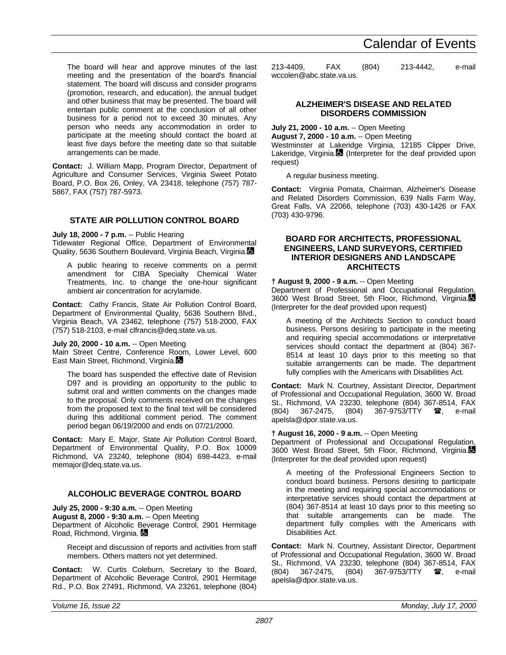#### The board will hear and approve minutes of the last meeting and the presentation of the board's financial statement. The board will discuss and consider programs (promotion, research, and education), the annual budget and other business that may be presented. The board will entertain public comment at the conclusion of all other business for a period not to exceed 30 minutes. Any person who needs any accommodation in order to participate at the meeting should contact the board at least five days before the meeting date so that suitable arrangements can be made.

**Contact:** J. William Mapp, Program Director, Department of Agriculture and Consumer Services, Virginia Sweet Potato Board, P.O. Box 26, Onley, VA 23418, telephone (757) 787- 5867, FAX (757) 787-5973.

# **STATE AIR POLLUTION CONTROL BOARD**

#### **July 18, 2000 - 7 p.m.** -- Public Hearing

Tidewater Regional Office, Department of Environmental Quality, 5636 Southern Boulevard, Virginia Beach, Virginia.

A public hearing to receive comments on a permit amendment for CIBA Specialty Chemical Water Treatments, Inc. to change the one-hour significant ambient air concentration for acrylamide.

**Contact:** Cathy Francis, State Air Pollution Control Board, Department of Environmental Quality, 5636 Southern Blvd., Virginia Beach, VA 23462, telephone (757) 518-2000, FAX (757) 518-2103, e-mail clfrancis@deq.state.va.us.

**July 20, 2000 - 10 a.m.** -- Open Meeting

Main Street Centre, Conference Room, Lower Level, 600 East Main Street, Richmond, Virginia.

The board has suspended the effective date of Revision D97 and is providing an opportunity to the public to submit oral and written comments on the changes made to the proposal. Only comments received on the changes from the proposed text to the final text will be considered during this additional comment period. The comment period began 06/19/2000 and ends on 07/21/2000.

**Contact:** Mary E. Major, State Air Pollution Control Board, Department of Environmental Quality, P.O. Box 10009 Richmond, VA 23240, telephone (804) 698-4423, e-mail memajor@deq.state.va.us.

## **ALCOHOLIC BEVERAGE CONTROL BOARD**

**July 25, 2000 - 9:30 a.m.** -- Open Meeting **August 8, 2000 - 9:30 a.m.** -- Open Meeting Department of Alcoholic Beverage Control, 2901 Hermitage Road, Richmond, Virginia.

Receipt and discussion of reports and activities from staff members. Others matters not yet determined.

**Contact:** W. Curtis Coleburn, Secretary to the Board, Department of Alcoholic Beverage Control, 2901 Hermitage Rd., P.O. Box 27491, Richmond, VA 23261, telephone (804) 213-4409, FAX (804) 213-4442, e-mail wccolen@abc.state.va.us.

Calendar of Events

## **ALZHEIMER'S DISEASE AND RELATED DISORDERS COMMISSION**

# **July 21, 2000 - 10 a.m.** -- Open Meeting

**August 7, 2000 - 10 a.m.** -- Open Meeting Westminster at Lakeridge Virginia, 12185 Clipper Drive, Lakeridge, Virginia. $\blacksquare$  (Interpreter for the deaf provided upon request)

A regular business meeting.

**Contact:** Virginia Pomata, Chairman, Alzheimer's Disease and Related Disorders Commission, 639 Nalls Farm Way, Great Falls, VA 22066, telephone (703) 430-1426 or FAX (703) 430-9796.

#### **BOARD FOR ARCHITECTS, PROFESSIONAL ENGINEERS, LAND SURVEYORS, CERTIFIED INTERIOR DESIGNERS AND LANDSCAPE ARCHITECTS**

## **† August 9, 2000 - 9 a.m.** -- Open Meeting

Department of Professional and Occupational Regulation, 3600 West Broad Street, 5th Floor, Richmond, Virginia. (Interpreter for the deaf provided upon request)

A meeting of the Architects Section to conduct board business. Persons desiring to participate in the meeting and requiring special accommodations or interpretative services should contact the department at (804) 367- 8514 at least 10 days prior to this meeting so that suitable arrangements can be made. The department fully complies with the Americans with Disabilities Act.

**Contact:** Mark N. Courtney, Assistant Director, Department of Professional and Occupational Regulation, 3600 W. Broad St., Richmond, VA 23230, telephone (804) 367-8514, FAX (804) 367-2475, (804) 367-9753/TTY **a**, e-mail apelsla@dpor.state.va.us.

#### **† August 16, 2000 - 9 a.m.** -- Open Meeting

Department of Professional and Occupational Regulation, 3600 West Broad Street, 5th Floor, Richmond, Virginia. (Interpreter for the deaf provided upon request)

A meeting of the Professional Engineers Section to conduct board business. Persons desiring to participate in the meeting and requiring special accommodations or interpretative services should contact the department at (804) 367-8514 at least 10 days prior to this meeting so that suitable arrangements can be made. The department fully complies with the Americans with Disabilities Act.

**Contact:** Mark N. Courtney, Assistant Director, Department of Professional and Occupational Regulation, 3600 W. Broad St., Richmond, VA 23230, telephone (804) 367-8514, FAX (804) 367-2475, (804) 367-9753/TTY **雷**, e-mail apelsla@dpor.state.va.us.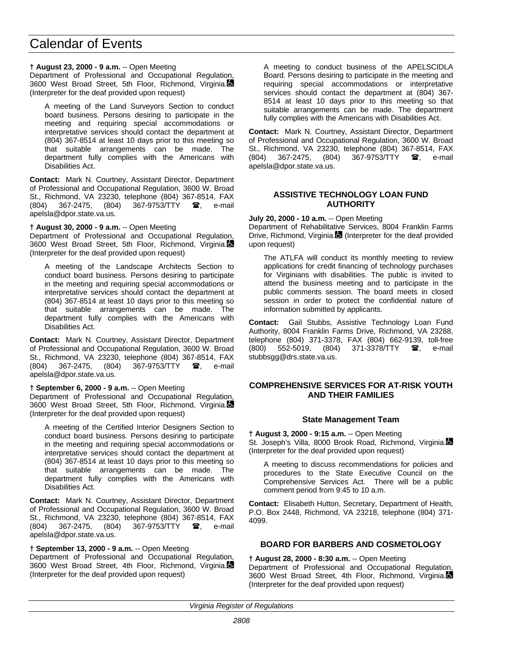## **† August 23, 2000 - 9 a.m.** -- Open Meeting

Department of Professional and Occupational Regulation, 3600 West Broad Street, 5th Floor, Richmond, Virginia. (Interpreter for the deaf provided upon request)

A meeting of the Land Surveyors Section to conduct board business. Persons desiring to participate in the meeting and requiring special accommodations or interpretative services should contact the department at (804) 367-8514 at least 10 days prior to this meeting so that suitable arrangements can be made. department fully complies with the Americans with Disabilities Act.

**Contact:** Mark N. Courtney, Assistant Director, Department of Professional and Occupational Regulation, 3600 W. Broad St., Richmond, VA 23230, telephone (804) 367-8514, FAX (804) 367-2475, (804) 367-9753/TTY  $\mathbf{\mathcal{F}}$ , e-mail apelsla@dpor.state.va.us.

## **† August 30, 2000 - 9 a.m.** -- Open Meeting

Department of Professional and Occupational Regulation, 3600 West Broad Street, 5th Floor, Richmond, Virginia. (Interpreter for the deaf provided upon request)

A meeting of the Landscape Architects Section to conduct board business. Persons desiring to participate in the meeting and requiring special accommodations or interpretative services should contact the department at (804) 367-8514 at least 10 days prior to this meeting so that suitable arrangements can be made. The department fully complies with the Americans with Disabilities Act.

**Contact:** Mark N. Courtney, Assistant Director, Department of Professional and Occupational Regulation, 3600 W. Broad St., Richmond, VA 23230, telephone (804) 367-8514, FAX<br>(804) 367-2475, (804) 367-9753/TTY **26**, e-mail (804) 367-2475, (804) 367-9753/TTY  $\blacksquare$ , e-mail apelsla@dpor.state.va.us.

## **† September 6, 2000 - 9 a.m.** -- Open Meeting

Department of Professional and Occupational Regulation, 3600 West Broad Street, 5th Floor, Richmond, Virginia. (Interpreter for the deaf provided upon request)

A meeting of the Certified Interior Designers Section to conduct board business. Persons desiring to participate in the meeting and requiring special accommodations or interpretative services should contact the department at (804) 367-8514 at least 10 days prior to this meeting so that suitable arrangements can be made. The department fully complies with the Americans with Disabilities Act.

**Contact:** Mark N. Courtney, Assistant Director, Department of Professional and Occupational Regulation, 3600 W. Broad St., Richmond, VA 23230, telephone (804) 367-8514, FAX (804) 367-2475, (804) 367-9753/TTY **@**, e-mail apelsla@dpor.state.va.us.

# **† September 13, 2000 - 9 a.m.** -- Open Meeting

Department of Professional and Occupational Regulation, 3600 West Broad Street, 4th Floor, Richmond, Virginia. (Interpreter for the deaf provided upon request)

A meeting to conduct business of the APELSCIDLA Board. Persons desiring to participate in the meeting and requiring special accommodations or interpretative services should contact the department at (804) 367- 8514 at least 10 days prior to this meeting so that suitable arrangements can be made. The department fully complies with the Americans with Disabilities Act.

**Contact:** Mark N. Courtney, Assistant Director, Department of Professional and Occupational Regulation, 3600 W. Broad St., Richmond, VA 23230, telephone (804) 367-8514, FAX (804) 367-2475, (804) 367-9753/TTY  $\circledR$ , e-mail apelsla@dpor.state.va.us.

#### **ASSISTIVE TECHNOLOGY LOAN FUND AUTHORITY**

**July 20, 2000 - 10 a.m.** -- Open Meeting

Department of Rehabilitative Services, 8004 Franklin Farms Drive, Richmond, Virginia.  $\blacksquare$  (Interpreter for the deaf provided upon request)

The ATLFA will conduct its monthly meeting to review applications for credit financing of technology purchases for Virginians with disabilities. The public is invited to attend the business meeting and to participate in the public comments session. The board meets in closed session in order to protect the confidential nature of information submitted by applicants.

**Contact:** Gail Stubbs, Assistive Technology Loan Fund Authority, 8004 Franklin Farms Drive, Richmond, VA 23288, telephone (804) 371-3378, FAX (804) 662-9139, toll-free (800) 552-5019, (804) 371-3378/TTY **雷**, e-mail stubbsgg@drs.state.va.us.

# **COMPREHENSIVE SERVICES FOR AT-RISK YOUTH AND THEIR FAMILIES**

## **State Management Team**

**† August 3, 2000 - 9:15 a.m.** -- Open Meeting St. Joseph's Villa, 8000 Brook Road, Richmond, Virginia. (Interpreter for the deaf provided upon request)

A meeting to discuss recommendations for policies and procedures to the State Executive Council on the Comprehensive Services Act. There will be a public comment period from 9:45 to 10 a.m.

**Contact:** Elisabeth Hutton, Secretary, Department of Health, P.O. Box 2448, Richmond, VA 23218, telephone (804) 371- 4099.

## **BOARD FOR BARBERS AND COSMETOLOGY**

## **† August 28, 2000 - 8:30 a.m.** -- Open Meeting

Department of Professional and Occupational Regulation, 3600 West Broad Street, 4th Floor, Richmond, Virginia. (Interpreter for the deaf provided upon request)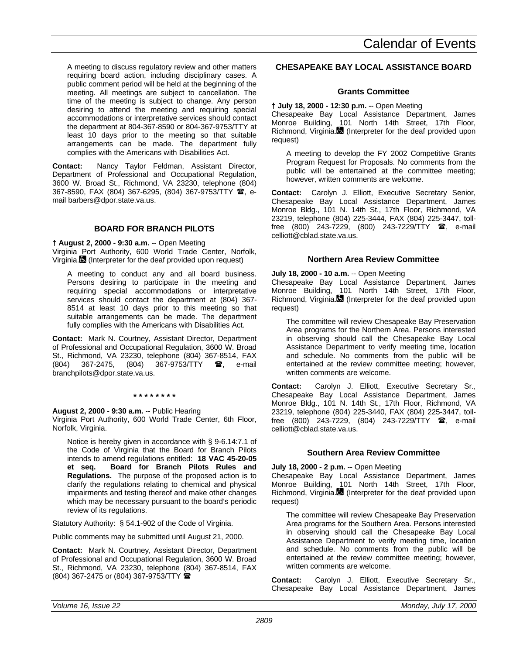A meeting to discuss regulatory review and other matters requiring board action, including disciplinary cases. A public comment period will be held at the beginning of the meeting. All meetings are subject to cancellation. The time of the meeting is subject to change. Any person desiring to attend the meeting and requiring special accommodations or interpretative services should contact the department at 804-367-8590 or 804-367-9753/TTY at least 10 days prior to the meeting so that suitable arrangements can be made. The department fully complies with the Americans with Disabilities Act.

**Contact:** Nancy Taylor Feldman, Assistant Director, Department of Professional and Occupational Regulation, 3600 W. Broad St., Richmond, VA 23230, telephone (804) 367-8590, FAX (804) 367-6295, (804) 367-9753/TTY  $\hat{a}$ , email barbers@dpor.state.va.us.

# **BOARD FOR BRANCH PILOTS**

**† August 2, 2000 - 9:30 a.m.** -- Open Meeting Virginia Port Authority, 600 World Trade Center, Norfolk, Virginia. (Interpreter for the deaf provided upon request)

A meeting to conduct any and all board business. Persons desiring to participate in the meeting and requiring special accommodations or interpretative services should contact the department at (804) 367- 8514 at least 10 days prior to this meeting so that suitable arrangements can be made. The department fully complies with the Americans with Disabilities Act.

**Contact:** Mark N. Courtney, Assistant Director, Department of Professional and Occupational Regulation, 3600 W. Broad St., Richmond, VA 23230, telephone (804) 367-8514, FAX (804) 367-2475, (804) 367-9753/TTY **雷**, e-mail branchpilots@dpor.state.va.us.

**\* \* \* \* \* \* \* \***

# **August 2, 2000 - 9:30 a.m.** -- Public Hearing

Virginia Port Authority, 600 World Trade Center, 6th Floor, Norfolk, Virginia.

Notice is hereby given in accordance with § 9-6.14:7.1 of the Code of Virginia that the Board for Branch Pilots intends to amend regulations entitled: **18 VAC 45-20-05 et seq. Board for Branch Pilots Rules and Regulations.** The purpose of the proposed action is to clarify the regulations relating to chemical and physical impairments and testing thereof and make other changes which may be necessary pursuant to the board's periodic review of its regulations.

Statutory Authority: § 54.1-902 of the Code of Virginia.

Public comments may be submitted until August 21, 2000.

**Contact:** Mark N. Courtney, Assistant Director, Department of Professional and Occupational Regulation, 3600 W. Broad St., Richmond, VA 23230, telephone (804) 367-8514, FAX (804) 367-2475 or (804) 367-9753/TTY (

# **CHESAPEAKE BAY LOCAL ASSISTANCE BOARD**

# **Grants Committee**

**† July 18, 2000 - 12:30 p.m.** -- Open Meeting Chesapeake Bay Local Assistance Department, James Monroe Building, 101 North 14th Street, 17th Floor, Richmond, Virginia. (Interpreter for the deaf provided upon request)

A meeting to develop the FY 2002 Competitive Grants Program Request for Proposals. No comments from the public will be entertained at the committee meeting; however, written comments are welcome.

**Contact:** Carolyn J. Elliott, Executive Secretary Senior, Chesapeake Bay Local Assistance Department, James Monroe Bldg., 101 N. 14th St., 17th Floor, Richmond, VA 23219, telephone (804) 225-3444, FAX (804) 225-3447, tollfree (800) 243-7229, (800) 243-7229/TTY **a**, e-mail celliott@cblad.state.va.us.

# **Northern Area Review Committee**

# **July 18, 2000 - 10 a.m.** -- Open Meeting

Chesapeake Bay Local Assistance Department, James Monroe Building, 101 North 14th Street, 17th Floor, Richmond, Virginia. (Interpreter for the deaf provided upon request)

The committee will review Chesapeake Bay Preservation Area programs for the Northern Area. Persons interested in observing should call the Chesapeake Bay Local Assistance Department to verify meeting time, location and schedule. No comments from the public will be entertained at the review committee meeting; however, written comments are welcome.

**Contact:** Carolyn J. Elliott, Executive Secretary Sr., Chesapeake Bay Local Assistance Department, James Monroe Bldg., 101 N. 14th St., 17th Floor, Richmond, VA 23219, telephone (804) 225-3440, FAX (804) 225-3447, tollfree (800) 243-7229, (804) 243-7229/TTY <sup>3</sup>, e-mail celliott@cblad.state.va.us.

# **Southern Area Review Committee**

# **July 18, 2000 - 2 p.m.** -- Open Meeting

Chesapeake Bay Local Assistance Department, James Monroe Building, 101 North 14th Street, 17th Floor, Richmond, Virginia. (Interpreter for the deaf provided upon request)

The committee will review Chesapeake Bay Preservation Area programs for the Southern Area. Persons interested in observing should call the Chesapeake Bay Local Assistance Department to verify meeting time, location and schedule. No comments from the public will be entertained at the review committee meeting; however, written comments are welcome.

**Contact:** Carolyn J. Elliott, Executive Secretary Sr., Chesapeake Bay Local Assistance Department, James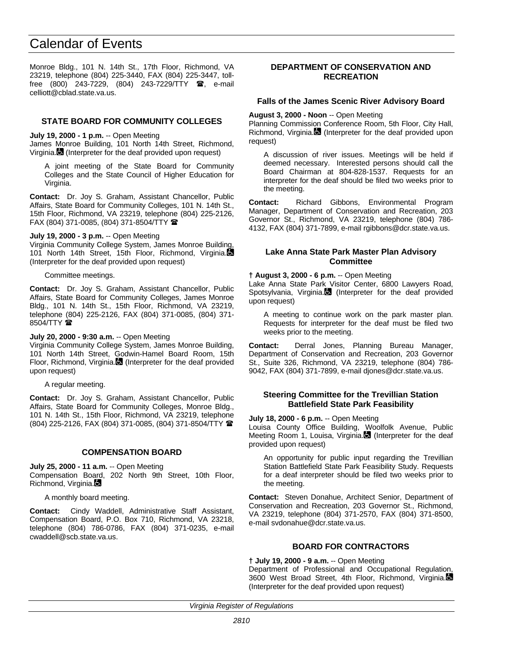Monroe Bldg., 101 N. 14th St., 17th Floor, Richmond, VA 23219, telephone (804) 225-3440, FAX (804) 225-3447, tollfree (800) 243-7229, (804) 243-7229/TTY  $\blacksquare$ , e-mail celliott@cblad.state.va.us.

## **STATE BOARD FOR COMMUNITY COLLEGES**

**July 19, 2000 - 1 p.m.** -- Open Meeting

James Monroe Building, 101 North 14th Street, Richmond, Virginia. (Interpreter for the deaf provided upon request)

A joint meeting of the State Board for Community Colleges and the State Council of Higher Education for Virginia.

**Contact:** Dr. Joy S. Graham, Assistant Chancellor, Public Affairs, State Board for Community Colleges, 101 N. 14th St., 15th Floor, Richmond, VA 23219, telephone (804) 225-2126, FAX (804) 371-0085, (804) 371-8504/TTY  $\blacksquare$ 

#### **July 19, 2000 - 3 p.m.** -- Open Meeting

Virginia Community College System, James Monroe Building, 101 North 14th Street, 15th Floor, Richmond, Virginia. (Interpreter for the deaf provided upon request)

Committee meetings.

**Contact:** Dr. Joy S. Graham, Assistant Chancellor, Public Affairs, State Board for Community Colleges, James Monroe Bldg., 101 N. 14th St., 15th Floor, Richmond, VA 23219, telephone (804) 225-2126, FAX (804) 371-0085, (804) 371- 8504/TTY  $\mathbf{\mathcal{F}}$ 

#### **July 20, 2000 - 9:30 a.m.** -- Open Meeting

Virginia Community College System, James Monroe Building, 101 North 14th Street, Godwin-Hamel Board Room, 15th Floor, Richmond, Virginia. (Interpreter for the deaf provided upon request)

A regular meeting.

**Contact:** Dr. Joy S. Graham, Assistant Chancellor, Public Affairs, State Board for Community Colleges, Monroe Bldg., 101 N. 14th St., 15th Floor, Richmond, VA 23219, telephone (804) 225-2126, FAX (804) 371-0085, (804) 371-8504/TTY (

#### **COMPENSATION BOARD**

**July 25, 2000 - 11 a.m.** -- Open Meeting Compensation Board, 202 North 9th Street, 10th Floor, Richmond, Virginia.

A monthly board meeting.

**Contact:** Cindy Waddell, Administrative Staff Assistant, Compensation Board, P.O. Box 710, Richmond, VA 23218, telephone (804) 786-0786, FAX (804) 371-0235, e-mail cwaddell@scb.state.va.us.

#### **DEPARTMENT OF CONSERVATION AND RECREATION**

#### **Falls of the James Scenic River Advisory Board**

**August 3, 2000 - Noon** -- Open Meeting

Planning Commission Conference Room, 5th Floor, City Hall, Richmond, Virginia. (Interpreter for the deaf provided upon request)

A discussion of river issues. Meetings will be held if deemed necessary. Interested persons should call the Board Chairman at 804-828-1537. Requests for an interpreter for the deaf should be filed two weeks prior to the meeting.

**Contact:** Richard Gibbons, Environmental Program Manager, Department of Conservation and Recreation, 203 Governor St., Richmond, VA 23219, telephone (804) 786- 4132, FAX (804) 371-7899, e-mail rgibbons@dcr.state.va.us.

#### **Lake Anna State Park Master Plan Advisory Committee**

**† August 3, 2000 - 6 p.m.** -- Open Meeting

Lake Anna State Park Visitor Center, 6800 Lawyers Road, Spotsylvania, Virginia. (Interpreter for the deaf provided upon request)

A meeting to continue work on the park master plan. Requests for interpreter for the deaf must be filed two weeks prior to the meeting.

**Contact:** Derral Jones, Planning Bureau Manager, Department of Conservation and Recreation, 203 Governor St., Suite 326, Richmond, VA 23219, telephone (804) 786- 9042, FAX (804) 371-7899, e-mail djones@dcr.state.va.us.

#### **Steering Committee for the Trevillian Station Battlefield State Park Feasibility**

**July 18, 2000 - 6 p.m.** -- Open Meeting

Louisa County Office Building, Woolfolk Avenue, Public Meeting Room 1, Louisa, Virginia. (Interpreter for the deaf provided upon request)

An opportunity for public input regarding the Trevillian Station Battlefield State Park Feasibility Study. Requests for a deaf interpreter should be filed two weeks prior to the meeting.

**Contact:** Steven Donahue, Architect Senior, Department of Conservation and Recreation, 203 Governor St., Richmond, VA 23219, telephone (804) 371-2570, FAX (804) 371-8500, e-mail svdonahue@dcr.state.va.us.

# **BOARD FOR CONTRACTORS**

#### **† July 19, 2000 - 9 a.m.** -- Open Meeting

Department of Professional and Occupational Regulation, 3600 West Broad Street, 4th Floor, Richmond, Virginia. (Interpreter for the deaf provided upon request)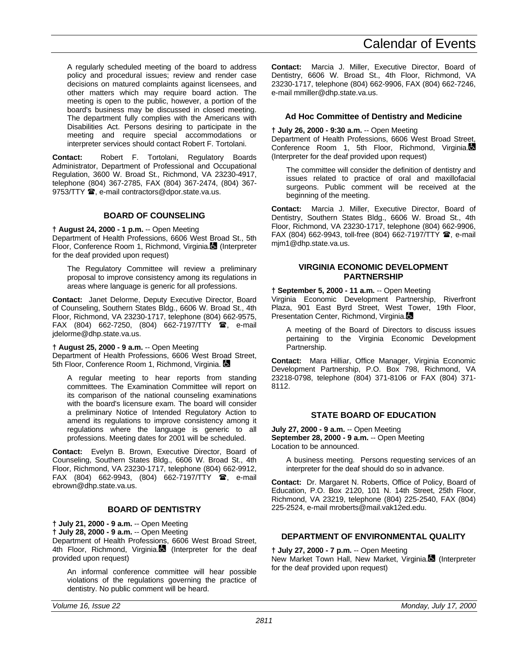A regularly scheduled meeting of the board to address policy and procedural issues; review and render case decisions on matured complaints against licensees, and other matters which may require board action. The meeting is open to the public, however, a portion of the board's business may be discussed in closed meeting. The department fully complies with the Americans with Disabilities Act. Persons desiring to participate in the meeting and require special accommodations or interpreter services should contact Robert F. Tortolani.

**Contact:** Robert F. Tortolani, Regulatory Boards Administrator, Department of Professional and Occupational Regulation, 3600 W. Broad St., Richmond, VA 23230-4917, telephone (804) 367-2785, FAX (804) 367-2474, (804) 367- 9753/TTY  $\hat{=}$ , e-mail contractors@dpor.state.va.us.

# **BOARD OF COUNSELING**

**† August 24, 2000 - 1 p.m.** -- Open Meeting

Department of Health Professions, 6606 West Broad St., 5th Floor, Conference Room 1, Richmond, Virginia. (Interpreter for the deaf provided upon request)

The Regulatory Committee will review a preliminary proposal to improve consistency among its regulations in areas where language is generic for all professions.

**Contact:** Janet Delorme, Deputy Executive Director, Board of Counseling, Southern States Bldg., 6606 W. Broad St., 4th Floor, Richmond, VA 23230-1717, telephone (804) 662-9575, FAX (804) 662-7250, (804) 662-7197/TTY <sup>2</sup>, e-mail jdelorme@dhp.state.va.us.

#### **† August 25, 2000 - 9 a.m.** -- Open Meeting

Department of Health Professions, 6606 West Broad Street, 5th Floor, Conference Room 1, Richmond, Virginia.

A regular meeting to hear reports from standing committees. The Examination Committee will report on its comparison of the national counseling examinations with the board's licensure exam. The board will consider a preliminary Notice of Intended Regulatory Action to amend its regulations to improve consistency among it regulations where the language is generic to all professions. Meeting dates for 2001 will be scheduled.

**Contact:** Evelyn B. Brown, Executive Director, Board of Counseling, Southern States Bldg., 6606 W. Broad St., 4th Floor, Richmond, VA 23230-1717, telephone (804) 662-9912, FAX (804) 662-9943, (804) 662-7197/TTY <sup>3</sup>, e-mail ebrown@dhp.state.va.us.

# **BOARD OF DENTISTRY**

**† July 21, 2000 - 9 a.m.** -- Open Meeting

**† July 28, 2000 - 9 a.m.** -- Open Meeting

Department of Health Professions, 6606 West Broad Street, 4th Floor, Richmond, Virginia. (Interpreter for the deaf provided upon request)

An informal conference committee will hear possible violations of the regulations governing the practice of dentistry. No public comment will be heard.

**Contact:** Marcia J. Miller, Executive Director, Board of Dentistry, 6606 W. Broad St., 4th Floor, Richmond, VA 23230-1717, telephone (804) 662-9906, FAX (804) 662-7246, e-mail mmiller@dhp.state.va.us.

## **Ad Hoc Committee of Dentistry and Medicine**

#### **† July 26, 2000 - 9:30 a.m.** -- Open Meeting

Department of Health Professions, 6606 West Broad Street, Conference Room 1, 5th Floor, Richmond, Virginia. (Interpreter for the deaf provided upon request)

The committee will consider the definition of dentistry and issues related to practice of oral and maxillofacial surgeons. Public comment will be received at the beginning of the meeting.

**Contact:** Marcia J. Miller, Executive Director, Board of Dentistry, Southern States Bldg., 6606 W. Broad St., 4th Floor, Richmond, VA 23230-1717, telephone (804) 662-9906, FAX (804) 662-9943, toll-free (804) 662-7197/TTY <sup>3</sup>, e-mail mjm1@dhp.state.va.us.

## **VIRGINIA ECONOMIC DEVELOPMENT PARTNERSHIP**

**† September 5, 2000 - 11 a.m.** -- Open Meeting

Virginia Economic Development Partnership, Riverfront Plaza, 901 East Byrd Street, West Tower, 19th Floor, Presentation Center, Richmond, Virginia.

A meeting of the Board of Directors to discuss issues pertaining to the Virginia Economic Development Partnership.

**Contact:** Mara Hilliar, Office Manager, Virginia Economic Development Partnership, P.O. Box 798, Richmond, VA 23218-0798, telephone (804) 371-8106 or FAX (804) 371- 8112.

## **STATE BOARD OF EDUCATION**

**July 27, 2000 - 9 a.m.** -- Open Meeting **September 28, 2000 - 9 a.m.** -- Open Meeting Location to be announced.

A business meeting. Persons requesting services of an interpreter for the deaf should do so in advance.

**Contact:** Dr. Margaret N. Roberts, Office of Policy, Board of Education, P.O. Box 2120, 101 N. 14th Street, 25th Floor, Richmond, VA 23219, telephone (804) 225-2540, FAX (804) 225-2524, e-mail mroberts@mail.vak12ed.edu.

## **DEPARTMENT OF ENVIRONMENTAL QUALITY**

**† July 27, 2000 - 7 p.m.** -- Open Meeting

New Market Town Hall, New Market, Virginia. (Interpreter for the deaf provided upon request)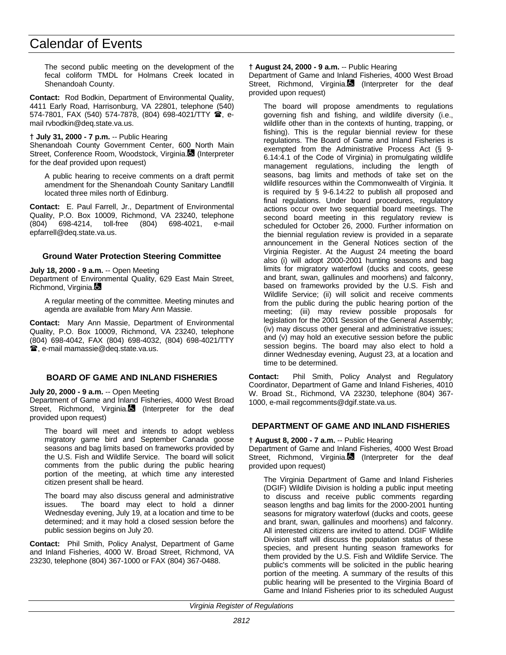The second public meeting on the development of the fecal coliform TMDL for Holmans Creek located in Shenandoah County.

**Contact:** Rod Bodkin, Department of Environmental Quality, 4411 Early Road, Harrisonburg, VA 22801, telephone (540)  $574-7801$ , FAX (540) 574-7878, (804) 698-4021/TTY  $\hat{ }$ , email rvbodkin@deq.state.va.us.

#### **† July 31, 2000 - 7 p.m.** -- Public Hearing

Shenandoah County Government Center, 600 North Main Street, Conference Room, Woodstock, Virginia. (Interpreter for the deaf provided upon request)

A public hearing to receive comments on a draft permit amendment for the Shenandoah County Sanitary Landfill located three miles north of Edinburg.

**Contact:** E. Paul Farrell, Jr., Department of Environmental Quality, P.O. Box 10009, Richmond, VA 23240, telephone (804) 698-4214, toll-free (804) 698-4021, e-mail epfarrell@deq.state.va.us.

#### **Ground Water Protection Steering Committee**

#### **July 18, 2000 - 9 a.m.** -- Open Meeting

Department of Environmental Quality, 629 East Main Street, Richmond, Virginia.

A regular meeting of the committee. Meeting minutes and agenda are available from Mary Ann Massie.

**Contact:** Mary Ann Massie, Department of Environmental Quality, P.O. Box 10009, Richmond, VA 23240, telephone (804) 698-4042, FAX (804) 698-4032, (804) 698-4021/TTY **雪**, e-mail mamassie@deq.state.va.us.

#### **BOARD OF GAME AND INLAND FISHERIES**

#### **July 20, 2000 - 9 a.m.** -- Open Meeting

Department of Game and Inland Fisheries, 4000 West Broad Street, Richmond, Virginia. (Interpreter for the deaf provided upon request)

The board will meet and intends to adopt webless migratory game bird and September Canada goose seasons and bag limits based on frameworks provided by the U.S. Fish and Wildlife Service. The board will solicit comments from the public during the public hearing portion of the meeting, at which time any interested citizen present shall be heard.

The board may also discuss general and administrative issues. The board may elect to hold a dinner Wednesday evening, July 19, at a location and time to be determined; and it may hold a closed session before the public session begins on July 20.

**Contact:** Phil Smith, Policy Analyst, Department of Game and Inland Fisheries, 4000 W. Broad Street, Richmond, VA 23230, telephone (804) 367-1000 or FAX (804) 367-0488.

#### **† August 24, 2000 - 9 a.m.** -- Public Hearing

Department of Game and Inland Fisheries, 4000 West Broad Street, Richmond, Virginia. (Interpreter for the deaf provided upon request)

The board will propose amendments to regulations governing fish and fishing, and wildlife diversity (i.e., wildlife other than in the contexts of hunting, trapping, or fishing). This is the regular biennial review for these regulations. The Board of Game and Inland Fisheries is exempted from the Administrative Process Act (§ 9- 6.14:4.1 of the Code of Virginia) in promulgating wildlife management regulations, including the length of seasons, bag limits and methods of take set on the wildlife resources within the Commonwealth of Virginia. It is required by § 9-6.14:22 to publish all proposed and final regulations. Under board procedures, regulatory actions occur over two sequential board meetings. The second board meeting in this regulatory review is scheduled for October 26, 2000. Further information on the biennial regulation review is provided in a separate announcement in the General Notices section of the Virginia Register. At the August 24 meeting the board also (i) will adopt 2000-2001 hunting seasons and bag limits for migratory waterfowl (ducks and coots, geese and brant, swan, gallinules and moorhens) and falconry, based on frameworks provided by the U.S. Fish and Wildlife Service; (ii) will solicit and receive comments from the public during the public hearing portion of the meeting; (iii) may review possible proposals for legislation for the 2001 Session of the General Assembly; (iv) may discuss other general and administrative issues; and (v) may hold an executive session before the public session begins. The board may also elect to hold a dinner Wednesday evening, August 23, at a location and time to be determined.

**Contact:** Phil Smith, Policy Analyst and Regulatory Coordinator, Department of Game and Inland Fisheries, 4010 W. Broad St., Richmond, VA 23230, telephone (804) 367- 1000, e-mail regcomments@dgif.state.va.us.

#### **DEPARTMENT OF GAME AND INLAND FISHERIES**

#### **† August 8, 2000 - 7 a.m.** -- Public Hearing

Department of Game and Inland Fisheries, 4000 West Broad Street, Richmond, Virginia. (Interpreter for the deaf provided upon request)

The Virginia Department of Game and Inland Fisheries (DGIF) Wildlife Division is holding a public input meeting to discuss and receive public comments regarding season lengths and bag limits for the 2000-2001 hunting seasons for migratory waterfowl (ducks and coots, geese and brant, swan, gallinules and moorhens) and falconry. All interested citizens are invited to attend. DGIF Wildlife Division staff will discuss the population status of these species, and present hunting season frameworks for them provided by the U.S. Fish and Wildlife Service. The public's comments will be solicited in the public hearing portion of the meeting. A summary of the results of this public hearing will be presented to the Virginia Board of Game and Inland Fisheries prior to its scheduled August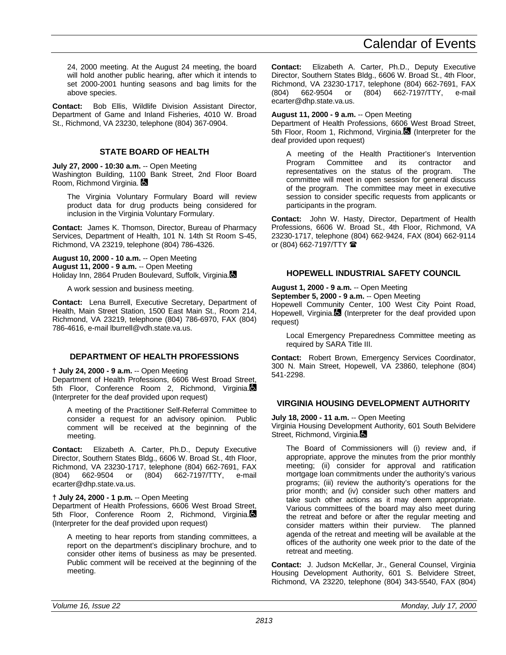24, 2000 meeting. At the August 24 meeting, the board will hold another public hearing, after which it intends to set 2000-2001 hunting seasons and bag limits for the above species.

**Contact:** Bob Ellis, Wildlife Division Assistant Director, Department of Game and Inland Fisheries, 4010 W. Broad St., Richmond, VA 23230, telephone (804) 367-0904.

# **STATE BOARD OF HEALTH**

**July 27, 2000 - 10:30 a.m.** -- Open Meeting Washington Building, 1100 Bank Street, 2nd Floor Board Room, Richmond Virginia.

The Virginia Voluntary Formulary Board will review product data for drug products being considered for inclusion in the Virginia Voluntary Formulary.

**Contact:** James K. Thomson, Director, Bureau of Pharmacy Services, Department of Health, 101 N. 14th St Room S-45, Richmond, VA 23219, telephone (804) 786-4326.

**August 10, 2000 - 10 a.m.** -- Open Meeting **August 11, 2000 - 9 a.m.** -- Open Meeting Holiday Inn, 2864 Pruden Boulevard, Suffolk, Virginia.

A work session and business meeting.

**Contact:** Lena Burrell, Executive Secretary, Department of Health, Main Street Station, 1500 East Main St., Room 214, Richmond, VA 23219, telephone (804) 786-6970, FAX (804) 786-4616, e-mail lburrell@vdh.state.va.us.

# **DEPARTMENT OF HEALTH PROFESSIONS**

# **† July 24, 2000 - 9 a.m.** -- Open Meeting

Department of Health Professions, 6606 West Broad Street, 5th Floor, Conference Room 2, Richmond, Virginia. (Interpreter for the deaf provided upon request)

A meeting of the Practitioner Self-Referral Committee to consider a request for an advisory opinion. Public comment will be received at the beginning of the meeting.

**Contact:** Elizabeth A. Carter, Ph.D., Deputy Executive Director, Southern States Bldg., 6606 W. Broad St., 4th Floor, Richmond, VA 23230-1717, telephone (804) 662-7691, FAX (804) 662-9504 or (804) 662-7197/TTY, e-mail ecarter@dhp.state.va.us.

# **† July 24, 2000 - 1 p.m.** -- Open Meeting

Department of Health Professions, 6606 West Broad Street, 5th Floor, Conference Room 2, Richmond, Virginia. (Interpreter for the deaf provided upon request)

A meeting to hear reports from standing committees, a report on the department's disciplinary brochure, and to consider other items of business as may be presented. Public comment will be received at the beginning of the meeting.

**Contact:** Elizabeth A. Carter, Ph.D., Deputy Executive Director, Southern States Bldg., 6606 W. Broad St., 4th Floor, Richmond, VA 23230-1717, telephone (804) 662-7691, FAX (804) 662-9504 or (804) 662-7197/TTY, e-mail ecarter@dhp.state.va.us.

# **August 11, 2000 - 9 a.m.** -- Open Meeting

Department of Health Professions, 6606 West Broad Street, 5th Floor, Room 1, Richmond, Virginia. (Interpreter for the deaf provided upon request)

A meeting of the Health Practitioner's Intervention<br>Program Committee and its contractor and Program Committee and its contractor and representatives on the status of the program. The committee will meet in open session for general discuss of the program. The committee may meet in executive session to consider specific requests from applicants or participants in the program.

**Contact:** John W. Hasty, Director, Department of Health Professions, 6606 W. Broad St., 4th Floor, Richmond, VA 23230-1717, telephone (804) 662-9424, FAX (804) 662-9114 or (804) 662-7197/TTY  $\hat{=}$ 

# **HOPEWELL INDUSTRIAL SAFETY COUNCIL**

# **August 1, 2000 - 9 a.m.** -- Open Meeting

**September 5, 2000 - 9 a.m.** -- Open Meeting

Hopewell Community Center, 100 West City Point Road, Hopewell, Virginia. (Interpreter for the deaf provided upon request)

Local Emergency Preparedness Committee meeting as required by SARA Title III.

**Contact:** Robert Brown, Emergency Services Coordinator, 300 N. Main Street, Hopewell, VA 23860, telephone (804) 541-2298.

# **VIRGINIA HOUSING DEVELOPMENT AUTHORITY**

**July 18, 2000 - 11 a.m.** -- Open Meeting

Virginia Housing Development Authority, 601 South Belvidere Street, Richmond, Virginia.

The Board of Commissioners will (i) review and, if appropriate, approve the minutes from the prior monthly meeting; (ii) consider for approval and ratification mortgage loan commitments under the authority's various programs; (iii) review the authority's operations for the prior month; and (iv) consider such other matters and take such other actions as it may deem appropriate. Various committees of the board may also meet during the retreat and before or after the regular meeting and consider matters within their purview. The planned agenda of the retreat and meeting will be available at the offices of the authority one week prior to the date of the retreat and meeting.

**Contact:** J. Judson McKellar, Jr., General Counsel, Virginia Housing Development Authority, 601 S. Belvidere Street, Richmond, VA 23220, telephone (804) 343-5540, FAX (804)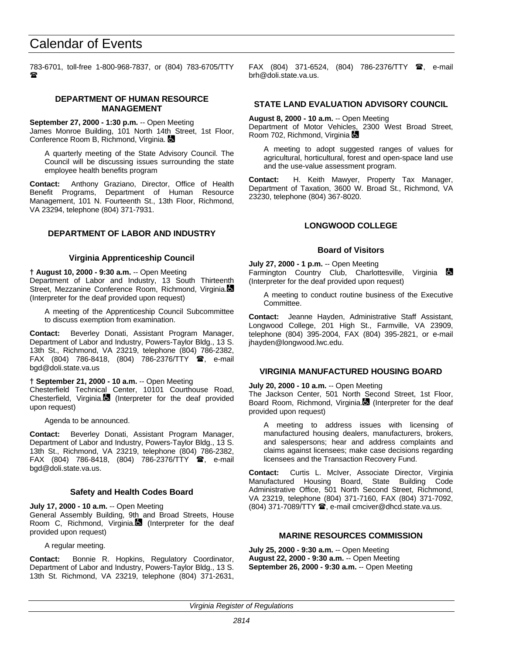783-6701, toll-free 1-800-968-7837, or (804) 783-6705/TTY  $\mathbf{r}$ 

#### **DEPARTMENT OF HUMAN RESOURCE MANAGEMENT**

**September 27, 2000 - 1:30 p.m.** -- Open Meeting James Monroe Building, 101 North 14th Street, 1st Floor, Conference Room B, Richmond, Virginia.

A quarterly meeting of the State Advisory Council. The Council will be discussing issues surrounding the state employee health benefits program

**Contact:** Anthony Graziano, Director, Office of Health Benefit Programs, Department of Human Resource Management, 101 N. Fourteenth St., 13th Floor, Richmond, VA 23294, telephone (804) 371-7931.

## **DEPARTMENT OF LABOR AND INDUSTRY**

#### **Virginia Apprenticeship Council**

**† August 10, 2000 - 9:30 a.m.** -- Open Meeting Department of Labor and Industry, 13 South Thirteenth Street, Mezzanine Conference Room, Richmond, Virginia. (Interpreter for the deaf provided upon request)

A meeting of the Apprenticeship Council Subcommittee to discuss exemption from examination.

**Contact:** Beverley Donati, Assistant Program Manager, Department of Labor and Industry, Powers-Taylor Bldg., 13 S. 13th St., Richmond, VA 23219, telephone (804) 786-2382, FAX (804) 786-8418, (804) 786-2376/TTY  $\bullet$ , e-mail bgd@doli.state.va.us

#### **† September 21, 2000 - 10 a.m.** -- Open Meeting

Chesterfield Technical Center, 10101 Courthouse Road, Chesterfield, Virginia. (Interpreter for the deaf provided upon request)

Agenda to be announced.

**Contact:** Beverley Donati, Assistant Program Manager, Department of Labor and Industry, Powers-Taylor Bldg., 13 S. 13th St., Richmond, VA 23219, telephone (804) 786-2382, FAX (804) 786-8418, (804) 786-2376/TTY  $\bullet$ , e-mail bgd@doli.state.va.us.

#### **Safety and Health Codes Board**

**July 17, 2000 - 10 a.m.** -- Open Meeting

General Assembly Building, 9th and Broad Streets, House Room C, Richmond, Virginia. (Interpreter for the deaf provided upon request)

A regular meeting.

**Contact:** Bonnie R. Hopkins, Regulatory Coordinator, Department of Labor and Industry, Powers-Taylor Bldg., 13 S. 13th St. Richmond, VA 23219, telephone (804) 371-2631, FAX (804) 371-6524, (804) 786-2376/TTY  $\mathbf{\mathcal{F}}$ , e-mail brh@doli.state.va.us.

#### **STATE LAND EVALUATION ADVISORY COUNCIL**

**August 8, 2000 - 10 a.m.** -- Open Meeting Department of Motor Vehicles, 2300 West Broad Street, Room 702, Richmond, Virginia

A meeting to adopt suggested ranges of values for agricultural, horticultural, forest and open-space land use and the use-value assessment program.

**Contact:** H. Keith Mawyer, Property Tax Manager, Department of Taxation, 3600 W. Broad St., Richmond, VA 23230, telephone (804) 367-8020.

## **LONGWOOD COLLEGE**

#### **Board of Visitors**

**July 27, 2000 - 1 p.m.** -- Open Meeting Farmington Country Club, Charlottesville, Virginia (Interpreter for the deaf provided upon request)

A meeting to conduct routine business of the Executive Committee.

**Contact:** Jeanne Hayden, Administrative Staff Assistant, Longwood College, 201 High St., Farmville, VA 23909, telephone (804) 395-2004, FAX (804) 395-2821, or e-mail jhayden@longwood.lwc.edu.

#### **VIRGINIA MANUFACTURED HOUSING BOARD**

**July 20, 2000 - 10 a.m.** -- Open Meeting

The Jackson Center, 501 North Second Street, 1st Floor, Board Room, Richmond, Virginia.<sup>8</sup> (Interpreter for the deaf provided upon request)

A meeting to address issues with licensing of manufactured housing dealers, manufacturers, brokers, and salespersons; hear and address complaints and claims against licensees; make case decisions regarding licensees and the Transaction Recovery Fund.

**Contact:** Curtis L. McIver, Associate Director, Virginia Manufactured Housing Board, State Building Code Administrative Office, 501 North Second Street, Richmond, VA 23219, telephone (804) 371-7160, FAX (804) 371-7092,  $(804)$  371-7089/TTY  $\mathbf{\mathcal{D}}$ , e-mail cmciver@dhcd.state.va.us.

# **MARINE RESOURCES COMMISSION**

**July 25, 2000 - 9:30 a.m.** -- Open Meeting **August 22, 2000 - 9:30 a.m.** -- Open Meeting **September 26, 2000 - 9:30 a.m.** -- Open Meeting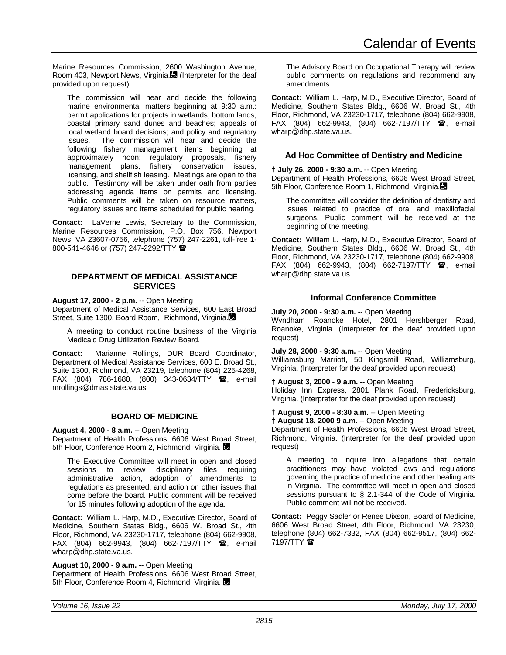Marine Resources Commission, 2600 Washington Avenue, Room 403, Newport News, Virginia. (Interpreter for the deaf provided upon request)

The commission will hear and decide the following marine environmental matters beginning at 9:30 a.m.: permit applications for projects in wetlands, bottom lands, coastal primary sand dunes and beaches; appeals of local wetland board decisions; and policy and regulatory issues. The commission will hear and decide the following fishery management items beginning at approximately noon: regulatory proposals, fishery management plans, fishery conservation issues, licensing, and shellfish leasing. Meetings are open to the public. Testimony will be taken under oath from parties addressing agenda items on permits and licensing. Public comments will be taken on resource matters, regulatory issues and items scheduled for public hearing.

**Contact:** LaVerne Lewis, Secretary to the Commission, Marine Resources Commission, P.O. Box 756, Newport News, VA 23607-0756, telephone (757) 247-2261, toll-free 1- 800-541-4646 or (757) 247-2292/TTY  $\hat{=}$ 

#### **DEPARTMENT OF MEDICAL ASSISTANCE SERVICES**

**August 17, 2000 - 2 p.m.** -- Open Meeting

Department of Medical Assistance Services, 600 East Broad Street, Suite 1300, Board Room, Richmond, Virginia.

A meeting to conduct routine business of the Virginia Medicaid Drug Utilization Review Board.

**Contact:** Marianne Rollings, DUR Board Coordinator, Department of Medical Assistance Services, 600 E. Broad St., Suite 1300, Richmond, VA 23219, telephone (804) 225-4268,  $FAX$  (804) 786-1680, (800) 343-0634/TTY  $\circledR$ , e-mail mrollings@dmas.state.va.us.

## **BOARD OF MEDICINE**

**August 4, 2000 - 8 a.m.** -- Open Meeting Department of Health Professions, 6606 West Broad Street,

5th Floor, Conference Room 2, Richmond, Virginia,  $\blacksquare$ 

The Executive Committee will meet in open and closed sessions to review disciplinary files requiring administrative action, adoption of amendments to regulations as presented, and action on other issues that come before the board. Public comment will be received for 15 minutes following adoption of the agenda.

**Contact:** William L. Harp, M.D., Executive Director, Board of Medicine, Southern States Bldg., 6606 W. Broad St., 4th Floor, Richmond, VA 23230-1717, telephone (804) 662-9908, FAX (804) 662-9943, (804) 662-7197/TTY  $\mathbf{\mathcal{C}},$  e-mail wharp@dhp.state.va.us.

**August 10, 2000 - 9 a.m.** -- Open Meeting Department of Health Professions, 6606 West Broad Street, 5th Floor, Conference Room 4, Richmond, Virginia.

The Advisory Board on Occupational Therapy will review public comments on regulations and recommend any amendments.

**Contact:** William L. Harp, M.D., Executive Director, Board of Medicine, Southern States Bldg., 6606 W. Broad St., 4th Floor, Richmond, VA 23230-1717, telephone (804) 662-9908, FAX (804) 662-9943, (804) 662-7197/TTY <sup>3</sup>, e-mail wharp@dhp.state.va.us.

# **Ad Hoc Committee of Dentistry and Medicine**

**† July 26, 2000 - 9:30 a.m.** -- Open Meeting Department of Health Professions, 6606 West Broad Street, 5th Floor, Conference Room 1, Richmond, Virginia.

The committee will consider the definition of dentistry and issues related to practice of oral and maxillofacial surgeons. Public comment will be received at the beginning of the meeting.

**Contact:** William L. Harp, M.D., Executive Director, Board of Medicine, Southern States Bldg., 6606 W. Broad St., 4th Floor, Richmond, VA 23230-1717, telephone (804) 662-9908, FAX (804) 662-9943, (804) 662-7197/TTY  $\mathbf{\mathcal{F}}$ , e-mail wharp@dhp.state.va.us.

## **Informal Conference Committee**

**July 20, 2000 - 9:30 a.m.** -- Open Meeting

Wyndham Roanoke Hotel, 2801 Hershberger Road, Roanoke, Virginia. (Interpreter for the deaf provided upon request)

**July 28, 2000 - 9:30 a.m.** -- Open Meeting Williamsburg Marriott, 50 Kingsmill Road, Williamsburg, Virginia. (Interpreter for the deaf provided upon request)

**† August 3, 2000 - 9 a.m.** -- Open Meeting Holiday Inn Express, 2801 Plank Road, Fredericksburg, Virginia. (Interpreter for the deaf provided upon request)

**† August 9, 2000 - 8:30 a.m.** -- Open Meeting

**† August 18, 2000 9 a.m.** -- Open Meeting

Department of Health Professions, 6606 West Broad Street, Richmond, Virginia. (Interpreter for the deaf provided upon request)

A meeting to inquire into allegations that certain practitioners may have violated laws and regulations governing the practice of medicine and other healing arts in Virginia. The committee will meet in open and closed sessions pursuant to § 2.1-344 of the Code of Virginia. Public comment will not be received.

**Contact:** Peggy Sadler or Renee Dixson, Board of Medicine, 6606 West Broad Street, 4th Floor, Richmond, VA 23230, telephone (804) 662-7332, FAX (804) 662-9517, (804) 662- 7197/TTY **雷**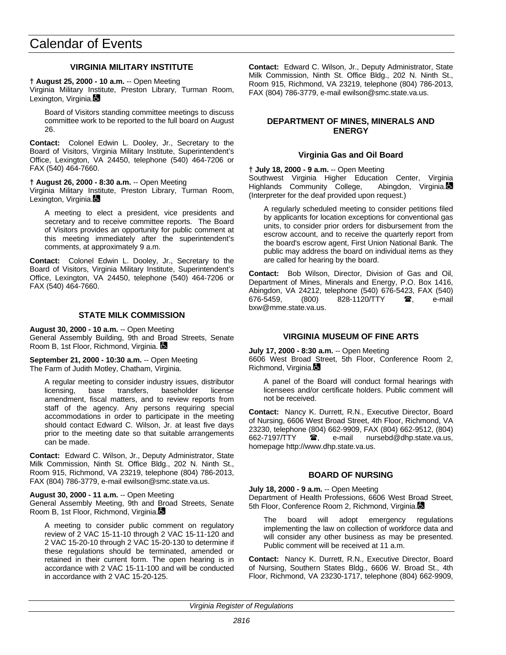# **VIRGINIA MILITARY INSTITUTE**

#### **† August 25, 2000 - 10 a.m.** -- Open Meeting

Virginia Military Institute, Preston Library, Turman Room, Lexington, Virginia.

Board of Visitors standing committee meetings to discuss committee work to be reported to the full board on August 26.

**Contact:** Colonel Edwin L. Dooley, Jr., Secretary to the Board of Visitors, Virginia Military Institute, Superintendent's Office, Lexington, VA 24450, telephone (540) 464-7206 or FAX (540) 464-7660.

#### **† August 26, 2000 - 8:30 a.m.** -- Open Meeting

Virginia Military Institute, Preston Library, Turman Room, Lexington, Virginia.

A meeting to elect a president, vice presidents and secretary and to receive committee reports. The Board of Visitors provides an opportunity for public comment at this meeting immediately after the superintendent's comments, at approximately 9 a.m.

**Contact:** Colonel Edwin L. Dooley, Jr., Secretary to the Board of Visitors, Virginia Military Institute, Superintendent's Office, Lexington, VA 24450, telephone (540) 464-7206 or FAX (540) 464-7660.

#### **STATE MILK COMMISSION**

**August 30, 2000 - 10 a.m.** -- Open Meeting General Assembly Building, 9th and Broad Streets, Senate Room B, 1st Floor, Richmond, Virginia.

**September 21, 2000 - 10:30 a.m.** -- Open Meeting The Farm of Judith Motley, Chatham, Virginia.

A regular meeting to consider industry issues, distributor licensing, base transfers, baseholder license amendment, fiscal matters, and to review reports from staff of the agency. Any persons requiring special accommodations in order to participate in the meeting should contact Edward C. Wilson, Jr. at least five days prior to the meeting date so that suitable arrangements can be made.

**Contact:** Edward C. Wilson, Jr., Deputy Administrator, State Milk Commission, Ninth St. Office Bldg., 202 N. Ninth St., Room 915, Richmond, VA 23219, telephone (804) 786-2013, FAX (804) 786-3779, e-mail ewilson@smc.state.va.us.

#### **August 30, 2000 - 11 a.m.** -- Open Meeting

General Assembly Meeting, 9th and Broad Streets, Senate Room B, 1st Floor, Richmond, Virginia.

A meeting to consider public comment on regulatory review of 2 VAC 15-11-10 through 2 VAC 15-11-120 and 2 VAC 15-20-10 through 2 VAC 15-20-130 to determine if these regulations should be terminated, amended or retained in their current form. The open hearing is in accordance with 2 VAC 15-11-100 and will be conducted in accordance with 2 VAC 15-20-125.

**Contact:** Edward C. Wilson, Jr., Deputy Administrator, State Milk Commission, Ninth St. Office Bldg., 202 N. Ninth St., Room 915, Richmond, VA 23219, telephone (804) 786-2013, FAX (804) 786-3779, e-mail ewilson@smc.state.va.us.

# **DEPARTMENT OF MINES, MINERALS AND ENERGY**

## **Virginia Gas and Oil Board**

**† July 18, 2000 - 9 a.m.** -- Open Meeting

Southwest Virginia Higher Education Center, Virginia<br>Highlands Community College, Abingdon, Virginia. Highlands Community College, (Interpreter for the deaf provided upon request.)

A regularly scheduled meeting to consider petitions filed by applicants for location exceptions for conventional gas units, to consider prior orders for disbursement from the escrow account, and to receive the quarterly report from the board's escrow agent, First Union National Bank. The public may address the board on individual items as they are called for hearing by the board.

**Contact:** Bob Wilson, Director, Division of Gas and Oil, Department of Mines, Minerals and Energy, P.O. Box 1416, Abingdon, VA 24212, telephone (540) 676-5423, FAX (540)<br>676-5459. (800) 828-1120/TTY **雪**, e-mail (800) 828-1120/TTY  $\bullet$ , e-mail bxw@mme.state.va.us.

## **VIRGINIA MUSEUM OF FINE ARTS**

**July 17, 2000 - 8:30 a.m.** -- Open Meeting

6606 West Broad Street, 5th Floor, Conference Room 2, Richmond, Virginia.

A panel of the Board will conduct formal hearings with licensees and/or certificate holders. Public comment will not be received.

**Contact:** Nancy K. Durrett, R.N., Executive Director, Board of Nursing, 6606 West Broad Street, 4th Floor, Richmond, VA 23230, telephone (804) 662-9909, FAX (804) 662-9512, (804) 662-7197/TTY **雷,** e-mail nursebd@dhp.state.va.us, homepage http://www.dhp.state.va.us.

## **BOARD OF NURSING**

# **July 18, 2000 - 9 a.m.** -- Open Meeting

Department of Health Professions, 6606 West Broad Street, 5th Floor, Conference Room 2, Richmond, Virginia.

The board will adopt emergency regulations implementing the law on collection of workforce data and will consider any other business as may be presented. Public comment will be received at 11 a.m.

**Contact:** Nancy K. Durrett, R.N., Executive Director, Board of Nursing, Southern States Bldg., 6606 W. Broad St., 4th Floor, Richmond, VA 23230-1717, telephone (804) 662-9909,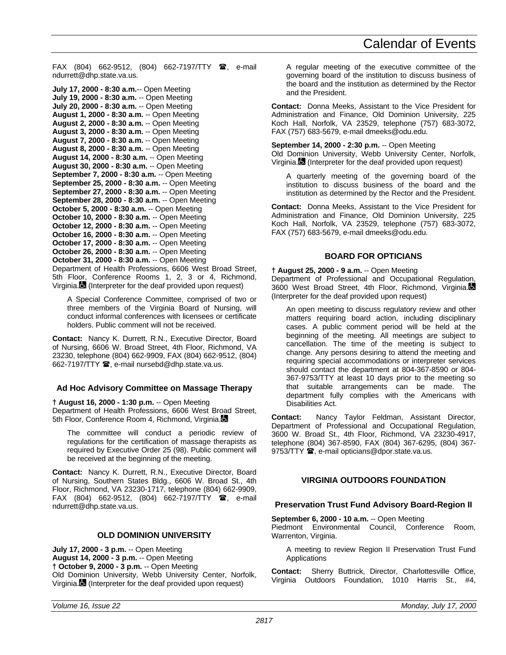FAX (804) 662-9512, (804) 662-7197/TTY <sup>3</sup>, e-mail ndurrett@dhp.state.va.us.

```
July 17, 2000 - 8:30 a.m.-- Open Meeting
July 19, 2000 - 8:30 a.m. -- Open Meeting
July 20, 2000 - 8:30 a.m. -- Open Meeting
August 1, 2000 - 8:30 a.m. -- Open Meeting
August 2, 2000 - 8:30 a.m. -- Open Meeting
August 3, 2000 - 8:30 a.m. -- Open Meeting
August 7, 2000 - 8:30 a.m. -- Open Meeting
August 8, 2000 - 8:30 a.m. -- Open Meeting
August 14, 2000 - 8:30 a.m. -- Open Meeting
August 30, 2000 - 8:30 a.m. -- Open Meeting
September 7, 2000 - 8:30 a.m. -- Open Meeting
September 25, 2000 - 8:30 a.m. -- Open Meeting
September 27, 2000 - 8:30 a.m. -- Open Meeting
September 28, 2000 - 8:30 a.m. -- Open Meeting
October 5, 2000 - 8:30 a.m. -- Open Meeting
October 10, 2000 - 8:30 a.m. -- Open Meeting
October 12, 2000 - 8:30 a.m. -- Open Meeting
October 16, 2000 - 8:30 a.m. -- Open Meeting
October 17, 2000 - 8:30 a.m. -- Open Meeting
October 26, 2000 - 8:30 a.m. -- Open Meeting
October 31, 2000 - 8:30 a.m. -- Open Meeting
```
Department of Health Professions, 6606 West Broad Street, 5th Floor, Conference Rooms 1, 2, 3 or 4, Richmond, Virginia. (Interpreter for the deaf provided upon request)

A Special Conference Committee, comprised of two or three members of the Virginia Board of Nursing, will conduct informal conferences with licensees or certificate holders. Public comment will not be received.

**Contact:** Nancy K. Durrett, R.N., Executive Director, Board of Nursing, 6606 W. Broad Street, 4th Floor, Richmond, VA 23230, telephone (804) 662-9909, FAX (804) 662-9512, (804) 662-7197/TTY <sup>3</sup>, e-mail nursebd@dhp.state.va.us.

## **Ad Hoc Advisory Committee on Massage Therapy**

**† August 16, 2000 - 1:30 p.m.** -- Open Meeting Department of Health Professions, 6606 West Broad Street, 5th Floor, Conference Room 4, Richmond, Virginia.

The committee will conduct a periodic review of regulations for the certification of massage therapists as required by Executive Order 25 (98). Public comment will be received at the beginning of the meeting.

**Contact:** Nancy K. Durrett, R.N., Executive Director, Board of Nursing, Southern States Bldg., 6606 W. Broad St., 4th Floor, Richmond, VA 23230-1717, telephone (804) 662-9909, FAX (804) 662-9512, (804) 662-7197/TTY  $\mathbf{\mathcal{F}}$ , e-mail ndurrett@dhp.state.va.us.

#### **OLD DOMINION UNIVERSITY**

**July 17, 2000 - 3 p.m.** -- Open Meeting **August 14, 2000 - 3 p.m.** -- Open Meeting **† October 9, 2000 - 3 p.m.** -- Open Meeting Old Dominion University, Webb University Center, Norfolk, Virginia. (Interpreter for the deaf provided upon request)

A regular meeting of the executive committee of the governing board of the institution to discuss business of the board and the institution as determined by the Rector and the President.

**Contact:** Donna Meeks, Assistant to the Vice President for Administration and Finance, Old Dominion University, 225 Koch Hall, Norfolk, VA 23529, telephone (757) 683-3072, FAX (757) 683-5679, e-mail dmeeks@odu.edu.

## **September 14, 2000 - 2:30 p.m.** -- Open Meeting

Old Dominion University, Webb University Center, Norfolk, Virginia. (Interpreter for the deaf provided upon request)

A quarterly meeting of the governing board of the institution to discuss business of the board and the institution as determined by the Rector and the President.

**Contact:** Donna Meeks, Assistant to the Vice President for Administration and Finance, Old Dominion University, 225 Koch Hall, Norfolk, VA 23529, telephone (757) 683-3072, FAX (757) 683-5679, e-mail dmeeks@odu.edu.

# **BOARD FOR OPTICIANS**

#### **† August 25, 2000 - 9 a.m.** -- Open Meeting

Department of Professional and Occupational Regulation, 3600 West Broad Street, 4th Floor, Richmond, Virginia. (Interpreter for the deaf provided upon request)

An open meeting to discuss regulatory review and other matters requiring board action, including disciplinary cases. A public comment period will be held at the beginning of the meeting. All meetings are subject to cancellation. The time of the meeting is subject to change. Any persons desiring to attend the meeting and requiring special accommodations or interpreter services should contact the department at 804-367-8590 or 804- 367-9753/TTY at least 10 days prior to the meeting so that suitable arrangements can be made. The department fully complies with the Americans with Disabilities Act.

**Contact:** Nancy Taylor Feldman, Assistant Director, Department of Professional and Occupational Regulation, 3600 W. Broad St., 4th Floor, Richmond, VA 23230-4917, telephone (804) 367-8590, FAX (804) 367-6295, (804) 367- 9753/TTY  $\mathbf{\mathcal{D}}$ , e-mail opticians@dpor.state.va.us.

# **VIRGINIA OUTDOORS FOUNDATION**

## **Preservation Trust Fund Advisory Board-Region II**

**September 6, 2000 - 10 a.m.** -- Open Meeting Piedmont Environmental Council, Conference Room,

Warrenton, Virginia.

A meeting to review Region II Preservation Trust Fund Applications

**Contact:** Sherry Buttrick, Director, Charlottesville Office, Virginia Outdoors Foundation, 1010 Harris St., #4,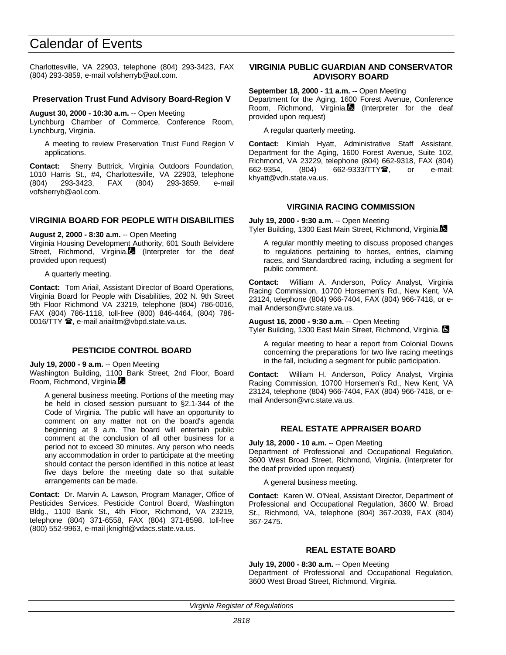Charlottesville, VA 22903, telephone (804) 293-3423, FAX (804) 293-3859, e-mail vofsherryb@aol.com.

#### **Preservation Trust Fund Advisory Board-Region V**

**August 30, 2000 - 10:30 a.m.** -- Open Meeting

Lynchburg Chamber of Commerce, Conference Room, Lynchburg, Virginia.

A meeting to review Preservation Trust Fund Region V applications.

**Contact:** Sherry Buttrick, Virginia Outdoors Foundation, 1010 Harris St., #4, Charlottesville, VA 22903, telephone (804) 293-3423, FAX (804) 293-3859, e-mail vofsherryb@aol.com.

## **VIRGINIA BOARD FOR PEOPLE WITH DISABILITIES**

#### **August 2, 2000 - 8:30 a.m.** -- Open Meeting

Virginia Housing Development Authority, 601 South Belvidere Street, Richmond, Virginia. (Interpreter for the deaf provided upon request)

A quarterly meeting.

**Contact:** Tom Ariail, Assistant Director of Board Operations, Virginia Board for People with Disabilities, 202 N. 9th Street 9th Floor Richmond VA 23219, telephone (804) 786-0016, FAX (804) 786-1118, toll-free (800) 846-4464, (804) 786- 0016/TTY  $\mathbf{\mathcal{D}}$ , e-mail ariailtm@vbpd.state.va.us.

## **PESTICIDE CONTROL BOARD**

**July 19, 2000 - 9 a.m.** -- Open Meeting

Washington Building, 1100 Bank Street, 2nd Floor, Board Room, Richmond, Virginia.

A general business meeting. Portions of the meeting may be held in closed session pursuant to §2.1-344 of the Code of Virginia. The public will have an opportunity to comment on any matter not on the board's agenda beginning at 9 a.m. The board will entertain public comment at the conclusion of all other business for a period not to exceed 30 minutes. Any person who needs any accommodation in order to participate at the meeting should contact the person identified in this notice at least five days before the meeting date so that suitable arrangements can be made.

**Contact:** Dr. Marvin A. Lawson, Program Manager, Office of Pesticides Services, Pesticide Control Board, Washington Bldg., 1100 Bank St., 4th Floor, Richmond, VA 23219, telephone (804) 371-6558, FAX (804) 371-8598, toll-free (800) 552-9963, e-mail jknight@vdacs.state.va.us.

#### **VIRGINIA PUBLIC GUARDIAN AND CONSERVATOR ADVISORY BOARD**

**September 18, 2000 - 11 a.m.** -- Open Meeting

Department for the Aging, 1600 Forest Avenue, Conference Room, Richmond, Virginia. $\blacksquare$  (Interpreter for the deaf provided upon request)

A regular quarterly meeting.

**Contact:** Kimlah Hyatt, Administrative Staff Assistant, Department for the Aging, 1600 Forest Avenue, Suite 102, Richmond, VA 23229, telephone (804) 662-9318, FAX (804) 662-9354, (804) 662-9333/TTY雪, or e-mail: khyatt@vdh.state.va.us.

## **VIRGINIA RACING COMMISSION**

**July 19, 2000 - 9:30 a.m.** -- Open Meeting Tyler Building, 1300 East Main Street, Richmond, Virginia.

A regular monthly meeting to discuss proposed changes to regulations pertaining to horses, entries, claiming races, and Standardbred racing, including a segment for public comment.

**Contact:** William A. Anderson, Policy Analyst, Virginia Racing Commission, 10700 Horsemen's Rd., New Kent, VA 23124, telephone (804) 966-7404, FAX (804) 966-7418, or email Anderson@vrc.state.va.us.

**August 16, 2000 - 9:30 a.m.** -- Open Meeting Tyler Building, 1300 East Main Street, Richmond, Virginia.

A regular meeting to hear a report from Colonial Downs concerning the preparations for two live racing meetings in the fall, including a segment for public participation.

**Contact:** William H. Anderson, Policy Analyst, Virginia Racing Commission, 10700 Horsemen's Rd., New Kent, VA 23124, telephone (804) 966-7404, FAX (804) 966-7418, or email Anderson@vrc.state.va.us.

## **REAL ESTATE APPRAISER BOARD**

**July 18, 2000 - 10 a.m.** -- Open Meeting Department of Professional and Occupational Regulation, 3600 West Broad Street, Richmond, Virginia. (Interpreter for the deaf provided upon request)

A general business meeting.

**Contact:** Karen W. O'Neal, Assistant Director, Department of Professional and Occupational Regulation, 3600 W. Broad St., Richmond, VA, telephone (804) 367-2039, FAX (804) 367-2475.

## **REAL ESTATE BOARD**

**July 19, 2000 - 8:30 a.m.** -- Open Meeting Department of Professional and Occupational Regulation, 3600 West Broad Street, Richmond, Virginia.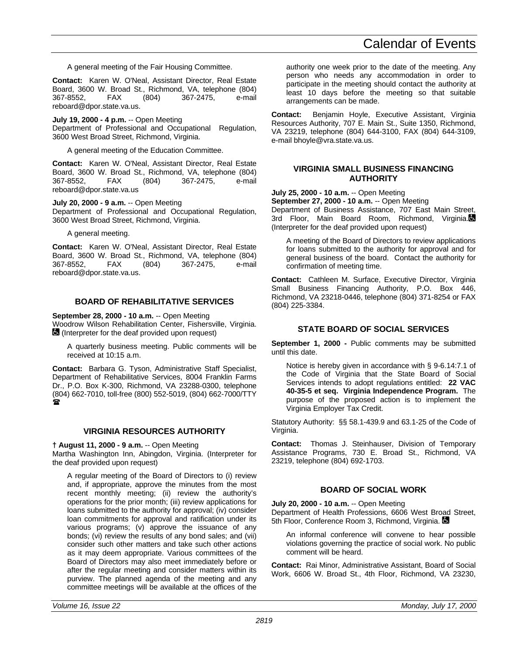A general meeting of the Fair Housing Committee.

**Contact:** Karen W. O'Neal, Assistant Director, Real Estate Board, 3600 W. Broad St., Richmond, VA, telephone (804) 367-8552, FAX (804) 367-2475, e-mail reboard@dpor.state.va.us.

**July 19, 2000 - 4 p.m.** -- Open Meeting

Department of Professional and Occupational Regulation, 3600 West Broad Street, Richmond, Virginia.

A general meeting of the Education Committee.

**Contact:** Karen W. O'Neal, Assistant Director, Real Estate Board, 3600 W. Broad St., Richmond, VA, telephone (804) 367-8552, FAX (804) 367-2475, e-mail reboard@dpor.state.va.us

**July 20, 2000 - 9 a.m.** -- Open Meeting Department of Professional and Occupational Regulation,

3600 West Broad Street, Richmond, Virginia.

A general meeting.

**Contact:** Karen W. O'Neal, Assistant Director, Real Estate Board, 3600 W. Broad St., Richmond, VA, telephone (804) 367-8552, FAX (804) 367-2475, e-mail reboard@dpor.state.va.us.

#### **BOARD OF REHABILITATIVE SERVICES**

**September 28, 2000 - 10 a.m.** -- Open Meeting

Woodrow Wilson Rehabilitation Center, Fishersville, Virginia. (Interpreter for the deaf provided upon request)

A quarterly business meeting. Public comments will be received at 10:15 a.m.

**Contact:** Barbara G. Tyson, Administrative Staff Specialist, Department of Rehabilitative Services, 8004 Franklin Farms Dr., P.O. Box K-300, Richmond, VA 23288-0300, telephone (804) 662-7010, toll-free (800) 552-5019, (804) 662-7000/TTY  $\mathbf{r}$ 

#### **VIRGINIA RESOURCES AUTHORITY**

**† August 11, 2000 - 9 a.m.** -- Open Meeting Martha Washington Inn, Abingdon, Virginia. (Interpreter for the deaf provided upon request)

A regular meeting of the Board of Directors to (i) review and, if appropriate, approve the minutes from the most recent monthly meeting; (ii) review the authority's operations for the prior month; (iii) review applications for loans submitted to the authority for approval; (iv) consider loan commitments for approval and ratification under its various programs; (v) approve the issuance of any bonds; (vi) review the results of any bond sales; and (vii) consider such other matters and take such other actions as it may deem appropriate. Various committees of the Board of Directors may also meet immediately before or after the regular meeting and consider matters within its purview. The planned agenda of the meeting and any committee meetings will be available at the offices of the authority one week prior to the date of the meeting. Any person who needs any accommodation in order to participate in the meeting should contact the authority at least 10 days before the meeting so that suitable arrangements can be made.

**Contact:** Benjamin Hoyle, Executive Assistant, Virginia Resources Authority, 707 E. Main St., Suite 1350, Richmond, VA 23219, telephone (804) 644-3100, FAX (804) 644-3109, e-mail bhoyle@vra.state.va.us.

#### **VIRGINIA SMALL BUSINESS FINANCING AUTHORITY**

**July 25, 2000 - 10 a.m.** -- Open Meeting

**September 27, 2000 - 10 a.m.** -- Open Meeting Department of Business Assistance, 707 East Main Street,

3rd Floor, Main Board Room, Richmond, Virginia. (Interpreter for the deaf provided upon request)

A meeting of the Board of Directors to review applications for loans submitted to the authority for approval and for general business of the board. Contact the authority for confirmation of meeting time.

**Contact:** Cathleen M. Surface, Executive Director, Virginia Small Business Financing Authority, P.O. Box 446, Richmond, VA 23218-0446, telephone (804) 371-8254 or FAX (804) 225-3384.

# **STATE BOARD OF SOCIAL SERVICES**

**September 1, 2000 -** Public comments may be submitted until this date.

Notice is hereby given in accordance with § 9-6.14:7.1 of the Code of Virginia that the State Board of Social Services intends to adopt regulations entitled: **22 VAC 40-35-5 et seq. Virginia Independence Program.** The purpose of the proposed action is to implement the Virginia Employer Tax Credit.

Statutory Authority: §§ 58.1-439.9 and 63.1-25 of the Code of Virginia.

**Contact:** Thomas J. Steinhauser, Division of Temporary Assistance Programs, 730 E. Broad St., Richmond, VA 23219, telephone (804) 692-1703.

## **BOARD OF SOCIAL WORK**

**July 20, 2000 - 10 a.m.** -- Open Meeting Department of Health Professions, 6606 West Broad Street, 5th Floor, Conference Room 3, Richmond, Virginia.

An informal conference will convene to hear possible violations governing the practice of social work. No public comment will be heard.

**Contact:** Rai Minor, Administrative Assistant, Board of Social Work, 6606 W. Broad St., 4th Floor, Richmond, VA 23230,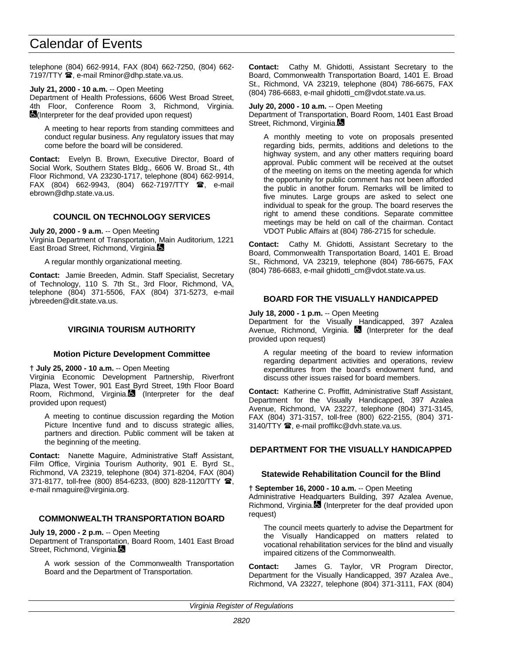telephone (804) 662-9914, FAX (804) 662-7250, (804) 662- 7197/TTY **雪**, e-mail Rminor@dhp.state.va.us.

**July 21, 2000 - 10 a.m.** -- Open Meeting

Department of Health Professions, 6606 West Broad Street, 4th Floor, Conference Room 3, Richmond, Virginia. **(**Interpreter for the deaf provided upon request)

A meeting to hear reports from standing committees and conduct regular business. Any regulatory issues that may come before the board will be considered.

**Contact:** Evelyn B. Brown, Executive Director, Board of Social Work, Southern States Bldg., 6606 W. Broad St., 4th Floor Richmond, VA 23230-1717, telephone (804) 662-9914, FAX (804) 662-9943, (804) 662-7197/TTY  $\mathbf{\mathfrak{B}}$ , e-mail ebrown@dhp.state.va.us.

#### **COUNCIL ON TECHNOLOGY SERVICES**

**July 20, 2000 - 9 a.m.** -- Open Meeting Virginia Department of Transportation, Main Auditorium, 1221 East Broad Street, Richmond, Virginia.

A regular monthly organizational meeting.

**Contact:** Jamie Breeden, Admin. Staff Specialist, Secretary of Technology, 110 S. 7th St., 3rd Floor, Richmond, VA, telephone (804) 371-5506, FAX (804) 371-5273, e-mail jvbreeden@dit.state.va.us.

## **VIRGINIA TOURISM AUTHORITY**

#### **Motion Picture Development Committee**

#### **† July 25, 2000 - 10 a.m.** -- Open Meeting

Virginia Economic Development Partnership, Riverfront Plaza, West Tower, 901 East Byrd Street, 19th Floor Board Room, Richmond, Virginia. (Interpreter for the deaf provided upon request)

A meeting to continue discussion regarding the Motion Picture Incentive fund and to discuss strategic allies, partners and direction. Public comment will be taken at the beginning of the meeting.

**Contact:** Nanette Maguire, Administrative Staff Assistant, Film Office, Virginia Tourism Authority, 901 E. Byrd St., Richmond, VA 23219, telephone (804) 371-8204, FAX (804) 371-8177, toll-free (800) 854-6233, (800) 828-1120/TTY 2, e-mail nmaguire@virginia.org.

## **COMMONWEALTH TRANSPORTATION BOARD**

**July 19, 2000 - 2 p.m.** -- Open Meeting

Department of Transportation, Board Room, 1401 East Broad Street, Richmond, Virginia.

A work session of the Commonwealth Transportation Board and the Department of Transportation.

**Contact:** Cathy M. Ghidotti, Assistant Secretary to the Board, Commonwealth Transportation Board, 1401 E. Broad St., Richmond, VA 23219, telephone (804) 786-6675, FAX (804) 786-6683, e-mail ghidotti\_cm@vdot.state.va.us.

#### **July 20, 2000 - 10 a.m.** -- Open Meeting

Department of Transportation, Board Room, 1401 East Broad Street, Richmond, Virginia.

A monthly meeting to vote on proposals presented regarding bids, permits, additions and deletions to the highway system, and any other matters requiring board approval. Public comment will be received at the outset of the meeting on items on the meeting agenda for which the opportunity for public comment has not been afforded the public in another forum. Remarks will be limited to five minutes. Large groups are asked to select one individual to speak for the group. The board reserves the right to amend these conditions. Separate committee meetings may be held on call of the chairman. Contact VDOT Public Affairs at (804) 786-2715 for schedule.

**Contact:** Cathy M. Ghidotti, Assistant Secretary to the Board, Commonwealth Transportation Board, 1401 E. Broad St., Richmond, VA 23219, telephone (804) 786-6675, FAX (804) 786-6683, e-mail ghidotti\_cm@vdot.state.va.us.

#### **BOARD FOR THE VISUALLY HANDICAPPED**

## **July 18, 2000 - 1 p.m.** -- Open Meeting

Department for the Visually Handicapped, 397 Azalea Avenue, Richmond, Virginia.  $\blacksquare$  (Interpreter for the deaf provided upon request)

A regular meeting of the board to review information regarding department activities and operations, review expenditures from the board's endowment fund, and discuss other issues raised for board members.

**Contact:** Katherine C. Proffitt, Administrative Staff Assistant, Department for the Visually Handicapped, 397 Azalea Avenue, Richmond, VA 23227, telephone (804) 371-3145, FAX (804) 371-3157, toll-free (800) 622-2155, (804) 371- 3140/TTY <sup>1</sup>, e-mail proffikc@dvh.state.va.us.

## **DEPARTMENT FOR THE VISUALLY HANDICAPPED**

#### **Statewide Rehabilitation Council for the Blind**

**† September 16, 2000 - 10 a.m.** -- Open Meeting Administrative Headquarters Building, 397 Azalea Avenue, Richmond, Virginia. (Interpreter for the deaf provided upon request)

The council meets quarterly to advise the Department for the Visually Handicapped on matters related to vocational rehabilitation services for the blind and visually impaired citizens of the Commonwealth.

**Contact:** James G. Taylor, VR Program Director, Department for the Visually Handicapped, 397 Azalea Ave., Richmond, VA 23227, telephone (804) 371-3111, FAX (804)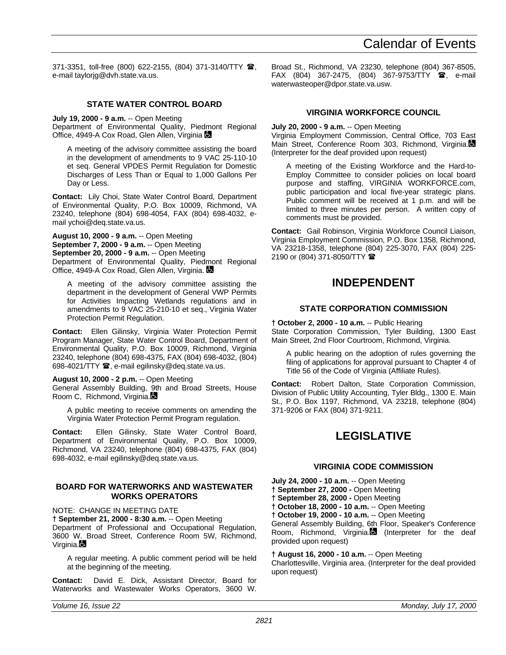371-3351, toll-free (800) 622-2155, (804) 371-3140/TTY 2, e-mail taylorjg@dvh.state.va.us.

# **STATE WATER CONTROL BOARD**

**July 19, 2000 - 9 a.m.** -- Open Meeting

Department of Environmental Quality, Piedmont Regional Office, 4949-A Cox Road, Glen Allen, Virginia C

A meeting of the advisory committee assisting the board in the development of amendments to 9 VAC 25-110-10 et seq. General VPDES Permit Regulation for Domestic Discharges of Less Than or Equal to 1,000 Gallons Per Day or Less.

**Contact:** Lily Choi, State Water Control Board, Department of Environmental Quality, P.O. Box 10009, Richmond, VA 23240, telephone (804) 698-4054, FAX (804) 698-4032, email ychoi@deq.state.va.us.

**August 10, 2000 - 9 a.m.** -- Open Meeting **September 7, 2000 - 9 a.m.** -- Open Meeting **September 20, 2000 - 9 a.m.** -- Open Meeting Department of Environmental Quality, Piedmont Regional Office, 4949-A Cox Road, Glen Allen, Virginia.

A meeting of the advisory committee assisting the department in the development of General VWP Permits for Activities Impacting Wetlands regulations and in amendments to 9 VAC 25-210-10 et seq., Virginia Water Protection Permit Regulation.

**Contact:** Ellen Gilinsky, Virginia Water Protection Permit Program Manager, State Water Control Board, Department of Environmental Quality, P.O. Box 10009, Richmond, Virginia 23240, telephone (804) 698-4375, FAX (804) 698-4032, (804) 698-4021/TTY <sup>3</sup>, e-mail egilinsky@deq.state.va.us.

## **August 10, 2000 - 2 p.m.** -- Open Meeting

General Assembly Building, 9th and Broad Streets, House Room C, Richmond, Virginia.

A public meeting to receive comments on amending the Virginia Water Protection Permit Program regulation.

**Contact:** Ellen Gilinsky, State Water Control Board, Department of Environmental Quality, P.O. Box 10009, Richmond, VA 23240, telephone (804) 698-4375, FAX (804) 698-4032, e-mail egilinsky@deq.state.va.us.

# **BOARD FOR WATERWORKS AND WASTEWATER WORKS OPERATORS**

NOTE: CHANGE IN MEETING DATE

**† September 21, 2000 - 8:30 a.m.** -- Open Meeting

Department of Professional and Occupational Regulation, 3600 W. Broad Street, Conference Room 5W, Richmond, Virginia.

A regular meeting. A public comment period will be held at the beginning of the meeting.

**Contact:** David E. Dick, Assistant Director, Board for Waterworks and Wastewater Works Operators, 3600 W.

Broad St., Richmond, VA 23230, telephone (804) 367-8505, FAX (804) 367-2475, (804) 367-9753/TTY <sup>3</sup>, e-mail waterwasteoper@dpor.state.va.usw.

# **VIRGINIA WORKFORCE COUNCIL**

# **July 20, 2000 - 9 a.m.** -- Open Meeting

Virginia Employment Commission, Central Office, 703 East Main Street, Conference Room 303, Richmond, Virginia. (Interpreter for the deaf provided upon request)

A meeting of the Existing Workforce and the Hard-to-Employ Committee to consider policies on local board purpose and staffing, VIRGINIA WORKFORCE.com, public participation and local five-year strategic plans. Public comment will be received at 1 p.m. and will be limited to three minutes per person. A written copy of comments must be provided.

**Contact:** Gail Robinson, Virginia Workforce Council Liaison, Virginia Employment Commission, P.O. Box 1358, Richmond, VA 23218-1358, telephone (804) 225-3070, FAX (804) 225- 2190 or (804) 371-8050/TTY 2

# **INDEPENDENT**

## **STATE CORPORATION COMMISSION**

**† October 2, 2000 - 10 a.m.** -- Public Hearing State Corporation Commission, Tyler Building, 1300 East Main Street, 2nd Floor Courtroom, Richmond, Virginia.

A public hearing on the adoption of rules governing the filing of applications for approval pursuant to Chapter 4 of Title 56 of the Code of Virginia (Affiliate Rules).

**Contact:** Robert Dalton, State Corporation Commission, Division of Public Utility Accounting, Tyler Bldg., 1300 E. Main St., P.O. Box 1197, Richmond, VA 23218, telephone (804) 371-9206 or FAX (804) 371-9211.

# **LEGISLATIVE**

# **VIRGINIA CODE COMMISSION**

**July 24, 2000 - 10 a.m.** -- Open Meeting **† September 27, 2000 -** Open Meeting **† September 28, 2000 -** Open Meeting **† October 18, 2000 - 10 a.m.** -- Open Meeting **† October 19, 2000 - 10 a.m.** -- Open Meeting General Assembly Building, 6th Floor, Speaker's Conference Room, Richmond, Virginia. (Interpreter for the deaf provided upon request)

**† August 16, 2000 - 10 a.m.** -- Open Meeting Charlottesville, Virginia area. (Interpreter for the deaf provided upon request)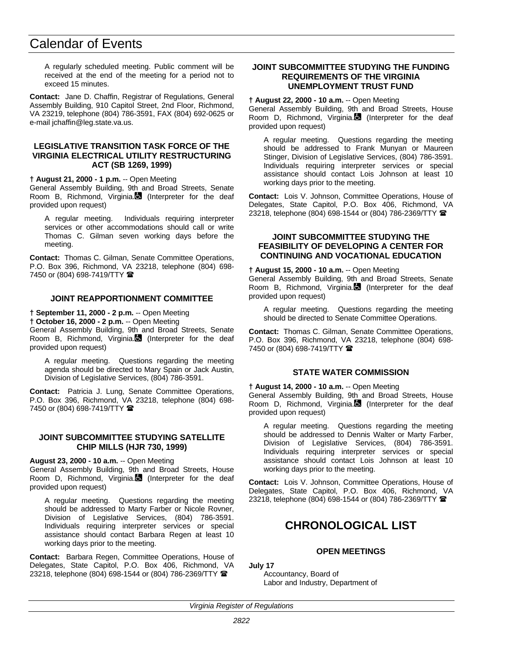A regularly scheduled meeting. Public comment will be received at the end of the meeting for a period not to exceed 15 minutes.

**Contact:** Jane D. Chaffin, Registrar of Regulations, General Assembly Building, 910 Capitol Street, 2nd Floor, Richmond, VA 23219, telephone (804) 786-3591, FAX (804) 692-0625 or e-mail jchaffin@leg.state.va.us.

## **LEGISLATIVE TRANSITION TASK FORCE OF THE VIRGINIA ELECTRICAL UTILITY RESTRUCTURING ACT (SB 1269, 1999)**

#### **† August 21, 2000 - 1 p.m.** -- Open Meeting

General Assembly Building, 9th and Broad Streets, Senate Room B, Richmond, Virginia. (Interpreter for the deaf provided upon request)

A regular meeting. Individuals requiring interpreter services or other accommodations should call or write Thomas C. Gilman seven working days before the meeting.

**Contact:** Thomas C. Gilman, Senate Committee Operations, P.O. Box 396, Richmond, VA 23218, telephone (804) 698- 7450 or (804) 698-7419/TTY 2

# **JOINT REAPPORTIONMENT COMMITTEE**

# **† September 11, 2000 - 2 p.m.** -- Open Meeting

**† October 16, 2000 - 2 p.m.** -- Open Meeting General Assembly Building, 9th and Broad Streets, Senate Room B, Richmond, Virginia. (Interpreter for the deaf

provided upon request) A regular meeting. Questions regarding the meeting

agenda should be directed to Mary Spain or Jack Austin, Division of Legislative Services, (804) 786-3591.

**Contact:** Patricia J. Lung, Senate Committee Operations, P.O. Box 396, Richmond, VA 23218, telephone (804) 698- 7450 or (804) 698-7419/TTY  $\blacksquare$ 

#### **JOINT SUBCOMMITTEE STUDYING SATELLITE CHIP MILLS (HJR 730, 1999)**

#### **August 23, 2000 - 10 a.m.** -- Open Meeting

General Assembly Building, 9th and Broad Streets, House Room D, Richmond, Virginia. $\Box$  (Interpreter for the deaf provided upon request)

A regular meeting. Questions regarding the meeting should be addressed to Marty Farber or Nicole Rovner, Division of Legislative Services, (804) 786-3591. Individuals requiring interpreter services or special assistance should contact Barbara Regen at least 10 working days prior to the meeting.

**Contact:** Barbara Regen, Committee Operations, House of Delegates, State Capitol, P.O. Box 406, Richmond, VA 23218, telephone (804) 698-1544 or (804) 786-2369/TTY <sup>2</sup>

#### **JOINT SUBCOMMITTEE STUDYING THE FUNDING REQUIREMENTS OF THE VIRGINIA UNEMPLOYMENT TRUST FUND**

#### **† August 22, 2000 - 10 a.m.** -- Open Meeting

General Assembly Building, 9th and Broad Streets, House Room D, Richmond, Virginia. (Interpreter for the deaf provided upon request)

A regular meeting. Questions regarding the meeting should be addressed to Frank Munyan or Maureen Stinger, Division of Legislative Services, (804) 786-3591. Individuals requiring interpreter services or special assistance should contact Lois Johnson at least 10 working days prior to the meeting.

**Contact:** Lois V. Johnson, Committee Operations, House of Delegates, State Capitol, P.O. Box 406, Richmond, VA 23218, telephone (804) 698-1544 or (804) 786-2369/TTY (

## **JOINT SUBCOMMITTEE STUDYING THE FEASIBILITY OF DEVELOPING A CENTER FOR CONTINUING AND VOCATIONAL EDUCATION**

#### **† August 15, 2000 - 10 a.m.** -- Open Meeting

General Assembly Building, 9th and Broad Streets, Senate Room B, Richmond, Virginia. (Interpreter for the deaf provided upon request)

A regular meeting. Questions regarding the meeting should be directed to Senate Committee Operations.

**Contact:** Thomas C. Gilman, Senate Committee Operations, P.O. Box 396, Richmond, VA 23218, telephone (804) 698- 7450 or (804) 698-7419/TTY <sup>金</sup>

# **STATE WATER COMMISSION**

**† August 14, 2000 - 10 a.m.** -- Open Meeting General Assembly Building, 9th and Broad Streets, House Room D, Richmond, Virginia. (Interpreter for the deaf provided upon request)

A regular meeting. Questions regarding the meeting should be addressed to Dennis Walter or Marty Farber, Division of Legislative Services, (804) 786-3591. Individuals requiring interpreter services or special assistance should contact Lois Johnson at least 10 working days prior to the meeting.

**Contact:** Lois V. Johnson, Committee Operations, House of Delegates, State Capitol, P.O. Box 406, Richmond, VA 23218, telephone (804) 698-1544 or (804) 786-2369/TTY <sup>2</sup>

# **CHRONOLOGICAL LIST**

# **OPEN MEETINGS**

**July 17** Accountancy, Board of

Labor and Industry, Department of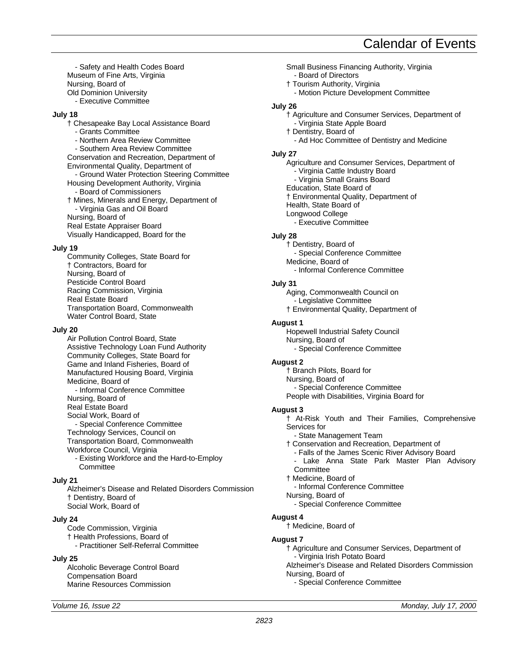- Safety and Health Codes Board Museum of Fine Arts, Virginia Nursing, Board of Old Dominion University

- Executive Committee

## **July 18**

† Chesapeake Bay Local Assistance Board - Grants Committee - Northern Area Review Committee - Southern Area Review Committee Conservation and Recreation, Department of Environmental Quality, Department of - Ground Water Protection Steering Committee Housing Development Authority, Virginia - Board of Commissioners † Mines, Minerals and Energy, Department of - Virginia Gas and Oil Board Nursing, Board of Real Estate Appraiser Board Visually Handicapped, Board for the

## **July 19**

Community Colleges, State Board for † Contractors, Board for Nursing, Board of Pesticide Control Board Racing Commission, Virginia Real Estate Board Transportation Board, Commonwealth Water Control Board, State

#### **July 20**

Air Pollution Control Board, State Assistive Technology Loan Fund Authority Community Colleges, State Board for Game and Inland Fisheries, Board of Manufactured Housing Board, Virginia Medicine, Board of - Informal Conference Committee Nursing, Board of Real Estate Board Social Work, Board of - Special Conference Committee Technology Services, Council on Transportation Board, Commonwealth Workforce Council, Virginia - Existing Workforce and the Hard-to-Employ **Committee** 

## **July 21**

Alzheimer's Disease and Related Disorders Commission † Dentistry, Board of Social Work, Board of

## **July 24**

Code Commission, Virginia † Health Professions, Board of - Practitioner Self-Referral Committee

## **July 25**

Alcoholic Beverage Control Board Compensation Board Marine Resources Commission

Small Business Financing Authority, Virginia - Board of Directors † Tourism Authority, Virginia - Motion Picture Development Committee **July 26** † Agriculture and Consumer Services, Department of - Virginia State Apple Board † Dentistry, Board of - Ad Hoc Committee of Dentistry and Medicine **July 27** Agriculture and Consumer Services, Department of - Virginia Cattle Industry Board - Virginia Small Grains Board Education, State Board of † Environmental Quality, Department of Health, State Board of Longwood College - Executive Committee **July 28** † Dentistry, Board of - Special Conference Committee Medicine, Board of - Informal Conference Committee **July 31** Aging, Commonwealth Council on - Legislative Committee † Environmental Quality, Department of **August 1** Hopewell Industrial Safety Council Nursing, Board of - Special Conference Committee **August 2** † Branch Pilots, Board for Nursing, Board of - Special Conference Committee People with Disabilities, Virginia Board for **August 3** † At-Risk Youth and Their Families, Comprehensive Services for - State Management Team † Conservation and Recreation, Department of - Falls of the James Scenic River Advisory Board - Lake Anna State Park Master Plan Advisory **Committee** † Medicine, Board of - Informal Conference Committee Nursing, Board of - Special Conference Committee **August 4** † Medicine, Board of **August 7** † Agriculture and Consumer Services, Department of - Virginia Irish Potato Board Alzheimer's Disease and Related Disorders Commission Nursing, Board of

- Special Conference Committee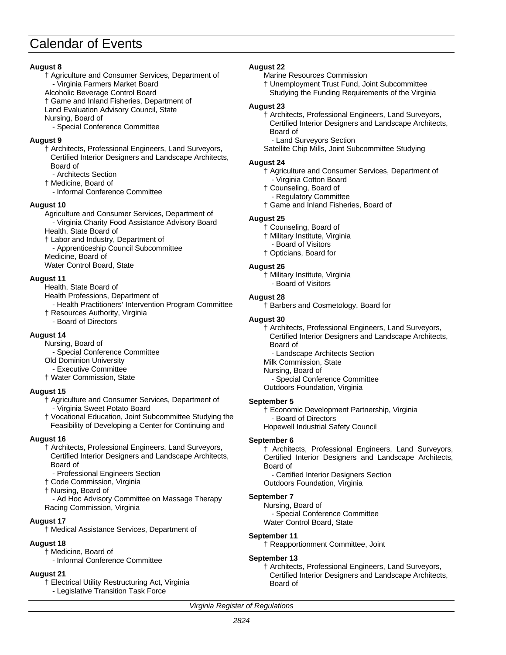# **August 8**

- † Agriculture and Consumer Services, Department of - Virginia Farmers Market Board Alcoholic Beverage Control Board
- † Game and Inland Fisheries, Department of

Land Evaluation Advisory Council, State Nursing, Board of

- Special Conference Committee

# **August 9**

- † Architects, Professional Engineers, Land Surveyors, Certified Interior Designers and Landscape Architects, Board of
- Architects Section
- † Medicine, Board of
	- Informal Conference Committee

# **August 10**

Agriculture and Consumer Services, Department of - Virginia Charity Food Assistance Advisory Board

# Health, State Board of

- † Labor and Industry, Department of - Apprenticeship Council Subcommittee
- Medicine, Board of

Water Control Board, State

# **August 11**

- Health, State Board of
- Health Professions, Department of
- Health Practitioners' Intervention Program Committee † Resources Authority, Virginia
	- Board of Directors

# **August 14**

- Nursing, Board of
- Special Conference Committee
- Old Dominion University
- Executive Committee
- † Water Commission, State

# **August 15**

- † Agriculture and Consumer Services, Department of - Virginia Sweet Potato Board
- † Vocational Education, Joint Subcommittee Studying the Feasibility of Developing a Center for Continuing and

# **August 16**

- † Architects, Professional Engineers, Land Surveyors, Certified Interior Designers and Landscape Architects, Board of
	- Professional Engineers Section
- † Code Commission, Virginia
- † Nursing, Board of
- Ad Hoc Advisory Committee on Massage Therapy Racing Commission, Virginia

# **August 17**

† Medical Assistance Services, Department of

# **August 18**

- † Medicine, Board of
	- Informal Conference Committee

# **August 21**

- † Electrical Utility Restructuring Act, Virginia
- Legislative Transition Task Force

# **August 22**

- Marine Resources Commission
- † Unemployment Trust Fund, Joint Subcommittee Studying the Funding Requirements of the Virginia

## **August 23**

- † Architects, Professional Engineers, Land Surveyors, Certified Interior Designers and Landscape Architects, Board of
- Land Surveyors Section

Satellite Chip Mills, Joint Subcommittee Studying

## **August 24**

- † Agriculture and Consumer Services, Department of - Virginia Cotton Board
- † Counseling, Board of
- Regulatory Committee
- † Game and Inland Fisheries, Board of

# **August 25**

- † Counseling, Board of
- † Military Institute, Virginia
- Board of Visitors
- † Opticians, Board for

# **August 26**

- † Military Institute, Virginia
- Board of Visitors

## **August 28**

† Barbers and Cosmetology, Board for

## **August 30**

- † Architects, Professional Engineers, Land Surveyors, Certified Interior Designers and Landscape Architects, Board of
	- Landscape Architects Section
- Milk Commission, State
- Nursing, Board of
- Special Conference Committee Outdoors Foundation, Virginia

## **September 5**

† Economic Development Partnership, Virginia Board of Directors Hopewell Industrial Safety Council

## **September 6**

† Architects, Professional Engineers, Land Surveyors, Certified Interior Designers and Landscape Architects, Board of

- Certified Interior Designers Section Outdoors Foundation, Virginia

# **September 7**

Nursing, Board of - Special Conference Committee Water Control Board, State

## **September 11**

† Reapportionment Committee, Joint

## **September 13**

† Architects, Professional Engineers, Land Surveyors, Certified Interior Designers and Landscape Architects, Board of